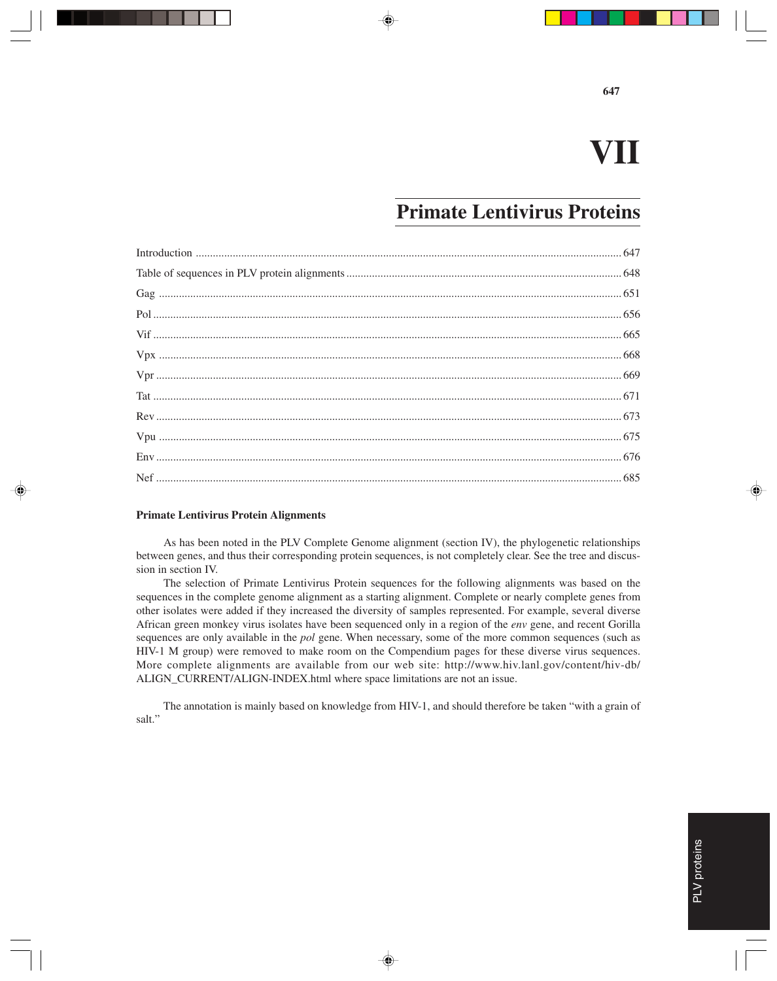# **VII**

## **Primate Lentivirus Proteins**

#### **Primate Lentivirus Protein Alignments**

As has been noted in the PLV Complete Genome alignment (section IV), the phylogenetic relationships between genes, and thus their corresponding protein sequences, is not completely clear. See the tree and discussion in section IV.

The selection of Primate Lentivirus Protein sequences for the following alignments was based on the sequences in the complete genome alignment as a starting alignment. Complete or nearly complete genes from other isolates were added if they increased the diversity of samples represented. For example, several diverse African green monkey virus isolates have been sequenced only in a region of the *env* gene, and recent Gorilla sequences are only available in the *pol* gene. When necessary, some of the more common sequences (such as HIV-1 M group) were removed to make room on the Compendium pages for these diverse virus sequences. More complete alignments are available from our web site: http://www.hiv.lanl.gov/content/hiv-db/ ALIGN\_CURRENT/ALIGN-INDEX.html where space limitations are not an issue.

The annotation is mainly based on knowledge from HIV-1, and should therefore be taken "with a grain of salt."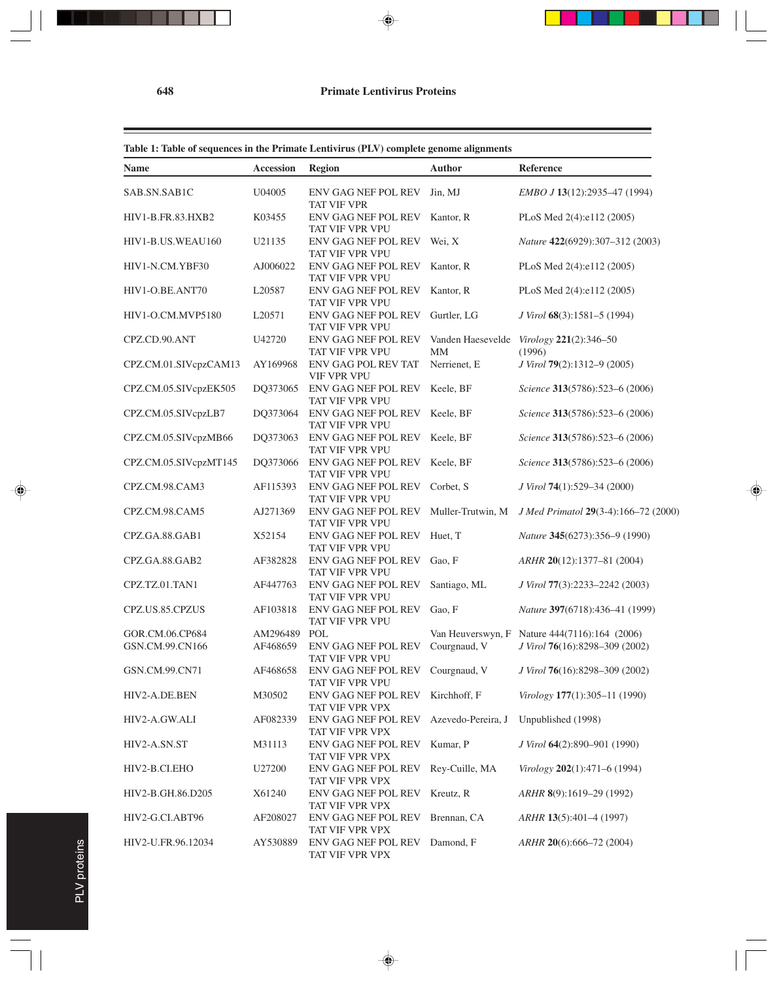| <b>Name</b>                        | <b>Accession</b>     | <b>Region</b>                                        | <b>Author</b>           | Reference                                                                       |
|------------------------------------|----------------------|------------------------------------------------------|-------------------------|---------------------------------------------------------------------------------|
| SAB.SN.SAB1C                       | U04005               | ENV GAG NEF POL REV<br><b>TAT VIF VPR</b>            | Jin, MJ                 | EMBO J 13(12):2935-47 (1994)                                                    |
| HIV1-B.FR.83.HXB2                  | K03455               | <b>ENV GAG NEF POL REV</b><br>TAT VIF VPR VPU        | Kantor, R               | PLoS Med 2(4):e112 (2005)                                                       |
| HIV1-B.US.WEAU160                  | U21135               | ENV GAG NEF POL REV<br>TAT VIF VPR VPU               | Wei, X                  | Nature 422(6929):307-312 (2003)                                                 |
| HIV1-N.CM.YBF30                    | AJ006022             | <b>ENV GAG NEF POL REV</b><br>TAT VIF VPR VPU        | Kantor, R               | PLoS Med 2(4):e112 (2005)                                                       |
| HIV1-O.BE.ANT70                    | L20587               | ENV GAG NEF POL REV<br>TAT VIF VPR VPU               | Kantor, R               | PLoS Med 2(4):e112 (2005)                                                       |
| HIV1-O.CM.MVP5180                  | L20571               | ENV GAG NEF POL REV<br>TAT VIF VPR VPU               | Gurtler, LG             | J Virol 68(3):1581–5 (1994)                                                     |
| CPZ.CD.90.ANT                      | U42720               | ENV GAG NEF POL REV<br>TAT VIF VPR VPU               | Vanden Haesevelde<br>MМ | Virology 221(2):346-50<br>(1996)                                                |
| CPZ.CM.01.SIVcpzCAM13              | AY169968             | ENV GAG POL REV TAT<br><b>VIF VPR VPU</b>            | Nerrienet, E            | J Virol 79(2):1312-9 (2005)                                                     |
| CPZ.CM.05.SIVcpzEK505              | DQ373065             | ENV GAG NEF POL REV<br>TAT VIF VPR VPU               | Keele, BF               | Science 313(5786):523-6 (2006)                                                  |
| CPZ.CM.05.SIVcpzLB7                | DQ373064             | ENV GAG NEF POL REV<br>TAT VIF VPR VPU               | Keele, BF               | Science 313(5786):523-6 (2006)                                                  |
| CPZ.CM.05.SIVcpzMB66               | DQ373063             | ENV GAG NEF POL REV<br>TAT VIF VPR VPU               | Keele, BF               | Science 313(5786):523-6 (2006)                                                  |
| CPZ.CM.05.SIVcpzMT145              | DQ373066             | <b>ENV GAG NEF POL REV</b><br>TAT VIF VPR VPU        | Keele, BF               | Science 313(5786):523-6 (2006)                                                  |
| CPZ.CM.98.CAM3                     | AF115393             | ENV GAG NEF POL REV<br>TAT VIF VPR VPU               | Corbet, S               | J Virol 74(1):529-34 (2000)                                                     |
| CPZ.CM.98.CAM5                     | AJ271369             | ENV GAG NEF POL REV<br>TAT VIF VPR VPU               | Muller-Trutwin, M       | J Med Primatol 29(3-4):166-72 (2000)                                            |
| CPZ.GA.88.GAB1                     | X52154               | ENV GAG NEF POL REV Huet, T<br>TAT VIF VPR VPU       |                         | Nature 345(6273):356-9 (1990)                                                   |
| CPZ.GA.88.GAB2                     | AF382828             | ENV GAG NEF POL REV<br>TAT VIF VPR VPU               | Gao, F                  | ARHR 20(12):1377-81 (2004)                                                      |
| CPZ.TZ.01.TAN1                     | AF447763             | ENV GAG NEF POL REV<br>TAT VIF VPR VPU               | Santiago, ML            | J Virol 77(3):2233-2242 (2003)                                                  |
| CPZ.US.85.CPZUS                    | AF103818             | ENV GAG NEF POL REV<br>TAT VIF VPR VPU               | Gao, F                  | Nature 397(6718):436-41 (1999)                                                  |
| GOR.CM.06.CP684<br>GSN.CM.99.CN166 | AM296489<br>AF468659 | POL<br><b>ENV GAG NEF POL REV</b><br>TAT VIF VPR VPU | Courgnaud, V            | Van Heuverswyn, F Nature 444(7116):164 (2006)<br>J Virol 76(16):8298-309 (2002) |
| GSN.CM.99.CN71                     | AF468658             | ENV GAG NEF POL REV<br>TAT VIF VPR VPU               | Courgnaud, V            | J Virol 76(16):8298-309 (2002)                                                  |
| HIV2-A.DE.BEN                      | M30502               | ENV GAG NEF POL REV<br>TAT VIF VPR VPX               | Kirchhoff, F            | Virology 177(1):305-11 (1990)                                                   |
| HIV2-A.GW.ALI                      | AF082339             | ENV GAG NEF POL REV<br>TAT VIF VPR VPX               | Azevedo-Pereira, J      | Unpublished (1998)                                                              |
| HIV2-A.SN.ST                       | M31113               | ENV GAG NEF POL REV<br>TAT VIF VPR VPX               | Kumar, P                | J Virol 64(2):890-901 (1990)                                                    |
| HIV2-B.CI.EHO                      | U27200               | ENV GAG NEF POL REV<br>TAT VIF VPR VPX               | Rey-Cuille, MA          | $Virology 202(1):471-6(1994)$                                                   |
| HIV2-B.GH.86.D205                  | X61240               | ENV GAG NEF POL REV<br>TAT VIF VPR VPX               | Kreutz, R               | ARHR 8(9):1619-29 (1992)                                                        |
| HIV2-G.CI.ABT96                    | AF208027             | ENV GAG NEF POL REV<br>TAT VIF VPR VPX               | Brennan, CA             | ARHR 13(5):401-4 (1997)                                                         |
| HIV2-U.FR.96.12034                 | AY530889             | ENV GAG NEF POL REV Damond, F<br>TAT VIF VPR VPX     |                         | ARHR 20(6):666-72 (2004)                                                        |

 $\overline{\phantom{a}}$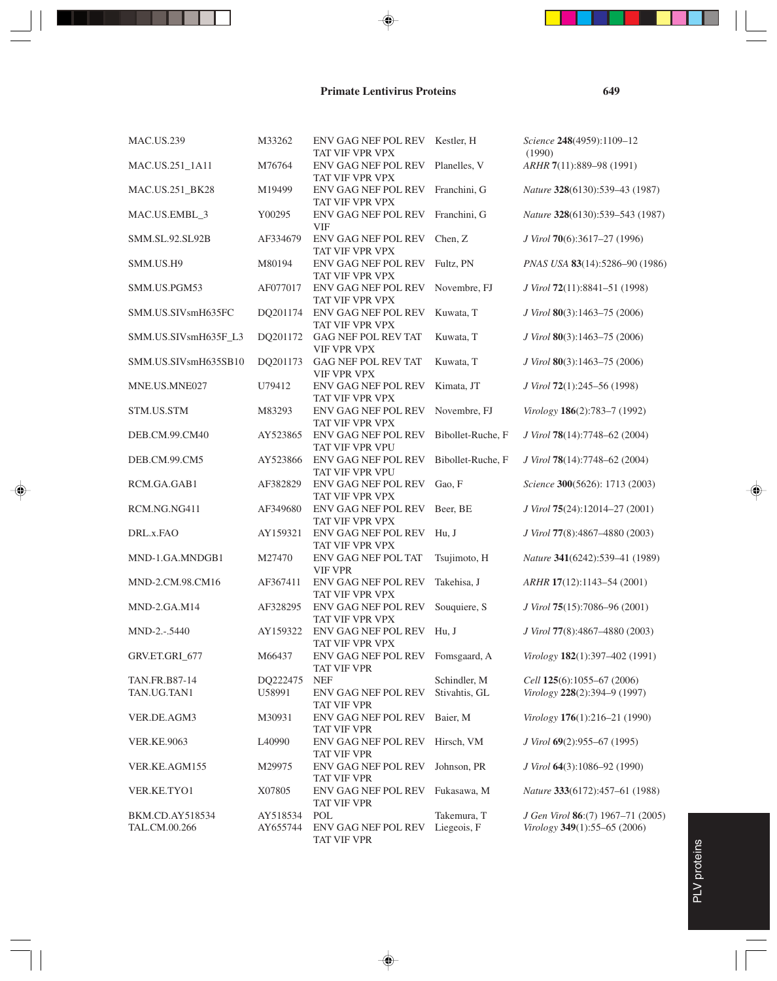| <b>MAC.US.239</b>      | M33262   | ENV GAG NEF POL REV Kestler, H<br>TAT VIF VPR VPX |                   | Science 248(4959):1109-12<br>(1990) |
|------------------------|----------|---------------------------------------------------|-------------------|-------------------------------------|
| MAC.US.251_1A11        | M76764   | ENV GAG NEF POL REV<br>TAT VIF VPR VPX            | Planelles, V      | ARHR 7(11):889-98 (1991)            |
| MAC.US.251_BK28        | M19499   | ENV GAG NEF POL REV<br>TAT VIF VPR VPX            | Franchini, G      | Nature 328(6130):539-43 (1987)      |
| MAC.US.EMBL 3          | Y00295   | <b>ENV GAG NEF POL REV</b><br><b>VIF</b>          | Franchini, G      | Nature 328(6130):539-543 (1987)     |
| SMM.SL.92.SL92B        | AF334679 | ENV GAG NEF POL REV<br>TAT VIF VPR VPX            | Chen, Z           | J Virol 70(6):3617-27 (1996)        |
| SMM.US.H9              | M80194   | ENV GAG NEF POL REV<br>TAT VIF VPR VPX            | Fultz, PN         | PNAS USA 83(14):5286-90 (1986)      |
| SMM.US.PGM53           | AF077017 | <b>ENV GAG NEF POL REV</b><br>TAT VIF VPR VPX     | Novembre, FJ      | J Virol 72(11):8841-51 (1998)       |
| SMM.US.SIVsmH635FC     | DQ201174 | ENV GAG NEF POL REV<br>TAT VIF VPR VPX            | Kuwata, T         | J Virol 80(3):1463-75 (2006)        |
| SMM.US.SIVsmH635F_L3   | DQ201172 | GAG NEF POL REV TAT<br><b>VIF VPR VPX</b>         | Kuwata, T         | J Virol 80(3):1463-75 (2006)        |
| SMM.US.SIVsmH635SB10   | DQ201173 | GAG NEF POL REV TAT<br><b>VIF VPR VPX</b>         | Kuwata, T         | J Virol 80(3):1463-75 (2006)        |
| MNE.US.MNE027          | U79412   | ENV GAG NEF POL REV<br>TAT VIF VPR VPX            | Kimata, JT        | J Virol 72(1):245–56 (1998)         |
| STM.US.STM             | M83293   | ENV GAG NEF POL REV<br>TAT VIF VPR VPX            | Novembre, FJ      | Virology 186(2):783-7 (1992)        |
| DEB.CM.99.CM40         | AY523865 | ENV GAG NEF POL REV<br>TAT VIF VPR VPU            | Bibollet-Ruche, F | J Virol 78(14):7748-62 (2004)       |
| DEB.CM.99.CM5          | AY523866 | ENV GAG NEF POL REV<br>TAT VIF VPR VPU            | Bibollet-Ruche, F | J Virol 78(14):7748-62 (2004)       |
| RCM.GA.GAB1            | AF382829 | ENV GAG NEF POL REV<br>TAT VIF VPR VPX            | Gao, F            | Science 300(5626): 1713 (2003)      |
| RCM.NG.NG411           | AF349680 | ENV GAG NEF POL REV<br>TAT VIF VPR VPX            | Beer, BE          | J Virol 75(24):12014-27 (2001)      |
| DRL.x.FAO              | AY159321 | ENV GAG NEF POL REV<br>TAT VIF VPR VPX            | Hu, J             | J Virol 77(8):4867-4880 (2003)      |
| MND-1.GA.MNDGB1        | M27470   | ENV GAG NEF POL TAT<br><b>VIF VPR</b>             | Tsujimoto, H      | Nature 341(6242):539-41 (1989)      |
| MND-2.CM.98.CM16       | AF367411 | <b>ENV GAG NEF POL REV</b><br>TAT VIF VPR VPX     | Takehisa, J       | ARHR 17(12):1143-54 (2001)          |
| MND-2.GA.M14           | AF328295 | ENV GAG NEF POL REV<br>TAT VIF VPR VPX            | Souquiere, S      | J Virol 75(15):7086-96 (2001)       |
| MND-2.-.5440           | AY159322 | ENV GAG NEF POL REV<br>TAT VIF VPR VPX            | Hu. J             | J Virol 77(8):4867-4880 (2003)      |
| GRV.ET.GRI_677         | M66437   | ENV GAG NEF POL REV Fomsgaard, A<br>TAT VIF VPR   |                   | Virology 182(1):397-402 (1991)      |
| TAN.FR.B87-14          | DQ222475 | <b>NEF</b>                                        | Schindler, M      | Cell 125(6):1055-67 (2006)          |
| TAN.UG.TAN1            | U58991   | ENV GAG NEF POL REV<br><b>TAT VIF VPR</b>         | Stivahtis, GL     | Virology $228(2):394-9(1997)$       |
| VER.DE.AGM3            | M30931   | ENV GAG NEF POL REV<br>TAT VIF VPR                | Baier, M          | Virology 176(1):216-21 (1990)       |
| <b>VER.KE.9063</b>     | L40990   | ENV GAG NEF POL REV<br><b>TAT VIF VPR</b>         | Hirsch, VM        | J Virol 69(2):955–67 (1995)         |
| VER.KE.AGM155          | M29975   | ENV GAG NEF POL REV<br><b>TAT VIF VPR</b>         | Johnson, PR       | J Virol 64(3):1086-92 (1990)        |
| VER.KE.TYO1            | X07805   | ENV GAG NEF POL REV<br>TAT VIF VPR                | Fukasawa, M       | Nature 333(6172):457-61 (1988)      |
| <b>BKM.CD.AY518534</b> | AY518534 | POL                                               | Takemura, T       | J Gen Virol 86:(7) 1967–71 (2005)   |
| TAL.CM.00.266          | AY655744 | ENV GAG NEF POL REV<br>TAT VIF VPR                | Liegeois, F       | Virology 349(1):55–65 (2006)        |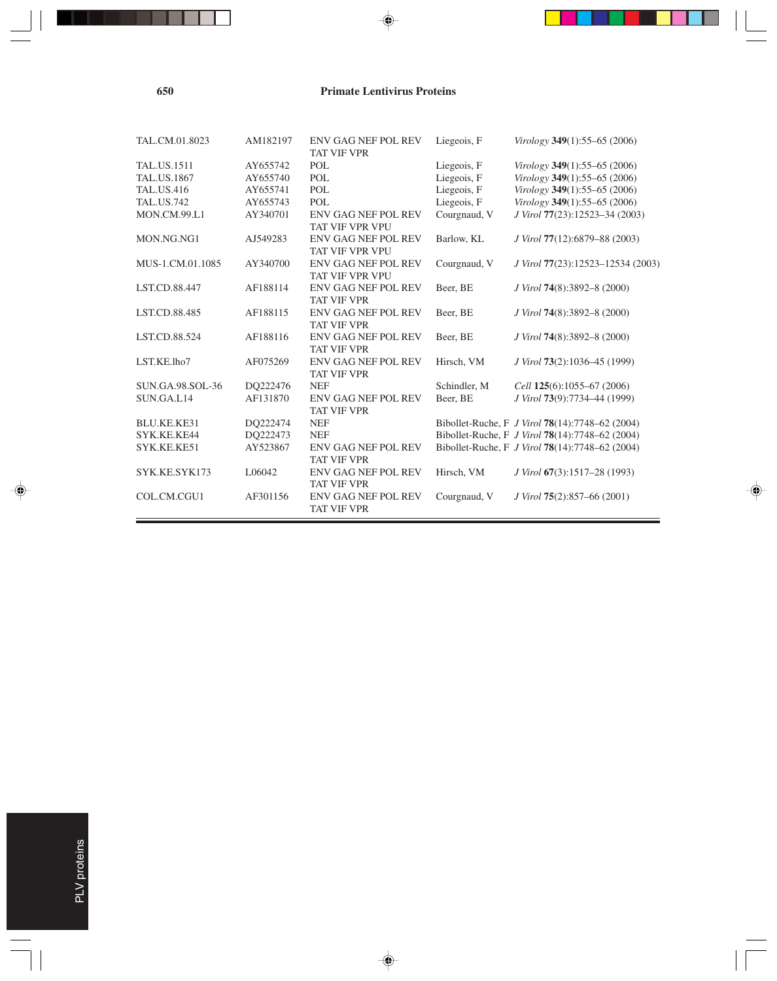| TAL.CM.01.8023       | AM182197 | <b>ENV GAG NEF POL REV</b><br><b>TAT VIF VPR</b> | Liegeois, F  | Virology $349(1)$ :55–65 (2006)                 |
|----------------------|----------|--------------------------------------------------|--------------|-------------------------------------------------|
| <b>TAL.US.1511</b>   | AY655742 | POL                                              | Liegeois, F  | Virology $349(1)$ :55–65 (2006)                 |
| TAL.US.1867          | AY655740 | POL                                              | Liegeois, F  | Virology 349(1):55-65 (2006)                    |
| <b>TAL.US.416</b>    | AY655741 | POL                                              | Liegeois, F  | Virology 349(1):55-65 (2006)                    |
| <b>TAL.US.742</b>    | AY655743 | POL                                              | Liegeois, F  | Virology 349(1):55-65 (2006)                    |
| <b>MON.CM.99.L1</b>  | AY340701 | <b>ENV GAG NEF POL REV</b><br>TAT VIF VPR VPU    | Courgnaud, V | J Virol 77(23):12523-34 (2003)                  |
| MON.NG.NG1           | AJ549283 | <b>ENV GAG NEF POL REV</b><br>TAT VIF VPR VPU    | Barlow, KL   | J Virol 77(12):6879–88 (2003)                   |
| MUS-1.CM.01.1085     | AY340700 | ENV GAG NEF POL REV<br><b>TAT VIF VPR VPU</b>    | Courgnaud, V | J Virol 77(23):12523-12534 (2003)               |
| LST.CD.88.447        | AF188114 | <b>ENV GAG NEF POL REV</b><br><b>TAT VIF VPR</b> | Beer, BE     | J Virol 74(8):3892-8 (2000)                     |
| LST.CD.88.485        | AF188115 | <b>ENV GAG NEF POL REV</b><br><b>TAT VIF VPR</b> | Beer, BE     | J Virol 74(8):3892-8 (2000)                     |
| <b>LST.CD.88.524</b> | AF188116 | <b>ENV GAG NEF POL REV</b><br><b>TAT VIF VPR</b> | Beer, BE     | J Virol 74(8):3892-8 (2000)                     |
| LST.KE.lho7          | AF075269 | <b>ENV GAG NEF POL REV</b><br><b>TAT VIF VPR</b> | Hirsch, VM   | J Virol 73(2):1036-45 (1999)                    |
| SUN.GA.98.SOL-36     | DO222476 | <b>NEF</b>                                       | Schindler, M | Cell 125(6):1055-67 (2006)                      |
| SUN.GA.L14           | AF131870 | <b>ENV GAG NEF POL REV</b><br><b>TAT VIF VPR</b> | Beer, BE     | J Virol 73(9):7734-44 (1999)                    |
| BLU.KE.KE31          | DQ222474 | <b>NEF</b>                                       |              | Bibollet-Ruche, F J Virol 78(14):7748-62 (2004) |
| SYK.KE.KE44          | DO222473 | <b>NEF</b>                                       |              | Bibollet-Ruche, F J Virol 78(14):7748-62 (2004) |
| SYK.KE.KE51          | AY523867 | <b>ENV GAG NEF POL REV</b><br><b>TAT VIF VPR</b> |              | Bibollet-Ruche, F J Virol 78(14):7748-62 (2004) |
| SYK.KE.SYK173        | L06042   | <b>ENV GAG NEF POL REV</b><br><b>TAT VIF VPR</b> | Hirsch, VM   | J Virol 67(3):1517–28 (1993)                    |
| COL.CM.CGU1          | AF301156 | <b>ENV GAG NEF POL REV</b><br><b>TAT VIF VPR</b> | Courgnaud, V | J Virol 75(2):857–66 (2001)                     |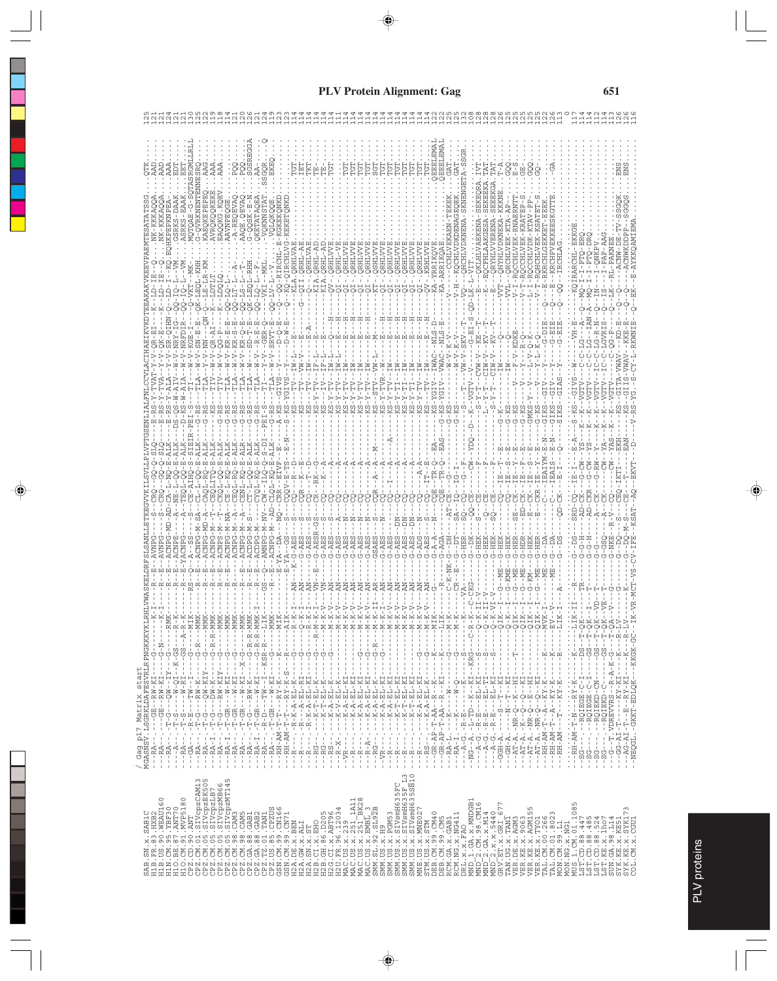| $A - RE$<br>AQE<br>ဒို<br>/ Gag p17 Matrix start<br>MGASNSV.LSGRKLDAFESVRLRPNGKKKYKLR<br>$---K$<br>$-$ K<br>$-$ - $RMK$<br>$-R - K$<br>--GS--A-R-K<br>---G-------<br>QIK<br>QIK<br>QIK<br>------MVK<br>$---LLIK$<br>$-$ - MMK<br>$-$ - MMK<br>$- -G - R - R - MMX$<br>--MMK<br>$-$ - MMK<br>--MIK<br>Q-K<br>QIK<br>-- MMK<br>– – MMK<br>- - - - - - - - - - R - - MMK<br>I - - - - - - - - R - - MMK<br>I - - - K.S.R - R - - - - - I.K -<br>$-$ - MMK<br>$---ALK$<br>agaa<br>1778<br>$-1 - N - 1$<br>$-1 - N - 1$<br>$-8 - 1$<br>$-9 - 6$<br>$-1 - N - 1$<br>$- -N - K$<br>$-1 - N - 1$<br>$---LIR$<br>--M-K<br>--M-K<br>$-1 - M - K$<br>$---M-1$<br>- - M - K<br>- - M - K<br>- - M - K<br>$-1 - N - 1$<br>$- -N - K$<br>$-1 - N - K$<br>$-1 - N - 1$<br>$-1 - N - 1$<br>$---R-M-1$<br>$\frac{1}{\alpha}$<br>EV<br>$---R$ - LV<br>$\frac{1}{4}$<br>$\vdots$<br>$\,$<br>Ţ<br>ł.<br>$\frac{1}{2}$<br>Ţ<br>$\frac{1}{1}$<br>$\frac{1}{1}$<br>Ţ<br>t<br>$- -\mathbf{G} - \mathbf{N} -$<br>-- KKGK-GC<br>Ŷ.<br>$\cdots$ $-\cdots$<br>$-$ – G –<br>R – $\,$<br>甘甘<br>J.<br>J.<br>$\frac{1}{1}$<br>$-5 - - -$<br>J.<br>ł<br>$\frac{1}{4}$<br>ŧ<br>$- - K - GS - - -$<br>÷<br>ł<br>1<br>÷<br>$\overline{\phantom{a}}$<br>f,<br>Ť<br>-<br>÷<br>ł<br>ł<br>j<br>$\begin{array}{r} -12\lambda -1 & -12\lambda -1 & -12\lambda -1 & -12\lambda -1 & -12\lambda -1 & -12\lambda -1 & -12\lambda -1 & -12\lambda -1 & -12\lambda -1 & -12\lambda -1 & -12\lambda -1 & -12\lambda -1 & -12\lambda -1 & -12\lambda -1 & -12\lambda -1 & -12\lambda -1 & -12\lambda -1 & -12\lambda -1 & -12\lambda -1 & -12\lambda -1 & -12\lambda -1 & -12\lambda -1 & -12\lambda -1 & -12\lambda -1 & -12\lambda -1 & -12\lambda -1 & -12\lambda$<br>$\frac{1}{4}$<br>$\blacksquare$<br>$-\frac{1}{2} - \frac{1}{2}$<br>$\mathsf I$<br>f,<br>Ĵ<br>Ĵ<br>$\,$ I<br>$\,$<br>Ť<br>$\ddot{\phi}$ $\ddot{\phi}$ $\ddot{\phi}$<br>÷<br>$- - RA - - - - - - - GRW - KI - - - - G -$<br>$\mathbf{1}$<br>J.<br>L.<br>$\ddot{\phi}$ $\ddot{\phi}$ $\ddot{\phi}$<br>$\begin{array}{c} \n\stackrel{.}{\longrightarrow} & \stackrel{.}{\longrightarrow} \\ \n\stackrel{.}{\longrightarrow} & \stackrel{.}{\longrightarrow} \\ \n\stackrel{.}{\longrightarrow} & \stackrel{.}{\longrightarrow} \\ \n\end{array}$<br>$-18$<br>$\frac{1}{\sqrt{2}}$<br>$-1 - 5 - 5 - 1$<br>$-20$<br>י ט<br>י<br>$-$ K<br>Ť<br>じー<br>$-2$<br>٠<br>$\mathbf{I}$<br>-<br>$\overline{\phantom{a}}$<br>$- - K$<br>$\frac{1}{4}$<br>Ĵ.<br>$\frac{1}{1}$<br>ţ<br>$\mathbf{I}$<br>$\blacksquare$<br>ï<br>ï<br>J.<br>п<br>$RY - KI$<br>$\begin{split} \mathbf{1}_{\mathbf{1}}\cdot\mathbf{1}_{\mathbf{2}}\cdot\mathbf{2}_{\mathbf{3}}\cdot\mathbf{1}_{\mathbf{4}}\cdot\mathbf{2}_{\mathbf{5}}\cdot\mathbf{1}_{\mathbf{5}}\cdot\mathbf{2}_{\mathbf{6}}\cdot\mathbf{1}_{\mathbf{6}}\cdot\mathbf{2}_{\mathbf{7}}\cdot\mathbf{2}_{\mathbf{8}}\cdot\mathbf{1}_{\mathbf{8}}\cdot\mathbf{2}_{\mathbf{8}}\cdot\mathbf{1}_{\mathbf{7}}\cdot\mathbf{2}_{\mathbf{8}}\cdot\mathbf{1}_{\mathbf{8}}\cdot\mathbf{1$<br>.<br>- 기<br>- 기<br>- K - A - EL - K<br>- K - A - EL - K<br>- K - A - EL - K<br>$\begin{array}{c} \begin{array}{c} \cdot & \cdot & \cdot \\ \cdot & \cdot & \cdot \\ \cdot & \cdot & \cdot \end{array} \end{array}$<br>- - NEQGL. - GKKT-EDLQK<br>--- KY - K<br>$-RY-K$<br>--RH-AM-T--A--KY-K<br>--RH-AM-T--A--KY-K<br>$-5$<br>۲<br>۱<br>$- - \frac{1}{2} \frac{1}{2} \frac{1}{2} \frac{1}{2} \frac{1}{2} \frac{1}{2} \frac{1}{2} \frac{1}{2} \frac{1}{2} \frac{1}{2} \frac{1}{2} \frac{1}{2} \frac{1}{2} \frac{1}{2} \frac{1}{2} \frac{1}{2} \frac{1}{2} \frac{1}{2} \frac{1}{2} \frac{1}{2} \frac{1}{2} \frac{1}{2} \frac{1}{2} \frac{1}{2} \frac{1}{2} \frac{1}{2} \frac{1}{2} \frac{1}{2} \frac{1}{2} \frac{1}{2} \frac{1}{2} \$<br>$-1 - \underline{\mathrm{E}} = -$<br>$-1 - 2$<br>--AT-A.-NR-Q<br>--AT-A.-NR-Q<br>÷<br>ا<br>$\frac{1}{4}$<br>Ţ<br>$-1 - A - B - T$<br>$RH - AM - T$<br>Ŷ.<br>ŧ<br>$\ddot{\cdot}$<br>$--RH-AM$<br>$-R - R$<br>÷<br>$\frac{1}{2}$ , $\frac{1}{2}$<br>$\frac{1}{4}$<br>$\frac{1}{4}$<br>$-58-$<br>÷<br>-<br>$\begin{tabular}{ll} \bf 1212.32 & \bf 123.33 & \bf 124.34 & \bf 125.35 \\ \bf 123.4 & \bf 125.4 & \bf 125.4 \\ \bf 126.121 & \bf 125.4 & \bf 125.4 \\ \bf 127.5 & \bf 127.5 & \bf 127.5 \\ \bf 128.5 & \bf 127.5 & \bf 127.5 \\ \bf 129.5 & \bf 127.5 & \bf 127.5 \\ \bf 120.5 & \bf 127.5 & \bf 127.5 \\ \bf 128.$<br>$\begin{array}{l} 1. \  \  \, 02. \  \  \, 04. \  \  \, 04. \  \  \, 04. \  \  \, 04. \  \  \, 04. \  \  \, 04. \  \  \, 04. \  \  \, 04. \  \  \, 04. \  \  \, 04. \  \  \, 04. \  \  \, 04. \  \  \, 04. \  \  \, 04. \  \  \, 05. \  \  \, 04. \  \  \, 05. \  \  \, 077. \  \  \, 04. \  \  \, 07$<br>LN<br>$\begin{array}{l} \texttt{GRV} \\ \texttt{GRV} \\ \texttt{TRAV} \\ \texttt{UGL} \\ \texttt{VER} \\ \texttt{VER} \\ \texttt{VER} \\ \texttt{VER} \\ \texttt{VER} \\ \texttt{VER} \\ \texttt{VER} \\ \texttt{VER} \\ \texttt{VER} \\ \texttt{VER} \\ \texttt{VER} \\ \texttt{VER} \\ \texttt{VER} \\ \texttt{VER} \\ \texttt{VER} \\ \texttt{VER} \\ \texttt{VER} \\ \texttt{VER} \\ \texttt{VER} \\ \texttt{VER} \\ \texttt{VER} \\ \texttt{VER} \\ \texttt{$<br>MNE. US. x. MNE02<br>$\begin{array}{l} \texttt{LST}(\mathcal{D}_1, \mathcal{D}_2, \mathcal{D}_3, \mathcal{D}_4, \mathcal{D}_5, \\ \texttt{LST}(\mathcal{D}_1, \mathcal{D}_2, \mathcal{D}_3, \mathcal{D}_5, \\ \texttt{LST}(\mathcal{D}_2, \mathcal{D}_3, \mathcal{D}_4, \mathcal{D}_5, \\ \texttt{LST}(\mathcal{D}_3, \mathcal{D}_3, \mathcal{D}_4, \mathcal{D}_5, \\ \texttt{SIN}, \mathcal{D}_3, \mathcal{D}_3, \mathcal{D}_5, \\ \texttt{SIN}, \mathcal{D}_$<br>MD |  |  |  |  |  |  |  |  |  |  |  |  |  |  |  |  |  |  |  |  |  |
|---------------------------------------------------------------------------------------------------------------------------------------------------------------------------------------------------------------------------------------------------------------------------------------------------------------------------------------------------------------------------------------------------------------------------------------------------------------------------------------------------------------------------------------------------------------------------------------------------------------------------------------------------------------------------------------------------------------------------------------------------------------------------------------------------------------------------------------------------------------------------------------------------------------------------------------------------------------------------------------------------------------------------------------------------------------------------------------------------------------------------------------------------------------------------------------------------------------------------------------------------------------------------------------------------------------------------------------------------------------------------------------------------------------------------------------------------------------------------------------------------------------------------------------------------------------------------------------------------------------------------------------------------------------------------------------------------------------------------------------------------------------------------------------------------------------------------------------------------------------------------------------------------------------------------------------------------------------------------------------------------------------------------------------------------------------------------------------------------------------------------------------------------------------------------------------------------------------------------------------------------------------------------------------------------------------------------------------------------------------------------------------------------------------------------------------------------------------------------------------------------------------------------------------------------------------------------------------------------------------------------------------------------------------------------------------------------------------------------------------------------------------------------------------------------------------------------------------------------------------------------------------------------------------------------------------------------------------------------------------------------------------------------------------------------------------------------------------------------------------------------------------------------------------------------------------------------------------------------------------------------------------------------------------------------------------------------------------------------------------------------------------------------------------------------------------------------------------------------------------------------------------------------------------------------------------------------------------------------------------------------------------------------------------------------------------------------------------------------------------------------------------------------------------------------------------------------------------------------------------------------------------------------------------------------------------------------------------------------------------------------------------------------------------------------------------------------------------------------------------------------------------------------------------------------------------------------------------------------------------------------------------------------------------------------------------------------------------------------------------------------------------------------------------------------------------------------------------------------------------------------------------------------------------------------------------------------------------------------------------------------------------------------------------------------------------------------------------------------------------------------------------------------------------------------------------------------------------------------------------------------------------------------------------------------------------------------------------------------------------------------------------------------------------------------------------------------------------------------------------------------------------------------------------------------------------------------------------------------------------------------------------------------------------------------------------------------------------------------------------------------------------------------------------------------------------------------------------------------------------------------------------------------------------------------------------------------------------------------------------------------------------------------------------|--|--|--|--|--|--|--|--|--|--|--|--|--|--|--|--|--|--|--|--|--|
|                                                                                                                                                                                                                                                                                                                                                                                                                                                                                                                                                                                                                                                                                                                                                                                                                                                                                                                                                                                                                                                                                                                                                                                                                                                                                                                                                                                                                                                                                                                                                                                                                                                                                                                                                                                                                                                                                                                                                                                                                                                                                                                                                                                                                                                                                                                                                                                                                                                                                                                                                                                                                                                                                                                                                                                                                                                                                                                                                                                                                                                                                                                                                                                                                                                                                                                                                                                                                                                                                                                                                                                                                                                                                                                                                                                                                                                                                                                                                                                                                                                                                                                                                                                                                                                                                                                                                                                                                                                                                                                                                                                                                                                                                                                                                                                                                                                                                                                                                                                                                                                                                                                                                                                                                                                                                                                                                                                                                                                                                                                                                                                                                                                               |  |  |  |  |  |  |  |  |  |  |  |  |  |  |  |  |  |  |  |  |  |
|                                                                                                                                                                                                                                                                                                                                                                                                                                                                                                                                                                                                                                                                                                                                                                                                                                                                                                                                                                                                                                                                                                                                                                                                                                                                                                                                                                                                                                                                                                                                                                                                                                                                                                                                                                                                                                                                                                                                                                                                                                                                                                                                                                                                                                                                                                                                                                                                                                                                                                                                                                                                                                                                                                                                                                                                                                                                                                                                                                                                                                                                                                                                                                                                                                                                                                                                                                                                                                                                                                                                                                                                                                                                                                                                                                                                                                                                                                                                                                                                                                                                                                                                                                                                                                                                                                                                                                                                                                                                                                                                                                                                                                                                                                                                                                                                                                                                                                                                                                                                                                                                                                                                                                                                                                                                                                                                                                                                                                                                                                                                                                                                                                                               |  |  |  |  |  |  |  |  |  |  |  |  |  |  |  |  |  |  |  |  |  |
|                                                                                                                                                                                                                                                                                                                                                                                                                                                                                                                                                                                                                                                                                                                                                                                                                                                                                                                                                                                                                                                                                                                                                                                                                                                                                                                                                                                                                                                                                                                                                                                                                                                                                                                                                                                                                                                                                                                                                                                                                                                                                                                                                                                                                                                                                                                                                                                                                                                                                                                                                                                                                                                                                                                                                                                                                                                                                                                                                                                                                                                                                                                                                                                                                                                                                                                                                                                                                                                                                                                                                                                                                                                                                                                                                                                                                                                                                                                                                                                                                                                                                                                                                                                                                                                                                                                                                                                                                                                                                                                                                                                                                                                                                                                                                                                                                                                                                                                                                                                                                                                                                                                                                                                                                                                                                                                                                                                                                                                                                                                                                                                                                                                               |  |  |  |  |  |  |  |  |  |  |  |  |  |  |  |  |  |  |  |  |  |
|                                                                                                                                                                                                                                                                                                                                                                                                                                                                                                                                                                                                                                                                                                                                                                                                                                                                                                                                                                                                                                                                                                                                                                                                                                                                                                                                                                                                                                                                                                                                                                                                                                                                                                                                                                                                                                                                                                                                                                                                                                                                                                                                                                                                                                                                                                                                                                                                                                                                                                                                                                                                                                                                                                                                                                                                                                                                                                                                                                                                                                                                                                                                                                                                                                                                                                                                                                                                                                                                                                                                                                                                                                                                                                                                                                                                                                                                                                                                                                                                                                                                                                                                                                                                                                                                                                                                                                                                                                                                                                                                                                                                                                                                                                                                                                                                                                                                                                                                                                                                                                                                                                                                                                                                                                                                                                                                                                                                                                                                                                                                                                                                                                                               |  |  |  |  |  |  |  |  |  |  |  |  |  |  |  |  |  |  |  |  |  |
|                                                                                                                                                                                                                                                                                                                                                                                                                                                                                                                                                                                                                                                                                                                                                                                                                                                                                                                                                                                                                                                                                                                                                                                                                                                                                                                                                                                                                                                                                                                                                                                                                                                                                                                                                                                                                                                                                                                                                                                                                                                                                                                                                                                                                                                                                                                                                                                                                                                                                                                                                                                                                                                                                                                                                                                                                                                                                                                                                                                                                                                                                                                                                                                                                                                                                                                                                                                                                                                                                                                                                                                                                                                                                                                                                                                                                                                                                                                                                                                                                                                                                                                                                                                                                                                                                                                                                                                                                                                                                                                                                                                                                                                                                                                                                                                                                                                                                                                                                                                                                                                                                                                                                                                                                                                                                                                                                                                                                                                                                                                                                                                                                                                               |  |  |  |  |  |  |  |  |  |  |  |  |  |  |  |  |  |  |  |  |  |
|                                                                                                                                                                                                                                                                                                                                                                                                                                                                                                                                                                                                                                                                                                                                                                                                                                                                                                                                                                                                                                                                                                                                                                                                                                                                                                                                                                                                                                                                                                                                                                                                                                                                                                                                                                                                                                                                                                                                                                                                                                                                                                                                                                                                                                                                                                                                                                                                                                                                                                                                                                                                                                                                                                                                                                                                                                                                                                                                                                                                                                                                                                                                                                                                                                                                                                                                                                                                                                                                                                                                                                                                                                                                                                                                                                                                                                                                                                                                                                                                                                                                                                                                                                                                                                                                                                                                                                                                                                                                                                                                                                                                                                                                                                                                                                                                                                                                                                                                                                                                                                                                                                                                                                                                                                                                                                                                                                                                                                                                                                                                                                                                                                                               |  |  |  |  |  |  |  |  |  |  |  |  |  |  |  |  |  |  |  |  |  |
|                                                                                                                                                                                                                                                                                                                                                                                                                                                                                                                                                                                                                                                                                                                                                                                                                                                                                                                                                                                                                                                                                                                                                                                                                                                                                                                                                                                                                                                                                                                                                                                                                                                                                                                                                                                                                                                                                                                                                                                                                                                                                                                                                                                                                                                                                                                                                                                                                                                                                                                                                                                                                                                                                                                                                                                                                                                                                                                                                                                                                                                                                                                                                                                                                                                                                                                                                                                                                                                                                                                                                                                                                                                                                                                                                                                                                                                                                                                                                                                                                                                                                                                                                                                                                                                                                                                                                                                                                                                                                                                                                                                                                                                                                                                                                                                                                                                                                                                                                                                                                                                                                                                                                                                                                                                                                                                                                                                                                                                                                                                                                                                                                                                               |  |  |  |  |  |  |  |  |  |  |  |  |  |  |  |  |  |  |  |  |  |
|                                                                                                                                                                                                                                                                                                                                                                                                                                                                                                                                                                                                                                                                                                                                                                                                                                                                                                                                                                                                                                                                                                                                                                                                                                                                                                                                                                                                                                                                                                                                                                                                                                                                                                                                                                                                                                                                                                                                                                                                                                                                                                                                                                                                                                                                                                                                                                                                                                                                                                                                                                                                                                                                                                                                                                                                                                                                                                                                                                                                                                                                                                                                                                                                                                                                                                                                                                                                                                                                                                                                                                                                                                                                                                                                                                                                                                                                                                                                                                                                                                                                                                                                                                                                                                                                                                                                                                                                                                                                                                                                                                                                                                                                                                                                                                                                                                                                                                                                                                                                                                                                                                                                                                                                                                                                                                                                                                                                                                                                                                                                                                                                                                                               |  |  |  |  |  |  |  |  |  |  |  |  |  |  |  |  |  |  |  |  |  |
|                                                                                                                                                                                                                                                                                                                                                                                                                                                                                                                                                                                                                                                                                                                                                                                                                                                                                                                                                                                                                                                                                                                                                                                                                                                                                                                                                                                                                                                                                                                                                                                                                                                                                                                                                                                                                                                                                                                                                                                                                                                                                                                                                                                                                                                                                                                                                                                                                                                                                                                                                                                                                                                                                                                                                                                                                                                                                                                                                                                                                                                                                                                                                                                                                                                                                                                                                                                                                                                                                                                                                                                                                                                                                                                                                                                                                                                                                                                                                                                                                                                                                                                                                                                                                                                                                                                                                                                                                                                                                                                                                                                                                                                                                                                                                                                                                                                                                                                                                                                                                                                                                                                                                                                                                                                                                                                                                                                                                                                                                                                                                                                                                                                               |  |  |  |  |  |  |  |  |  |  |  |  |  |  |  |  |  |  |  |  |  |
|                                                                                                                                                                                                                                                                                                                                                                                                                                                                                                                                                                                                                                                                                                                                                                                                                                                                                                                                                                                                                                                                                                                                                                                                                                                                                                                                                                                                                                                                                                                                                                                                                                                                                                                                                                                                                                                                                                                                                                                                                                                                                                                                                                                                                                                                                                                                                                                                                                                                                                                                                                                                                                                                                                                                                                                                                                                                                                                                                                                                                                                                                                                                                                                                                                                                                                                                                                                                                                                                                                                                                                                                                                                                                                                                                                                                                                                                                                                                                                                                                                                                                                                                                                                                                                                                                                                                                                                                                                                                                                                                                                                                                                                                                                                                                                                                                                                                                                                                                                                                                                                                                                                                                                                                                                                                                                                                                                                                                                                                                                                                                                                                                                                               |  |  |  |  |  |  |  |  |  |  |  |  |  |  |  |  |  |  |  |  |  |
|                                                                                                                                                                                                                                                                                                                                                                                                                                                                                                                                                                                                                                                                                                                                                                                                                                                                                                                                                                                                                                                                                                                                                                                                                                                                                                                                                                                                                                                                                                                                                                                                                                                                                                                                                                                                                                                                                                                                                                                                                                                                                                                                                                                                                                                                                                                                                                                                                                                                                                                                                                                                                                                                                                                                                                                                                                                                                                                                                                                                                                                                                                                                                                                                                                                                                                                                                                                                                                                                                                                                                                                                                                                                                                                                                                                                                                                                                                                                                                                                                                                                                                                                                                                                                                                                                                                                                                                                                                                                                                                                                                                                                                                                                                                                                                                                                                                                                                                                                                                                                                                                                                                                                                                                                                                                                                                                                                                                                                                                                                                                                                                                                                                               |  |  |  |  |  |  |  |  |  |  |  |  |  |  |  |  |  |  |  |  |  |
|                                                                                                                                                                                                                                                                                                                                                                                                                                                                                                                                                                                                                                                                                                                                                                                                                                                                                                                                                                                                                                                                                                                                                                                                                                                                                                                                                                                                                                                                                                                                                                                                                                                                                                                                                                                                                                                                                                                                                                                                                                                                                                                                                                                                                                                                                                                                                                                                                                                                                                                                                                                                                                                                                                                                                                                                                                                                                                                                                                                                                                                                                                                                                                                                                                                                                                                                                                                                                                                                                                                                                                                                                                                                                                                                                                                                                                                                                                                                                                                                                                                                                                                                                                                                                                                                                                                                                                                                                                                                                                                                                                                                                                                                                                                                                                                                                                                                                                                                                                                                                                                                                                                                                                                                                                                                                                                                                                                                                                                                                                                                                                                                                                                               |  |  |  |  |  |  |  |  |  |  |  |  |  |  |  |  |  |  |  |  |  |
|                                                                                                                                                                                                                                                                                                                                                                                                                                                                                                                                                                                                                                                                                                                                                                                                                                                                                                                                                                                                                                                                                                                                                                                                                                                                                                                                                                                                                                                                                                                                                                                                                                                                                                                                                                                                                                                                                                                                                                                                                                                                                                                                                                                                                                                                                                                                                                                                                                                                                                                                                                                                                                                                                                                                                                                                                                                                                                                                                                                                                                                                                                                                                                                                                                                                                                                                                                                                                                                                                                                                                                                                                                                                                                                                                                                                                                                                                                                                                                                                                                                                                                                                                                                                                                                                                                                                                                                                                                                                                                                                                                                                                                                                                                                                                                                                                                                                                                                                                                                                                                                                                                                                                                                                                                                                                                                                                                                                                                                                                                                                                                                                                                                               |  |  |  |  |  |  |  |  |  |  |  |  |  |  |  |  |  |  |  |  |  |
|                                                                                                                                                                                                                                                                                                                                                                                                                                                                                                                                                                                                                                                                                                                                                                                                                                                                                                                                                                                                                                                                                                                                                                                                                                                                                                                                                                                                                                                                                                                                                                                                                                                                                                                                                                                                                                                                                                                                                                                                                                                                                                                                                                                                                                                                                                                                                                                                                                                                                                                                                                                                                                                                                                                                                                                                                                                                                                                                                                                                                                                                                                                                                                                                                                                                                                                                                                                                                                                                                                                                                                                                                                                                                                                                                                                                                                                                                                                                                                                                                                                                                                                                                                                                                                                                                                                                                                                                                                                                                                                                                                                                                                                                                                                                                                                                                                                                                                                                                                                                                                                                                                                                                                                                                                                                                                                                                                                                                                                                                                                                                                                                                                                               |  |  |  |  |  |  |  |  |  |  |  |  |  |  |  |  |  |  |  |  |  |
|                                                                                                                                                                                                                                                                                                                                                                                                                                                                                                                                                                                                                                                                                                                                                                                                                                                                                                                                                                                                                                                                                                                                                                                                                                                                                                                                                                                                                                                                                                                                                                                                                                                                                                                                                                                                                                                                                                                                                                                                                                                                                                                                                                                                                                                                                                                                                                                                                                                                                                                                                                                                                                                                                                                                                                                                                                                                                                                                                                                                                                                                                                                                                                                                                                                                                                                                                                                                                                                                                                                                                                                                                                                                                                                                                                                                                                                                                                                                                                                                                                                                                                                                                                                                                                                                                                                                                                                                                                                                                                                                                                                                                                                                                                                                                                                                                                                                                                                                                                                                                                                                                                                                                                                                                                                                                                                                                                                                                                                                                                                                                                                                                                                               |  |  |  |  |  |  |  |  |  |  |  |  |  |  |  |  |  |  |  |  |  |
|                                                                                                                                                                                                                                                                                                                                                                                                                                                                                                                                                                                                                                                                                                                                                                                                                                                                                                                                                                                                                                                                                                                                                                                                                                                                                                                                                                                                                                                                                                                                                                                                                                                                                                                                                                                                                                                                                                                                                                                                                                                                                                                                                                                                                                                                                                                                                                                                                                                                                                                                                                                                                                                                                                                                                                                                                                                                                                                                                                                                                                                                                                                                                                                                                                                                                                                                                                                                                                                                                                                                                                                                                                                                                                                                                                                                                                                                                                                                                                                                                                                                                                                                                                                                                                                                                                                                                                                                                                                                                                                                                                                                                                                                                                                                                                                                                                                                                                                                                                                                                                                                                                                                                                                                                                                                                                                                                                                                                                                                                                                                                                                                                                                               |  |  |  |  |  |  |  |  |  |  |  |  |  |  |  |  |  |  |  |  |  |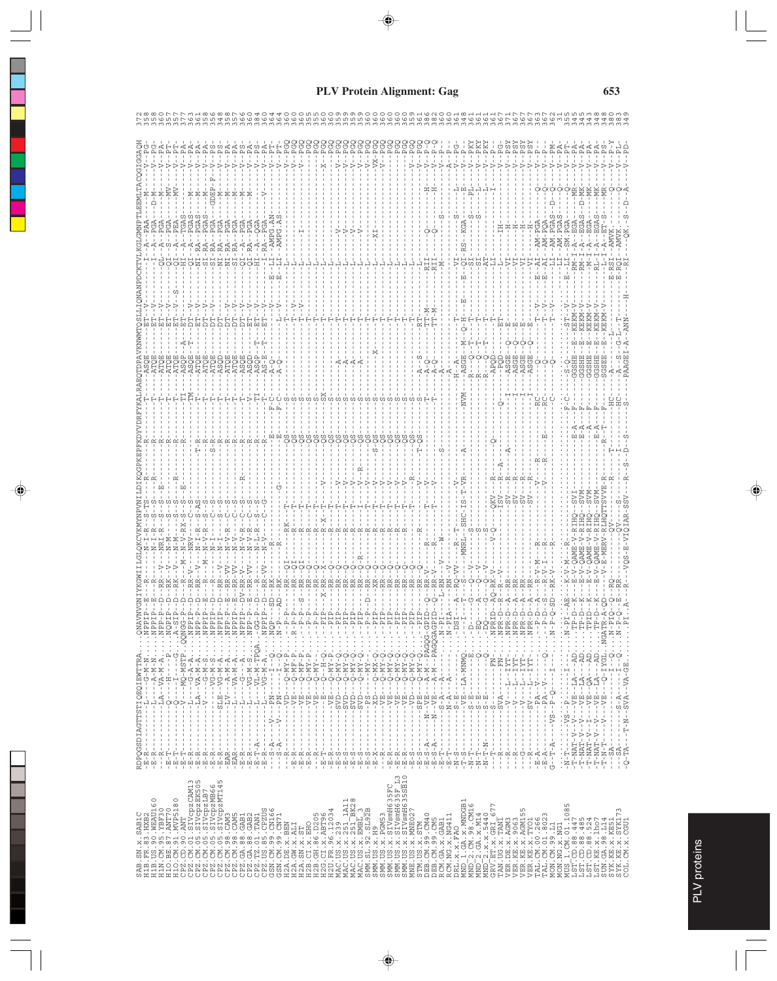| .SN.x.SAB1C<br>.FR.83.HXB2<br>.US.90.WEAU16<br>.CM.95.YBF70<br>.BE.87.ANT70<br>.CM.91.MVP518 |                                                                                                                                                                                                                                                                                                                                                                                        |                                                                                                                           |  |  |                  |  |  |  |
|----------------------------------------------------------------------------------------------|----------------------------------------------------------------------------------------------------------------------------------------------------------------------------------------------------------------------------------------------------------------------------------------------------------------------------------------------------------------------------------------|---------------------------------------------------------------------------------------------------------------------------|--|--|------------------|--|--|--|
|                                                                                              | $\begin{array}{l} \texttt{R}^{0} \texttt{R}^{0} \texttt{R}^{1} \texttt{R}^{1} \texttt{R}^{1} \texttt{R}^{1} \texttt{R}^{1} \texttt{R}^{1} \texttt{R}^{2} \texttt{R}^{2} \texttt{R}^{3} \texttt{R}^{3} \texttt{R}^{3} \texttt{R}^{3} \texttt{R}^{3} \texttt{R}^{3} \texttt{R}^{3} \texttt{R}^{3} \texttt{R}^{3} \texttt{R}^{3} \texttt{R}^{3} \texttt{R}^{3} \texttt{R}^{3} \texttt{R}$ |                                                                                                                           |  |  |                  |  |  |  |
|                                                                                              |                                                                                                                                                                                                                                                                                                                                                                                        |                                                                                                                           |  |  |                  |  |  |  |
|                                                                                              |                                                                                                                                                                                                                                                                                                                                                                                        |                                                                                                                           |  |  |                  |  |  |  |
|                                                                                              |                                                                                                                                                                                                                                                                                                                                                                                        |                                                                                                                           |  |  |                  |  |  |  |
|                                                                                              |                                                                                                                                                                                                                                                                                                                                                                                        |                                                                                                                           |  |  |                  |  |  |  |
|                                                                                              |                                                                                                                                                                                                                                                                                                                                                                                        |                                                                                                                           |  |  |                  |  |  |  |
|                                                                                              |                                                                                                                                                                                                                                                                                                                                                                                        |                                                                                                                           |  |  |                  |  |  |  |
|                                                                                              |                                                                                                                                                                                                                                                                                                                                                                                        |                                                                                                                           |  |  |                  |  |  |  |
|                                                                                              |                                                                                                                                                                                                                                                                                                                                                                                        |                                                                                                                           |  |  |                  |  |  |  |
|                                                                                              |                                                                                                                                                                                                                                                                                                                                                                                        |                                                                                                                           |  |  |                  |  |  |  |
|                                                                                              |                                                                                                                                                                                                                                                                                                                                                                                        |                                                                                                                           |  |  |                  |  |  |  |
|                                                                                              |                                                                                                                                                                                                                                                                                                                                                                                        |                                                                                                                           |  |  |                  |  |  |  |
|                                                                                              |                                                                                                                                                                                                                                                                                                                                                                                        |                                                                                                                           |  |  |                  |  |  |  |
|                                                                                              |                                                                                                                                                                                                                                                                                                                                                                                        |                                                                                                                           |  |  | ASO<br>ASO<br>AS |  |  |  |
|                                                                                              |                                                                                                                                                                                                                                                                                                                                                                                        |                                                                                                                           |  |  |                  |  |  |  |
|                                                                                              |                                                                                                                                                                                                                                                                                                                                                                                        |                                                                                                                           |  |  |                  |  |  |  |
|                                                                                              |                                                                                                                                                                                                                                                                                                                                                                                        |                                                                                                                           |  |  |                  |  |  |  |
|                                                                                              |                                                                                                                                                                                                                                                                                                                                                                                        |                                                                                                                           |  |  |                  |  |  |  |
|                                                                                              |                                                                                                                                                                                                                                                                                                                                                                                        |                                                                                                                           |  |  |                  |  |  |  |
|                                                                                              |                                                                                                                                                                                                                                                                                                                                                                                        |                                                                                                                           |  |  |                  |  |  |  |
|                                                                                              |                                                                                                                                                                                                                                                                                                                                                                                        |                                                                                                                           |  |  |                  |  |  |  |
|                                                                                              |                                                                                                                                                                                                                                                                                                                                                                                        |                                                                                                                           |  |  |                  |  |  |  |
|                                                                                              |                                                                                                                                                                                                                                                                                                                                                                                        |                                                                                                                           |  |  |                  |  |  |  |
|                                                                                              |                                                                                                                                                                                                                                                                                                                                                                                        |                                                                                                                           |  |  |                  |  |  |  |
|                                                                                              |                                                                                                                                                                                                                                                                                                                                                                                        |                                                                                                                           |  |  |                  |  |  |  |
|                                                                                              |                                                                                                                                                                                                                                                                                                                                                                                        |                                                                                                                           |  |  |                  |  |  |  |
|                                                                                              |                                                                                                                                                                                                                                                                                                                                                                                        |                                                                                                                           |  |  |                  |  |  |  |
|                                                                                              |                                                                                                                                                                                                                                                                                                                                                                                        |                                                                                                                           |  |  |                  |  |  |  |
|                                                                                              |                                                                                                                                                                                                                                                                                                                                                                                        |                                                                                                                           |  |  |                  |  |  |  |
|                                                                                              |                                                                                                                                                                                                                                                                                                                                                                                        |                                                                                                                           |  |  |                  |  |  |  |
|                                                                                              |                                                                                                                                                                                                                                                                                                                                                                                        |                                                                                                                           |  |  |                  |  |  |  |
|                                                                                              |                                                                                                                                                                                                                                                                                                                                                                                        |                                                                                                                           |  |  |                  |  |  |  |
|                                                                                              |                                                                                                                                                                                                                                                                                                                                                                                        | م<br>ا                                                                                                                    |  |  |                  |  |  |  |
|                                                                                              |                                                                                                                                                                                                                                                                                                                                                                                        | $\frac{p}{1}$<br>Ħ                                                                                                        |  |  |                  |  |  |  |
|                                                                                              |                                                                                                                                                                                                                                                                                                                                                                                        | $\ddotsc$                                                                                                                 |  |  |                  |  |  |  |
|                                                                                              |                                                                                                                                                                                                                                                                                                                                                                                        |                                                                                                                           |  |  |                  |  |  |  |
|                                                                                              |                                                                                                                                                                                                                                                                                                                                                                                        | )<br>14---------<br>14--------                                                                                            |  |  |                  |  |  |  |
|                                                                                              |                                                                                                                                                                                                                                                                                                                                                                                        |                                                                                                                           |  |  |                  |  |  |  |
|                                                                                              |                                                                                                                                                                                                                                                                                                                                                                                        | $\cdots \cdots$ P                                                                                                         |  |  |                  |  |  |  |
|                                                                                              |                                                                                                                                                                                                                                                                                                                                                                                        | $-1$                                                                                                                      |  |  |                  |  |  |  |
|                                                                                              |                                                                                                                                                                                                                                                                                                                                                                                        | AGQG-GP                                                                                                                   |  |  |                  |  |  |  |
|                                                                                              |                                                                                                                                                                                                                                                                                                                                                                                        | AGQGAGP                                                                                                                   |  |  |                  |  |  |  |
|                                                                                              |                                                                                                                                                                                                                                                                                                                                                                                        |                                                                                                                           |  |  |                  |  |  |  |
|                                                                                              |                                                                                                                                                                                                                                                                                                                                                                                        |                                                                                                                           |  |  |                  |  |  |  |
|                                                                                              |                                                                                                                                                                                                                                                                                                                                                                                        |                                                                                                                           |  |  |                  |  |  |  |
|                                                                                              |                                                                                                                                                                                                                                                                                                                                                                                        |                                                                                                                           |  |  |                  |  |  |  |
|                                                                                              |                                                                                                                                                                                                                                                                                                                                                                                        |                                                                                                                           |  |  |                  |  |  |  |
|                                                                                              |                                                                                                                                                                                                                                                                                                                                                                                        |                                                                                                                           |  |  |                  |  |  |  |
|                                                                                              |                                                                                                                                                                                                                                                                                                                                                                                        |                                                                                                                           |  |  |                  |  |  |  |
|                                                                                              |                                                                                                                                                                                                                                                                                                                                                                                        |                                                                                                                           |  |  |                  |  |  |  |
|                                                                                              |                                                                                                                                                                                                                                                                                                                                                                                        |                                                                                                                           |  |  |                  |  |  |  |
|                                                                                              |                                                                                                                                                                                                                                                                                                                                                                                        |                                                                                                                           |  |  |                  |  |  |  |
|                                                                                              |                                                                                                                                                                                                                                                                                                                                                                                        |                                                                                                                           |  |  |                  |  |  |  |
|                                                                                              |                                                                                                                                                                                                                                                                                                                                                                                        |                                                                                                                           |  |  |                  |  |  |  |
|                                                                                              | j.                                                                                                                                                                                                                                                                                                                                                                                     |                                                                                                                           |  |  |                  |  |  |  |
|                                                                                              |                                                                                                                                                                                                                                                                                                                                                                                        |                                                                                                                           |  |  |                  |  |  |  |
|                                                                                              |                                                                                                                                                                                                                                                                                                                                                                                        |                                                                                                                           |  |  |                  |  |  |  |
|                                                                                              |                                                                                                                                                                                                                                                                                                                                                                                        |                                                                                                                           |  |  |                  |  |  |  |
|                                                                                              | $V - -$<br>K,<br>$\frac{1}{\sqrt{2}}$                                                                                                                                                                                                                                                                                                                                                  |                                                                                                                           |  |  |                  |  |  |  |
|                                                                                              |                                                                                                                                                                                                                                                                                                                                                                                        |                                                                                                                           |  |  |                  |  |  |  |
| $\mathbf{I}$<br>J.<br>$\,$ I<br>$\mathbf{I}$<br>$\mathbf{I}$<br>$E - A$<br>$E - A$           | $A - -V$<br>$\frac{p}{1}$                                                                                                                                                                                                                                                                                                                                                              |                                                                                                                           |  |  |                  |  |  |  |
| $- -VS$<br>$-T - A$<br>ひ                                                                     | $\begin{bmatrix} 1 & 1 & 1 & 1 \\ 1 & 1 & 1 & 1 \\ 1 & 1 & 1 & 1 \\ 1 & 1 & 1 & 1 \\ 1 & 1 & 1 & 1 \\ 1 & 1 & 1 & 1 \\ 1 & 1 & 1 & 1 \\ 1 & 1 & 1 & 1 \\ 1 & 1 & 1 & 1 \\ 1 & 1 & 1 & 1 \\ 1 & 1 & 1 & 1 \\ 1 & 1 & 1 & 1 \\ 1 & 1 & 1 & 1 \\ 1 & 1 & 1 & 1 \\ 1 & 1 & 1 & 1 \\ 1 & 1 & 1 & 1 \\ 1 & 1 & 1 & 1 \\ 1 & 1 & 1 & $<br>$\mathbf{I}$<br>$\frac{1}{2}$<br>$\frac{p}{1}$      |                                                                                                                           |  |  |                  |  |  |  |
|                                                                                              |                                                                                                                                                                                                                                                                                                                                                                                        |                                                                                                                           |  |  |                  |  |  |  |
| $\cdots$<br>$\frac{1}{N}$ in                                                                 | ΦÌ<br>計<br>÷j<br>$\begin{array}{c} \cdot \\ \cdot \\ \cdot \end{array}$                                                                                                                                                                                                                                                                                                                |                                                                                                                           |  |  |                  |  |  |  |
| $\mathbf{T} - \mathbf{N} \mathbf{A} \mathbf{T} - \mathbf{V} - \mathbf{V}$                    | $E - -LA$<br>$1 - -1$                                                                                                                                                                                                                                                                                                                                                                  |                                                                                                                           |  |  |                  |  |  |  |
| $T - NAT - V$                                                                                | $T + 5 - 5$<br>$-1A$<br>$--VB$                                                                                                                                                                                                                                                                                                                                                         |                                                                                                                           |  |  |                  |  |  |  |
| $\Delta$ - $\sim$                                                                            |                                                                                                                                                                                                                                                                                                                                                                                        |                                                                                                                           |  |  |                  |  |  |  |
|                                                                                              |                                                                                                                                                                                                                                                                                                                                                                                        | н                                                                                                                         |  |  |                  |  |  |  |
|                                                                                              |                                                                                                                                                                                                                                                                                                                                                                                        | - 1                                                                                                                       |  |  |                  |  |  |  |
|                                                                                              |                                                                                                                                                                                                                                                                                                                                                                                        |                                                                                                                           |  |  |                  |  |  |  |
|                                                                                              | $\vdots$                                                                                                                                                                                                                                                                                                                                                                               |                                                                                                                           |  |  |                  |  |  |  |
|                                                                                              |                                                                                                                                                                                                                                                                                                                                                                                        | $\begin{array}{c} \mathtt{NGATR} \\ \vdots \\ \mathtt{N-P} \\ \vdots \\ \mathtt{N-P} \\ \vdots \\ \mathtt{P} \end{array}$ |  |  |                  |  |  |  |
|                                                                                              |                                                                                                                                                                                                                                                                                                                                                                                        |                                                                                                                           |  |  |                  |  |  |  |
|                                                                                              |                                                                                                                                                                                                                                                                                                                                                                                        |                                                                                                                           |  |  |                  |  |  |  |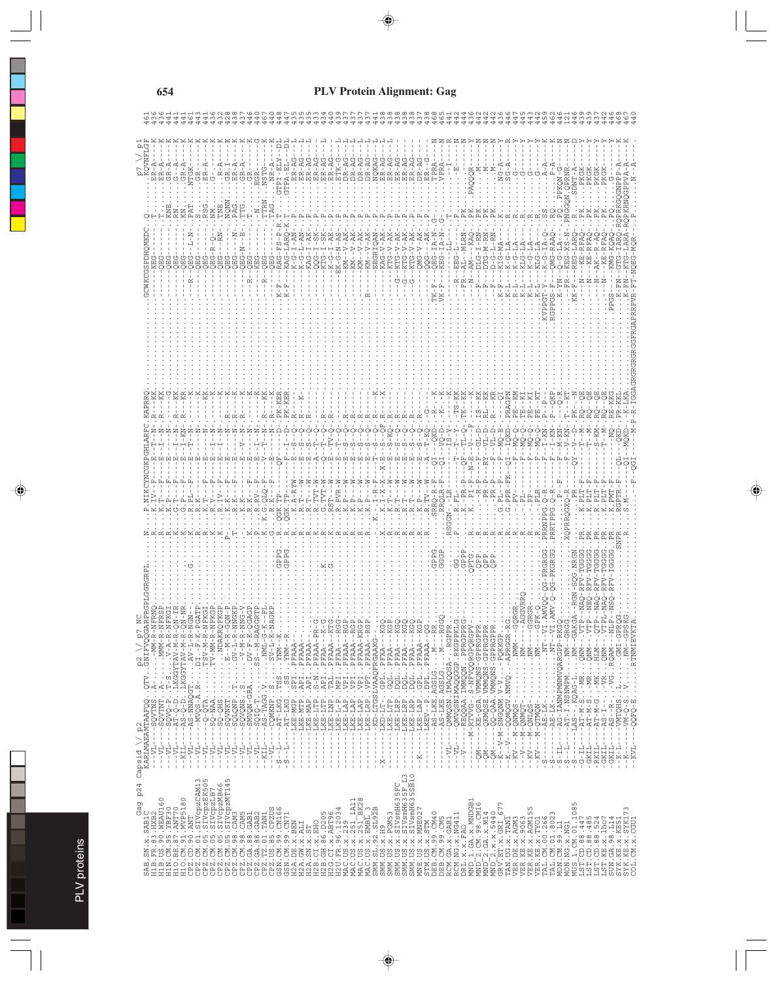|                                                                                                                                                                                                                                                                                                                                                                                                                                     |                                                                                                                                                                                                                                                                                                                                                                                                                                                                |        |         |              |                                                                                                                                                                                                                                                                                                                                                                                                                                                                            |                |  |  |  | $K-F$<br>$K-F$ |  |  |  |  |  |  |  |  |   |         |  |  |                                                                                                                                                                                                                                                                                                                                          |                      |  |  |  |  |  |  |  |  |  |  |                         |                                            |      |
|-------------------------------------------------------------------------------------------------------------------------------------------------------------------------------------------------------------------------------------------------------------------------------------------------------------------------------------------------------------------------------------------------------------------------------------|----------------------------------------------------------------------------------------------------------------------------------------------------------------------------------------------------------------------------------------------------------------------------------------------------------------------------------------------------------------------------------------------------------------------------------------------------------------|--------|---------|--------------|----------------------------------------------------------------------------------------------------------------------------------------------------------------------------------------------------------------------------------------------------------------------------------------------------------------------------------------------------------------------------------------------------------------------------------------------------------------------------|----------------|--|--|--|----------------|--|--|--|--|--|--|--|--|---|---------|--|--|------------------------------------------------------------------------------------------------------------------------------------------------------------------------------------------------------------------------------------------------------------------------------------------------------------------------------------------|----------------------|--|--|--|--|--|--|--|--|--|--|-------------------------|--------------------------------------------|------|
|                                                                                                                                                                                                                                                                                                                                                                                                                                     |                                                                                                                                                                                                                                                                                                                                                                                                                                                                |        |         |              |                                                                                                                                                                                                                                                                                                                                                                                                                                                                            |                |  |  |  |                |  |  |  |  |  |  |  |  |   |         |  |  |                                                                                                                                                                                                                                                                                                                                          |                      |  |  |  |  |  |  |  |  |  |  |                         |                                            |      |
|                                                                                                                                                                                                                                                                                                                                                                                                                                     |                                                                                                                                                                                                                                                                                                                                                                                                                                                                |        |         |              |                                                                                                                                                                                                                                                                                                                                                                                                                                                                            |                |  |  |  |                |  |  |  |  |  |  |  |  |   |         |  |  |                                                                                                                                                                                                                                                                                                                                          |                      |  |  |  |  |  |  |  |  |  |  |                         |                                            |      |
|                                                                                                                                                                                                                                                                                                                                                                                                                                     |                                                                                                                                                                                                                                                                                                                                                                                                                                                                |        |         |              |                                                                                                                                                                                                                                                                                                                                                                                                                                                                            |                |  |  |  |                |  |  |  |  |  |  |  |  |   |         |  |  |                                                                                                                                                                                                                                                                                                                                          |                      |  |  |  |  |  |  |  |  |  |  |                         |                                            |      |
|                                                                                                                                                                                                                                                                                                                                                                                                                                     |                                                                                                                                                                                                                                                                                                                                                                                                                                                                |        |         |              |                                                                                                                                                                                                                                                                                                                                                                                                                                                                            |                |  |  |  |                |  |  |  |  |  |  |  |  |   |         |  |  |                                                                                                                                                                                                                                                                                                                                          |                      |  |  |  |  |  |  |  |  |  |  |                         |                                            |      |
|                                                                                                                                                                                                                                                                                                                                                                                                                                     |                                                                                                                                                                                                                                                                                                                                                                                                                                                                |        |         |              |                                                                                                                                                                                                                                                                                                                                                                                                                                                                            |                |  |  |  |                |  |  |  |  |  |  |  |  |   |         |  |  |                                                                                                                                                                                                                                                                                                                                          |                      |  |  |  |  |  |  |  |  |  |  |                         |                                            |      |
|                                                                                                                                                                                                                                                                                                                                                                                                                                     |                                                                                                                                                                                                                                                                                                                                                                                                                                                                |        |         |              |                                                                                                                                                                                                                                                                                                                                                                                                                                                                            |                |  |  |  |                |  |  |  |  |  |  |  |  |   |         |  |  |                                                                                                                                                                                                                                                                                                                                          |                      |  |  |  |  |  |  |  |  |  |  |                         |                                            |      |
|                                                                                                                                                                                                                                                                                                                                                                                                                                     |                                                                                                                                                                                                                                                                                                                                                                                                                                                                |        |         |              |                                                                                                                                                                                                                                                                                                                                                                                                                                                                            |                |  |  |  |                |  |  |  |  |  |  |  |  |   |         |  |  |                                                                                                                                                                                                                                                                                                                                          |                      |  |  |  |  |  |  |  |  |  |  |                         |                                            |      |
|                                                                                                                                                                                                                                                                                                                                                                                                                                     |                                                                                                                                                                                                                                                                                                                                                                                                                                                                |        |         |              |                                                                                                                                                                                                                                                                                                                                                                                                                                                                            |                |  |  |  |                |  |  |  |  |  |  |  |  |   |         |  |  |                                                                                                                                                                                                                                                                                                                                          |                      |  |  |  |  |  |  |  |  |  |  |                         |                                            |      |
| P <sub>2</sub> \/ p7 N<br>GNIFVQQGAR                                                                                                                                                                                                                                                                                                                                                                                                | $\begin{array}{l} \mathcal{D}(\mathcal{U}_1,\mathcal{U}_2,\mathcal{U}_3,\mathcal{U}_4,\mathcal{U}_5,\mathcal{U}_6,\mathcal{U}_7,\mathcal{U}_8,\mathcal{U}_9,\mathcal{U}_9,\mathcal{U}_9,\mathcal{U}_9,\mathcal{U}_9,\mathcal{U}_9,\mathcal{U}_9,\mathcal{U}_9,\mathcal{U}_9,\mathcal{U}_9,\mathcal{U}_9,\mathcal{U}_9,\mathcal{U}_9,\mathcal{U}_9,\mathcal{U}_9,\mathcal{U}_9,\mathcal{U}_9,\mathcal{U}_9,\mathcal{U}_9,\mathcal{U}_9,\mathcal{U}_9,\mathcal{$ |        |         |              |                                                                                                                                                                                                                                                                                                                                                                                                                                                                            |                |  |  |  |                |  |  |  |  |  |  |  |  |   |         |  |  |                                                                                                                                                                                                                                                                                                                                          |                      |  |  |  |  |  |  |  |  |  |  |                         |                                            |      |
|                                                                                                                                                                                                                                                                                                                                                                                                                                     |                                                                                                                                                                                                                                                                                                                                                                                                                                                                |        |         |              |                                                                                                                                                                                                                                                                                                                                                                                                                                                                            |                |  |  |  |                |  |  |  |  |  |  |  |  |   |         |  |  |                                                                                                                                                                                                                                                                                                                                          |                      |  |  |  |  |  |  |  |  |  |  |                         |                                            |      |
|                                                                                                                                                                                                                                                                                                                                                                                                                                     |                                                                                                                                                                                                                                                                                                                                                                                                                                                                |        |         |              |                                                                                                                                                                                                                                                                                                                                                                                                                                                                            |                |  |  |  |                |  |  |  |  |  |  |  |  |   |         |  |  |                                                                                                                                                                                                                                                                                                                                          |                      |  |  |  |  |  |  |  |  |  |  | -VMTQHS                 | $\ddot{\ddot{\cdot}}$<br>$-5 - 24 - 6 - 8$ |      |
| p24 Capsid \/ p2<br>KARLMAEAMTAAFQQ                                                                                                                                                                                                                                                                                                                                                                                                 | $--T$ VL-----SQVTNS                                                                                                                                                                                                                                                                                                                                                                                                                                            | $--VL$ | $-KIL-$ | $-101 - 101$ | $\begin{split} \mathcal{L}_1 &= \mathcal{L}_2 - \mathcal{L}_3 - \mathcal{L}_4 - \mathcal{L}_5 - \mathcal{L}_6 - \mathcal{L}_7 \\ &\vdots \\ \mathcal{L}_6 &= \mathcal{L}_7 - \mathcal{L}_7 - \mathcal{L}_7 - \mathcal{L}_7 - \mathcal{L}_7 \\ &\vdots \\ \mathcal{L}_7 &= \mathcal{L}_7 - \mathcal{L}_7 - \mathcal{L}_7 - \mathcal{L}_7 \\ &\vdots \\ \mathcal{L}_8 &= \mathcal{L}_7 - \mathcal{L}_7 \\ &\vdots \\ \mathcal{L}_9 &= \mathcal{L}_7 - \mathcal{L}_7 \\ &\vd$ | $\blacksquare$ |  |  |  |                |  |  |  |  |  |  |  |  |   |         |  |  | $\begin{small} \textbf{1}_{\{2,3,4\} \cup \{1,4\} \cup \{1,4\} \cup \{1,4\} \cup \{1,4\} \cup \{1,4\} \cup \{1,4\} \cup \{1,4\} \cup \{1,4\} \cup \{1,4\} \cup \{1,4\} \cup \{1,4\} \cup \{1,4\} \cup \{1,4\} \cup \{1,4\} \cup \{1,4\} \cup \{1,4\} \cup \{1,4\} \cup \{1,4\} \cup \{1,4\} \cup \{1,4\} \cup \{1,4\} \cup \{1,4\} \cup$ |                      |  |  |  |  |  |  |  |  |  |  | $\frac{1}{4}$<br>$-K-L$ | $\mathbf{I}$<br>Ψ                          | -KVL |
| $\begin{smallmatrix} &\text{SA1}, &\text{SA2}, &\text{SA3}, &\text{SA4}, &\text{Ga4}, &\text{PA4}, \\ \text{RA1}, &\text{RA2}, &\text{MA3}, &\text{RA4}, &\text{PA4}, \\ \text{H1B1}, &\text{IA3}, &\text{IA4}, &\text{IA5}, &\text{IA6}, \\ \text{L1B2}, &\text{CA1}, &\text{CA1}, &\text{CA1}, &\text{CA1}, &\text{CA1}, \\ \text{L1C1}, &\text{CA1}, &\text{CA1}, &\text{CA1}, &\text{CA1}, &\text{CA1}, \\ \text{L1D1}, &\text$ |                                                                                                                                                                                                                                                                                                                                                                                                                                                                |        |         |              |                                                                                                                                                                                                                                                                                                                                                                                                                                                                            |                |  |  |  |                |  |  |  |  |  |  |  |  | S | $\circ$ |  |  |                                                                                                                                                                                                                                                                                                                                          |                      |  |  |  |  |  |  |  |  |  |  |                         |                                            |      |
|                                                                                                                                                                                                                                                                                                                                                                                                                                     |                                                                                                                                                                                                                                                                                                                                                                                                                                                                |        |         |              |                                                                                                                                                                                                                                                                                                                                                                                                                                                                            |                |  |  |  |                |  |  |  |  |  |  |  |  |   |         |  |  |                                                                                                                                                                                                                                                                                                                                          |                      |  |  |  |  |  |  |  |  |  |  |                         |                                            |      |
|                                                                                                                                                                                                                                                                                                                                                                                                                                     |                                                                                                                                                                                                                                                                                                                                                                                                                                                                |        |         |              |                                                                                                                                                                                                                                                                                                                                                                                                                                                                            |                |  |  |  |                |  |  |  |  |  |  |  |  |   |         |  |  |                                                                                                                                                                                                                                                                                                                                          | RL.X.X.FAO<br>$\Box$ |  |  |  |  |  |  |  |  |  |  |                         |                                            |      |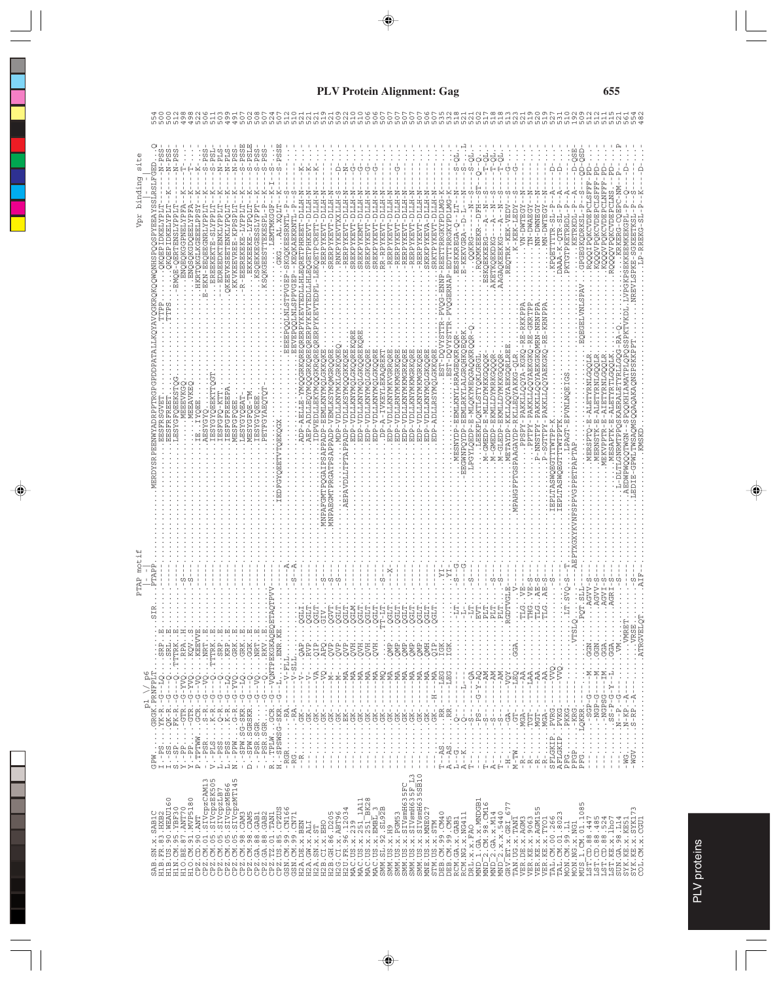|                                                                                                                                                                                                                                                                                                                                                                                                                                                               |                                                                                                    |                                                        |                                                                                                                                                                                                                                                                                                                                                                                                                                              |                                            | PTAP motif                       |                                                                                                                    | site<br>Vpr binding                                                                                                                                                                                                                                                                              |         |
|---------------------------------------------------------------------------------------------------------------------------------------------------------------------------------------------------------------------------------------------------------------------------------------------------------------------------------------------------------------------------------------------------------------------------------------------------------------|----------------------------------------------------------------------------------------------------|--------------------------------------------------------|----------------------------------------------------------------------------------------------------------------------------------------------------------------------------------------------------------------------------------------------------------------------------------------------------------------------------------------------------------------------------------------------------------------------------------------------|--------------------------------------------|----------------------------------|--------------------------------------------------------------------------------------------------------------------|--------------------------------------------------------------------------------------------------------------------------------------------------------------------------------------------------------------------------------------------------------------------------------------------------|---------|
| SAB.SN.x.SAB1C<br>H1B.FR.83.HXB2<br>H1B.US.90.WEAU1                                                                                                                                                                                                                                                                                                                                                                                                           |                                                                                                    |                                                        | $\begin{smallmatrix} \mathbf{p}_{11}^{\mathbf{1}} & \cdots & \mathbf{p}_{1n}^{\mathbf{1}} \\ \mathbf{p}_{21}^{\mathbf{1}} & \cdots & \mathbf{p}_{2n} \\ \mathbf{p}_{32}^{\mathbf{1}} & \cdots & \mathbf{p}_{3n} \\ \mathbf{p}_{3n}^{\mathbf{1}} & \cdots & \mathbf{p}_{3n} \\ \mathbf{p}_{3n}^{\mathbf{1}} & \cdots & \mathbf{p}_{3n} \\ \mathbf{p}_{3n}^{\mathbf{1}} & \cdots & \mathbf{p}_{3n} \\ \mathbf{p}_{3n}^{\mathbf{1}} & \cdots &$ |                                            | PTAP                             | URPATISSI VAREN VISO OSTANOMO VAN VORTA VARI VARI SU TATA SU STANOMO VAN VISO SE TATA VISO VISO<br>Ê<br>EESFRSGVET | $-PSS$<br>IDKELYPLT<br>$SORO \cdot \cdot \cdot \cdot \cdot \cdot \cdot$                                                                                                                                                                                                                          |         |
| $\circ$<br>$\circ$                                                                                                                                                                                                                                                                                                                                                                                                                                            |                                                                                                    |                                                        |                                                                                                                                                                                                                                                                                                                                                                                                                                              |                                            |                                  | <b>TPS</b><br>LESYGFOEEKSTOG<br><b>EESFRFREE</b>                                                                   | $-PSS$<br>$N - PSS$<br>OKOEPIDKELYPLI                                                                                                                                                                                                                                                            |         |
| $\begin{small} &\text{HM} & \text{CH} & \text{SH} & \text{SH} & \text{SH} & \text{SH} & \text{SH} & \text{SH} & \text{SH} & \text{SH} & \text{SH} & \text{SH} & \text{SH} & \text{SH} & \text{SH} & \text{SH} & \text{SH} & \text{SH} & \text{SH} & \text{SH} & \text{SH} & \text{SH} & \text{SH} & \text{SH} & \text{SH} & \text{SH} & \text{SH} & \text{SH} & \text{SH} & \text{SH} & \text{SH} & \text{SH} & \text{SH} & \text{SH} & \text{SH} & \text{SH$ |                                                                                                    |                                                        |                                                                                                                                                                                                                                                                                                                                                                                                                                              |                                            | ΩŪ                               | MEEEVKGQ                                                                                                           | $\,$ $\,$<br><b>ANQEQXGENELYPFA</b><br>-EMOE-OERTENSLYPPLI                                                                                                                                                                                                                                       |         |
|                                                                                                                                                                                                                                                                                                                                                                                                                                                               |                                                                                                    | לַטְקִיםְ מִקְלַיִם<br>י                               |                                                                                                                                                                                                                                                                                                                                                                                                                                              |                                            |                                  | WEEAVKEQ                                                                                                           | I<br><b>ATALERQONGSQUE.</b>                                                                                                                                                                                                                                                                      | ጣ       |
|                                                                                                                                                                                                                                                                                                                                                                                                                                                               |                                                                                                    |                                                        |                                                                                                                                                                                                                                                                                                                                                                                                                                              |                                            |                                  | LPÖLLMEQADARET<br>: YERARIO<br>: The Caparet                                                                       | $-PSS$<br>C<br>$\,$<br>TE-EKN-EEQEEGNRLYPPL<br>.HKRTQKGLKGEEELPP                                                                                                                                                                                                                                 | $\sim$  |
|                                                                                                                                                                                                                                                                                                                                                                                                                                                               |                                                                                                    |                                                        |                                                                                                                                                                                                                                                                                                                                                                                                                                              |                                            |                                  |                                                                                                                    | $1-PSL$<br>CO.<br>EREEKEKTE-SLYPPL'                                                                                                                                                                                                                                                              |         |
|                                                                                                                                                                                                                                                                                                                                                                                                                                                               |                                                                                                    |                                                        |                                                                                                                                                                                                                                                                                                                                                                                                                                              |                                            |                                  | IESFGFO-KTT                                                                                                        | STd-<br>-EDREEDKTENKLYPPLI                                                                                                                                                                                                                                                                       | $\circ$ |
|                                                                                                                                                                                                                                                                                                                                                                                                                                                               |                                                                                                    |                                                        |                                                                                                                                                                                                                                                                                                                                                                                                                                              |                                            |                                  | <b>IESFGFREEPA</b><br>MESFGFQEE                                                                                    | $N - PSS$<br>$N-PLS$<br><b>OKEEVKSEETENKLYPOLI</b><br>KKVKEEVREE-KPPSPLI                                                                                                                                                                                                                         | നെ      |
|                                                                                                                                                                                                                                                                                                                                                                                                                                                               |                                                                                                    | ひ<br>Ť,                                                |                                                                                                                                                                                                                                                                                                                                                                                                                                              |                                            |                                  | <b>LESYGYQEAT</b>                                                                                                  | PSSE<br>$\frac{1}{5}$<br>R-EEEREKEKE-LYPPL                                                                                                                                                                                                                                                       |         |
|                                                                                                                                                                                                                                                                                                                                                                                                                                                               |                                                                                                    | ひ<br>Ť,                                                |                                                                                                                                                                                                                                                                                                                                                                                                                                              |                                            |                                  | -TM<br>MESYGFQE-                                                                                                   | ETS4-<br>C<br>EKKKEEKE-LIPP<br>KSQEKKEGESSLYP<br>EKKKEEKE-LYPQ                                                                                                                                                                                                                                   |         |
|                                                                                                                                                                                                                                                                                                                                                                                                                                                               |                                                                                                    | $\ddot{\phantom{a}}$<br>$\ddot{\circ}$ .               |                                                                                                                                                                                                                                                                                                                                                                                                                                              |                                            |                                  | PETFGYAEOTO<br>ERSYGYQEEE                                                                                          | $-PSS$<br>-PSS<br>C)<br>C)<br>KSQKGEESTTEKESPL                                                                                                                                                                                                                                                   |         |
|                                                                                                                                                                                                                                                                                                                                                                                                                                                               |                                                                                                    | ひ<br>T                                                 |                                                                                                                                                                                                                                                                                                                                                                                                                                              | B<br>O                                     |                                  |                                                                                                                    | C)<br>Ţ                                                                                                                                                                                                                                                                                          |         |
|                                                                                                                                                                                                                                                                                                                                                                                                                                                               |                                                                                                    | ပု                                                     | 3----QRKVB.<br>3---VQNTPEKGKAQEQ<br>3---LBNR.KE.<br>3--------BNR.KE.                                                                                                                                                                                                                                                                                                                                                                         |                                            |                                  | IEDFGYOBETVTOEKOGX                                                                                                 | $S-PSS$<br>THE MINISTRY THAT AND THE TANK OF THE TANK OF THE SAME TO A THE SAME TO A THE SAME TO A THE SAME THAT THE SAME THAT THE SAME TALK THE SAME TALK THE SAME TALK THE SAME TALK THAT SAME TALK THAT SAME TALK THAT SAME TALK THAT<br>CIMISTPVOER-SKGQKEESRNTI<br>CIMISTPVOER-SKGQKEESRNTI |         |
|                                                                                                                                                                                                                                                                                                                                                                                                                                                               | RGR                                                                                                | $\cdots$ -RA.                                          | $\vdots$                                                                                                                                                                                                                                                                                                                                                                                                                                     |                                            |                                  |                                                                                                                    |                                                                                                                                                                                                                                                                                                  |         |
|                                                                                                                                                                                                                                                                                                                                                                                                                                                               | $\begin{array}{c}\n\vdots \\ \downarrow \\ \downarrow \\ \downarrow \\ \downarrow\n\end{array}$    | $\mathbf{I}$<br>$\ldots$ -RA.                          | $\frac{1}{2} \nabla \cdot \cdot \cdot - \Lambda - -$<br>$-TTS - V - T$                                                                                                                                                                                                                                                                                                                                                                       |                                            | $\overline{A}$<br>U)             | <b>CHRAEN</b> .<br>-YMQQGRKQREQRERP<br>ADP-AELLE                                                                   | YKEVTEDLLHLEQRETPHREET-DLLH-<br>QLNLSPPVGEP--KEQKAEKRNTL                                                                                                                                                                                                                                         |         |
|                                                                                                                                                                                                                                                                                                                                                                                                                                                               |                                                                                                    | ÷                                                      |                                                                                                                                                                                                                                                                                                                                                                                                                                              |                                            |                                  | ABP-ADLLEQYMQQGRKQREQRERPYKEVTEDLLHLEQGETPHKEVT                                                                    | HIG-1                                                                                                                                                                                                                                                                                            |         |
|                                                                                                                                                                                                                                                                                                                                                                                                                                                               | Ì                                                                                                  | $GK-$                                                  | $-V - RVP$<br>$-VA QIP$                                                                                                                                                                                                                                                                                                                                                                                                                      | ੵਲ਼ਲ਼ਲ਼ਲ਼ਲ਼ਲ਼ਲ਼ਲ਼ਲ਼ਲ਼ੵਜ਼<br>੶੶੶੶੶੶੶੶੶੶੶੶੶੶ |                                  | . IDPVEDLLEKYMOOGKROREORERPYKEVTEDFL-LEKOETPCRETT-DLLH                                                             |                                                                                                                                                                                                                                                                                                  |         |
| H2B.CI.X.EHO                                                                                                                                                                                                                                                                                                                                                                                                                                                  | $\overline{\phantom{a}}$                                                                           | $\frac{1}{4}$                                          | $VQ \ldots \overline{APQ}$ .<br>$M - \ldots QVP$ .                                                                                                                                                                                                                                                                                                                                                                                           |                                            | C)                               | MNPAFGMTPQGAIPSAPPADP-EEMLKNYMQLGKKQKE                                                                             | HHTTU-<br>-RERPYKEVI                                                                                                                                                                                                                                                                             |         |
|                                                                                                                                                                                                                                                                                                                                                                                                                                                               |                                                                                                    | $\mathbf{I}$<br>$\mathbb{I}$<br>τĖ.<br>$\rm K-$ .<br>ひ | $-M -$                                                                                                                                                                                                                                                                                                                                                                                                                                       |                                            | U)                               | MDP-VDLLKNYMXLGRKQKEQ<br>GATPSAPPADP-VEMLKSYMOMGROORE<br>. MNPAEGMTPR                                              | RNKPYKEVTXXLLH<br>LTTD-<br>SRERPYKEV                                                                                                                                                                                                                                                             |         |
|                                                                                                                                                                                                                                                                                                                                                                                                                                                               |                                                                                                    | J.<br>$\mathbf{I}$<br>ú.<br>ひ回                         | $- - MA$ .                                                                                                                                                                                                                                                                                                                                                                                                                                   |                                            |                                  | - ADITTKS AWÖÖGKKÖKE<br>REPAVDLLTPTAPPADP                                                                          | n<br>!<br>-RERPYKEVT                                                                                                                                                                                                                                                                             |         |
|                                                                                                                                                                                                                                                                                                                                                                                                                                                               |                                                                                                    | $\frac{1}{1}$<br>Ĵ.<br>ひ                               | $\cdot$<br>MA                                                                                                                                                                                                                                                                                                                                                                                                                                |                                            |                                  | EDP-VDLLKNYMQLGKQQREKQRE                                                                                           | τη<br>HITIL-<br>SREKPYKEVT                                                                                                                                                                                                                                                                       |         |
| $\rightarrow \infty$                                                                                                                                                                                                                                                                                                                                                                                                                                          |                                                                                                    | $\mathsf I$<br>÷<br>ひ                                  | $\cdot$<br>$--MA$ .                                                                                                                                                                                                                                                                                                                                                                                                                          |                                            |                                  | EDP-VDLLKNYMQLGKQQREKQRE                                                                                           | てり<br>HTTG-<br>SREKPYKEMT                                                                                                                                                                                                                                                                        |         |
|                                                                                                                                                                                                                                                                                                                                                                                                                                                               |                                                                                                    | $\mathbf{I}$<br>$\mathbf{I}$<br>÷<br>ひ                 | <b>BBB</b><br>BBB<br>$-1$ MA                                                                                                                                                                                                                                                                                                                                                                                                                 |                                            |                                  | EDP-VDLLKNYMOLGKOORE                                                                                               | てり<br>HHTTU-<br>SREKPYKEVI                                                                                                                                                                                                                                                                       |         |
|                                                                                                                                                                                                                                                                                                                                                                                                                                                               |                                                                                                    | $\frac{1}{1}$<br>$\mathbf{I}$<br>Ĵ.<br>ひ<br>ひ          | МA                                                                                                                                                                                                                                                                                                                                                                                                                                           |                                            |                                  | EDP-VDLLKNYMQLGKQQRE<br>.DP-A-IVKEYLEKAQREKT                                                                       | てり<br>HTTG-<br>LIJC-1<br>SREKPYKEVI<br>RR-RPYKEVI                                                                                                                                                                                                                                                |         |
| $\begin{array}{l} \text{H2B GII}, \text{GII}, \text{GII}, \text{GII}, \text{GII}, \text{GII}, \text{GII}, \text{GII}, \text{GII}, \text{GII}, \text{GII}, \text{GII}, \text{GII}, \text{GII}, \text{GII}, \text{GII}, \text{GII}, \text{GII}, \text{GII}, \text{GII}, \text{GII}, \text{GII}, \text{GII}, \text{GII}, \text{GII}, \text{GII}, \text{GII}, \text{GII}, \text{GII}, \text{GII}, \text{GII}, \text{GII}, \text{GII}, \text{GII}, \text{GII},$    |                                                                                                    | Å.<br>ú.<br>ひ                                          | $\frac{1}{2}$<br>$\cdot$                                                                                                                                                                                                                                                                                                                                                                                                                     | $\ddot{\circ}$                             |                                  | -VDLLKNYMKVGRROR<br><b>EDP</b>                                                                                     | -RERPYKEVT                                                                                                                                                                                                                                                                                       |         |
| SMM.US.x.PGM53                                                                                                                                                                                                                                                                                                                                                                                                                                                | Î                                                                                                  | Ĵ.<br>ひ                                                | $\cdot$                                                                                                                                                                                                                                                                                                                                                                                                                                      |                                            |                                  | -VDLLRNYMKMGRKOR<br><b>RDP</b>                                                                                     | てり<br>-RERPYKEVT-DLLH                                                                                                                                                                                                                                                                            |         |
|                                                                                                                                                                                                                                                                                                                                                                                                                                                               | HIII<br>$\frac{1}{2}$                                                                              |                                                        | <b>GMD</b><br>$\cdot$                                                                                                                                                                                                                                                                                                                                                                                                                        | ŏŏŏŏ<br>∵∵∵<br>≈≈≈≈                        |                                  | EDP-VDLLKNYMKMGRKOR                                                                                                | ind-i<br>-RERPYKEVT                                                                                                                                                                                                                                                                              |         |
|                                                                                                                                                                                                                                                                                                                                                                                                                                                               |                                                                                                    |                                                        | e<br>QMP<br>$\vdots$                                                                                                                                                                                                                                                                                                                                                                                                                         |                                            |                                  | EDP-VDLLKNYMKMGRKORE                                                                                               | HHTTU-<br>-RERPYKEVI                                                                                                                                                                                                                                                                             |         |
|                                                                                                                                                                                                                                                                                                                                                                                                                                                               | $\cdot$                                                                                            |                                                        | QMP<br>ţ                                                                                                                                                                                                                                                                                                                                                                                                                                     |                                            |                                  | EDP-VDLLKNYMKMGRKORE<br>E-VD                                                                                       | н. 1114<br>-RERPYKEVT                                                                                                                                                                                                                                                                            |         |
|                                                                                                                                                                                                                                                                                                                                                                                                                                                               | $\,$                                                                                               |                                                        | <b>EMD</b><br>Ţ                                                                                                                                                                                                                                                                                                                                                                                                                              | ÖÖ                                         |                                  | EDP-ADLLRSYMQLGKKQRE<br>品                                                                                          | Ą<br>SKRKPYKEVA<br><b>SRKTPYKEV</b>                                                                                                                                                                                                                                                              |         |
|                                                                                                                                                                                                                                                                                                                                                                                                                                                               |                                                                                                    | $-1-EG$<br>$\ldots \ldots$ RR. -                       | $\cdot$                                                                                                                                                                                                                                                                                                                                                                                                                                      |                                            |                                  | YVQQ-TSH.                                                                                                          | -ENP-REETTRRGKYPDLM                                                                                                                                                                                                                                                                              |         |
|                                                                                                                                                                                                                                                                                                                                                                                                                                                               | $-45$<br>$-15$                                                                                     | $- - - - 12G$<br>$\cdots \cdots \cdots$ RR. -          |                                                                                                                                                                                                                                                                                                                                                                                                                                              |                                            |                                  | . EST-DQVYSTTR-PVQ                                                                                                 | GERNAP-EDTTTRRGKYPDLM                                                                                                                                                                                                                                                                            |         |
|                                                                                                                                                                                                                                                                                                                                                                                                                                                               |                                                                                                    | Ì                                                      |                                                                                                                                                                                                                                                                                                                                                                                                                                              |                                            | 먼<br>C)                          | .MESNYDP-EEMLKNYLRRAGEOKROOR-.                                                                                     | -ol<br>C)<br>EESKKREGA-Q--LT                                                                                                                                                                                                                                                                     |         |
|                                                                                                                                                                                                                                                                                                                                                                                                                                                               |                                                                                                    | ーー<br>t,<br>$\frac{1}{2}$                              |                                                                                                                                                                                                                                                                                                                                                                                                                                              |                                            | 먹                                | GWNPQYDP-EEMLRKYLALGRQHKQEQRK<br>- EE                                                                              | CΩ<br>E-KEKVGRA--D-L                                                                                                                                                                                                                                                                             |         |
|                                                                                                                                                                                                                                                                                                                                                                                                                                                               | $\begin{array}{c}\n\circ \circ \\ \circ \\ \circ \\ \circ \\ \circ \\ \circ \\ \circ\n\end{array}$ | $-1 - 2A$<br>$-1 - 2Q$<br>$-1 - 2M$<br>$\cdot$<br>f,   |                                                                                                                                                                                                                                                                                                                                                                                                                                              |                                            | C)                               | KYMEQGAQQKRQQ<br>$-MLO$<br><b>BGYLQEDP-E</b>                                                                       | J<br>S<br>QQKRG--------<br>RQKMKEEKR--DFH                                                                                                                                                                                                                                                        |         |
|                                                                                                                                                                                                                                                                                                                                                                                                                                                               | I,<br>j.<br>Ť                                                                                      | $-5 - 5$<br>$\mathsf I$<br>ω                           |                                                                                                                                                                                                                                                                                                                                                                                                                                              |                                            |                                  | TEEKPLQKTLSTYQKLGRGL.<br>W-GMEDP-E-MLLDYMKKGQQQK-                                                                  | $-1 - 1 - 1$<br>ESKQEKKERG                                                                                                                                                                                                                                                                       |         |
|                                                                                                                                                                                                                                                                                                                                                                                                                                                               | $\frac{1}{2}$<br>$\frac{1}{4}$<br>HAH                                                              | ı<br>Ţ<br>ł<br>È,<br>ω                                 | $- - PM$                                                                                                                                                                                                                                                                                                                                                                                                                                     | $\vdots$                                   | ω                                | M-GMEDP-EKMLLDYMRKGQQQR                                                                                            | 능<br>$-4 - 5 - 5$<br>. AKETKQEKDKG                                                                                                                                                                                                                                                               |         |
|                                                                                                                                                                                                                                                                                                                                                                                                                                                               | Ť                                                                                                  |                                                        | $- - PM$ .                                                                                                                                                                                                                                                                                                                                                                                                                                   |                                            | C)                               | M-GLEDP-EKMLLDYMKKGQQQR                                                                                            | 5<br>– – 4 – – N<br>AAGAQKEEKKG                                                                                                                                                                                                                                                                  |         |
|                                                                                                                                                                                                                                                                                                                                                                                                                                                               | $-\mathbf{H}$ .                                                                                    | $-0.75$                                                |                                                                                                                                                                                                                                                                                                                                                                                                                                              | RGDTVGL                                    |                                  | METAYDP-KKLLQQYAEKGQRLREE                                                                                          | τ.<br>REQTRK-KEK-VEDV                                                                                                                                                                                                                                                                            |         |
|                                                                                                                                                                                                                                                                                                                                                                                                                                                               | $M - TM$                                                                                           | $-1-EBQ$<br>$-1=RA$<br>J.                              | .GGA.                                                                                                                                                                                                                                                                                                                                                                                                                                        |                                            |                                  | E-RKKPPA<br>SPAAGAYDP-RKLLEQYAKKG-QLR<br>也                                                                         | l<br>K-KEK-LEDY                                                                                                                                                                                                                                                                                  |         |
|                                                                                                                                                                                                                                                                                                                                                                                                                                                               |                                                                                                    | $ LAA$ .                                               | $\vdots$                                                                                                                                                                                                                                                                                                                                                                                                                                     | $\vdots$<br>$\vdots$                       | ပ္ပ                              | KRTPP<br>먹<br>PPSPY-PAKKLLQQYA-KGKQ-R<br>$\overline{R}$<br>OYAEKGKC<br>-YALAR.                                     | . TN-DWAE<br>HIMI-DWTE                                                                                                                                                                                                                                                                           |         |
|                                                                                                                                                                                                                                                                                                                                                                                                                                                               |                                                                                                    | $\mathbf{I}$                                           | $-AA$                                                                                                                                                                                                                                                                                                                                                                                                                                        | Ŧ<br>$\vdots$<br>$\vdots$                  | $E - S$                          | AKKLLQQYAEKGKQMRN-NRNPPA<br>ېم<br>۱<br><b>ZGLSNN-d</b>                                                             | ŋ<br><b><i>KORNMO-NN</i></b>                                                                                                                                                                                                                                                                     |         |
|                                                                                                                                                                                                                                                                                                                                                                                                                                                               | $-R-$ .                                                                                            | -<br>$\ldots$ MGA-                                     | $\ddot{\cdot}$<br>$-4A$                                                                                                                                                                                                                                                                                                                                                                                                                      | $\frac{1}{2}$                              | $E - S$                          | E-KRNPPA<br>- PAKKLLOOYAEKGKO-R<br><b>AdLLDS-d</b>                                                                 | Ţ<br>YORTMO-NM.                                                                                                                                                                                                                                                                                  |         |
|                                                                                                                                                                                                                                                                                                                                                                                                                                                               | $\ddot{\cdot}$                                                                                     | $\mathbf{I}$<br>-<br>PVRG<br>PVKG                      |                                                                                                                                                                                                                                                                                                                                                                                                                                              | $\ddot{\cdot}$                             | C)                               | EPLTASWQEGTTWTPP                                                                                                   | <b>∩</b><br>KPQETTTTR-SL-                                                                                                                                                                                                                                                                        |         |
|                                                                                                                                                                                                                                                                                                                                                                                                                                                               | $\ddot{\cdot}$<br>SFLGKIP<br>AFLGKIP<br>PFG<br>PFG                                                 | $\blacksquare$<br>J.                                   |                                                                                                                                                                                                                                                                                                                                                                                                                                              | $\frac{1}{2}$                              |                                  | IEPLTASWQEGTTTWTPPT                                                                                                | ≏<br>.DAAA-K-QTR-SL-                                                                                                                                                                                                                                                                             |         |
|                                                                                                                                                                                                                                                                                                                                                                                                                                                               |                                                                                                    | ٠<br>.PKKG                                             | $\vdots$                                                                                                                                                                                                                                                                                                                                                                                                                                     | CTSLAY                                     | <b>AEPTX</b><br>턱<br>ပ္ပ<br>.SVQ | SPIESPPVPAGI-EDAGI-<br>SPIESPMVRAGE-EDAGI-EDAGI-EDAGI                                                              | $-QSE$<br>Ļ<br>$\mathbf I$<br>. PKTGTPKETRRDL                                                                                                                                                                                                                                                    |         |
| LN                                                                                                                                                                                                                                                                                                                                                                                                                                                            |                                                                                                    | $\frac{1}{10}$                                         |                                                                                                                                                                                                                                                                                                                                                                                                                                              | rrs.<br>$\;$                               |                                  | QEGELVNLSPAV<br>凹                                                                                                  | dp-dd-                                                                                                                                                                                                                                                                                           |         |
|                                                                                                                                                                                                                                                                                                                                                                                                                                                               | $\ddot{\phantom{0}}$                                                                               | t                                                      | $\ldots$ GGN.<br>$\geq$<br>$\vdots$                                                                                                                                                                                                                                                                                                                                                                                                          |                                            | .AGVV-S                          | -ALETYRNLGOOLR<br>뛰<br>. MERSPTQ                                                                                   | RQQQIPQKCVDEPCLSFFF-FD.                                                                                                                                                                                                                                                                          |         |
|                                                                                                                                                                                                                                                                                                                                                                                                                                                               | $\cdot$                                                                                            | $ - 50P - G - G - $                                    | <b>L.</b> GGN.<br>$\geq$                                                                                                                                                                                                                                                                                                                                                                                                                     |                                            | AGVV-S                           | -ALETYRNLGOOLR<br>벽<br>MERNSTK                                                                                     | KQQQVPQKCVDEPCLSFFF-PD                                                                                                                                                                                                                                                                           |         |
|                                                                                                                                                                                                                                                                                                                                                                                                                                                               | $\frac{1}{4}$                                                                                      | f,<br>-NGPSG                                           | $\vdots$<br>$\vdots$<br>$\vdots$<br>$-IM$                                                                                                                                                                                                                                                                                                                                                                                                    | AGVI                                       | ပ္ပ                              | . MEKVPPTR-E-AIETYRNLGOOLR                                                                                         | KQQVPQKCVDEPCLNFFF-PD                                                                                                                                                                                                                                                                            |         |
| $\begin{array}{l} \texttt{TAV} \texttt{IDG} \texttt{X} \texttt{I} \texttt{I} \texttt{I} \texttt{I} \texttt{I} \texttt{I} \texttt{I} \texttt{I} \texttt{I} \texttt{I} \texttt{I} \texttt{I} \texttt{I} \texttt{I} \texttt{I} \texttt{I} \texttt{I} \texttt{I} \texttt{I} \texttt{I} \texttt{I} \texttt{I} \texttt{I} \texttt{I} \texttt{I} \texttt{I} \texttt{I} \texttt{I} \texttt{I} \texttt{I} \texttt{I} \texttt{I} \$                                     | $\ddot{a}$<br>Ť                                                                                    | $-Y - 1$<br>$S - P - G$<br>$\Delta$<br>co.             | $\ldots$ VM $\ldots$                                                                                                                                                                                                                                                                                                                                                                                                                         |                                            | ပ္ပ<br>AGRI                      | OSKAERALETYRLLGO<br>MESAPTK-E-ALETYRTLGOOLK<br>-DLTLGNRMTPP                                                        | RQQQVPQKCVDEPCLNS<br>KRKER                                                                                                                                                                                                                                                                       |         |
|                                                                                                                                                                                                                                                                                                                                                                                                                                                               | $-WG$                                                                                              | ግዳ<br><br>$\mathbf{\Omega}$<br>$N-N-K1$                | $\ldots$ vin $\ldots$ .                                                                                                                                                                                                                                                                                                                                                                                                                      |                                            |                                  | POOKHIAMATPLQPQSSPKTVKDL.<br>CΩ<br>EDMPMOODNGM                                                                     | FMK<br>KPSE                                                                                                                                                                                                                                                                                      |         |
| SYK.KE.x.SYK1<br>SYK.KE.x.SYK1                                                                                                                                                                                                                                                                                                                                                                                                                                | -WGV                                                                                               | $S - RP$                                               | $\cdot$                                                                                                                                                                                                                                                                                                                                                                                                                                      | 凹<br>VRS                                   | C)                               | EDIE-GPWLTWSAQMSQQAQAKAQNSPSKKPPT                                                                                  | GKEETKS<br>.NREVLSPKE-S                                                                                                                                                                                                                                                                          |         |
| COL.CM.x.CGUI                                                                                                                                                                                                                                                                                                                                                                                                                                                 |                                                                                                    |                                                        |                                                                                                                                                                                                                                                                                                                                                                                                                                              | . ATRGVELQ                                 | ATF                              | . KMSKD.                                                                                                           | IP-RREKG-SL-P                                                                                                                                                                                                                                                                                    |         |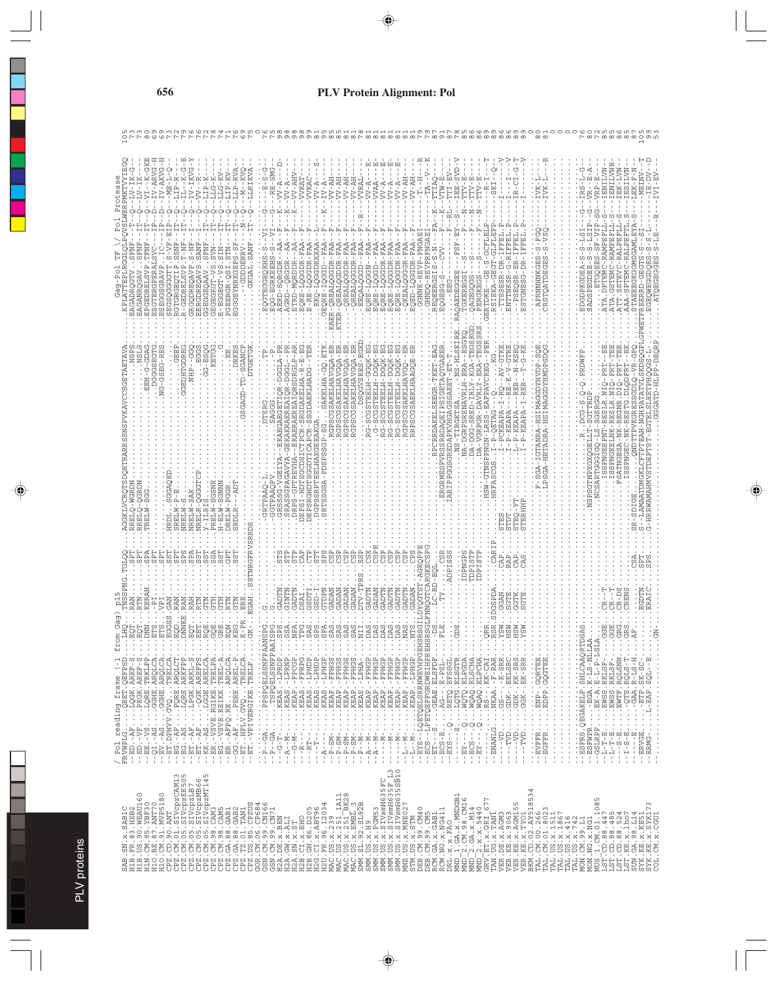| ۱      |
|--------|
|        |
| b<br>ï |
|        |
|        |
| ļ      |
|        |
|        |
| ⌒      |
|        |
|        |
|        |
|        |
|        |
|        |
|        |

| 2 |  |
|---|--|
|   |  |
|   |  |
|   |  |
|   |  |
|   |  |
|   |  |
|   |  |
|   |  |
| Ď |  |
|   |  |
| ì |  |
|   |  |
|   |  |
|   |  |
|   |  |
|   |  |
|   |  |
|   |  |
|   |  |
|   |  |
|   |  |
|   |  |
|   |  |
|   |  |
|   |  |
|   |  |
|   |  |
|   |  |
|   |  |
|   |  |
|   |  |
|   |  |
|   |  |
|   |  |
|   |  |
|   |  |
|   |  |
|   |  |
|   |  |
|   |  |
|   |  |

|                                                                                                                                                                                                                                                                                                                                                                                                                                                                                                                                                                                            |                                                                                                                                                                                        |                                                                                                                                                                                                                                                                                                                       |                                                                                                                                                                                                                                                                                                                                                                                                                                                                                                                                                                                                                                                                                                        |                                                                                                                                                                                                                                                                                                                                                                                                                                                                    | o                                                                                                                                                                                                                                                                                                                                                                                                                   |
|--------------------------------------------------------------------------------------------------------------------------------------------------------------------------------------------------------------------------------------------------------------------------------------------------------------------------------------------------------------------------------------------------------------------------------------------------------------------------------------------------------------------------------------------------------------------------------------------|----------------------------------------------------------------------------------------------------------------------------------------------------------------------------------------|-----------------------------------------------------------------------------------------------------------------------------------------------------------------------------------------------------------------------------------------------------------------------------------------------------------------------|--------------------------------------------------------------------------------------------------------------------------------------------------------------------------------------------------------------------------------------------------------------------------------------------------------------------------------------------------------------------------------------------------------------------------------------------------------------------------------------------------------------------------------------------------------------------------------------------------------------------------------------------------------------------------------------------------------|--------------------------------------------------------------------------------------------------------------------------------------------------------------------------------------------------------------------------------------------------------------------------------------------------------------------------------------------------------------------------------------------------------------------------------------------------------------------|---------------------------------------------------------------------------------------------------------------------------------------------------------------------------------------------------------------------------------------------------------------------------------------------------------------------------------------------------------------------------------------------------------------------|
| -GKE<br>$\dot{\vec{c}}$<br>V-ARVG<br>$LLG-KV-$<br>V-AKVG<br>LLP-RVA<br>ု<br>LLRIKVA<br>LIP-KV<br>$- - K$<br>$-1K$<br>$-1LIP-R$<br>- I K<br>$-ME - I$<br>LIP-K<br>LLG-K<br>÷<br>ea<br>t<br>$\circ$<br>$\circ$<br>GRGEOTIP<br><b>SOGGGGTI</b><br>RGQDREC<br>GDRE<br>້ິບ<br>白<br>5<br>입<br>5<br>ပု<br>Ř                                                                                                                                                                                                                                                                                       | - - - - - - -<br>- VV - AHV<br>- VV - AHV<br>Ċ)<br>VVKAC<br>WKA:<br>$-RE-1$<br>-A<br>Ť<br>EQRE-LQGGDR-FAA<br>E-RE-LQGODR-F<br>ETRD-MQRDDR                                              | KA-NT<br>W-AP<br>$TV$ – $\lambda$ P<br><b>VRAI</b><br>K-VV<br>K,<br>$TV - A$<br>. GEORE - IQGGD - - FAA<br>ER-QREALQGODR - FAA<br>ER-QREALQGDDR - FAA<br>ER-QREALQGODR - FAA -<br>. - QREALQGODR - FAA -<br>EKQ-LQGGDRXXAP<br>GGDR-FAP<br>$-FT - T$<br>$FAI -$<br>GGDR-F<br>F<br>I<br>EQALQGGD<br><b>NO0</b><br>TER-Q | <b>[x]</b><br>IEE-SVD<br>TTI-EV<br>PTIAO<br>A-MLA<br>TTV-E<br>$\mathbb{T} \mathbb{T} \mathbb{T} \mathbb{V} - \mathbb{E}$<br>HK-<br>HA-VV<br>Ŗ<br>$-RL -$<br>-REVPRFNGAE<br>GGDR-FAA<br>GGDR-FAP<br>$N-S$ -<br>REQEERGSIS<br>RAOAEDE                                                                                                                                                                                                                                                                                                                                                                                                                                                                    | $\frac{1}{\sqrt{2}}$<br>ု<br><b>H-ALL</b><br>$R - CL$<br>SKI-<br>GCFLEL<br>ESTGNESG-DR-IFFE<br>$-REIIFF$<br>S - S<br>$QSR - ER - I$<br>$ESR - DR - I$<br>- GE- 5<br>IEKA-GEG<br>RNNHNKG                                                                                                                                                                                                                                                                            | ENILVN<br>ENILVN<br>EK-LVN<br>IESILVN<br>凹<br>폄<br>ლ<br>მ<br>ω<br>-RALP<br>5F)<br>i<br>S<br>ATA.DI<br>SADSP<br>ATA.G<br>ATT.S                                                                                                                                                                                                                                                                                       |
| GDAG<br>DGGGSEGTG<br>GGKLVCROTSDORTRARRSSNSPVKAVCCSGETAETAVZ<br>$G-GSEG - R$<br>명<br><b>CEDHTGDR</b><br>EEH-G<br>QGRDN<br>SGSNI<br>GGA<br><b>SAK</b><br>ŪΩ<br>SRELW-<br>NRELW-<br><b>ILRI</b><br>NRELR<br>NRELW<br>PRELW<br><b>RELM</b><br>$H - ELW$<br>DRELW<br><b>GRDL</b><br>HRDL<br>RREL<br>J.                                                                                                                                                                                                                                                                                         | <b>RSDR</b><br>GPA<br>ΰĵ<br><b>DRP</b><br>GRS<br><b>SRA</b><br>Σď<br>ΣS                                                                                                                | $S - E G K I$<br>RGPSCGSAKELHAVGQA-ER<br>RGPSCGSAKELHAVGQA-ER<br>TEELH-GGQK-EG<br>$K - EG$ .<br>$K - EG$ .<br>LHAVGQA-E<br>GSAKELHAVGQA-E<br>TEELH-DGC<br>BLH-DGC<br><b>DSQGVSRE</b><br>$-5CGS$<br>PSCG<br>Ū<br>RGPSC<br>$\frac{0}{1}$<br>$\frac{1}{1}$<br>8                                                          | CGSAEKLHAAGQE-E<br><b>ETAQTGAE</b><br>$-LRLY-KGA-T$<br>- . NA-DGRPSRENAVRLH-ERA-<br>$-TKET$<br>ELH-DG<br>SSAEET-<br>-SRED<br>PGGSGREDAPKVHGAG<br>RP <sub>S</sub><br>α<br>-5<br>$\frac{1}{2}$<br>GPS<br>DA-DGG<br>MESPVR                                                                                                                                                                                                                                                                                                                                                                                                                                                                                | $E - K - V - GTR$<br>A-VGRPGR-DAVRLY-ERA-T<br>- KS<br>GTNSPPNGN-LRSS-EAPPAVCREG<br>$2 \cdot -2V$<br><b>UNHAGODAMISH-</b><br>GTANRA-HSIMAGGDYHVD<br>ĔŘ<br>ER<br>I-P-QETAG---Q<br>I-PCKEAPA-I-R<br>$\ddot{R}$<br>$I - P - KERAPA - I -$<br>$I - P - KERAPA -$<br>I-P-OETAG-<br>$L - P - KERAPA$<br>RTADRA<br>STERHH<br>Ē                                                                                                                                             | STG.DLQDFRT--E<br>$-$ PRT $-$ TE<br>ŗ<br>-PR'<br>-RESLR.NI<br>-REGNR.<br>SSPNGKELNK-RESLR.<br>$-NK$<br><b>SSPNGE</b><br>-HRRWAMAHMVSTDEPT                                                                                                                                                                                                                                                                           |
| SPNG<br>fro<br>$\begin{array}{l} \left(\begin{array}{l} \text{p01 reading frame } \left\{ -1 \end{array}\right. \\ \left(\begin{array}{l} \text{p1 endding frame } \left\{ -1 \end{array}\right. \\ \left(\begin{array}{l} \text{p1 endring frame} \left\{ -1 \end{array}\right. \\ \left(\begin{array}{l} \text{p1 endring frame} \left\{ -1 \end{array}\right. \\ \left(\begin{array}{l} \text{p1 endring frame} \left\{ -1 \end{array}\right. \\ \left(\begin{array}{l} \text{p1 endring frame} \left\{ -1 \end{array}\right. \\ \left(\begin{array}{l} \text{p1 endring frame} \left\$ | Ë<br>$-1 - P - GA$<br>$\begin{array}{ccccccccc} - & - & - & - & - & - \\ - & - & - & - & - \\ - & - & - & - & - \\ - & - & - & - & - \\ - & - & - & - & - \\ \end{array}$<br>$- - A -$ | GADTN<br>TDPN<br>GADAN<br>GADAN<br>GADAN<br>GADAN<br>GADA<br>-ALG<br>CADT<br>÷.<br>÷,<br>$-P = -M$<br>$- A - M$<br>$-1$<br>$-1$<br>$- A -$<br>$- - A$                                                                                                                                                                 | DPNGP<br><b>DPIST</b><br><b>ADPISS</b><br>t<br>--LQETQELSRRNWEVHPGEHS<br>--LPETQEFFGRDWEIHPREHS<br>$\vdots$<br>$-819BAB$ . ELSFDF<br>- KEAP.-FPHGP<br>- KEAP.-FPHGP<br>KEAP. - LPHGP<br>$\begin{array}{ll} -\texttt{EO} & \texttt{=}\ \texttt{E} & \texttt{E} & \texttt{E} & \texttt{E} & \texttt{E} & \texttt{E} \\ -\texttt{E} & \texttt{E} & \texttt{E} & \texttt{E} & \texttt{E} & \texttt{E} & \texttt{E} \\ -\texttt{E} & \texttt{E} & \texttt{E} & \texttt{E} & \texttt{E} & \texttt{E} & \texttt{E} \\ -\texttt{E} & \texttt{E} & \texttt{E} & \texttt{E} & \texttt{E} & \texttt{E} & \texttt{E} \\ -\texttt{E}$<br>$-1 - M -$<br>$N - T -$<br>$-1$<br>$N -$<br>-EYS-<br>$-ECS$<br>$-ET-$<br>부 | CAR<br>CAP<br>TDPIST<br>RAP<br>بم<br>)WQAQ.ELPCHA.<br>RS--.KK-CAI.<br>NKAA.-F-RAR.<br>$GS -- - - - F - SRR$<br>GDK-. EKLSRC<br>GDK-.KK-SRS<br>GGK-.EK-SRR<br>. EDPP . GQGTEE .<br>. ENP - . GQRTEE .<br>. ENP - . GQGTEE .<br>$\mathbb{C}^{\mathbb{Z}}$<br>$\vdots$<br>$\cdot$<br>-ENANLG<br>$\;$<br>$\cdot$<br>$\cdot$<br>$\cdot$<br>$-50$<br>$-$ TVD<br>$- -\nabla$<br>$-1.5$ - $\sim$ LAD<br>EVFFR.<br>EGFFR<br>÷Τ<br>$\,$ $\,$<br>$\mathbf{I}$<br>$\mathbf{I}$ | <b>RENS</b><br>GDTN<br>$R - D$                                                                                                                                                                                                                                                                                                                                                                                      |
|                                                                                                                                                                                                                                                                                                                                                                                                                                                                                                                                                                                            |                                                                                                                                                                                        | SMM. US. x. PCM53<br>SMM. US. x. SIVamH635FC<br>SMM. US. x. SIVamH635F L3<br>SMM. US. x. SIVamH635SB10<br>SMM. US. x. H9                                                                                                                                                                                              | $\begin{array}{l} \text{MND}\ 1.\ \text{GA}\cdot x.\ \text{MUDGB1}\\ \text{MND}\overline{-2}.\ \text{CM}\cdot 98.\ \text{CM16}\\ \text{MND}\overline{-2}.\ \text{GA}\cdot x.\ \text{M14}\\ \text{MND}\overline{-2}.\ x.\ x.\ \text{5440}\\ \text{GRV}\cdot \text{ET}\cdot x.\ \text{GRL}\underline{-677}\\ \text{GRV}\cdot \text{ET}\cdot x.\ \text{GRL}\underline{-677} \end{array}$<br>INE.US.x.MNE02<br>DEB.CM.99.CM40<br>DEB.CM.99.CM40<br>DEB.CM.99.CM5<br>RCM.GA.x.NG411<br>RCM.NG.x.NG411<br>STM.US.x.STM<br>DRL.X.X.FAO                                                                                                                                                                        | $\begin{smallmatrix} \texttt{TAN} & \texttt{UC} & \texttt{X} & \texttt{TAM} \\ \texttt{VBR} & \texttt{DE} & \texttt{X} & \texttt{A} & \texttt{GMS} \\ \texttt{VBR} & \texttt{HE} & \texttt{X} & \texttt{A} & \texttt{GMS} \\ \texttt{VBR} & \texttt{HE} & \texttt{X} & \texttt{A} & \texttt{GMS} \\ \texttt{VBR} & \texttt{HE} & \texttt{X} & \texttt{A} & \texttt{GMS} \\ \texttt{VBR} & \texttt{HE} & \texttt{X} & \texttt{A} & \texttt{A} &$                    | $\begin{array}{l} \textbf{M05} \begin{smallmatrix} 1. \textbf{(M)} \textbf{01} \textbf{1} \textbf{085} \\ 0.1 \textbf{01} \textbf{01} \textbf{035} \\ 1.5 \textbf{187} \textbf{-C} \textbf{01} \textbf{088} \textbf{447} \\ 1.5 \textbf{187} \textbf{-C} \textbf{01} \textbf{085} \textbf{134} \\ 1.5 \textbf{187} \textbf{-C} \textbf{01} \textbf{085} \textbf{1324} \\ 1.5 \textbf{187} \text$<br>CGU<br>EN.<br>ō |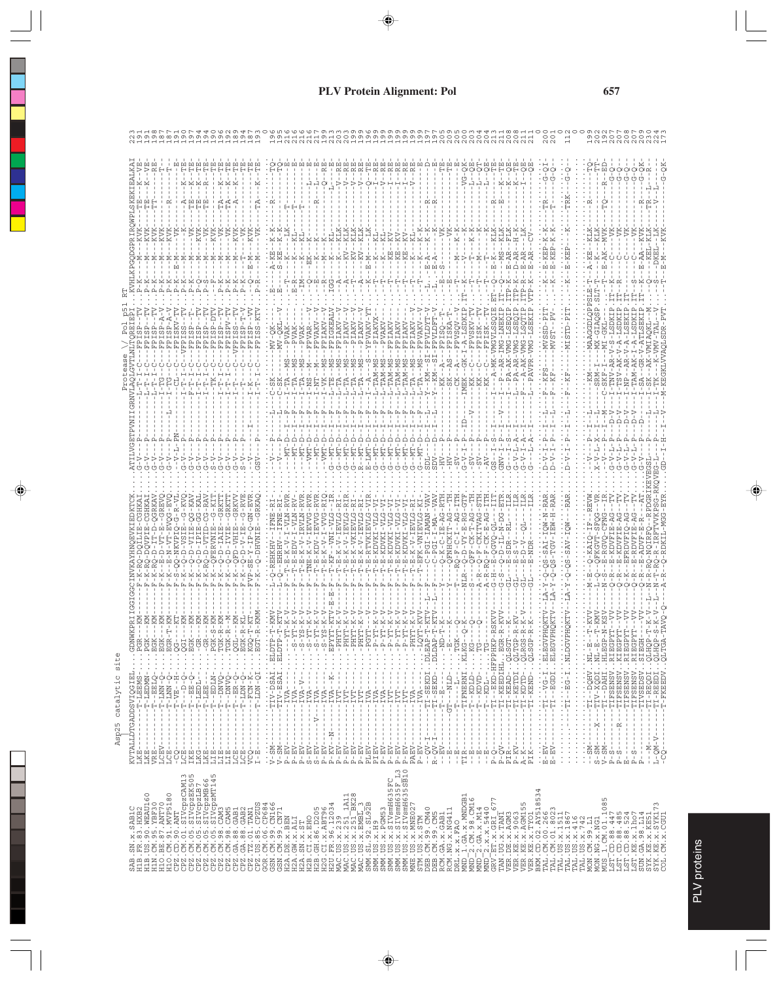| I.x. SABIC<br>83. HXB2<br>SAB.SN                                                                                                                                                                                                                                                      | KVTALLDTGADDSVIQGIE:<br>LKE----------T-LEEMS                                                                                                                                                                                                                                                                                                                                                                                                                                                                                                                                                                                        | ã<br>$\cdot$                                                                                    |          |  |  |
|---------------------------------------------------------------------------------------------------------------------------------------------------------------------------------------------------------------------------------------------------------------------------------------|-------------------------------------------------------------------------------------------------------------------------------------------------------------------------------------------------------------------------------------------------------------------------------------------------------------------------------------------------------------------------------------------------------------------------------------------------------------------------------------------------------------------------------------------------------------------------------------------------------------------------------------|-------------------------------------------------------------------------------------------------|----------|--|--|
|                                                                                                                                                                                                                                                                                       |                                                                                                                                                                                                                                                                                                                                                                                                                                                                                                                                                                                                                                     | .PGR                                                                                            |          |  |  |
|                                                                                                                                                                                                                                                                                       | <b>MNGST-</b><br>Ĥ<br>$\mathbb{H}$<br>ī,<br>$\mathbb{I}$<br>$\mathbf{I}$<br>л.<br>$\mathbf I$<br>$\mathbf{I}$<br>J.<br>1<br>LKE                                                                                                                                                                                                                                                                                                                                                                                                                                                                                                     | PGK<br>$\bullet$<br>$\cdot$                                                                     |          |  |  |
|                                                                                                                                                                                                                                                                                       | Н<br>$\mathsf I$<br>$\mathbb{L}$<br>$\mathbf{I}$<br>$\mathbf{I}$<br>$\mathbf{I}$                                                                                                                                                                                                                                                                                                                                                                                                                                                                                                                                                    | $\bullet$<br>$\cdot$                                                                            |          |  |  |
|                                                                                                                                                                                                                                                                                       | $\mathbb H$<br>$\mathbb H$<br>Ī.<br>$\mathbb{I}$<br>$\mathbf{I}$<br>$\mathbf{I}$<br>$\mathbf{I}$                                                                                                                                                                                                                                                                                                                                                                                                                                                                                                                                    | 명명없음<br>요요없음<br>$\cdot$<br>$\sim$                                                               |          |  |  |
|                                                                                                                                                                                                                                                                                       | Ŧ.<br>$\mathbf{I}$<br>$\mathsf I$<br>$\mathbf{I}$                                                                                                                                                                                                                                                                                                                                                                                                                                                                                                                                                                                   | Ē,                                                                                              |          |  |  |
|                                                                                                                                                                                                                                                                                       | 다.<br>이번<br>$\mathbf{I}$<br>$\mathbf{I}$                                                                                                                                                                                                                                                                                                                                                                                                                                                                                                                                                                                            | $\sim$ $\sim$ $\sim$                                                                            |          |  |  |
|                                                                                                                                                                                                                                                                                       | Ė<br>Ė<br>THE F<br>$\mathbf{I}$<br>Ť<br>$\mathbf I$<br>$\mathbf{I}$<br>$\blacksquare$                                                                                                                                                                                                                                                                                                                                                                                                                                                                                                                                               | $\cdot$                                                                                         |          |  |  |
|                                                                                                                                                                                                                                                                                       | $-$ <b>EDLN</b><br>Н<br>Ť                                                                                                                                                                                                                                                                                                                                                                                                                                                                                                                                                                                                           | $\cdot$                                                                                         |          |  |  |
|                                                                                                                                                                                                                                                                                       | Ť                                                                                                                                                                                                                                                                                                                                                                                                                                                                                                                                                                                                                                   | $\cdot$                                                                                         |          |  |  |
|                                                                                                                                                                                                                                                                                       |                                                                                                                                                                                                                                                                                                                                                                                                                                                                                                                                                                                                                                     | $\blacksquare$<br>$\cdot$                                                                       |          |  |  |
|                                                                                                                                                                                                                                                                                       |                                                                                                                                                                                                                                                                                                                                                                                                                                                                                                                                                                                                                                     |                                                                                                 |          |  |  |
|                                                                                                                                                                                                                                                                                       | $\alpha = \alpha = \alpha$<br>$\frac{1}{4}$                                                                                                                                                                                                                                                                                                                                                                                                                                                                                                                                                                                         | $\cdot$                                                                                         |          |  |  |
|                                                                                                                                                                                                                                                                                       |                                                                                                                                                                                                                                                                                                                                                                                                                                                                                                                                                                                                                                     |                                                                                                 |          |  |  |
|                                                                                                                                                                                                                                                                                       | $\cdot$                                                                                                                                                                                                                                                                                                                                                                                                                                                                                                                                                                                                                             | <br>ELDTI                                                                                       |          |  |  |
|                                                                                                                                                                                                                                                                                       |                                                                                                                                                                                                                                                                                                                                                                                                                                                                                                                                                                                                                                     | <b>ELDT</b><br>E,<br>÷                                                                          |          |  |  |
|                                                                                                                                                                                                                                                                                       |                                                                                                                                                                                                                                                                                                                                                                                                                                                                                                                                                                                                                                     | ţ.<br>$\ddot{\cdot}$                                                                            |          |  |  |
|                                                                                                                                                                                                                                                                                       |                                                                                                                                                                                                                                                                                                                                                                                                                                                                                                                                                                                                                                     |                                                                                                 |          |  |  |
|                                                                                                                                                                                                                                                                                       |                                                                                                                                                                                                                                                                                                                                                                                                                                                                                                                                                                                                                                     |                                                                                                 |          |  |  |
|                                                                                                                                                                                                                                                                                       |                                                                                                                                                                                                                                                                                                                                                                                                                                                                                                                                                                                                                                     |                                                                                                 |          |  |  |
|                                                                                                                                                                                                                                                                                       |                                                                                                                                                                                                                                                                                                                                                                                                                                                                                                                                                                                                                                     |                                                                                                 |          |  |  |
|                                                                                                                                                                                                                                                                                       |                                                                                                                                                                                                                                                                                                                                                                                                                                                                                                                                                                                                                                     |                                                                                                 |          |  |  |
|                                                                                                                                                                                                                                                                                       |                                                                                                                                                                                                                                                                                                                                                                                                                                                                                                                                                                                                                                     |                                                                                                 |          |  |  |
|                                                                                                                                                                                                                                                                                       |                                                                                                                                                                                                                                                                                                                                                                                                                                                                                                                                                                                                                                     |                                                                                                 |          |  |  |
|                                                                                                                                                                                                                                                                                       |                                                                                                                                                                                                                                                                                                                                                                                                                                                                                                                                                                                                                                     |                                                                                                 |          |  |  |
|                                                                                                                                                                                                                                                                                       |                                                                                                                                                                                                                                                                                                                                                                                                                                                                                                                                                                                                                                     |                                                                                                 | 14111111 |  |  |
|                                                                                                                                                                                                                                                                                       |                                                                                                                                                                                                                                                                                                                                                                                                                                                                                                                                                                                                                                     |                                                                                                 |          |  |  |
|                                                                                                                                                                                                                                                                                       |                                                                                                                                                                                                                                                                                                                                                                                                                                                                                                                                                                                                                                     |                                                                                                 |          |  |  |
|                                                                                                                                                                                                                                                                                       |                                                                                                                                                                                                                                                                                                                                                                                                                                                                                                                                                                                                                                     |                                                                                                 |          |  |  |
|                                                                                                                                                                                                                                                                                       |                                                                                                                                                                                                                                                                                                                                                                                                                                                                                                                                                                                                                                     |                                                                                                 |          |  |  |
|                                                                                                                                                                                                                                                                                       |                                                                                                                                                                                                                                                                                                                                                                                                                                                                                                                                                                                                                                     |                                                                                                 |          |  |  |
|                                                                                                                                                                                                                                                                                       |                                                                                                                                                                                                                                                                                                                                                                                                                                                                                                                                                                                                                                     |                                                                                                 |          |  |  |
|                                                                                                                                                                                                                                                                                       | $---IVA$<br>ł.<br>Ť<br>$\mathbf{I}$<br>$\mathfrak l$<br>÷<br>$P - EV$                                                                                                                                                                                                                                                                                                                                                                                                                                                                                                                                                               |                                                                                                 |          |  |  |
| STM. US. x. STM<br>DEB. CM. 99. CM40<br>DEB. CM. 99. CM5<br>RCM. GA. x. GAB1<br>RCM. NG. x. NG411                                                                                                                                                                                     | ÷                                                                                                                                                                                                                                                                                                                                                                                                                                                                                                                                                                                                                                   | HALLO.                                                                                          |          |  |  |
|                                                                                                                                                                                                                                                                                       | J.<br>$\mathbf{I}$                                                                                                                                                                                                                                                                                                                                                                                                                                                                                                                                                                                                                  | $\overline{M}$                                                                                  |          |  |  |
|                                                                                                                                                                                                                                                                                       | $- -$ GT<br>$\mathbf{I}$                                                                                                                                                                                                                                                                                                                                                                                                                                                                                                                                                                                                            | $\frac{1}{2}$                                                                                   |          |  |  |
|                                                                                                                                                                                                                                                                                       | $\frac{1}{1}$<br>$\frac{1}{2}$                                                                                                                                                                                                                                                                                                                                                                                                                                                                                                                                                                                                      | $\begin{array}{c}\n\vdots \\ \vdots \\ \vdots \\ \vdots\n\n\end{array}$                         |          |  |  |
| DRL.x.x.FAO<br>MND_1.GA.x.MNDGB1<br>MND_2.CM.98.CM16<br>MND_2.GA.x.M14<br>MND_2.x.x.5440<br>MND_2.x.x.5440                                                                                                                                                                            | $-$ -TIFNERMI<br>$\mathbf{I}$<br>Ť.                                                                                                                                                                                                                                                                                                                                                                                                                                                                                                                                                                                                 |                                                                                                 |          |  |  |
|                                                                                                                                                                                                                                                                                       | $\mathbf{I}$<br><b>CTCN--</b><br>$-TVDD$<br>÷.<br>۳<br>-<br>$\mathbb{I}$<br>$\overline{1}$<br>÷.<br>$\mathbb{L}$                                                                                                                                                                                                                                                                                                                                                                                                                                                                                                                    |                                                                                                 |          |  |  |
|                                                                                                                                                                                                                                                                                       | $\mathbf{I}$<br>$-1$ CDI $-$<br>÷,<br>$\mathbf{I}$<br>Ť.                                                                                                                                                                                                                                                                                                                                                                                                                                                                                                                                                                            |                                                                                                 |          |  |  |
|                                                                                                                                                                                                                                                                                       | $\mathbb{I}$<br>Ť.                                                                                                                                                                                                                                                                                                                                                                                                                                                                                                                                                                                                                  |                                                                                                 |          |  |  |
|                                                                                                                                                                                                                                                                                       |                                                                                                                                                                                                                                                                                                                                                                                                                                                                                                                                                                                                                                     |                                                                                                 |          |  |  |
|                                                                                                                                                                                                                                                                                       | -ТІ-КЕЕРІНІВGF<br>- <u>ТІ-КЕАР-</u> QLSGI<br>$- - T I - K EAD$                                                                                                                                                                                                                                                                                                                                                                                                                                                                                                                                                                      |                                                                                                 |          |  |  |
|                                                                                                                                                                                                                                                                                       | $-1T - KBTDI$ $QLTG$                                                                                                                                                                                                                                                                                                                                                                                                                                                                                                                                                                                                                |                                                                                                 |          |  |  |
|                                                                                                                                                                                                                                                                                       | $-TI - KEND$                                                                                                                                                                                                                                                                                                                                                                                                                                                                                                                                                                                                                        | HOSTO                                                                                           |          |  |  |
| 534                                                                                                                                                                                                                                                                                   |                                                                                                                                                                                                                                                                                                                                                                                                                                                                                                                                                                                                                                     |                                                                                                 |          |  |  |
|                                                                                                                                                                                                                                                                                       | $\sim$ $\pm$<br>$\frac{E-FV}{E-FV}$                                                                                                                                                                                                                                                                                                                                                                                                                                                                                                                                                                                                 | $\ldots$ ELECV                                                                                  |          |  |  |
|                                                                                                                                                                                                                                                                                       |                                                                                                                                                                                                                                                                                                                                                                                                                                                                                                                                                                                                                                     | <b>ELEGV</b>                                                                                    |          |  |  |
|                                                                                                                                                                                                                                                                                       | Ñ<br>$\vdots$                                                                                                                                                                                                                                                                                                                                                                                                                                                                                                                                                                                                                       |                                                                                                 |          |  |  |
|                                                                                                                                                                                                                                                                                       | $\frac{1}{2}$                                                                                                                                                                                                                                                                                                                                                                                                                                                                                                                                                                                                                       |                                                                                                 |          |  |  |
|                                                                                                                                                                                                                                                                                       | $\cdot$<br>$\vdots$<br>$\frac{1}{2}$<br>$\frac{1}{2}$                                                                                                                                                                                                                                                                                                                                                                                                                                                                                                                                                                               |                                                                                                 |          |  |  |
|                                                                                                                                                                                                                                                                                       | $-$ DQHV.<br>错<br>$\mathbf{I}$                                                                                                                                                                                                                                                                                                                                                                                                                                                                                                                                                                                                      | $\begin{array}{c} \cdot \cdot \text{ML-}\text{E} \\ \cdot \cdot \text{ML-}\text{E} \end{array}$ |          |  |  |
|                                                                                                                                                                                                                                                                                       | $-TTV-XQDI$<br>$-TTI - -DAHI$<br>$- - X - -$                                                                                                                                                                                                                                                                                                                                                                                                                                                                                                                                                                                        |                                                                                                 |          |  |  |
|                                                                                                                                                                                                                                                                                       | I.<br>٠<br>$\mathbf I$<br>$\mathbf I$                                                                                                                                                                                                                                                                                                                                                                                                                                                                                                                                                                                               |                                                                                                 |          |  |  |
|                                                                                                                                                                                                                                                                                       |                                                                                                                                                                                                                                                                                                                                                                                                                                                                                                                                                                                                                                     |                                                                                                 |          |  |  |
|                                                                                                                                                                                                                                                                                       |                                                                                                                                                                                                                                                                                                                                                                                                                                                                                                                                                                                                                                     |                                                                                                 |          |  |  |
|                                                                                                                                                                                                                                                                                       |                                                                                                                                                                                                                                                                                                                                                                                                                                                                                                                                                                                                                                     |                                                                                                 |          |  |  |
| $\begin{smallmatrix} 280\\ 280\\ 180\\ 281\\ 192\\ 183\\ 194\\ 195\\ 182\\ 183\\ 184\\ 185\\ 186\\ 187\\ 188\\ 189\\ 180\\ 181\\ 182\\ 183\\ 184\\ 185\\ 186\\ 187\\ 188\\ 189\\ 180\\ 181\\ 182\\ 183\\ 184\\ 185\\ 186\\ 187\\ 188\\ 189\\ 180\\ 180\\ 181\\ 182\\ 183\\ 184\\ 185$ | $\begin{array}{ll} -\texttt{T1VSEDSV} \\ -\texttt{T1}-\texttt{REQDI} \\ -\texttt{T1}-\texttt{REQDI} \\ -\texttt{T1}-\texttt{REEDI} \\ -\texttt{T-TL} \end{array}$<br>I,<br>$\mathbf I$<br>I<br>$\frac{1}{1}$<br>J.<br>$\mathbf{I}$<br>$\mathfrak l$<br>$\begin{array}{c} \rule{0.2cm}{0.15mm} \rule{0.2cm}{0.15mm} \rule{0.2cm}{0.15mm} \rule{0.2cm}{0.15mm} \rule{0.2cm}{0.15mm} \rule{0.2cm}{0.15mm} \rule{0.2cm}{0.15mm} \rule{0.2cm}{0.15mm} \rule{0.2cm}{0.15mm} \rule{0.2cm}{0.15mm} \rule{0.2cm}{0.15mm} \rule{0.2cm}{0.15mm} \rule{0.2cm}{0.15mm} \rule{0.2cm}{0.15mm} \rule{0.2cm}{0.15mm} \rule{$<br>t<br>$-1 - M -$<br>٠ |                                                                                                 |          |  |  |
|                                                                                                                                                                                                                                                                                       | $\mathbf{I}$<br>$\mathbf{I}$<br>$\,$ $\,$<br>$L - QM - V - - -$                                                                                                                                                                                                                                                                                                                                                                                                                                                                                                                                                                     |                                                                                                 |          |  |  |
|                                                                                                                                                                                                                                                                                       |                                                                                                                                                                                                                                                                                                                                                                                                                                                                                                                                                                                                                                     |                                                                                                 |          |  |  |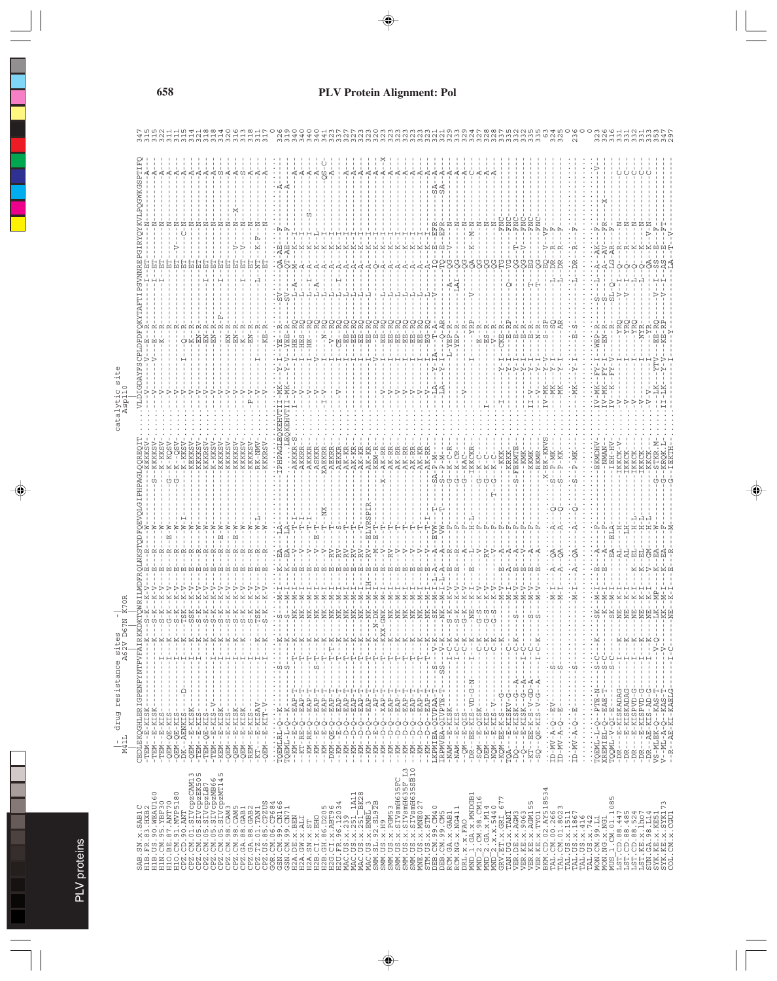| $\mathbb U$                                                                     |                                                                                                                                                                                                                                                                                                                                                                                                                                                                  |  |  |  |  |  |  |  |  |  |  |  |  |  |  |                                                                                              |  |  |  |  |  |  |  |  |  |  |  |  |  |  |  |
|---------------------------------------------------------------------------------|------------------------------------------------------------------------------------------------------------------------------------------------------------------------------------------------------------------------------------------------------------------------------------------------------------------------------------------------------------------------------------------------------------------------------------------------------------------|--|--|--|--|--|--|--|--|--|--|--|--|--|--|----------------------------------------------------------------------------------------------|--|--|--|--|--|--|--|--|--|--|--|--|--|--|--|
| $\begin{array}{c}\n 8 \downarrow t \\  62 \downarrow \\  0\n \end{array}$<br>K, |                                                                                                                                                                                                                                                                                                                                                                                                                                                                  |  |  |  |  |  |  |  |  |  |  |  |  |  |  |                                                                                              |  |  |  |  |  |  |  |  |  |  |  |  |  |  |  |
| resistance                                                                      |                                                                                                                                                                                                                                                                                                                                                                                                                                                                  |  |  |  |  |  |  |  |  |  |  |  |  |  |  |                                                                                              |  |  |  |  |  |  |  |  |  |  |  |  |  |  |  |
|                                                                                 |                                                                                                                                                                                                                                                                                                                                                                                                                                                                  |  |  |  |  |  |  |  |  |  |  |  |  |  |  |                                                                                              |  |  |  |  |  |  |  |  |  |  |  |  |  |  |  |
| drug                                                                            |                                                                                                                                                                                                                                                                                                                                                                                                                                                                  |  |  |  |  |  |  |  |  |  |  |  |  |  |  |                                                                                              |  |  |  |  |  |  |  |  |  |  |  |  |  |  |  |
| $\frac{1}{M41L}$                                                                |                                                                                                                                                                                                                                                                                                                                                                                                                                                                  |  |  |  |  |  |  |  |  |  |  |  |  |  |  |                                                                                              |  |  |  |  |  |  |  |  |  |  |  |  |  |  |  |
|                                                                                 |                                                                                                                                                                                                                                                                                                                                                                                                                                                                  |  |  |  |  |  |  |  |  |  |  |  |  |  |  |                                                                                              |  |  |  |  |  |  |  |  |  |  |  |  |  |  |  |
|                                                                                 |                                                                                                                                                                                                                                                                                                                                                                                                                                                                  |  |  |  |  |  |  |  |  |  |  |  |  |  |  | $\begin{array}{l} \text{FC} \\ \text{F} \rightarrow 3 \\ \text{G} \rightarrow 3 \end{array}$ |  |  |  |  |  |  |  |  |  |  |  |  |  |  |  |
|                                                                                 |                                                                                                                                                                                                                                                                                                                                                                                                                                                                  |  |  |  |  |  |  |  |  |  |  |  |  |  |  |                                                                                              |  |  |  |  |  |  |  |  |  |  |  |  |  |  |  |
|                                                                                 |                                                                                                                                                                                                                                                                                                                                                                                                                                                                  |  |  |  |  |  |  |  |  |  |  |  |  |  |  |                                                                                              |  |  |  |  |  |  |  |  |  |  |  |  |  |  |  |
|                                                                                 | $\begin{smallmatrix} \texttt{AB} & \texttt{X} & \texttt{ABID} & \texttt{ABID} & \texttt{ADID} & \texttt{ADID} & \texttt{ADID} & \texttt{ADID} & \texttt{ADID} & \texttt{ADID} & \texttt{ADID} & \texttt{ADID} & \texttt{ADID} & \texttt{ADID} & \texttt{ADID} & \texttt{ADID} & \texttt{ADID} & \texttt{ADID} & \texttt{ADID} & \texttt{ADID} & \texttt{ADID} & \texttt{ADID} & \texttt{ADID} & \texttt{ADID} & \texttt{ADID} & \texttt{ADID} & \texttt{ADID} &$ |  |  |  |  |  |  |  |  |  |  |  |  |  |  |                                                                                              |  |  |  |  |  |  |  |  |  |  |  |  |  |  |  |
|                                                                                 |                                                                                                                                                                                                                                                                                                                                                                                                                                                                  |  |  |  |  |  |  |  |  |  |  |  |  |  |  |                                                                                              |  |  |  |  |  |  |  |  |  |  |  |  |  |  |  |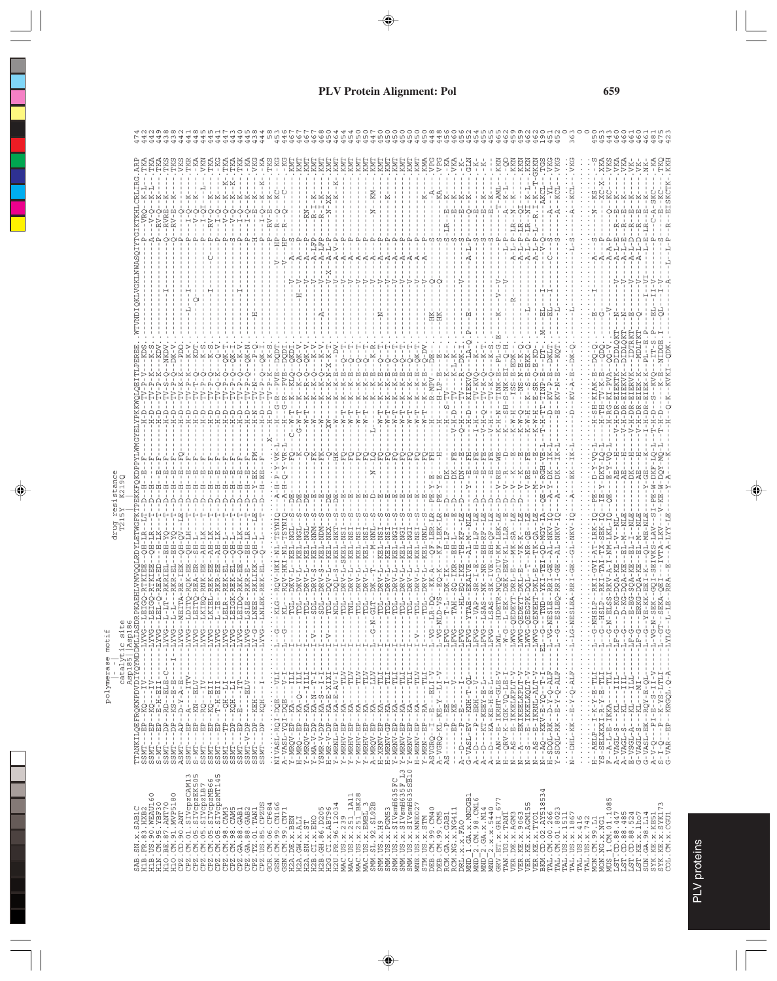|                                                                                          |                                 |                                                                                                                                                                                                                                                                                                                                                                                                                              |         |                 |          | alah da                     |                |                |          |          |        |             |         |          |        |                            | A.            |   |         |          | TO T   |                                                                                                                                                                                                                                                                                                                                                                                  |                      |                                                                                                                                                                                                                                                                                                                                                                                                                                                                                                                                                              |               |        |               |   |                  |   |                |   |                                                                                                        |      |                |               |            |               |        |      |                                                                                                                                                                                                                                                                                                                                          |          |                     |                         |                                                                                                                                                                                                                                                                   |         |               |          |        |        |               |               |          |                        |      |           |            |               |                                                 |            |            |                      |                                                                                                                                                                                                                                                                                                                                                                                                                              |    |
|------------------------------------------------------------------------------------------|---------------------------------|------------------------------------------------------------------------------------------------------------------------------------------------------------------------------------------------------------------------------------------------------------------------------------------------------------------------------------------------------------------------------------------------------------------------------|---------|-----------------|----------|-----------------------------|----------------|----------------|----------|----------|--------|-------------|---------|----------|--------|----------------------------|---------------|---|---------|----------|--------|----------------------------------------------------------------------------------------------------------------------------------------------------------------------------------------------------------------------------------------------------------------------------------------------------------------------------------------------------------------------------------|----------------------|--------------------------------------------------------------------------------------------------------------------------------------------------------------------------------------------------------------------------------------------------------------------------------------------------------------------------------------------------------------------------------------------------------------------------------------------------------------------------------------------------------------------------------------------------------------|---------------|--------|---------------|---|------------------|---|----------------|---|--------------------------------------------------------------------------------------------------------|------|----------------|---------------|------------|---------------|--------|------|------------------------------------------------------------------------------------------------------------------------------------------------------------------------------------------------------------------------------------------------------------------------------------------------------------------------------------------|----------|---------------------|-------------------------|-------------------------------------------------------------------------------------------------------------------------------------------------------------------------------------------------------------------------------------------------------------------|---------|---------------|----------|--------|--------|---------------|---------------|----------|------------------------|------|-----------|------------|---------------|-------------------------------------------------|------------|------------|----------------------|------------------------------------------------------------------------------------------------------------------------------------------------------------------------------------------------------------------------------------------------------------------------------------------------------------------------------------------------------------------------------------------------------------------------------|----|
|                                                                                          |                                 |                                                                                                                                                                                                                                                                                                                                                                                                                              |         |                 |          |                             |                |                |          |          |        |             |         |          |        |                            |               |   |         |          |        |                                                                                                                                                                                                                                                                                                                                                                                  |                      |                                                                                                                                                                                                                                                                                                                                                                                                                                                                                                                                                              |               |        |               |   |                  |   |                |   |                                                                                                        |      |                |               |            |               |        |      |                                                                                                                                                                                                                                                                                                                                          |          |                     |                         |                                                                                                                                                                                                                                                                   |         |               |          |        |        |               |               |          |                        |      |           |            |               |                                                 |            |            |                      |                                                                                                                                                                                                                                                                                                                                                                                                                              |    |
|                                                                                          |                                 |                                                                                                                                                                                                                                                                                                                                                                                                                              |         |                 |          |                             |                |                |          |          |        |             |         |          |        |                            |               |   |         |          |        |                                                                                                                                                                                                                                                                                                                                                                                  |                      |                                                                                                                                                                                                                                                                                                                                                                                                                                                                                                                                                              |               |        |               |   |                  |   |                |   |                                                                                                        |      |                |               |            |               |        |      |                                                                                                                                                                                                                                                                                                                                          |          |                     |                         |                                                                                                                                                                                                                                                                   |         |               |          |        |        |               |               |          |                        |      |           |            |               |                                                 |            |            |                      |                                                                                                                                                                                                                                                                                                                                                                                                                              |    |
|                                                                                          |                                 |                                                                                                                                                                                                                                                                                                                                                                                                                              |         |                 |          |                             |                |                |          |          |        |             |         |          |        |                            |               |   |         |          |        |                                                                                                                                                                                                                                                                                                                                                                                  |                      |                                                                                                                                                                                                                                                                                                                                                                                                                                                                                                                                                              |               |        |               |   |                  |   |                |   |                                                                                                        |      |                |               |            |               |        |      |                                                                                                                                                                                                                                                                                                                                          |          |                     |                         |                                                                                                                                                                                                                                                                   |         |               |          |        |        |               |               |          |                        |      |           |            |               |                                                 |            |            |                      |                                                                                                                                                                                                                                                                                                                                                                                                                              |    |
|                                                                                          |                                 |                                                                                                                                                                                                                                                                                                                                                                                                                              |         |                 |          |                             |                |                |          |          |        |             |         |          |        |                            |               |   |         |          |        |                                                                                                                                                                                                                                                                                                                                                                                  |                      |                                                                                                                                                                                                                                                                                                                                                                                                                                                                                                                                                              |               |        |               |   |                  |   |                |   |                                                                                                        |      |                |               |            |               |        |      |                                                                                                                                                                                                                                                                                                                                          |          |                     |                         |                                                                                                                                                                                                                                                                   |         |               |          |        |        |               |               |          |                        |      |           |            |               |                                                 |            |            |                      |                                                                                                                                                                                                                                                                                                                                                                                                                              |    |
|                                                                                          |                                 |                                                                                                                                                                                                                                                                                                                                                                                                                              |         |                 |          |                             |                |                |          |          |        |             |         |          |        |                            |               |   |         |          |        |                                                                                                                                                                                                                                                                                                                                                                                  |                      |                                                                                                                                                                                                                                                                                                                                                                                                                                                                                                                                                              |               |        |               |   |                  |   |                |   |                                                                                                        |      |                |               |            |               |        |      |                                                                                                                                                                                                                                                                                                                                          |          |                     |                         |                                                                                                                                                                                                                                                                   |         |               |          |        |        |               |               |          |                        |      |           |            |               |                                                 |            |            |                      |                                                                                                                                                                                                                                                                                                                                                                                                                              |    |
|                                                                                          |                                 |                                                                                                                                                                                                                                                                                                                                                                                                                              |         |                 |          |                             |                |                |          |          |        |             |         |          |        |                            |               |   |         |          |        |                                                                                                                                                                                                                                                                                                                                                                                  |                      |                                                                                                                                                                                                                                                                                                                                                                                                                                                                                                                                                              |               |        | 1.1.1.1       |   |                  |   |                |   |                                                                                                        |      |                |               |            |               |        |      |                                                                                                                                                                                                                                                                                                                                          |          |                     |                         |                                                                                                                                                                                                                                                                   |         |               |          |        |        |               |               |          |                        | ā,   | $-90 - 1$ |            | $-1010$       |                                                 |            |            |                      |                                                                                                                                                                                                                                                                                                                                                                                                                              |    |
|                                                                                          |                                 |                                                                                                                                                                                                                                                                                                                                                                                                                              |         |                 |          |                             |                |                |          |          |        |             |         |          |        |                            |               |   |         |          |        |                                                                                                                                                                                                                                                                                                                                                                                  |                      |                                                                                                                                                                                                                                                                                                                                                                                                                                                                                                                                                              |               |        |               |   |                  |   |                |   |                                                                                                        |      |                |               |            |               |        |      |                                                                                                                                                                                                                                                                                                                                          |          |                     |                         |                                                                                                                                                                                                                                                                   |         |               |          |        |        |               |               |          |                        |      |           |            |               |                                                 |            |            |                      |                                                                                                                                                                                                                                                                                                                                                                                                                              |    |
|                                                                                          |                                 |                                                                                                                                                                                                                                                                                                                                                                                                                              |         |                 |          |                             |                |                |          |          |        |             |         |          |        |                            |               |   |         | 5        |        |                                                                                                                                                                                                                                                                                                                                                                                  |                      |                                                                                                                                                                                                                                                                                                                                                                                                                                                                                                                                                              |               |        |               |   |                  |   |                |   |                                                                                                        |      |                |               |            |               |        |      |                                                                                                                                                                                                                                                                                                                                          |          |                     |                         |                                                                                                                                                                                                                                                                   |         |               |          |        |        |               |               |          |                        |      |           |            |               |                                                 |            |            |                      |                                                                                                                                                                                                                                                                                                                                                                                                                              |    |
|                                                                                          |                                 |                                                                                                                                                                                                                                                                                                                                                                                                                              |         |                 |          |                             |                |                |          |          |        |             |         |          |        |                            |               |   |         |          |        |                                                                                                                                                                                                                                                                                                                                                                                  |                      |                                                                                                                                                                                                                                                                                                                                                                                                                                                                                                                                                              |               |        |               |   |                  |   |                |   |                                                                                                        |      |                |               |            |               |        |      |                                                                                                                                                                                                                                                                                                                                          |          |                     |                         |                                                                                                                                                                                                                                                                   |         |               |          |        |        |               |               |          |                        |      |           |            |               |                                                 |            |            |                      |                                                                                                                                                                                                                                                                                                                                                                                                                              |    |
|                                                                                          |                                 |                                                                                                                                                                                                                                                                                                                                                                                                                              |         |                 |          |                             |                |                |          |          |        |             |         |          |        |                            |               |   |         |          |        |                                                                                                                                                                                                                                                                                                                                                                                  |                      |                                                                                                                                                                                                                                                                                                                                                                                                                                                                                                                                                              |               |        |               |   |                  |   |                |   |                                                                                                        |      |                |               |            |               |        |      |                                                                                                                                                                                                                                                                                                                                          |          |                     |                         |                                                                                                                                                                                                                                                                   |         |               |          |        |        |               |               |          |                        |      |           |            |               |                                                 |            |            |                      |                                                                                                                                                                                                                                                                                                                                                                                                                              |    |
|                                                                                          |                                 |                                                                                                                                                                                                                                                                                                                                                                                                                              |         |                 |          |                             |                |                |          |          |        |             |         |          |        |                            |               |   |         |          |        |                                                                                                                                                                                                                                                                                                                                                                                  |                      |                                                                                                                                                                                                                                                                                                                                                                                                                                                                                                                                                              |               |        |               |   |                  |   |                |   |                                                                                                        |      |                |               |            |               |        |      |                                                                                                                                                                                                                                                                                                                                          |          |                     |                         |                                                                                                                                                                                                                                                                   |         |               |          |        |        |               |               |          |                        |      |           |            |               |                                                 |            |            |                      |                                                                                                                                                                                                                                                                                                                                                                                                                              |    |
|                                                                                          |                                 |                                                                                                                                                                                                                                                                                                                                                                                                                              |         |                 |          | .                           |                |                |          |          |        |             |         |          |        |                            |               |   |         |          |        |                                                                                                                                                                                                                                                                                                                                                                                  |                      |                                                                                                                                                                                                                                                                                                                                                                                                                                                                                                                                                              |               |        |               |   |                  |   |                |   |                                                                                                        |      |                |               |            |               |        |      |                                                                                                                                                                                                                                                                                                                                          |          |                     |                         |                                                                                                                                                                                                                                                                   |         |               |          |        |        |               |               |          |                        |      |           |            |               |                                                 |            |            |                      |                                                                                                                                                                                                                                                                                                                                                                                                                              |    |
|                                                                                          |                                 |                                                                                                                                                                                                                                                                                                                                                                                                                              |         |                 |          | man<br>Hill                 |                |                |          |          |        |             |         |          |        |                            |               |   |         |          |        |                                                                                                                                                                                                                                                                                                                                                                                  |                      |                                                                                                                                                                                                                                                                                                                                                                                                                                                                                                                                                              |               |        |               |   |                  |   |                |   |                                                                                                        |      |                |               | $R - L$    |               |        |      |                                                                                                                                                                                                                                                                                                                                          |          |                     |                         |                                                                                                                                                                                                                                                                   |         |               |          |        |        |               |               |          |                        |      |           |            |               |                                                 |            |            |                      |                                                                                                                                                                                                                                                                                                                                                                                                                              |    |
|                                                                                          |                                 |                                                                                                                                                                                                                                                                                                                                                                                                                              |         |                 |          | 부부부부부부부부<br>AAQ<br>OSA TRKK |                |                |          |          |        |             |         |          |        |                            |               |   |         |          |        |                                                                                                                                                                                                                                                                                                                                                                                  |                      |                                                                                                                                                                                                                                                                                                                                                                                                                                                                                                                                                              |               |        |               |   |                  |   |                |   |                                                                                                        |      |                |               |            |               |        |      | ZUULUKIARO                                                                                                                                                                                                                                                                                                                               |          |                     |                         | 로 다 이 점<br>- 그 그 글 글                                                                                                                                                                                                                                              |         |               |          |        |        |               |               |          |                        |      |           |            | $\geq$ $\geq$ |                                                 |            |            |                      |                                                                                                                                                                                                                                                                                                                                                                                                                              |    |
|                                                                                          |                                 |                                                                                                                                                                                                                                                                                                                                                                                                                              |         |                 |          | ¥.                          | $\overline{K}$ |                |          |          |        |             |         |          |        |                            |               |   |         |          |        |                                                                                                                                                                                                                                                                                                                                                                                  | $-1$<br>$-1$<br>$-1$ |                                                                                                                                                                                                                                                                                                                                                                                                                                                                                                                                                              | -SK           |        | ÷             | ÷ |                  |   |                |   |                                                                                                        |      |                |               |            | RRRRRRTT<br>  |        |      |                                                                                                                                                                                                                                                                                                                                          |          |                     |                         |                                                                                                                                                                                                                                                                   |         |               |          |        |        |               |               |          |                        |      |           |            |               | マムス<br>トリス<br>トリススス                             |            |            |                      |                                                                                                                                                                                                                                                                                                                                                                                                                              |    |
|                                                                                          |                                 |                                                                                                                                                                                                                                                                                                                                                                                                                              |         |                 |          |                             |                |                |          |          |        |             |         |          |        |                            |               |   |         |          |        |                                                                                                                                                                                                                                                                                                                                                                                  |                      |                                                                                                                                                                                                                                                                                                                                                                                                                                                                                                                                                              |               |        |               |   |                  |   |                |   |                                                                                                        |      |                |               |            |               |        |      |                                                                                                                                                                                                                                                                                                                                          |          |                     |                         |                                                                                                                                                                                                                                                                   |         |               |          |        |        |               |               |          |                        |      |           |            |               |                                                 |            |            |                      |                                                                                                                                                                                                                                                                                                                                                                                                                              |    |
|                                                                                          |                                 |                                                                                                                                                                                                                                                                                                                                                                                                                              |         |                 |          |                             |                |                |          |          |        |             |         |          |        |                            |               |   |         |          |        |                                                                                                                                                                                                                                                                                                                                                                                  |                      |                                                                                                                                                                                                                                                                                                                                                                                                                                                                                                                                                              |               |        |               |   |                  |   |                |   |                                                                                                        |      |                |               |            |               |        |      |                                                                                                                                                                                                                                                                                                                                          |          |                     |                         |                                                                                                                                                                                                                                                                   |         |               |          |        |        |               |               |          |                        |      |           |            |               |                                                 |            |            |                      |                                                                                                                                                                                                                                                                                                                                                                                                                              |    |
|                                                                                          |                                 |                                                                                                                                                                                                                                                                                                                                                                                                                              | $-127$  | $-11Y$<br>$-12$ | $-127 -$ | $-11Y$                      | $-1.2N$        | $-12$<br>$-12$ | $---LYN$ | $-127 -$ | $-11Y$ | $-11N$      | $-1.7V$ | $-2.71-$ | $-1.1$ | : ::4<br>: : : : : : : : : | $\frac{1}{1}$ | Ļ | л.<br>Ţ | ÷<br>T - | 7<br>Ţ | ÷<br>Ţ                                                                                                                                                                                                                                                                                                                                                                           | 7<br>$\frac{1}{1}$   | ÷,<br>Ţ                                                                                                                                                                                                                                                                                                                                                                                                                                                                                                                                                      | ÷<br>Ţ        | ÷<br>Ţ | $\frac{1}{1}$ | Ţ | 44 L L<br>۲<br>ا | Ţ | ÷<br>Ţ         | Ţ | Ļ                                                                                                      | $-1$ | $\sim$<br>$-1$ | $\frac{1}{1}$ | $-1 - 1 -$ | $\frac{1}{1}$ |        |      |                                                                                                                                                                                                                                                                                                                                          | $---LWL$ | $-1$                | $-LMV$                  | $-1$ WV                                                                                                                                                                                                                                                           | $-1-WV$ | $-1$ WV       | $-121 -$ | i<br>i | $-1 -$ | $\frac{1}{1}$ | $\frac{1}{2}$ | 그는<br>計量 |                        | $-1$ | ٦.        | $-1.0 - 1$ |               | $\begin{array}{c}\n-1 \\ -1 \\ -1\n\end{array}$ | $-1.0 - 1$ | $\,$<br>Ļ٦ | $\tilde{\zeta}$<br>부 | 부                                                                                                                                                                                                                                                                                                                                                                                                                            | YT |
|                                                                                          |                                 |                                                                                                                                                                                                                                                                                                                                                                                                                              | $\sf I$ | $\frac{1}{2}$   |          | $\,$                        |                |                |          | $\,$ I   |        | $\mathbf I$ |         |          |        |                            |               |   |         | f,       |        | $\frac{1}{1}$                                                                                                                                                                                                                                                                                                                                                                    | Í                    | $\frac{1}{1}$                                                                                                                                                                                                                                                                                                                                                                                                                                                                                                                                                | $\frac{1}{1}$ | f,     | f,            | Í | t                |   |                |   |                                                                                                        |      |                |               |            |               | $\,$ I | $\,$ |                                                                                                                                                                                                                                                                                                                                          |          |                     |                         |                                                                                                                                                                                                                                                                   |         | $\frac{1}{1}$ |          |        |        | $\cdot$ 1     | $\bullet$     |          |                        |      |           |            |               |                                                 |            |            |                      |                                                                                                                                                                                                                                                                                                                                                                                                                              |    |
|                                                                                          |                                 |                                                                                                                                                                                                                                                                                                                                                                                                                              |         |                 |          |                             |                |                |          |          |        |             |         |          |        |                            |               |   |         |          |        |                                                                                                                                                                                                                                                                                                                                                                                  |                      |                                                                                                                                                                                                                                                                                                                                                                                                                                                                                                                                                              |               |        |               |   |                  |   |                |   |                                                                                                        |      |                |               |            |               | $-1$   |      |                                                                                                                                                                                                                                                                                                                                          |          |                     | $-1 - E - I$ KKELKPLT-V |                                                                                                                                                                                                                                                                   |         |               |          |        |        |               | $\bullet$     |          |                        |      |           |            |               |                                                 |            |            |                      |                                                                                                                                                                                                                                                                                                                                                                                                                              |    |
|                                                                                          |                                 |                                                                                                                                                                                                                                                                                                                                                                                                                              |         |                 |          |                             |                |                |          |          |        |             |         |          |        |                            |               |   |         |          |        |                                                                                                                                                                                                                                                                                                                                                                                  |                      |                                                                                                                                                                                                                                                                                                                                                                                                                                                                                                                                                              |               |        |               |   |                  |   |                |   |                                                                                                        |      |                |               |            |               |        |      |                                                                                                                                                                                                                                                                                                                                          |          |                     |                         |                                                                                                                                                                                                                                                                   |         |               |          |        |        |               |               |          |                        |      |           |            |               |                                                 |            |            |                      |                                                                                                                                                                                                                                                                                                                                                                                                                              |    |
| catalytics<br>SSMT---EP--EQ---IV----<br>SSMT---EP--EQ---IV----<br>SSMT----F<br>SSMT----F |                                 | $\begin{array}{l} \texttt{S}(\mathbf{X})^{\text{max}}_{1,1} \ldots \texttt{X}^{\text{max}}_{2,1} \ldots \texttt{X}^{\text{max}}_{2,1} \ldots \texttt{X}^{\text{max}}_{2,1} \ldots \texttt{X}^{\text{max}}_{2,1} \ldots \texttt{X}^{\text{max}}_{2,1} \ldots \texttt{X}^{\text{max}}_{2,1} \ldots \texttt{X}^{\text{max}}_{2,1} \ldots \texttt{X}^{\text{max}}_{2,1} \ldots \texttt{X}^{\text{max}}_{2,1} \ldots \texttt{X}^$ |         |                 |          |                             |                |                |          |          |        |             |         |          |        |                            |               |   |         |          |        | $\begin{array}{l} \tilde{M}_{1}^{1}(\tilde{M}_{1}^{1},\tilde{M}_{2}^{1},\tilde{M}_{2}^{1},\tilde{M}_{2}^{1},\tilde{M}_{2}^{1},\tilde{M}_{2}^{1},\tilde{M}_{2}^{1},\tilde{M}_{2}^{1},\tilde{M}_{2}^{1},\tilde{M}_{2}^{1},\tilde{M}_{2}^{1},\tilde{M}_{2}^{1},\tilde{M}_{2}^{1},\tilde{M}_{2}^{1},\tilde{M}_{2}^{1},\tilde{M}_{2}^{1},\tilde{M}_{2}^{1},\tilde{M}_{2}^{1},\tilde{$ |                      | $\begin{array}{l} \mathbf{1}^{1} \rightarrow \mathbf{0}^{2} \rightarrow \mathbf{0}^{2} \rightarrow \mathbf{0}^{2} \rightarrow \mathbf{0}^{2} \rightarrow \mathbf{0}^{2} \rightarrow \mathbf{0}^{2} \rightarrow \mathbf{0}^{2} \rightarrow \mathbf{0}^{2} \rightarrow \mathbf{0}^{2} \rightarrow \mathbf{0}^{2} \rightarrow \mathbf{0}^{2} \rightarrow \mathbf{0}^{2} \rightarrow \mathbf{0}^{2} \rightarrow \mathbf{0}^{2} \rightarrow \mathbf{0}^{2} \rightarrow \mathbf{0}^{2} \rightarrow \mathbf{0}^{2} \rightarrow \mathbf{0}^{2} \rightarrow \mathbf{$ |               |        |               |   |                  |   |                |   |                                                                                                        |      |                |               |            |               |        |      | $\begin{array}{l} A_1- D_2-1-\frac{1}{2^2}-B_1-\cdots-\frac{1}{2^2}-1\\ C_1-1/3S1-SU-(B_1-1)-1\\ A_2-1-\cdots-P_2-BH1-\cdots-V\\ A_3-1-\cdots-CA-SH1-SH1-SH1-1\\ A_4-1-\cdots+AM-CH1-SH1-SH1-SH1-1\\ N-2M-1-SH1-SH1-SH1-SH1-SH1-1\\ N-1-\cdots-P_2-BH1-SH1-SH1-SH1-1\\ N-1-\cdots-P_2-BH1-SH1-SH1-1\\ N-1-\cdots-P_2-BH1-SH1-SH1-1\\ N-$ |          | --QRV-K-IGK-VQ-LE-I | $-24S$                  | $\begin{array}{l} N^2 - \bar{A} - - BKTKEBLsLv-L \\ N^2 - S - - E - IKKELKQLT - V - \\ N^2 - A S - - E - KV - E - V - T - V - \\ N^2 - A S - - KV - E - V - T - T - V - \\ H - SDQL - RK - D - Y - Q - ALF - \\ H - SDOL - RK - E - Y - Q - ALF - \\ \end{array}$ |         |               |          |        |        |               | $\cdot$       |          | --AEL-1-X-X-X-L-CLEA-- |      |           |            |               |                                                 |            |            |                      | $\begin{array}{l} \mathbf{H}^{1,1} \times \mathbf{H}^{2,1} \times \mathbf{H}^{2,1} \times \mathbf{H}^{2,1} \times \mathbf{H}^{2,1} \times \mathbf{H}^{2,1} \times \mathbf{H}^{2,1} \times \mathbf{H}^{2,1} \times \mathbf{H}^{2,1} \times \mathbf{H}^{2,1} \times \mathbf{H}^{2,1} \times \mathbf{H}^{2,1} \times \mathbf{H}^{2,1} \times \mathbf{H}^{2,1} \times \mathbf{H}^{2,1} \times \mathbf{H}^{2,1} \times \mathbf{H$ |    |
|                                                                                          |                                 |                                                                                                                                                                                                                                                                                                                                                                                                                              |         |                 |          |                             |                |                |          |          |        |             |         |          |        |                            |               |   |         |          |        |                                                                                                                                                                                                                                                                                                                                                                                  |                      |                                                                                                                                                                                                                                                                                                                                                                                                                                                                                                                                                              |               |        |               |   |                  |   |                |   |                                                                                                        |      |                |               |            |               | ł      | ন ত  | <b>AAAZHZZZZZHY</b>                                                                                                                                                                                                                                                                                                                      |          |                     |                         |                                                                                                                                                                                                                                                                   |         |               |          |        |        | $\cdot z$     |               |          |                        |      |           |            |               |                                                 |            |            |                      |                                                                                                                                                                                                                                                                                                                                                                                                                              |    |
|                                                                                          |                                 |                                                                                                                                                                                                                                                                                                                                                                                                                              |         |                 |          |                             |                |                |          |          |        |             |         |          |        |                            |               |   |         |          |        |                                                                                                                                                                                                                                                                                                                                                                                  |                      |                                                                                                                                                                                                                                                                                                                                                                                                                                                                                                                                                              |               |        |               |   |                  |   |                |   |                                                                                                        |      |                |               |            |               |        |      |                                                                                                                                                                                                                                                                                                                                          |          |                     |                         |                                                                                                                                                                                                                                                                   |         |               | 534      |        |        |               |               |          |                        |      |           |            |               |                                                 |            |            |                      |                                                                                                                                                                                                                                                                                                                                                                                                                              |    |
|                                                                                          | :.SAB1C<br>33.HXB2<br>90.WEAU16 |                                                                                                                                                                                                                                                                                                                                                                                                                              |         |                 |          |                             |                |                |          |          |        |             |         |          |        |                            |               |   |         |          |        |                                                                                                                                                                                                                                                                                                                                                                                  |                      |                                                                                                                                                                                                                                                                                                                                                                                                                                                                                                                                                              |               |        |               |   |                  |   |                |   |                                                                                                        |      |                |               |            |               |        |      |                                                                                                                                                                                                                                                                                                                                          |          |                     |                         |                                                                                                                                                                                                                                                                   |         |               |          |        |        |               |               |          |                        |      |           |            |               |                                                 |            |            |                      |                                                                                                                                                                                                                                                                                                                                                                                                                              |    |
|                                                                                          | ×.<br><b>NS</b>                 | $\begin{small} \begin{smallmatrix} 1111 & 1111 & 1111 & 1111 & 1111 & 1111 & 1111 & 1111 & 1111 & 1111 & 1111 & 1111 & 1111 & 1111 & 1111 & 1111 & 1111 & 1111 & 1111 & 1111 & 1111 & 1111 & 1111 & 1111 & 1111 & 1111 & 1111 & 1111 & 1111 & 1111 & 1111 & 1111 & 1111 & 1111 & 1111$                                                                                                                                       |         |                 |          |                             |                |                |          |          |        |             |         |          |        |                            |               |   |         |          |        |                                                                                                                                                                                                                                                                                                                                                                                  |                      |                                                                                                                                                                                                                                                                                                                                                                                                                                                                                                                                                              |               |        |               |   |                  |   | SMM.US.X.PGM53 |   | SMM. US. X. SIVSmiH635FC<br>SMM. US. X. SIVSmiH635FC<br>SMM. US. X. SIVSmiH635FC<br>MNE. US. X. MNE027 |      |                |               |            |               |        |      |                                                                                                                                                                                                                                                                                                                                          |          |                     |                         |                                                                                                                                                                                                                                                                   |         |               |          |        |        |               |               |          |                        |      |           |            |               |                                                 |            |            |                      | $\begin{array}{l} \textbf{M03\_17.501} \textbf{101\_1005} \\ \textbf{M04\_109} \textbf{101\_1005} \\ \textbf{123\_10\_188\_1447} \\ \textbf{134\_10\_188\_1524} \\ \textbf{135\_10\_180\_252} \\ \textbf{136\_10\_107} \\ \textbf{35\_10\_107} \\ \textbf{36\_10\_107} \\ \textbf{37\_10\_107} \\ \textbf{38\_10\_107} \\ \textbf{39\_10\_107} \\ \textbf{3$                                                                 |    |
|                                                                                          | SAB.                            |                                                                                                                                                                                                                                                                                                                                                                                                                              |         |                 |          |                             |                |                |          |          |        |             |         |          |        |                            |               |   |         |          |        |                                                                                                                                                                                                                                                                                                                                                                                  |                      |                                                                                                                                                                                                                                                                                                                                                                                                                                                                                                                                                              |               |        |               |   |                  |   |                |   |                                                                                                        |      |                |               |            |               |        |      |                                                                                                                                                                                                                                                                                                                                          |          |                     |                         |                                                                                                                                                                                                                                                                   |         |               |          |        |        |               |               |          |                        |      |           |            |               |                                                 |            |            |                      |                                                                                                                                                                                                                                                                                                                                                                                                                              |    |

polymerase motif

polymerase motif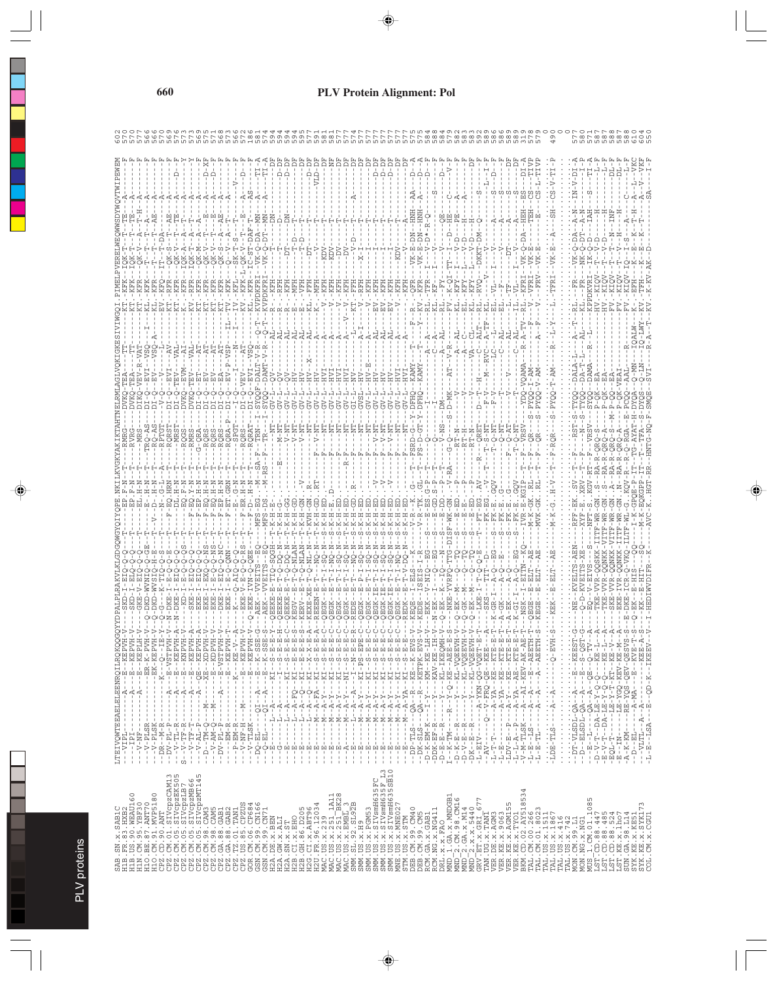|                                                       | --KEPVH                          | --KEPLH     |                                                | H<br>H<br>H                                                                                                                                                                                       |                 |                                                                                               |                 | $\begin{split} I=-I=-\frac{2\pi}{3} \frac{1}{\sqrt{3}}=-\frac{2\pi}{3} \frac{1}{\sqrt{3}} \\ I=-\frac{1}{\sqrt{3}}=-I-\frac{1}{\sqrt{3}}-\frac{1}{\sqrt{3}} \frac{1}{\sqrt{3}} \frac{1}{\sqrt{3}} \frac{1}{\sqrt{3}} \\ I=-\frac{1}{\sqrt{3}}=-I-\frac{1}{\sqrt{3}} \frac{1}{\sqrt{3}} \frac{1}{\sqrt{3}} \frac{1}{\sqrt{3}} \frac{1}{\sqrt{3}} \\ I=-\frac{1}{\sqrt{3}} \frac{1}{\sqrt{3}} \frac{1}{\sqrt{3}} \frac{1}{\sqrt{3$ |                                                           |               | - - - - - - - - K - - - KE - V - -<br>4- - - - - - - - E - - KEPVH<br>- - - - - - - - E - - KEPVH |               |                            |                          |                                       |                                                                                                                                                                                                                                                                                                                                                                                                                                                                             |  |                                |                    |   | $-EPE$      |                                                                                                                                                                                                                                                                                                                                                                                |  |    |                                                                                                   |  |                                                      |                                                          |                        | $-$ - KEE $-$ | $\begin{array}{l} \mathbf{L} - \mathbf{K} \mathbf{T} \mathbf{B} - \mathbf{E} \, . \\ \mathbf{L} - \mathbf{K} \mathbf{T} \mathbf{B} - \mathbf{E} \, . \end{array}$ |                                                                                                                                                                                                                                                                                                                                                                                                                                                                                                                                                            |     |                                                                                                                                                                                                                                                                                                                                                                                                                        |  |          |  |     |                                                                                                                      |                    |                                                                                                            |
|-------------------------------------------------------|----------------------------------|-------------|------------------------------------------------|---------------------------------------------------------------------------------------------------------------------------------------------------------------------------------------------------|-----------------|-----------------------------------------------------------------------------------------------|-----------------|----------------------------------------------------------------------------------------------------------------------------------------------------------------------------------------------------------------------------------------------------------------------------------------------------------------------------------------------------------------------------------------------------------------------------------|-----------------------------------------------------------|---------------|---------------------------------------------------------------------------------------------------|---------------|----------------------------|--------------------------|---------------------------------------|-----------------------------------------------------------------------------------------------------------------------------------------------------------------------------------------------------------------------------------------------------------------------------------------------------------------------------------------------------------------------------------------------------------------------------------------------------------------------------|--|--------------------------------|--------------------|---|-------------|--------------------------------------------------------------------------------------------------------------------------------------------------------------------------------------------------------------------------------------------------------------------------------------------------------------------------------------------------------------------------------|--|----|---------------------------------------------------------------------------------------------------|--|------------------------------------------------------|----------------------------------------------------------|------------------------|---------------|-------------------------------------------------------------------------------------------------------------------------------------------------------------------|------------------------------------------------------------------------------------------------------------------------------------------------------------------------------------------------------------------------------------------------------------------------------------------------------------------------------------------------------------------------------------------------------------------------------------------------------------------------------------------------------------------------------------------------------------|-----|------------------------------------------------------------------------------------------------------------------------------------------------------------------------------------------------------------------------------------------------------------------------------------------------------------------------------------------------------------------------------------------------------------------------|--|----------|--|-----|----------------------------------------------------------------------------------------------------------------------|--------------------|------------------------------------------------------------------------------------------------------------|
|                                                       |                                  |             | $-ER-K-PVH$<br>$-$ EK $-$ KEPVH                | $\frac{0}{1}$                                                                                                                                                                                     |                 |                                                                                               |                 |                                                                                                                                                                                                                                                                                                                                                                                                                                  |                                                           |               |                                                                                                   |               | Ŧ<br>Ŧ                     | ÷                        | $\frac{1}{4}$<br>$\frac{1}{\sqrt{2}}$ | $\begin{array}{l} B^2=-1\cdot -1\cdot -\bar{A}\cdot -\cdot -\cdot\times 1\cdot -\cdot\times 1\cdot -\cdot\times 1\cdot \\ B^3=-1\cdot -1\cdot -\bar{A}\cdot -\nabla Q^2-\cdot \times 1\cdot -\cdot\times 1\cdot \\ B^4=-1\cdot -1\cdot -\bar{A}\cdot -\cdot\cdot\times 1\cdot -\cdot\times 1\cdot \\ B^5=-1\cdot -1\cdot -\bar{A}\cdot -\cdot\cdot\times 1\cdot -\cdot\times 1\cdot -\cdot\times 1\cdot \\ B^5=-1\cdot -1\cdot -\bar{A}\cdot -\bar{A}\cdot -\cdot\times 1\$ |  | ÷                              | ÷,                 | ÷ | $-PS$<br>Ŧ  |                                                                                                                                                                                                                                                                                                                                                                                |  |    | --QA--R--KE--K-EVS<br>--QA--R--KETPK-EVS                                                          |  |                                                      |                                                          |                        |               |                                                                                                                                                                   |                                                                                                                                                                                                                                                                                                                                                                                                                                                                                                                                                            |     |                                                                                                                                                                                                                                                                                                                                                                                                                        |  |          |  |     |                                                                                                                      |                    | - - - A - MA - - - E - - KVE - T<br>A - - A - - - - - - - - - - KEE - A<br>- - - E - - QD - K - - I KEEV - |
|                                                       | $- -A - - -E$                    | $- -A - -E$ | $\blacksquare$<br>$\mathbf{I}$<br>$\mathbf{I}$ | $-1 - K -$                                                                                                                                                                                        |                 |                                                                                               |                 |                                                                                                                                                                                                                                                                                                                                                                                                                                  |                                                           |               |                                                                                                   |               | $- -A - -E$<br>$- -A - -E$ | $- - KI$                 |                                       |                                                                                                                                                                                                                                                                                                                                                                                                                                                                             |  | $( - - - K1)$<br>$( - - - K1)$ |                    |   |             |                                                                                                                                                                                                                                                                                                                                                                                |  |    |                                                                                                   |  |                                                      |                                                          |                        |               |                                                                                                                                                                   | $\begin{aligned} \Gamma^+ &= -\frac{\Gamma}{2} - \frac{\Gamma}{2} - \frac{\Gamma}{2} \frac{\Gamma}{2} - \frac{\Gamma}{2} \frac{\Gamma}{2} \\ \Gamma^- &= -\frac{\Gamma}{2} - \frac{\Gamma}{2} - \frac{\Gamma}{2} - \frac{\Gamma}{2} - \frac{\Gamma}{2} \\ \Gamma^- &= -\frac{\Gamma}{2} - \frac{\Gamma}{2} - \frac{\Gamma}{2} - \frac{\Gamma}{2} - \frac{\Gamma}{2} \\ \Gamma^- &= -\frac{\Gamma}{2} - \frac{\Gamma}{2} - \frac{\Gamma}{2} - \frac{\Gamma}{2} \\ \Gamma^- &= \frac{\Gamma}{2} - \frac{\Gamma}{2} - \frac{\Gamma}{2} - \frac{\Gamma}{2} \\$ |     |                                                                                                                                                                                                                                                                                                                                                                                                                        |  |          |  |     |                                                                                                                      | $- -A - M + - - E$ |                                                                                                            |
|                                                       | $\mathsf I$<br>$\mathbf{I}$<br>- |             |                                                |                                                                                                                                                                                                   | f,              | $\frac{1}{1}$                                                                                 | $- -M - -$<br>ł | $-1 - N$                                                                                                                                                                                                                                                                                                                                                                                                                         | $\frac{1}{1}$<br>$\,$ 1<br>$\overline{1}$<br>$\mathbf{I}$ | $\frac{1}{4}$ | $---M---$                                                                                         | $\frac{1}{1}$ | $-100$                     | $--- -1 - -1 - -1 - - -$ |                                       |                                                                                                                                                                                                                                                                                                                                                                                                                                                                             |  | $- -N - 4 - 5 - 7$             | $- -N - 4 - 5 - 7$ |   |             | $\begin{array}{l} -\bar{X}-\bar{Y}-\bar{X}-1\\ -\bar{X}-\bar{Y}-\bar{Y}-1\\ -\bar{X}-\bar{Y}-\bar{Y}-\bar{Y}-\bar{Y}-\bar{X}\\ -\bar{X}-\bar{Y}-\bar{Y}-\bar{Y}-\bar{Y}-\bar{X}\\ -\bar{X}-\bar{Y}-\bar{Y}-\bar{Y}-\bar{Y}-\bar{X}\\ -\bar{X}-\bar{Y}-\bar{Y}-\bar{Y}-\bar{Y}-\bar{X}\\ -\bar{X}-\bar{Y}-\bar{Y}-\bar{Y}-\bar{X}-\bar{X}\\ -\bar{X}-\bar{X}-\bar{Y}-\bar{Y}-\$ |  |    |                                                                                                   |  |                                                      |                                                          |                        |               |                                                                                                                                                                   |                                                                                                                                                                                                                                                                                                                                                                                                                                                                                                                                                            |     |                                                                                                                                                                                                                                                                                                                                                                                                                        |  |          |  |     |                                                                                                                      |                    |                                                                                                            |
|                                                       | 1<br>$\mathsf I$                 |             |                                                |                                                                                                                                                                                                   |                 | $\begin{array}{l} \vspace{2mm} - -V - TF - T \\\hline \vspace{2mm} - -V - AL - P \end{array}$ |                 | $-7 - V - AM - Q$                                                                                                                                                                                                                                                                                                                                                                                                                |                                                           |               |                                                                                                   |               |                            |                          |                                       |                                                                                                                                                                                                                                                                                                                                                                                                                                                                             |  | ţ                              | $\frac{1}{1}$      |   |             |                                                                                                                                                                                                                                                                                                                                                                                |  | f, |                                                                                                   |  |                                                      |                                                          |                        |               |                                                                                                                                                                   |                                                                                                                                                                                                                                                                                                                                                                                                                                                                                                                                                            |     |                                                                                                                                                                                                                                                                                                                                                                                                                        |  |          |  |     |                                                                                                                      | $-D = -ELI - -$    |                                                                                                            |
| LTEIVQWTEEAELELENRQILRQKQQ<br>---VIPL---------------- | $- - - 19I$                      | $-7 - 10F$  |                                                | $\begin{array}{r} -1 - 1 - 1 - 1 - 1 \\ -1 - 1 - 1 - 1 \\ -1 - 1 - 1 \\ -1 - 1 - 1 \\ -1 - 1 - 1 \\ -1 - 1 - 1 \\ -1 - 1 - 1 \\ -1 - 1 - 1 \\ -1 - 1 - 1 \\ -1 - 1 - 1 \\ -1 - 1 - 1 \end{array}$ | $S - T - T - R$ |                                                                                               | $-1$ -NT- $-1$  |                                                                                                                                                                                                                                                                                                                                                                                                                                  |                                                           |               |                                                                                                   |               |                            | $-18 - 1$                | $\frac{1}{\sqrt{2}}$                  |                                                                                                                                                                                                                                                                                                                                                                                                                                                                             |  |                                |                    |   | #######<br> |                                                                                                                                                                                                                                                                                                                                                                                |  |    | $-5LT - TLS -$                                                                                    |  |                                                      |                                                          | $-$ L $-$ E<br>IV $ -$ |               | $-L - E$                                                                                                                                                          |                                                                                                                                                                                                                                                                                                                                                                                                                                                                                                                                                            |     | $\begin{array}{l} -\text{LDV}-\text{E}-\text{P}-\text{A}-\text{Y}-\text{FIS}-\text{XIS}-\text{XIS}-\text{FIS}-\text{E} \\ -\text{L}-\text{L}-\text{A}-\text{A}-\text{Y}-\text{A}-\text{XIS}-\text{XIS}-\text{E} \\ -\text{L}-\text{L}-\text{A}-\text{SIS}-\text{A}-\text{A}-\text{AIS}-\text{XIS}-\text{XIS}-\text{A} \\ -\text{L}-\text{N}-\text{SIS}-\text{SIS}-\text{SIS}-\text{AIS}-\text{SIS}-\text{AIS}-\text{A$ |  | $\vdots$ |  |     |                                                                                                                      |                    | - - - VLTL - - A - - A<br>- L - E - - LSA - - - E                                                          |
|                                                       |                                  |             |                                                |                                                                                                                                                                                                   |                 |                                                                                               |                 |                                                                                                                                                                                                                                                                                                                                                                                                                                  |                                                           |               |                                                                                                   |               |                            |                          |                                       |                                                                                                                                                                                                                                                                                                                                                                                                                                                                             |  |                                |                    |   |             |                                                                                                                                                                                                                                                                                                                                                                                |  |    |                                                                                                   |  |                                                      |                                                          |                        |               |                                                                                                                                                                   |                                                                                                                                                                                                                                                                                                                                                                                                                                                                                                                                                            |     |                                                                                                                                                                                                                                                                                                                                                                                                                        |  |          |  |     |                                                                                                                      |                    |                                                                                                            |
|                                                       |                                  |             |                                                |                                                                                                                                                                                                   |                 |                                                                                               |                 |                                                                                                                                                                                                                                                                                                                                                                                                                                  |                                                           |               |                                                                                                   |               |                            |                          |                                       |                                                                                                                                                                                                                                                                                                                                                                                                                                                                             |  |                                |                    |   |             |                                                                                                                                                                                                                                                                                                                                                                                |  |    |                                                                                                   |  |                                                      |                                                          |                        |               |                                                                                                                                                                   |                                                                                                                                                                                                                                                                                                                                                                                                                                                                                                                                                            | 534 |                                                                                                                                                                                                                                                                                                                                                                                                                        |  |          |  | LN, |                                                                                                                      |                    |                                                                                                            |
|                                                       |                                  |             |                                                |                                                                                                                                                                                                   |                 |                                                                                               |                 |                                                                                                                                                                                                                                                                                                                                                                                                                                  |                                                           |               |                                                                                                   |               |                            |                          |                                       |                                                                                                                                                                                                                                                                                                                                                                                                                                                                             |  |                                |                    |   |             |                                                                                                                                                                                                                                                                                                                                                                                |  |    |                                                                                                   |  |                                                      |                                                          |                        |               |                                                                                                                                                                   |                                                                                                                                                                                                                                                                                                                                                                                                                                                                                                                                                            |     |                                                                                                                                                                                                                                                                                                                                                                                                                        |  |          |  |     |                                                                                                                      |                    |                                                                                                            |
|                                                       |                                  |             |                                                |                                                                                                                                                                                                   |                 |                                                                                               |                 |                                                                                                                                                                                                                                                                                                                                                                                                                                  |                                                           |               |                                                                                                   |               |                            |                          |                                       |                                                                                                                                                                                                                                                                                                                                                                                                                                                                             |  |                                |                    |   |             |                                                                                                                                                                                                                                                                                                                                                                                |  |    |                                                                                                   |  |                                                      | 2 CM.98 CM16<br>2 GA.x.M14<br>2 X.x.5440<br>ET.x.GRI_677 |                        |               |                                                                                                                                                                   |                                                                                                                                                                                                                                                                                                                                                                                                                                                                                                                                                            |     |                                                                                                                                                                                                                                                                                                                                                                                                                        |  |          |  |     |                                                                                                                      |                    |                                                                                                            |
|                                                       |                                  |             |                                                |                                                                                                                                                                                                   |                 |                                                                                               |                 |                                                                                                                                                                                                                                                                                                                                                                                                                                  |                                                           |               |                                                                                                   |               |                            |                          |                                       |                                                                                                                                                                                                                                                                                                                                                                                                                                                                             |  |                                |                    |   |             |                                                                                                                                                                                                                                                                                                                                                                                |  |    | STM. US. x. STM<br>DEB. CM. 99. CM40<br>DEB. CM. 99. CM5<br>RCM. GA. x. GAB1<br>RCM. NG. x. NG411 |  | DRL.X.X.FAO<br>MND_1.GA.X.MNDGB1<br>MND_2.CM.98.CM16 |                                                          |                        |               |                                                                                                                                                                   |                                                                                                                                                                                                                                                                                                                                                                                                                                                                                                                                                            |     |                                                                                                                                                                                                                                                                                                                                                                                                                        |  |          |  |     | MUS 1. CM. 01.1085<br>LST. CD. 88.447<br>LST. CD. 88.447<br>LST. CD. 88.485<br>LST. KE. X. 1.bo7<br>SUN. CA. 98.1114 |                    | SYK.KE.x.KE51<br>SYK.KE.x.SYK17<br>COL.CM.x.CGU1                                                           |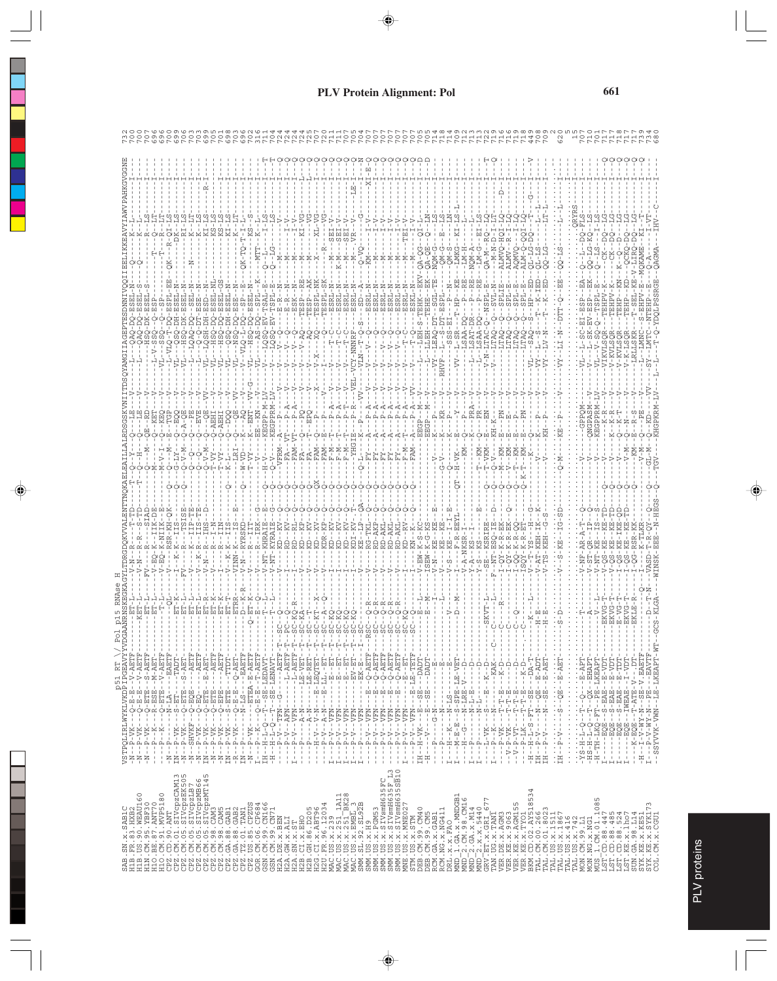| ----HLEN-A---E-E-Ó---XA--E-N-<br>MAAXANYEEDELEGDAATAANTHITTÖGLSA<br>MAAXANYEEDELEGDAATAATAATAATAA                                                                                                                                                                                                                                                                                                                                                                  |                       | $\begin{array}{r} -\mathbf{Q}-\mathbf{B}-\mathbf{B} -\mathbf{V}-\mathbf{A}\mathbf{E}\mathbf{T}\mathbf{F}^2\\ -\mathbf{Q}-\mathbf{B}-\mathbf{B}-\mathbf{V}-\mathbf{V}-\mathbf{A}\mathbf{E}\mathbf{T}\mathbf{F}-\mathbf{V}\\ -\mathbf{Q}-\mathbf{E}\mathbf{T}\mathbf{B}-\mathbf{V}-\mathbf{S}\mathbf{T}\mathbf{B}-\mathbf{V}\\ -\mathbf{Q}-\mathbf{E}\mathbf{T}\mathbf{B}-\mathbf{V}-\mathbf{B}\mathbf{T}\mathbf{F}-\mathbf{V}\\ -\mathbf{Q}-\math$ |                        |                         |                |                       |         |                   |   |                       |                    |                               |                |                                  |          |                               |             |                   |   |                   |   |                   |                     |                            |                 |                                   |                   |                     |                     |                            |                   |                                                       |                                               |                                                                                                                                                                                                                                                                                                                                                                            |  |  |     |                                                                                                                                                                                                                                                                                                                                                                                                                                            |  |  |  |                                                                                                                                                                                                                                                                                                                                                                                                                                                         |  |                               |                        |                      |  |  |                                                                                                                                                                                                                                                                                                                                                   |                                           |     |               |  |
|--------------------------------------------------------------------------------------------------------------------------------------------------------------------------------------------------------------------------------------------------------------------------------------------------------------------------------------------------------------------------------------------------------------------------------------------------------------------|-----------------------|---------------------------------------------------------------------------------------------------------------------------------------------------------------------------------------------------------------------------------------------------------------------------------------------------------------------------------------------------------------------------------------------------------------------------------------------------|------------------------|-------------------------|----------------|-----------------------|---------|-------------------|---|-----------------------|--------------------|-------------------------------|----------------|----------------------------------|----------|-------------------------------|-------------|-------------------|---|-------------------|---|-------------------|---------------------|----------------------------|-----------------|-----------------------------------|-------------------|---------------------|---------------------|----------------------------|-------------------|-------------------------------------------------------|-----------------------------------------------|----------------------------------------------------------------------------------------------------------------------------------------------------------------------------------------------------------------------------------------------------------------------------------------------------------------------------------------------------------------------------|--|--|-----|--------------------------------------------------------------------------------------------------------------------------------------------------------------------------------------------------------------------------------------------------------------------------------------------------------------------------------------------------------------------------------------------------------------------------------------------|--|--|--|---------------------------------------------------------------------------------------------------------------------------------------------------------------------------------------------------------------------------------------------------------------------------------------------------------------------------------------------------------------------------------------------------------------------------------------------------------|--|-------------------------------|------------------------|----------------------|--|--|---------------------------------------------------------------------------------------------------------------------------------------------------------------------------------------------------------------------------------------------------------------------------------------------------------------------------------------------------|-------------------------------------------|-----|---------------|--|
|                                                                                                                                                                                                                                                                                                                                                                                                                                                                    |                       |                                                                                                                                                                                                                                                                                                                                                                                                                                                   |                        |                         |                |                       |         |                   |   |                       |                    |                               |                |                                  |          |                               |             |                   |   |                   |   |                   |                     |                            |                 |                                   |                   |                     |                     |                            |                   |                                                       |                                               |                                                                                                                                                                                                                                                                                                                                                                            |  |  |     |                                                                                                                                                                                                                                                                                                                                                                                                                                            |  |  |  |                                                                                                                                                                                                                                                                                                                                                                                                                                                         |  | $-55 - 2 - 1$                 | $- - 12 - 24 - 12 - 1$ | $\vdots$<br>$\cdot$  |  |  |                                                                                                                                                                                                                                                                                                                                                   | $\frac{1}{2} - V - - \frac{1}{2} D T - -$ |     |               |  |
|                                                                                                                                                                                                                                                                                                                                                                                                                                                                    |                       |                                                                                                                                                                                                                                                                                                                                                                                                                                                   |                        |                         |                |                       |         |                   |   |                       |                    |                               |                |                                  |          |                               |             |                   |   |                   |   |                   |                     |                            |                 |                                   |                   |                     |                     |                            |                   |                                                       |                                               |                                                                                                                                                                                                                                                                                                                                                                            |  |  |     |                                                                                                                                                                                                                                                                                                                                                                                                                                            |  |  |  |                                                                                                                                                                                                                                                                                                                                                                                                                                                         |  |                               |                        |                      |  |  |                                                                                                                                                                                                                                                                                                                                                   |                                           |     |               |  |
|                                                                                                                                                                                                                                                                                                                                                                                                                                                                    | Ť                     | Ť                                                                                                                                                                                                                                                                                                                                                                                                                                                 |                        | HH                      |                |                       |         |                   |   |                       |                    |                               |                |                                  |          |                               |             |                   |   |                   |   |                   |                     |                            |                 |                                   |                   |                     |                     |                            |                   |                                                       |                                               |                                                                                                                                                                                                                                                                                                                                                                            |  |  |     |                                                                                                                                                                                                                                                                                                                                                                                                                                            |  |  |  |                                                                                                                                                                                                                                                                                                                                                                                                                                                         |  | $7 - -1 - 1 - 1 - 1 = 5E - 1$ |                        |                      |  |  |                                                                                                                                                                                                                                                                                                                                                   |                                           |     |               |  |
|                                                                                                                                                                                                                                                                                                                                                                                                                                                                    | $-VK$<br>$\mathbf{a}$ | $-VK$<br>$-$ K<br>$\mathsf{p}_4$<br>$\mathsf{p}_4$                                                                                                                                                                                                                                                                                                                                                                                                | $-K$<br>$\mathsf{p}_4$ | J,<br>$\mathbf{\Omega}$ | $\mathsf{p}_4$ | $P-VK$                | SHVKF-- | $\Delta$ $\Delta$ |   | $P-VK$                | $P-VK$             | $\mathbf{\underline{\alpha}}$ | $\mathsf{p}_4$ | $\mathsf{p}_4$<br>$\mathsf{p}_4$ |          |                               |             | д                 | д | д                 |   | $\Delta$ $\Delta$ | 耳                   | д                          | д               | д                                 | д                 | $\Delta$ $\Delta$   |                     | $\mathsf{p}_4$             | $\mathbf{a}$      | д                                                     | д                                             |                                                                                                                                                                                                                                                                                                                                                                            |  |  |     |                                                                                                                                                                                                                                                                                                                                                                                                                                            |  |  |  |                                                                                                                                                                                                                                                                                                                                                                                                                                                         |  | $-V - -$                      |                        |                      |  |  |                                                                                                                                                                                                                                                                                                                                                   |                                           |     |               |  |
|                                                                                                                                                                                                                                                                                                                                                                                                                                                                    | ÷<br>ž                | $\frac{1}{4}$<br>Ŧ<br>$\frac{1}{\sqrt{2}}$                                                                                                                                                                                                                                                                                                                                                                                                        | Ŧ<br>$\mathbb{L}$      | $- N - 1$               | $IN - 1$       | Ŧ<br>$\sum_{i=1}^{n}$ | Ť       | Ŧ<br>$772$        | Ŧ | Ŧ<br>$\sum_{i=1}^{n}$ | Ŧ<br>$\frac{1}{2}$ |                               |                |                                  | $-1 - 1$ | $\frac{T}{L} = -\frac{P}{H}.$ | 宇<br>-<br>부 | Ŧ<br>$\mathbf{I}$ | Ĭ | Ŧ<br>$\mathbf{H}$ | Ŧ | Ť                 | U,<br>$\frac{1}{4}$ | $\,$ $\,$<br>$\frac{1}{4}$ | $\,$ $\,$<br>÷, | $\mathbb{I}$<br>÷<br><b>HHHHH</b> | $\mathbf{I}$<br>÷ | $\blacksquare$<br>÷ | $\blacksquare$<br>÷ | $\,$ $\,$<br>$\frac{1}{4}$ | Ĭ<br>$\mathbf{I}$ | $\,$ $\,$<br>$\,$ 1<br>$\mathbf{I}$<br>$\overline{1}$ | $\mathbf{I}$<br>÷<br>$\overline{\phantom{a}}$ | $\begin{array}{l} -1 - 1 - 1 - 1 \\ -1 - 1 - 1 - 1 \\ -1 - 1 - 1 - 1 \\ -1 - 1 - 1 \\ -1 - 1 - 1 \\ -1 - 1 - 1 \\ -1 - 1 - 1 \\ -1 - 1 - 1 \\ -1 - 1 \\ -1 - 1 \\ -1 - 1 \\ -1 - 1 \\ -1 - 1 \\ -1 - 1 \\ -1 - 1 \\ -1 - 1 \\ -1 - 1 \\ -1 - 1 \\ -1 - 1 \\ -1 - 1 \\ -1 - 1 \\ -1 - 1 \\ -1 - 1 \\ -1 - 1 \\ -1 - 1 \\ -1 - 1 \\ -1 - 1 \\ -1 - 1 \\ -1 - 1 \\ -1 - 1 \\$ |  |  | H H | $\begin{array}{l} \mathbf{1}^{2} \cdot \mathbf{1}^{2} \cdot \mathbf{1}^{2} \cdot \mathbf{1}^{2} \cdot \mathbf{1}^{2} \cdot \mathbf{1}^{2} \cdot \mathbf{1}^{2} \cdot \mathbf{1}^{2} \cdot \mathbf{1}^{2} \cdot \mathbf{1}^{2} \cdot \mathbf{1}^{2} \cdot \mathbf{1}^{2} \cdot \mathbf{1}^{2} \cdot \mathbf{1}^{2} \cdot \mathbf{1}^{2} \cdot \mathbf{1}^{2} \cdot \mathbf{1}^{2} \cdot \mathbf{1}^{2} \cdot \mathbf{1}^{2} \cdot \mathbf{$ |  |  |  | $\begin{split} \frac{1}{1} &=-1\frac{1}{2} \cdot -\frac{1}{2} \cdot \frac{1}{2} \cdot \frac{1}{2} \cdot \frac{1}{2} \cdot \frac{1}{2} \cdot \frac{1}{2} \cdot \frac{1}{2} \cdot \frac{1}{2} \cdot \frac{1}{2} \cdot \frac{1}{2} \cdot \frac{1}{2} \cdot \frac{1}{2} \cdot \frac{1}{2} \cdot \frac{1}{2} \cdot \frac{1}{2} \cdot \frac{1}{2} \cdot \frac{1}{2} \cdot \frac{1}{2} \cdot \frac{1}{2} \cdot \frac{1}{2} \cdot \frac{1}{2} \cdot \frac{1}{2$ |  | $\frac{TH - P}{TH - P}.$      |                        | $\ddot{\phantom{0}}$ |  |  | $\begin{array}{l} -1.25\cdot 1.7\cdot 1.7\cdot 1.7\cdot 1.7\cdot 1.7\cdot 1.7\cdot 1.7\cdot 1.7\cdot 1.7\cdot 1.7\cdot 1.7\cdot 1.7\cdot 1.7\cdot 1.7\cdot 1.7\cdot 1.7\cdot 1.7\cdot 1.7\cdot 1.7\cdot 1.7\cdot 1.7\cdot 1.7\cdot 1.7\cdot 1.7\cdot 1.7\cdot 1.7\cdot 1.7\cdot 1.7\cdot 1.7\cdot 1.7\cdot 1.7\cdot 1.7\cdot 1.7\cdot 1.7\cdot 1$ |                                           |     |               |  |
|                                                                                                                                                                                                                                                                                                                                                                                                                                                                    |                       |                                                                                                                                                                                                                                                                                                                                                                                                                                                   |                        |                         |                |                       |         |                   |   |                       |                    |                               |                |                                  |          |                               |             |                   |   |                   |   |                   |                     |                            |                 |                                   |                   |                     |                     |                            |                   |                                                       |                                               |                                                                                                                                                                                                                                                                                                                                                                            |  |  |     |                                                                                                                                                                                                                                                                                                                                                                                                                                            |  |  |  |                                                                                                                                                                                                                                                                                                                                                                                                                                                         |  |                               |                        |                      |  |  |                                                                                                                                                                                                                                                                                                                                                   |                                           |     |               |  |
|                                                                                                                                                                                                                                                                                                                                                                                                                                                                    |                       |                                                                                                                                                                                                                                                                                                                                                                                                                                                   |                        |                         |                |                       |         |                   |   |                       |                    |                               |                |                                  |          |                               |             |                   |   |                   |   |                   |                     |                            |                 |                                   |                   |                     |                     |                            |                   |                                                       |                                               |                                                                                                                                                                                                                                                                                                                                                                            |  |  |     |                                                                                                                                                                                                                                                                                                                                                                                                                                            |  |  |  |                                                                                                                                                                                                                                                                                                                                                                                                                                                         |  |                               |                        |                      |  |  |                                                                                                                                                                                                                                                                                                                                                   |                                           |     |               |  |
|                                                                                                                                                                                                                                                                                                                                                                                                                                                                    |                       |                                                                                                                                                                                                                                                                                                                                                                                                                                                   |                        |                         |                |                       |         |                   |   |                       |                    |                               |                |                                  |          |                               |             |                   |   |                   |   |                   |                     |                            |                 |                                   |                   |                     |                     |                            |                   |                                                       |                                               |                                                                                                                                                                                                                                                                                                                                                                            |  |  |     |                                                                                                                                                                                                                                                                                                                                                                                                                                            |  |  |  |                                                                                                                                                                                                                                                                                                                                                                                                                                                         |  |                               |                        |                      |  |  |                                                                                                                                                                                                                                                                                                                                                   |                                           |     |               |  |
|                                                                                                                                                                                                                                                                                                                                                                                                                                                                    |                       |                                                                                                                                                                                                                                                                                                                                                                                                                                                   |                        |                         |                |                       |         |                   |   |                       |                    |                               |                |                                  |          |                               |             |                   |   |                   |   |                   |                     |                            |                 |                                   |                   |                     |                     |                            |                   |                                                       |                                               |                                                                                                                                                                                                                                                                                                                                                                            |  |  |     |                                                                                                                                                                                                                                                                                                                                                                                                                                            |  |  |  |                                                                                                                                                                                                                                                                                                                                                                                                                                                         |  |                               |                        |                      |  |  |                                                                                                                                                                                                                                                                                                                                                   |                                           |     | YK.KE.X.SYK17 |  |
| $\begin{smallmatrix} \texttt{AB} & \texttt{BA} & \texttt{BA} & \texttt{BA} & \texttt{BA} & \texttt{BA} & \texttt{BA} & \texttt{BA} & \texttt{BA} & \texttt{BA} & \texttt{BA} & \texttt{BA} & \texttt{BA} & \texttt{BA} & \texttt{BA} & \texttt{BA} & \texttt{BA} & \texttt{BA} & \texttt{BA} & \texttt{BA} & \texttt{BA} & \texttt{BA} & \texttt{BA} & \texttt{BA} & \texttt{BA} & \texttt{BA} & \texttt{BA} & \texttt{BA} & \texttt{BA} & \texttt{BA} & \texttt{$ |                       |                                                                                                                                                                                                                                                                                                                                                                                                                                                   |                        |                         |                |                       |         |                   |   |                       |                    |                               |                |                                  |          |                               |             |                   |   |                   |   |                   |                     |                            |                 |                                   |                   |                     |                     |                            |                   |                                                       |                                               |                                                                                                                                                                                                                                                                                                                                                                            |  |  |     |                                                                                                                                                                                                                                                                                                                                                                                                                                            |  |  |  |                                                                                                                                                                                                                                                                                                                                                                                                                                                         |  |                               |                        |                      |  |  |                                                                                                                                                                                                                                                                                                                                                   |                                           | ່ ໜ | COL.CM.x.CGUI |  |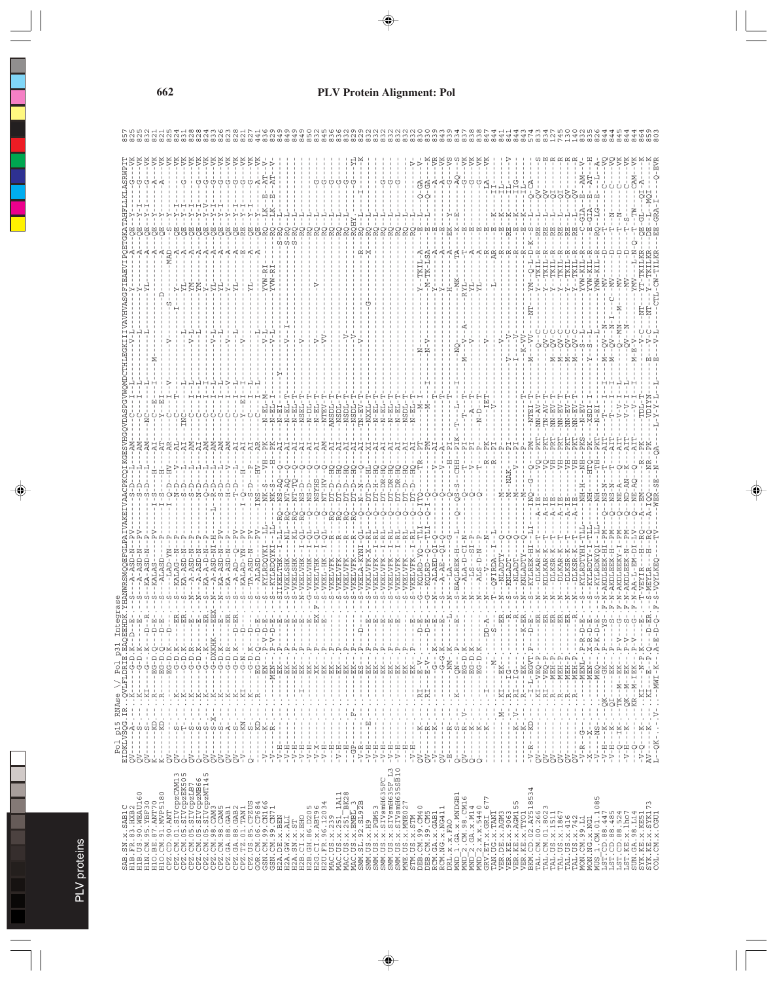|                                         |               |             |                             |                              |                       |   |                          |        |           | J.           | ÷                | Ĵ.            | $\frac{1}{1}$                                                                                                                                                                                                                                                                                                                                                                                                  | $-V-$  | $\tilde{\phantom{a}}$         | $\frac{1}{4}$ | ÷,   | ÷  | ÷            | $\frac{1}{1}$ | ÷                    | $\frac{1}{1}$ | ÷            | ÷<br>$\frac{1}{1}$ |               | ÷                  | ÷              | $\overline{\phantom{a}}$ | ÷             | $\blacksquare$                                         |                      |                                                                                                                                                                                                                                                                                                                                                                                                         | $\,$ 1                 | $\blacksquare$    |         | $\blacksquare$            | $\overline{\phantom{a}}$                                                                                                     | $\overline{\phantom{a}}$      |                                                |         | ÷                                                                                                                                                                                                                                                                                                                                                                |                                         | $\frac{1}{1}$                         |                                                                                                                                                                                                                                                                                                                                                     |              |                                                                                                                                                                                                                                                                                                                                                      |                          |                                                                                                                                                                                                                                                                                                                                                                                                                             |                          |                          |                          | $\mathbf{L}$      | $\blacksquare$ |                      |                                  |          |          |                          |                                                                                                         |                     |                                                                                                    |              |
|-----------------------------------------|---------------|-------------|-----------------------------|------------------------------|-----------------------|---|--------------------------|--------|-----------|--------------|------------------|---------------|----------------------------------------------------------------------------------------------------------------------------------------------------------------------------------------------------------------------------------------------------------------------------------------------------------------------------------------------------------------------------------------------------------------|--------|-------------------------------|---------------|------|----|--------------|---------------|----------------------|---------------|--------------|--------------------|---------------|--------------------|----------------|--------------------------|---------------|--------------------------------------------------------|----------------------|---------------------------------------------------------------------------------------------------------------------------------------------------------------------------------------------------------------------------------------------------------------------------------------------------------------------------------------------------------------------------------------------------------|------------------------|-------------------|---------|---------------------------|------------------------------------------------------------------------------------------------------------------------------|-------------------------------|------------------------------------------------|---------|------------------------------------------------------------------------------------------------------------------------------------------------------------------------------------------------------------------------------------------------------------------------------------------------------------------------------------------------------------------|-----------------------------------------|---------------------------------------|-----------------------------------------------------------------------------------------------------------------------------------------------------------------------------------------------------------------------------------------------------------------------------------------------------------------------------------------------------|--------------|------------------------------------------------------------------------------------------------------------------------------------------------------------------------------------------------------------------------------------------------------------------------------------------------------------------------------------------------------|--------------------------|-----------------------------------------------------------------------------------------------------------------------------------------------------------------------------------------------------------------------------------------------------------------------------------------------------------------------------------------------------------------------------------------------------------------------------|--------------------------|--------------------------|--------------------------|-------------------|----------------|----------------------|----------------------------------|----------|----------|--------------------------|---------------------------------------------------------------------------------------------------------|---------------------|----------------------------------------------------------------------------------------------------|--------------|
|                                         |               |             |                             |                              |                       |   |                          |        |           | $-1$ . K $-$ |                  | $3-D$ . $K$ - | $\overline{a}$ .                                                                                                                                                                                                                                                                                                                                                                                               |        | $\ddot{\hat{r}}$ .            | д             |      |    |              |               |                      |               |              | ---- EK---         | $---BK---$    |                    | Ĩ              |                          |               |                                                        |                      | ÷,<br>ï                                                                                                                                                                                                                                                                                                                                                                                                 | Í                      | F.                |         | ≍<br>$\frac{1}{\sqrt{2}}$ | Ï<br>$- - - - - - -$                                                                                                         |                               |                                                | ÷,      |                                                                                                                                                                                                                                                                                                                                                                  | $-100 - 0. K$<br>--100-0.8<br>--100-0.8 | $\cdot$<br>п                          | $-M -$                                                                                                                                                                                                                                                                                                                                              |              |                                                                                                                                                                                                                                                                                                                                                      |                          | $\begin{array}{l} \mathbb{I} \mathbb{I} \mathbb{I} \mathbb{I} \mathbb{I} \mathbb{I} \mathbb{I} \mathbb{I} \mathbb{I} \mathbb{I} \mathbb{I} \mathbb{I} \mathbb{I} \mathbb{I} \mathbb{I} \mathbb{I} \mathbb{I} \mathbb{I} \mathbb{I} \mathbb{I} \mathbb{I} \mathbb{I} \mathbb{I} \mathbb{I} \mathbb{I} \mathbb{I} \mathbb{I} \mathbb{I} \mathbb{I} \mathbb{I} \mathbb{I} \mathbb{I} \mathbb{I} \mathbb{I} \mathbb{I} \mathbb$ | $\cdot$                  | $\cdot$                  | $\cdot$                  |                   |                |                      |                                  |          |          |                          |                                                                                                         |                     |                                                                                                    |              |
|                                         |               |             |                             |                              |                       |   |                          |        |           |              |                  |               |                                                                                                                                                                                                                                                                                                                                                                                                                |        | -- HEN-<br>-- HEN-<br>-- HEN- |               | $\,$ |    |              | $\mathsf I$   | $---XK---$           | $---BK--$     | ------ EK--- |                    |               | ------ EK---       | $--- - - - 55$ | ------ EK---             | $---BK---$    | - - - - - - - - EK<br>- - - - - - - EK - - - - - - - - |                      | ----- EK                                                                                                                                                                                                                                                                                                                                                                                                | ---- BK<br>$\mathbf I$ | --- BK            |         | ł                         | $\mathbf{I}$                                                                                                                 |                               | $-12M - 1 - 12M - 1$                           |         | I.<br>f,<br>$\begin{array}{c} \rule{0.2cm}{0.15mm} \rule{0.2cm}{0.15mm} \rule{0.2cm}{0.15mm} \rule{0.2cm}{0.15mm} \rule{0.2cm}{0.15mm} \rule{0.2cm}{0.15mm} \rule{0.2cm}{0.15mm} \rule{0.2cm}{0.15mm} \rule{0.2cm}{0.15mm} \rule{0.2cm}{0.15mm} \rule{0.2cm}{0.15mm} \rule{0.2cm}{0.15mm} \rule{0.2cm}{0.15mm} \rule{0.2cm}{0.15mm} \rule{0.2cm}{0.15mm} \rule{$ | $\mathbf{I}$                            | $\mathbf{I}$<br>$\,$ I<br>$\mathbf I$ |                                                                                                                                                                                                                                                                                                                                                     |              |                                                                                                                                                                                                                                                                                                                                                      |                          |                                                                                                                                                                                                                                                                                                                                                                                                                             |                          |                          |                          |                   |                |                      |                                  |          |          |                          |                                                                                                         |                     |                                                                                                    |              |
| RNAse                                   | 景             | $\mathsf I$ | $\mathsf I$<br>$\mathbf{I}$ | $\mathord{\cdot}$<br>$\cdot$ | Ì,                    | ÷ | ÷                        | $-X--$ | ţ.<br>ŧ   |              |                  |               |                                                                                                                                                                                                                                                                                                                                                                                                                |        | ţ<br>t                        | $\frac{1}{4}$ | t    | ţ  | $\ddot{ }$ : | t             | ţ.<br>Â,             | ŧ<br>÷.       | t<br>÷.      | Ì<br>苷             | $\frac{1}{2}$ | ţ<br>$\frac{1}{2}$ | ţ              | ţ                        | t<br>ţ.       | ŧ<br>Â,                                                | ţ.<br>$\ddot{\cdot}$ | ŧ<br>Â,                                                                                                                                                                                                                                                                                                                                                                                                 | $\ddot{\cdot}$<br>Â,   | $\mathord{\cdot}$ | ŧ       | ŧ                         | $\frac{1}{2}$                                                                                                                | ŧ<br>$\overline{\phantom{a}}$ | ŧ                                              | $\cdot$ | $-1.7 - 1.7$                                                                                                                                                                                                                                                                                                                                                     | ţ<br>$\frac{1}{2}$<br>ŧ<br>ļ.           | $\frac{1}{2}$<br>$\cdot$              |                                                                                                                                                                                                                                                                                                                                                     |              | $\begin{array}{l} \Sigma_{1}=\left( \begin{array}{cc} 1 & 0 & 0 \\ 0 & 0 & 0 \\ 0 & 0 & 0 \\ 0 & 0 & 0 \\ 0 & 0 & 0 \\ 0 & 0 & 0 \\ 0 & 0 & 0 \\ 0 & 0 & 0 \\ 0 & 0 & 0 \\ 0 & 0 & 0 \\ 0 & 0 & 0 \\ 0 & 0 & 0 \\ 0 & 0 & 0 \\ 0 & 0 & 0 \\ 0 & 0 & 0 \\ 0 & 0 & 0 \\ 0 & 0 & 0 \\ 0 & 0 & 0 \\ 0 & 0 & 0 \\ 0 & 0 & 0 \\ 0 & 0 & 0 \\ 0 & 0 & 0 \\$ |                          |                                                                                                                                                                                                                                                                                                                                                                                                                             | $\overline{\phantom{a}}$ | $\overline{\phantom{a}}$ | $\overline{\phantom{a}}$ | $\mathbf{I}$      |                | $\ddot{\phantom{0}}$ | $\vdots$<br>l,                   | $\vdots$ |          |                          |                                                                                                         | t.<br>Ju            |                                                                                                    | $V - \ldots$ |
| Pol p15 RN<br>EIDKLVSQG.IR<br>$- - - A$ | $- -$ S<br>J. |             | $\frac{1}{4}$               | $-1$<br>$-1$                 | $\pm$                 |   | $\mathbf{1}$<br>$-1 - 1$ | $-2$   | $-3 - 8$  |              | $-5 - 100 - 100$ |               |                                                                                                                                                                                                                                                                                                                                                                                                                |        |                               |               | L.   | J. |              |               | $\,$<br>$\mathbf{I}$ | $\frac{1}{4}$ | Ì            | ŧ                  |               |                    | $\frac{1}{4}$  |                          | $\frac{1}{2}$ | $\begin{array}{c} 1 \\ 1 \\ 2 \\ 3 \\ 4 \end{array}$   | $\,$ I               |                                                                                                                                                                                                                                                                                                                                                                                                         | J.<br>j                | J.<br>Ţ           | $  R$   |                           | $- -K - -$<br>Ţ<br>$\frac{1}{1}$                                                                                             | $-R$                          | $-2$                                           | $-R$    | $ -K$                                                                                                                                                                                                                                                                                                                                                            |                                         | $-K$<br>$\frac{1}{4}$                 |                                                                                                                                                                                                                                                                                                                                                     |              | $-$ K                                                                                                                                                                                                                                                                                                                                                | $-$ K                    | $-R$ – – – $KD$ . –                                                                                                                                                                                                                                                                                                                                                                                                         | -                        |                          | $\mathsf I$              | $\mathbf{L}$<br>Ť | $\mathbf{I}$   |                      | $-1 + 1$                         |          | $- -$ NS | $N - H - -K$<br>$V-H--K$ |                                                                                                         | $2 - -K$<br>$- - K$ |                                                                                                    |              |
| $\frac{1}{4}$                           | ÷<br>888xx    |             | $QV - - -$                  | Ĵ.                           | Ť<br>$\sum_{i=1}^{n}$ |   | $\frac{1}{2}$            |        | $-22 - 1$ |              | J.<br>⊳          |               | $\begin{array}{c} 1 \ \ \frac{1}{2} \ \ \frac{1}{2} \ \ \frac{1}{2} \ \ \frac{1}{2} \ \ \frac{1}{2} \ \ \frac{1}{2} \ \ \frac{1}{2} \ \ \frac{1}{2} \ \ \frac{1}{2} \ \ \frac{1}{2} \ \ \frac{1}{2} \ \ \frac{1}{2} \ \ \frac{1}{2} \ \ \frac{1}{2} \ \ \frac{1}{2} \ \ \frac{1}{2} \ \ \frac{1}{2} \ \ \frac{1}{2} \ \ \frac{1}{2} \ \ \frac{1}{2} \ \ \frac{1}{2} \ \ \frac{1}{2} \ \ \frac{1}{2} \ \ \frac$ | $-V -$ | $\sim$ 1 $\,$<br>$\geq$       |               |      |    |              |               |                      |               |              | $-V-H$             |               |                    |                |                          |               |                                                        |                      | $\begin{array}{r} -\frac{1}{2} - \frac{1}{2} - \frac{1}{2} - \frac{1}{2} - \frac{1}{2} - \frac{1}{2} - \frac{1}{2} - \frac{1}{2} - \frac{1}{2} - \frac{1}{2} - \frac{1}{2} - \frac{1}{2} - \frac{1}{2} - \frac{1}{2} - \frac{1}{2} - \frac{1}{2} - \frac{1}{2} - \frac{1}{2} - \frac{1}{2} - \frac{1}{2} - \frac{1}{2} - \frac{1}{2} - \frac{1}{2} - \frac{1}{2} - \frac{1}{2} - \frac{1}{2} - \frac{1$ | $-1$                   | $-V-H-$           | J.<br>Š | Ĵ.<br>J.<br>à             | ÷<br>$\frac{1}{2}$<br>$\tilde{\alpha}$                                                                                       | 囸                             | ÷                                              | ÷<br>÷  | J.<br>$\mathbf{I}$                                                                                                                                                                                                                                                                                                                                               | $\mathbf{I}$<br>0000                    | $\mathbf{I}$                          | $\mathbb{I}$                                                                                                                                                                                                                                                                                                                                        | $\mathbf{I}$ | J.<br>$\mathsf I$<br>$\mathbb{I}$                                                                                                                                                                                                                                                                                                                    | $\overline{\phantom{a}}$ | ⋗                                                                                                                                                                                                                                                                                                                                                                                                                           | ÷<br>S                   | $\frac{1}{4}$            | ÷                        | ÷                 | ÷              | $\mathbf{I}$         | $\mathbb{R}$<br>$\triangleright$ | ÷<br>×   | ÷        |                          |                                                                                                         | $-V - Q$            | $AV-$                                                                                              | $L$ --OK-    |
|                                         |               |             |                             |                              |                       |   |                          |        |           |              |                  |               |                                                                                                                                                                                                                                                                                                                                                                                                                |        |                               |               |      |    |              |               |                      |               |              |                    |               |                    |                |                          |               |                                                        |                      |                                                                                                                                                                                                                                                                                                                                                                                                         |                        |                   |         |                           |                                                                                                                              |                               |                                                |         |                                                                                                                                                                                                                                                                                                                                                                  |                                         |                                       |                                                                                                                                                                                                                                                                                                                                                     |              |                                                                                                                                                                                                                                                                                                                                                      |                          | 4                                                                                                                                                                                                                                                                                                                                                                                                                           |                          |                          |                          |                   |                |                      |                                  |          |          |                          |                                                                                                         |                     |                                                                                                    |              |
|                                         |               |             |                             |                              |                       |   |                          |        |           |              |                  |               |                                                                                                                                                                                                                                                                                                                                                                                                                |        |                               |               |      |    |              |               |                      |               |              |                    |               |                    |                |                          |               |                                                        |                      |                                                                                                                                                                                                                                                                                                                                                                                                         |                        |                   |         |                           |                                                                                                                              |                               |                                                |         |                                                                                                                                                                                                                                                                                                                                                                  |                                         |                                       |                                                                                                                                                                                                                                                                                                                                                     |              |                                                                                                                                                                                                                                                                                                                                                      |                          | m<br>LN                                                                                                                                                                                                                                                                                                                                                                                                                     |                          |                          |                          |                   |                |                      |                                  |          | S        |                          |                                                                                                         |                     |                                                                                                    |              |
|                                         |               |             |                             |                              |                       |   |                          |        |           |              |                  |               |                                                                                                                                                                                                                                                                                                                                                                                                                |        |                               |               |      |    |              |               |                      |               |              |                    |               |                    |                |                          |               |                                                        |                      |                                                                                                                                                                                                                                                                                                                                                                                                         |                        |                   |         |                           | STIM, ICE .x, STIM<br>DEEL CM, 99 . CM40<br>DEEL CM, 99 . CM5<br>DEEL .NC .x, NG4 11<br>RCM, NG .x, NG4 11<br>DEL .x, x, FAO |                               |                                                |         |                                                                                                                                                                                                                                                                                                                                                                  |                                         |                                       |                                                                                                                                                                                                                                                                                                                                                     |              |                                                                                                                                                                                                                                                                                                                                                      |                          |                                                                                                                                                                                                                                                                                                                                                                                                                             |                          |                          |                          |                   |                |                      |                                  |          |          |                          |                                                                                                         |                     |                                                                                                    |              |
|                                         |               |             |                             |                              |                       |   |                          |        |           |              |                  |               |                                                                                                                                                                                                                                                                                                                                                                                                                |        |                               |               |      |    |              |               |                      |               |              |                    |               |                    |                |                          |               |                                                        |                      |                                                                                                                                                                                                                                                                                                                                                                                                         |                        |                   |         |                           |                                                                                                                              |                               | $\begin{bmatrix} 1 & 0 \\ 0 & 1 \end{bmatrix}$ |         |                                                                                                                                                                                                                                                                                                                                                                  |                                         |                                       | $\begin{array}{l} \hbox{MHD}\!-\!1. \  \  \, \mathrm{G}A\!-\!X\!-\!M\mathrm{DGB1} \\ \hbox{MHD}\!-\!2. \  \  \, \mathrm{C}M\!-\!9\  \  \, \mathrm{S}M\!-\!6\mathrm{M16} \\ \hbox{MHD}\!-\!2. \  \  \, X\!+\!X\!-\!5\,9\,4\,0 \\ \hbox{MHD}\!-\!2. \  \  \, X\!+\!X\!+\!5\,4\,0 \\ \hbox{GRV}\!-\!12\mathrm{T}\!-\!X\!+\!3\,4\,0 \\ \hbox{GRV}\!-\!$ |              | VER.KE.x.9063<br>VER.KE.x.AGM155                                                                                                                                                                                                                                                                                                                     |                          | VBR. 183 : X. 17001<br>NR. 183 : X. 17001<br>EM. OD. 03 : AX5185<br>EM. 04 : 04 : 04 : 04 : 05 :<br>TAL. 195 : X. 11511<br>TAL. 195 : X. 1416<br>TAL. 195 : X. 1416<br>TAL. 195 : X. 1412<br>MON. 103 : X. 1031<br>MON. 103 : X. 1031                                                                                                                                                                                       |                          |                          |                          |                   |                |                      |                                  |          |          |                          | MUS I.CM.01.1085<br>LST.CD.88.447<br>LST.CD.88.447<br>LST.CD.88.524<br>LST.CD.88.524<br>CD.RT.CD.88.524 |                     | SUN. GA. 98. L14<br>SYK. KE. X. KE51<br>SYK. KE. X. KE51<br>SYK. KE. X. SYK173<br>COL. CM. X. CGU1 |              |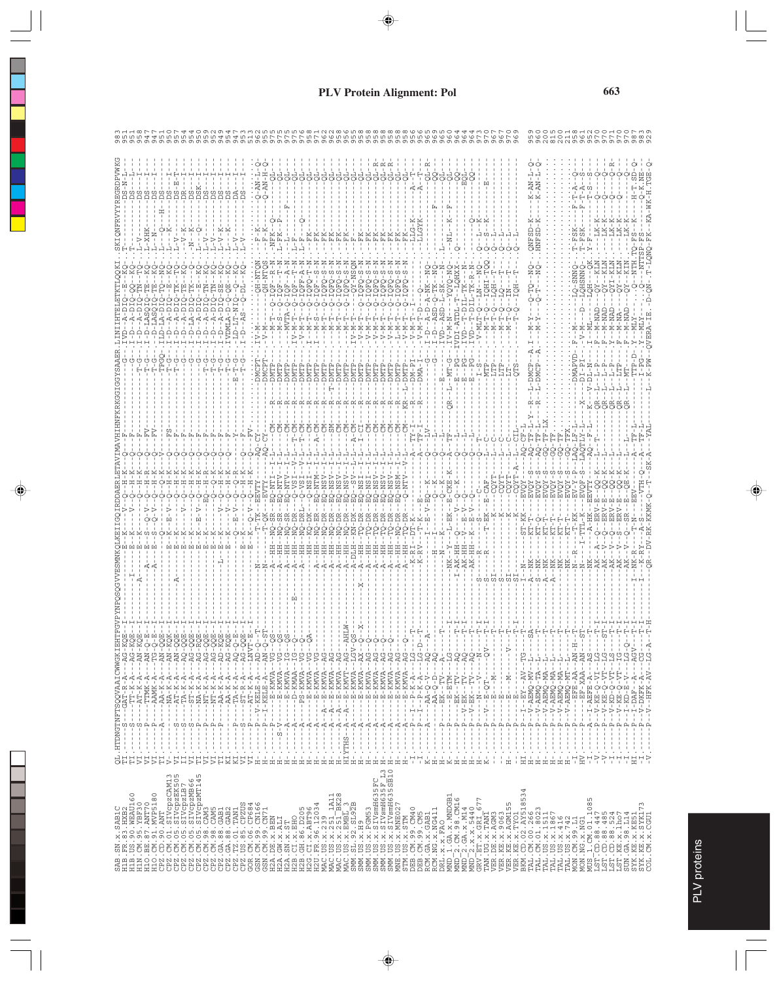|                                                                                                                                                                                                                                                                                                                                                                                                                                                          |                                                                                                                                                                                                                                                                                                                                                                                                                                                     |                   | QL.HTDNGTNFTSQQVAAICWWGKIEH<br>TI.------S----GAT-R-A---AG-KQ<br>TI.------S----TT-K-A---AG-KQ                                                                                                                                                                                                                                                                                                                                                                                                                                                                                                                                                                              |                                                   |  |  |  |  |  |                                                    |  |
|----------------------------------------------------------------------------------------------------------------------------------------------------------------------------------------------------------------------------------------------------------------------------------------------------------------------------------------------------------------------------------------------------------------------------------------------------------|-----------------------------------------------------------------------------------------------------------------------------------------------------------------------------------------------------------------------------------------------------------------------------------------------------------------------------------------------------------------------------------------------------------------------------------------------------|-------------------|---------------------------------------------------------------------------------------------------------------------------------------------------------------------------------------------------------------------------------------------------------------------------------------------------------------------------------------------------------------------------------------------------------------------------------------------------------------------------------------------------------------------------------------------------------------------------------------------------------------------------------------------------------------------------|---------------------------------------------------|--|--|--|--|--|----------------------------------------------------|--|
|                                                                                                                                                                                                                                                                                                                                                                                                                                                          | $\sim$ $\sim$                                                                                                                                                                                                                                                                                                                                                                                                                                       |                   | $---AT-K-RA$                                                                                                                                                                                                                                                                                                                                                                                                                                                                                                                                                                                                                                                              | $- P_{AB} - KQ$                                   |  |  |  |  |  |                                                    |  |
|                                                                                                                                                                                                                                                                                                                                                                                                                                                          | $\cdot$                                                                                                                                                                                                                                                                                                                                                                                                                                             | $\frac{1}{4}$     | $\blacksquare$                                                                                                                                                                                                                                                                                                                                                                                                                                                                                                                                                                                                                                                            |                                                   |  |  |  |  |  |                                                    |  |
|                                                                                                                                                                                                                                                                                                                                                                                                                                                          | $\mathbf{I}$<br>$\mathbf{I}$<br>$\cdot$                                                                                                                                                                                                                                                                                                                                                                                                             |                   | $\mathbb{I}$<br>$\mathbf I$<br>$\begin{split} \mathcal{P}_{\text{1}} &= \mathcal{P}_{\text{2}}\mathcal{P}_{\text{3}}\mathcal{P}_{\text{4}}\mathcal{P}_{\text{5}}\mathcal{P}_{\text{6}}\mathcal{P}_{\text{7}}\mathcal{P}_{\text{8}}\mathcal{P}_{\text{9}}\mathcal{P}_{\text{1}}\mathcal{P}_{\text{1}}\mathcal{P}_{\text{1}}\mathcal{P}_{\text{1}}\mathcal{P}_{\text{2}}\mathcal{P}_{\text{3}}\mathcal{P}_{\text{1}}\mathcal{P}_{\text{1}}\mathcal{P}_{\text{1}}\mathcal{P}_{\text{2}}\mathcal{P$                                                                                                                                                                           |                                                   |  |  |  |  |  |                                                    |  |
|                                                                                                                                                                                                                                                                                                                                                                                                                                                          | $\overline{\phantom{a}}$<br>$\mathbf{I}$                                                                                                                                                                                                                                                                                                                                                                                                            |                   |                                                                                                                                                                                                                                                                                                                                                                                                                                                                                                                                                                                                                                                                           |                                                   |  |  |  |  |  |                                                    |  |
|                                                                                                                                                                                                                                                                                                                                                                                                                                                          | Ť<br>$\mathbf{I}$                                                                                                                                                                                                                                                                                                                                                                                                                                   | ທ ທ               |                                                                                                                                                                                                                                                                                                                                                                                                                                                                                                                                                                                                                                                                           |                                                   |  |  |  |  |  |                                                    |  |
|                                                                                                                                                                                                                                                                                                                                                                                                                                                          |                                                                                                                                                                                                                                                                                                                                                                                                                                                     |                   | f,                                                                                                                                                                                                                                                                                                                                                                                                                                                                                                                                                                                                                                                                        | $-290 - 29$                                       |  |  |  |  |  |                                                    |  |
|                                                                                                                                                                                                                                                                                                                                                                                                                                                          |                                                                                                                                                                                                                                                                                                                                                                                                                                                     |                   | Ť<br>$\mathsf I$                                                                                                                                                                                                                                                                                                                                                                                                                                                                                                                                                                                                                                                          | oo.<br>$-RQ$<br><b>AG</b><br>AG.<br>$\frac{1}{1}$ |  |  |  |  |  |                                                    |  |
|                                                                                                                                                                                                                                                                                                                                                                                                                                                          |                                                                                                                                                                                                                                                                                                                                                                                                                                                     |                   |                                                                                                                                                                                                                                                                                                                                                                                                                                                                                                                                                                                                                                                                           | $AG-QQ$<br>t                                      |  |  |  |  |  |                                                    |  |
|                                                                                                                                                                                                                                                                                                                                                                                                                                                          | $\frac{1}{1}$                                                                                                                                                                                                                                                                                                                                                                                                                                       |                   |                                                                                                                                                                                                                                                                                                                                                                                                                                                                                                                                                                                                                                                                           | $AG-OC$<br>÷                                      |  |  |  |  |  |                                                    |  |
|                                                                                                                                                                                                                                                                                                                                                                                                                                                          | $\frac{1}{4}$                                                                                                                                                                                                                                                                                                                                                                                                                                       |                   |                                                                                                                                                                                                                                                                                                                                                                                                                                                                                                                                                                                                                                                                           | $- -AG - KO$<br>$-2AD-KC$                         |  |  |  |  |  |                                                    |  |
|                                                                                                                                                                                                                                                                                                                                                                                                                                                          |                                                                                                                                                                                                                                                                                                                                                                                                                                                     |                   |                                                                                                                                                                                                                                                                                                                                                                                                                                                                                                                                                                                                                                                                           |                                                   |  |  |  |  |  |                                                    |  |
|                                                                                                                                                                                                                                                                                                                                                                                                                                                          | $\begin{array}{cccccccccccccc} \mathbf{a} & \mathbf{b} & \mathbf{c} & \mathbf{a} & \mathbf{c} & \mathbf{a} & \mathbf{c} & \mathbf{c} \\ \mathbf{b} & \mathbf{c} & \mathbf{c} & \mathbf{c} & \mathbf{c} & \mathbf{c} & \mathbf{c} & \mathbf{c} \\ \mathbf{c} & \mathbf{c} & \mathbf{c} & \mathbf{c} & \mathbf{c} & \mathbf{c} & \mathbf{c} & \mathbf{c} \\ \mathbf{c} & \mathbf{c} & \mathbf{c} & \mathbf{c} & \mathbf{c} & \mathbf{c} &$<br>$\cdot$ |                   | $\begin{array}{ll} \mathbf{p} = \mathbf{p} = \mathbf{p} = \mathbf{p} = \mathbf{p} = \mathbf{p} = \mathbf{p} = \mathbf{p} = \mathbf{p} = \mathbf{p} = \mathbf{p} = \mathbf{p} = \mathbf{p} = \mathbf{p} = \mathbf{p} = \mathbf{p} = \mathbf{p} = \mathbf{p} = \mathbf{p} = \mathbf{p} = \mathbf{p} = \mathbf{p} = \mathbf{p} = \mathbf{p} = \mathbf{p} = \mathbf{p} = \mathbf{p} = \mathbf{p} = \mathbf{p} = \mathbf{p} = \mathbf$                                                                                                                                                                                                                                         |                                                   |  |  |  |  |  |                                                    |  |
|                                                                                                                                                                                                                                                                                                                                                                                                                                                          |                                                                                                                                                                                                                                                                                                                                                                                                                                                     |                   | $\mathbf I$                                                                                                                                                                                                                                                                                                                                                                                                                                                                                                                                                                                                                                                               |                                                   |  |  |  |  |  |                                                    |  |
|                                                                                                                                                                                                                                                                                                                                                                                                                                                          | ÷                                                                                                                                                                                                                                                                                                                                                                                                                                                   |                   | $\mathbf I$                                                                                                                                                                                                                                                                                                                                                                                                                                                                                                                                                                                                                                                               |                                                   |  |  |  |  |  |                                                    |  |
|                                                                                                                                                                                                                                                                                                                                                                                                                                                          | ÷<br>보보보보보                                                                                                                                                                                                                                                                                                                                                                                                                                          |                   |                                                                                                                                                                                                                                                                                                                                                                                                                                                                                                                                                                                                                                                                           |                                                   |  |  |  |  |  |                                                    |  |
|                                                                                                                                                                                                                                                                                                                                                                                                                                                          |                                                                                                                                                                                                                                                                                                                                                                                                                                                     |                   |                                                                                                                                                                                                                                                                                                                                                                                                                                                                                                                                                                                                                                                                           |                                                   |  |  |  |  |  |                                                    |  |
|                                                                                                                                                                                                                                                                                                                                                                                                                                                          |                                                                                                                                                                                                                                                                                                                                                                                                                                                     |                   |                                                                                                                                                                                                                                                                                                                                                                                                                                                                                                                                                                                                                                                                           |                                                   |  |  |  |  |  |                                                    |  |
|                                                                                                                                                                                                                                                                                                                                                                                                                                                          |                                                                                                                                                                                                                                                                                                                                                                                                                                                     |                   |                                                                                                                                                                                                                                                                                                                                                                                                                                                                                                                                                                                                                                                                           |                                                   |  |  |  |  |  |                                                    |  |
|                                                                                                                                                                                                                                                                                                                                                                                                                                                          |                                                                                                                                                                                                                                                                                                                                                                                                                                                     |                   |                                                                                                                                                                                                                                                                                                                                                                                                                                                                                                                                                                                                                                                                           |                                                   |  |  |  |  |  |                                                    |  |
|                                                                                                                                                                                                                                                                                                                                                                                                                                                          |                                                                                                                                                                                                                                                                                                                                                                                                                                                     |                   |                                                                                                                                                                                                                                                                                                                                                                                                                                                                                                                                                                                                                                                                           |                                                   |  |  |  |  |  |                                                    |  |
|                                                                                                                                                                                                                                                                                                                                                                                                                                                          |                                                                                                                                                                                                                                                                                                                                                                                                                                                     |                   |                                                                                                                                                                                                                                                                                                                                                                                                                                                                                                                                                                                                                                                                           |                                                   |  |  |  |  |  |                                                    |  |
|                                                                                                                                                                                                                                                                                                                                                                                                                                                          |                                                                                                                                                                                                                                                                                                                                                                                                                                                     |                   |                                                                                                                                                                                                                                                                                                                                                                                                                                                                                                                                                                                                                                                                           |                                                   |  |  |  |  |  |                                                    |  |
|                                                                                                                                                                                                                                                                                                                                                                                                                                                          |                                                                                                                                                                                                                                                                                                                                                                                                                                                     |                   |                                                                                                                                                                                                                                                                                                                                                                                                                                                                                                                                                                                                                                                                           |                                                   |  |  |  |  |  |                                                    |  |
|                                                                                                                                                                                                                                                                                                                                                                                                                                                          |                                                                                                                                                                                                                                                                                                                                                                                                                                                     |                   |                                                                                                                                                                                                                                                                                                                                                                                                                                                                                                                                                                                                                                                                           |                                                   |  |  |  |  |  |                                                    |  |
|                                                                                                                                                                                                                                                                                                                                                                                                                                                          |                                                                                                                                                                                                                                                                                                                                                                                                                                                     |                   |                                                                                                                                                                                                                                                                                                                                                                                                                                                                                                                                                                                                                                                                           |                                                   |  |  |  |  |  |                                                    |  |
|                                                                                                                                                                                                                                                                                                                                                                                                                                                          |                                                                                                                                                                                                                                                                                                                                                                                                                                                     |                   |                                                                                                                                                                                                                                                                                                                                                                                                                                                                                                                                                                                                                                                                           |                                                   |  |  |  |  |  |                                                    |  |
|                                                                                                                                                                                                                                                                                                                                                                                                                                                          |                                                                                                                                                                                                                                                                                                                                                                                                                                                     |                   |                                                                                                                                                                                                                                                                                                                                                                                                                                                                                                                                                                                                                                                                           |                                                   |  |  |  |  |  |                                                    |  |
|                                                                                                                                                                                                                                                                                                                                                                                                                                                          |                                                                                                                                                                                                                                                                                                                                                                                                                                                     |                   |                                                                                                                                                                                                                                                                                                                                                                                                                                                                                                                                                                                                                                                                           |                                                   |  |  |  |  |  |                                                    |  |
|                                                                                                                                                                                                                                                                                                                                                                                                                                                          |                                                                                                                                                                                                                                                                                                                                                                                                                                                     |                   |                                                                                                                                                                                                                                                                                                                                                                                                                                                                                                                                                                                                                                                                           |                                                   |  |  |  |  |  |                                                    |  |
|                                                                                                                                                                                                                                                                                                                                                                                                                                                          |                                                                                                                                                                                                                                                                                                                                                                                                                                                     |                   |                                                                                                                                                                                                                                                                                                                                                                                                                                                                                                                                                                                                                                                                           |                                                   |  |  |  |  |  |                                                    |  |
|                                                                                                                                                                                                                                                                                                                                                                                                                                                          |                                                                                                                                                                                                                                                                                                                                                                                                                                                     |                   |                                                                                                                                                                                                                                                                                                                                                                                                                                                                                                                                                                                                                                                                           |                                                   |  |  |  |  |  |                                                    |  |
|                                                                                                                                                                                                                                                                                                                                                                                                                                                          |                                                                                                                                                                                                                                                                                                                                                                                                                                                     |                   | $\begin{aligned} \mathbf{H}:\mathbb{H}\rightarrow\mathbb{H}\rightarrow\mathbb{H}\rightarrow\mathbb{H}\rightarrow\mathbb{H}\rightarrow\mathbb{H}\rightarrow\mathbb{H}\rightarrow\mathbb{H}\rightarrow\mathbb{H}\rightarrow\mathbb{H}\rightarrow\mathbb{H}\rightarrow\mathbb{H}\rightarrow\mathbb{H}\rightarrow\mathbb{H}\rightarrow\mathbb{H}\rightarrow\mathbb{H}\rightarrow\mathbb{H}\rightarrow\mathbb{H}\rightarrow\mathbb{H}\rightarrow\mathbb{H}\rightarrow\mathbb{H}\rightarrow\mathbb{H}\rightarrow\mathbb{H}\rightarrow\mathbb{H}\rightarrow\mathbb{H}\rightarrow\mathbb{H}\rightarrow\mathbb{H}\rightarrow\mathbb{H}\rightarrow\mathbb{H}\rightarrow\mathbb{H}\$ |                                                   |  |  |  |  |  |                                                    |  |
|                                                                                                                                                                                                                                                                                                                                                                                                                                                          |                                                                                                                                                                                                                                                                                                                                                                                                                                                     |                   |                                                                                                                                                                                                                                                                                                                                                                                                                                                                                                                                                                                                                                                                           |                                                   |  |  |  |  |  |                                                    |  |
|                                                                                                                                                                                                                                                                                                                                                                                                                                                          |                                                                                                                                                                                                                                                                                                                                                                                                                                                     |                   |                                                                                                                                                                                                                                                                                                                                                                                                                                                                                                                                                                                                                                                                           |                                                   |  |  |  |  |  |                                                    |  |
|                                                                                                                                                                                                                                                                                                                                                                                                                                                          |                                                                                                                                                                                                                                                                                                                                                                                                                                                     |                   |                                                                                                                                                                                                                                                                                                                                                                                                                                                                                                                                                                                                                                                                           |                                                   |  |  |  |  |  |                                                    |  |
| $\begin{smallmatrix} \texttt{SINR} \\ \texttt{SINR} \\ \texttt{DBB}, \texttt{CM}, \texttt{99}, \texttt{CMA} \\ \texttt{DBB}, \texttt{CM}, \texttt{99}, \texttt{CMA} \\ \texttt{RON}, \texttt{X}, \texttt{X}, \texttt{BOM}, \\ \texttt{RON}, \texttt{X}, \texttt{X}, \texttt{M} \\ \texttt{MND} = 2, \texttt{X}, \texttt{X}, \texttt{SAD}, \\ \texttt{MND} = 2, \texttt{X}, \texttt{X}, \texttt{SAD}, \\ \texttt{MND} = 2, \texttt{X}, \texttt{X}, \text$ |                                                                                                                                                                                                                                                                                                                                                                                                                                                     |                   |                                                                                                                                                                                                                                                                                                                                                                                                                                                                                                                                                                                                                                                                           |                                                   |  |  |  |  |  |                                                    |  |
|                                                                                                                                                                                                                                                                                                                                                                                                                                                          |                                                                                                                                                                                                                                                                                                                                                                                                                                                     |                   |                                                                                                                                                                                                                                                                                                                                                                                                                                                                                                                                                                                                                                                                           |                                                   |  |  |  |  |  |                                                    |  |
|                                                                                                                                                                                                                                                                                                                                                                                                                                                          |                                                                                                                                                                                                                                                                                                                                                                                                                                                     |                   |                                                                                                                                                                                                                                                                                                                                                                                                                                                                                                                                                                                                                                                                           |                                                   |  |  |  |  |  |                                                    |  |
|                                                                                                                                                                                                                                                                                                                                                                                                                                                          |                                                                                                                                                                                                                                                                                                                                                                                                                                                     |                   |                                                                                                                                                                                                                                                                                                                                                                                                                                                                                                                                                                                                                                                                           |                                                   |  |  |  |  |  |                                                    |  |
|                                                                                                                                                                                                                                                                                                                                                                                                                                                          |                                                                                                                                                                                                                                                                                                                                                                                                                                                     |                   |                                                                                                                                                                                                                                                                                                                                                                                                                                                                                                                                                                                                                                                                           |                                                   |  |  |  |  |  |                                                    |  |
|                                                                                                                                                                                                                                                                                                                                                                                                                                                          |                                                                                                                                                                                                                                                                                                                                                                                                                                                     |                   |                                                                                                                                                                                                                                                                                                                                                                                                                                                                                                                                                                                                                                                                           |                                                   |  |  |  |  |  |                                                    |  |
|                                                                                                                                                                                                                                                                                                                                                                                                                                                          |                                                                                                                                                                                                                                                                                                                                                                                                                                                     |                   |                                                                                                                                                                                                                                                                                                                                                                                                                                                                                                                                                                                                                                                                           |                                                   |  |  |  |  |  |                                                    |  |
|                                                                                                                                                                                                                                                                                                                                                                                                                                                          |                                                                                                                                                                                                                                                                                                                                                                                                                                                     |                   |                                                                                                                                                                                                                                                                                                                                                                                                                                                                                                                                                                                                                                                                           |                                                   |  |  |  |  |  |                                                    |  |
|                                                                                                                                                                                                                                                                                                                                                                                                                                                          |                                                                                                                                                                                                                                                                                                                                                                                                                                                     |                   |                                                                                                                                                                                                                                                                                                                                                                                                                                                                                                                                                                                                                                                                           |                                                   |  |  |  |  |  |                                                    |  |
|                                                                                                                                                                                                                                                                                                                                                                                                                                                          |                                                                                                                                                                                                                                                                                                                                                                                                                                                     |                   |                                                                                                                                                                                                                                                                                                                                                                                                                                                                                                                                                                                                                                                                           |                                                   |  |  |  |  |  |                                                    |  |
|                                                                                                                                                                                                                                                                                                                                                                                                                                                          |                                                                                                                                                                                                                                                                                                                                                                                                                                                     |                   |                                                                                                                                                                                                                                                                                                                                                                                                                                                                                                                                                                                                                                                                           |                                                   |  |  |  |  |  |                                                    |  |
|                                                                                                                                                                                                                                                                                                                                                                                                                                                          |                                                                                                                                                                                                                                                                                                                                                                                                                                                     |                   |                                                                                                                                                                                                                                                                                                                                                                                                                                                                                                                                                                                                                                                                           |                                                   |  |  |  |  |  |                                                    |  |
|                                                                                                                                                                                                                                                                                                                                                                                                                                                          |                                                                                                                                                                                                                                                                                                                                                                                                                                                     |                   |                                                                                                                                                                                                                                                                                                                                                                                                                                                                                                                                                                                                                                                                           |                                                   |  |  |  |  |  |                                                    |  |
|                                                                                                                                                                                                                                                                                                                                                                                                                                                          |                                                                                                                                                                                                                                                                                                                                                                                                                                                     |                   |                                                                                                                                                                                                                                                                                                                                                                                                                                                                                                                                                                                                                                                                           |                                                   |  |  |  |  |  |                                                    |  |
|                                                                                                                                                                                                                                                                                                                                                                                                                                                          |                                                                                                                                                                                                                                                                                                                                                                                                                                                     |                   |                                                                                                                                                                                                                                                                                                                                                                                                                                                                                                                                                                                                                                                                           |                                                   |  |  |  |  |  |                                                    |  |
|                                                                                                                                                                                                                                                                                                                                                                                                                                                          |                                                                                                                                                                                                                                                                                                                                                                                                                                                     | ana<br>Tit        |                                                                                                                                                                                                                                                                                                                                                                                                                                                                                                                                                                                                                                                                           |                                                   |  |  |  |  |  |                                                    |  |
|                                                                                                                                                                                                                                                                                                                                                                                                                                                          | $\frac{1}{4}$<br>$\cdots$                                                                                                                                                                                                                                                                                                                                                                                                                           | ŧ                 | $3 - - - - - - -$                                                                                                                                                                                                                                                                                                                                                                                                                                                                                                                                                                                                                                                         |                                                   |  |  |  |  |  |                                                    |  |
|                                                                                                                                                                                                                                                                                                                                                                                                                                                          |                                                                                                                                                                                                                                                                                                                                                                                                                                                     | ŧ                 |                                                                                                                                                                                                                                                                                                                                                                                                                                                                                                                                                                                                                                                                           | $-1$                                              |  |  |  |  |  |                                                    |  |
|                                                                                                                                                                                                                                                                                                                                                                                                                                                          |                                                                                                                                                                                                                                                                                                                                                                                                                                                     |                   |                                                                                                                                                                                                                                                                                                                                                                                                                                                                                                                                                                                                                                                                           |                                                   |  |  |  |  |  |                                                    |  |
|                                                                                                                                                                                                                                                                                                                                                                                                                                                          |                                                                                                                                                                                                                                                                                                                                                                                                                                                     |                   |                                                                                                                                                                                                                                                                                                                                                                                                                                                                                                                                                                                                                                                                           |                                                   |  |  |  |  |  |                                                    |  |
|                                                                                                                                                                                                                                                                                                                                                                                                                                                          |                                                                                                                                                                                                                                                                                                                                                                                                                                                     |                   |                                                                                                                                                                                                                                                                                                                                                                                                                                                                                                                                                                                                                                                                           |                                                   |  |  |  |  |  |                                                    |  |
|                                                                                                                                                                                                                                                                                                                                                                                                                                                          | ċέ                                                                                                                                                                                                                                                                                                                                                                                                                                                  |                   |                                                                                                                                                                                                                                                                                                                                                                                                                                                                                                                                                                                                                                                                           |                                                   |  |  |  |  |  |                                                    |  |
| <b>HHHHH</b>                                                                                                                                                                                                                                                                                                                                                                                                                                             | ÷.                                                                                                                                                                                                                                                                                                                                                                                                                                                  |                   | $\begin{aligned} -\frac{1}{2} \cdot \frac{1}{2} \cdot \frac{1}{2} \cdot \frac{1}{2} \cdot \frac{1}{2} \cdot \frac{1}{2} \cdot \frac{1}{2} \cdot \frac{1}{2} \cdot \frac{1}{2} \cdot \frac{1}{2} \cdot \frac{1}{2} \cdot \frac{1}{2} \cdot \frac{1}{2} \cdot \frac{1}{2} \cdot \frac{1}{2} \cdot \frac{1}{2} \cdot \frac{1}{2} \cdot \frac{1}{2} \cdot \frac{1}{2} \cdot \frac{1}{2} \cdot \frac{1}{2} \cdot \frac{1}{2} \cdot \frac{1}{2} \cdot \frac{1}{2}$                                                                                                                                                                                                              |                                                   |  |  |  |  |  |                                                    |  |
|                                                                                                                                                                                                                                                                                                                                                                                                                                                          |                                                                                                                                                                                                                                                                                                                                                                                                                                                     |                   |                                                                                                                                                                                                                                                                                                                                                                                                                                                                                                                                                                                                                                                                           |                                                   |  |  |  |  |  |                                                    |  |
|                                                                                                                                                                                                                                                                                                                                                                                                                                                          | Ţ<br>÷.                                                                                                                                                                                                                                                                                                                                                                                                                                             |                   |                                                                                                                                                                                                                                                                                                                                                                                                                                                                                                                                                                                                                                                                           |                                                   |  |  |  |  |  |                                                    |  |
|                                                                                                                                                                                                                                                                                                                                                                                                                                                          | Ţ<br>÷.                                                                                                                                                                                                                                                                                                                                                                                                                                             |                   |                                                                                                                                                                                                                                                                                                                                                                                                                                                                                                                                                                                                                                                                           |                                                   |  |  |  |  |  |                                                    |  |
|                                                                                                                                                                                                                                                                                                                                                                                                                                                          | Ţ                                                                                                                                                                                                                                                                                                                                                                                                                                                   |                   |                                                                                                                                                                                                                                                                                                                                                                                                                                                                                                                                                                                                                                                                           |                                                   |  |  |  |  |  |                                                    |  |
|                                                                                                                                                                                                                                                                                                                                                                                                                                                          | $+$ $H$                                                                                                                                                                                                                                                                                                                                                                                                                                             |                   |                                                                                                                                                                                                                                                                                                                                                                                                                                                                                                                                                                                                                                                                           |                                                   |  |  |  |  |  |                                                    |  |
|                                                                                                                                                                                                                                                                                                                                                                                                                                                          | $\gtrapprox$                                                                                                                                                                                                                                                                                                                                                                                                                                        |                   |                                                                                                                                                                                                                                                                                                                                                                                                                                                                                                                                                                                                                                                                           |                                                   |  |  |  |  |  |                                                    |  |
|                                                                                                                                                                                                                                                                                                                                                                                                                                                          | $\cdot$                                                                                                                                                                                                                                                                                                                                                                                                                                             |                   |                                                                                                                                                                                                                                                                                                                                                                                                                                                                                                                                                                                                                                                                           |                                                   |  |  |  |  |  | $\begin{array}{c}\n 1 & 0 \\  0 & 1\n \end{array}$ |  |
|                                                                                                                                                                                                                                                                                                                                                                                                                                                          |                                                                                                                                                                                                                                                                                                                                                                                                                                                     |                   |                                                                                                                                                                                                                                                                                                                                                                                                                                                                                                                                                                                                                                                                           | ÷.                                                |  |  |  |  |  |                                                    |  |
|                                                                                                                                                                                                                                                                                                                                                                                                                                                          |                                                                                                                                                                                                                                                                                                                                                                                                                                                     |                   | $\begin{array}{l} -\mathbf{A} - \mathbf{I} - \mathbf{A}\, \text{E}\, \text{F}\, \text{F} - \mathbf{A} - \mathbf{I} \\ -\mathbf{P} - \mathbf{V} - \mathbf{K}\, \text{E} - \mathbf{Q} - \mathbf{V}\, \text{F} - \mathbf{V} - \mathbf{I} \\ -\mathbf{P} - \mathbf{V} - \mathbf{K}\, \text{E} - \mathbf{Q} - \mathbf{V}\, \text{F} - \mathbf{V} - \mathbf{I} \\ -\mathbf{P} - \mathbf{V} - \mathbf{K}\, \text{E} - \mathbf{V} -$                                                                                                                                                                                                                                              | ÷<br>형합법법<br><u>사업 사업</u><br>- HTTP               |  |  |  |  |  |                                                    |  |
|                                                                                                                                                                                                                                                                                                                                                                                                                                                          |                                                                                                                                                                                                                                                                                                                                                                                                                                                     |                   |                                                                                                                                                                                                                                                                                                                                                                                                                                                                                                                                                                                                                                                                           | ÷                                                 |  |  |  |  |  |                                                    |  |
|                                                                                                                                                                                                                                                                                                                                                                                                                                                          |                                                                                                                                                                                                                                                                                                                                                                                                                                                     |                   |                                                                                                                                                                                                                                                                                                                                                                                                                                                                                                                                                                                                                                                                           | ÷                                                 |  |  |  |  |  |                                                    |  |
|                                                                                                                                                                                                                                                                                                                                                                                                                                                          |                                                                                                                                                                                                                                                                                                                                                                                                                                                     |                   |                                                                                                                                                                                                                                                                                                                                                                                                                                                                                                                                                                                                                                                                           |                                                   |  |  |  |  |  |                                                    |  |
|                                                                                                                                                                                                                                                                                                                                                                                                                                                          |                                                                                                                                                                                                                                                                                                                                                                                                                                                     |                   |                                                                                                                                                                                                                                                                                                                                                                                                                                                                                                                                                                                                                                                                           | $\overline{Q}$<br>$-16$                           |  |  |  |  |  |                                                    |  |
|                                                                                                                                                                                                                                                                                                                                                                                                                                                          |                                                                                                                                                                                                                                                                                                                                                                                                                                                     |                   |                                                                                                                                                                                                                                                                                                                                                                                                                                                                                                                                                                                                                                                                           |                                                   |  |  |  |  |  |                                                    |  |
|                                                                                                                                                                                                                                                                                                                                                                                                                                                          |                                                                                                                                                                                                                                                                                                                                                                                                                                                     | $\frac{1}{1}$     | $-4$<br>$I - DAF$                                                                                                                                                                                                                                                                                                                                                                                                                                                                                                                                                                                                                                                         | $-AGV$ -                                          |  |  |  |  |  |                                                    |  |
|                                                                                                                                                                                                                                                                                                                                                                                                                                                          | I.                                                                                                                                                                                                                                                                                                                                                                                                                                                  |                   |                                                                                                                                                                                                                                                                                                                                                                                                                                                                                                                                                                                                                                                                           |                                                   |  |  |  |  |  |                                                    |  |
|                                                                                                                                                                                                                                                                                                                                                                                                                                                          |                                                                                                                                                                                                                                                                                                                                                                                                                                                     | $\mathsf{\Omega}$ |                                                                                                                                                                                                                                                                                                                                                                                                                                                                                                                                                                                                                                                                           |                                                   |  |  |  |  |  |                                                    |  |
|                                                                                                                                                                                                                                                                                                                                                                                                                                                          |                                                                                                                                                                                                                                                                                                                                                                                                                                                     |                   |                                                                                                                                                                                                                                                                                                                                                                                                                                                                                                                                                                                                                                                                           |                                                   |  |  |  |  |  |                                                    |  |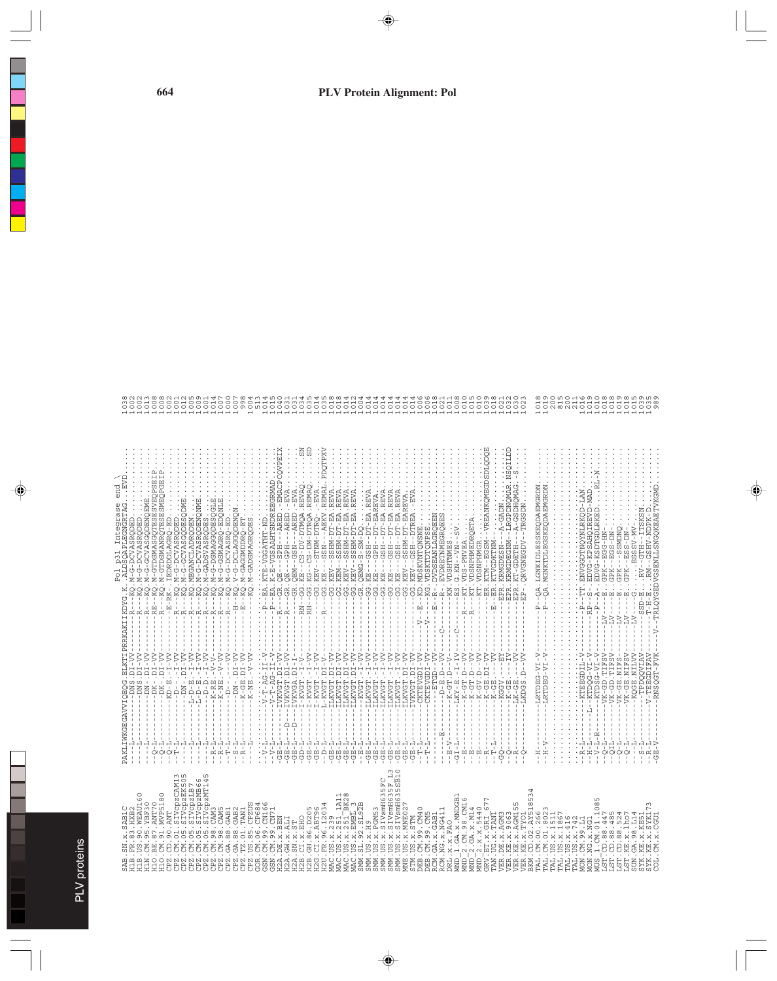| ٦<br>i<br>۰ |
|-------------|
|             |
| Ŋ<br>ā      |
|             |
|             |
| Í           |
|             |
| ہ           |
|             |
|             |
|             |
|             |
|             |
|             |
|             |

| ::::::::::<br>::::::::::<br>三国<br>EVD<br>end<br>ntegrase<br>RTAG<br>Ą<br><b>ALDS</b><br>ρ<br>$- - - K$<br>KAKIIKDYG                                                                                                                                                                                                                                                                                                                  | $\begin{minipage}[t]{0.99\textwidth} {\begin{minipage}[t]{0.99\textwidth} {\begin{minipage}[t]{0.99\textwidth} {\begin{minipage}[t]{0.99\textwidth} {\begin{minipage}[t]{0.99\textwidth} {\begin{minipage}[t]{0.99\textwidth} {\begin{minipage}[t]{0.99\textwidth} {\begin{minipage}[t]{0.99\textwidth} {\begin{minipage}[t]{0.99\textwidth} {\begin{minipage}[t]{0.99\textwidth} {\begin{minipage}[t]{0.99\textwidth} {\begin{minipage}[t]{0.99\textwidth} {\begin{minipage}[t]{0.99\textwidth$<br>LRGPDNQMAR<br>A-GSDHQMAG<br>$-1$ - $A$ - GADN<br><b>NGS</b><br>KD.MDSKVNTQNSNE<br>ŘG.<br>N . VDSHTNMES<br>S . G . KN - - VN - - SV<br>VDSKTDTQNPSE<br>- KRMGDEGNM-<br>Ŧ<br>-- NNLNG KA<br>J,<br>RVGNEGDV<br><b>GRMGDESN</b><br>T-GDETH<br>.<br>ප<br>$\overline{\mathbb{R}}$<br>$\ddot{\kappa}$<br>ERI<br>F<br>$-18P$<br>$\begin{aligned} \mathbf{H} &= -1 - 1 - 1 - 1 \\ \mathbf{H} &= -1 - 1 - 1 - 1 \\ \mathbf{H} &= -1 - 1 - 1 - 1 \\ \mathbf{H} &= -1 - 1 - 1 - 1 - 1 \\ \mathbf{H} &= -1 - 1 - 1 - 1 - 1 \\ \mathbf{H} &= -1 - 1 - 1 - 1 - 1 \\ \mathbf{H} &= -1 - 1 - 1 - 1 - 1 - 1 \\ \mathbf{H} &= -1 - 1 - 1 - 1 - 1 - 1 - 1 \\ \mathbf{H} &= -1 - 1 - 1 - 1 - 1 - 1 - 1 - 1 \\ \mathbf{H} &= -$<br>$C - - - - - - - -$<br>$-$ – $-\Delta$ – $-$ – $-\Delta$ – $-$<br>$\frac{1}{2}$<br>ŦŦ<br>ė                                                                                          | --T-H-ERM--GSHV-NDPK-D<br>-TRLQYGEDVGSENLLSNGQKEAETVKGMD<br>$\overset{\wedge}{\underset{+}{\prod}}\overset{\wedge}{\underset{+}{\prod}}$                                                                                                                                                                                                                                                                                                                                                                                                                                                                                                                                  |
|--------------------------------------------------------------------------------------------------------------------------------------------------------------------------------------------------------------------------------------------------------------------------------------------------------------------------------------------------------------------------------------------------------------------------------------|------------------------------------------------------------------------------------------------------------------------------------------------------------------------------------------------------------------------------------------------------------------------------------------------------------------------------------------------------------------------------------------------------------------------------------------------------------------------------------------------------------------------------------------------------------------------------------------------------------------------------------------------------------------------------------------------------------------------------------------------------------------------------------------------------------------------------------------------------------------------------------------------------------------------------------------------------------------------------------------------------------------------------------------------------------------------------------------------------------------------------------------------------------------------------------------------------------------------------------------------------------------------------------------------------------------------------------------------------------------------------------------------------|---------------------------------------------------------------------------------------------------------------------------------------------------------------------------------------------------------------------------------------------------------------------------------------------------------------------------------------------------------------------------------------------------------------------------------------------------------------------------------------------------------------------------------------------------------------------------------------------------------------------------------------------------------------------------|
| PRRI<br>$\sum_{i=1}^{n}$<br>$\begin{array}{l} \cdot--\\ -& -\,D\,N\,-\,D\,I\,-\,V\,V\,-\\ -& -\,K\,-\,G\,E\,.\,D\,I\,-\,V\,V\,-\\ -& -\,K\,-\,N\,E\,.\, -\,V\,-\,V\,V\,-\\ \end{array}$<br>----DN-.DI-V<br>---DK-.DI-V<br>---DK-.DI-V<br>٦.<br>Ĩн<br>'n.<br>$-K-RE. -V - -V - K - NE. - V -$<br>$-$ -DNS.D<br>Ŷ,<br>WKGEGAVVIQEQ<br>$\frac{1}{1}$<br>PAKLI<br>T<br>Ŧ<br>$\mathbb{I}$<br>$\mathbf{I}$<br>$\mathbf{I}$<br>$\mathbf{I}$ | $I - VV$<br>$I - VV$<br>$-5 - 7 - 7$<br>걺<br>$-III - V$<br>$\begin{array}{l} \text{TVKVGT. D1-VV} \\ \text{TVKVGT. D1-VV} \end{array}$<br>- 1<br>- 1 - 2002 - 1<br>- 1 - 2003 - 1<br>- 1 - 2003 - 1<br>- 1 - 2003 - 1<br>ILKVGT.DI-<br>$\begin{array}{l} \Lambda_1 \to \Lambda_2 \to \Lambda_3 \to \Lambda_4 \to \Lambda_5 \to \Lambda_6 \to \Lambda_7 \to \Lambda_7 \to \Lambda_7 \to \Lambda_7 \to \Lambda_7 \to \Lambda_7 \to \Lambda_7 \to \Lambda_7 \to \Lambda_7 \to \Lambda_7 \to \Lambda_7 \to \Lambda_7 \to \Lambda_7 \to \Lambda_7 \to \Lambda_7 \to \Lambda_7 \to \Lambda_7 \to \Lambda_7 \to \Lambda_7 \to \Lambda_7 \to \Lambda_7 \to \Lambda_7 \to \Lambda_7 \to \Lambda_7 \to \Lambda_7 \to \Lambda_7 \to \Lambda_7 \to \Lambda_7 \to \Lambda_7 \to \Lambda_$<br>IVKVGA.DI-<br>$\frac{1}{1}$<br>- ILKVGT .DI-V<br>- ILKVGT .DI-V<br>Î١.<br>ILKVGT.DI-<br>'n.<br>'n.<br>'n.<br>'n.<br>'n.<br>IVKVGT.DI-<br>$\mathbf{I}$<br>٠<br>ILKVGT.DI<br>ILKVGT.-<br>$\overline{I}$ - $KVGT$ . –<br>ILKVGT.-<br>ILKVGT.-<br>ILKVGT.-<br>ILKVGT.-<br>$V-T-AG$<br>$-{\tt KVGT}$ .<br>$-T-AG$<br>-KGGV<br>$-1K-GI$<br>$-LK-GI$<br>Ą<br>$\frac{1}{2}$<br>뛰<br>$\mathbf{I}$<br>$-V - H - V$<br>부<br>부부<br>.<br>명<br>- 1<br>巴<br>.<br>명<br>- 1<br>巴<br>Ä<br>Ŧ<br>Ŧ<br>Π<br>Π<br>Ŧ<br>Π<br>Ŧ<br>Π<br>.<br>පි<br>$\mathbf{1}$<br>$\mathbf{I}$<br>$\mathbf I$<br>$\mathbf{1}$<br>店<br>ひ<br>띵<br>巴<br>店<br>宮 | $\begin{minipage}{0.9\textwidth} \begin{tabular}{l} \multicolumn{2}{l}{{\small\color{red}\begin{array}{l} \hline \multicolumn{2}{l}{\textbf{\textbf{1}}}\\ \hline \multicolumn{2}{c}{\textbf{\textbf{2}}}\\ \hline \multicolumn{2}{c}{\textbf{\textbf{2}}}\\ \hline \multicolumn{2}{c}{\textbf{\textbf{2}}}\\ \hline \multicolumn{2}{c}{\textbf{\textbf{2}}}\\ \hline \multicolumn{2}{c}{\textbf{\textbf{2}}}\\ \hline \multicolumn{2}{c}{\textbf{\textbf{2}}}\\ \hline \multicolumn{2}{c}{\textbf{\textbf{2}}$<br>$-\nabla$<br>TPDQQVIAV<br>RNSOGT-FVI<br>DIFA<br>LRTDEG-VI<br>$\frac{1}{2}$<br><b>EBGI</b><br>-LRTDE<br>$-L-R$<br>부<br>븝<br>루<br>$\circ$<br>ု<br>ု<br>ု |
| .SAB1C                                                                                                                                                                                                                                                                                                                                                                                                                               | 5F L3<br>5SB10                                                                                                                                                                                                                                                                                                                                                                                                                                                                                                                                                                                                                                                                                                                                                                                                                                                                                                                                                                                                                                                                                                                                                                                                                                                                                                                                                                                       | CM.x.CGU<br>E.X.KES<br>$E \cdot X \cdot S$                                                                                                                                                                                                                                                                                                                                                                                                                                                                                                                                                                                                                                |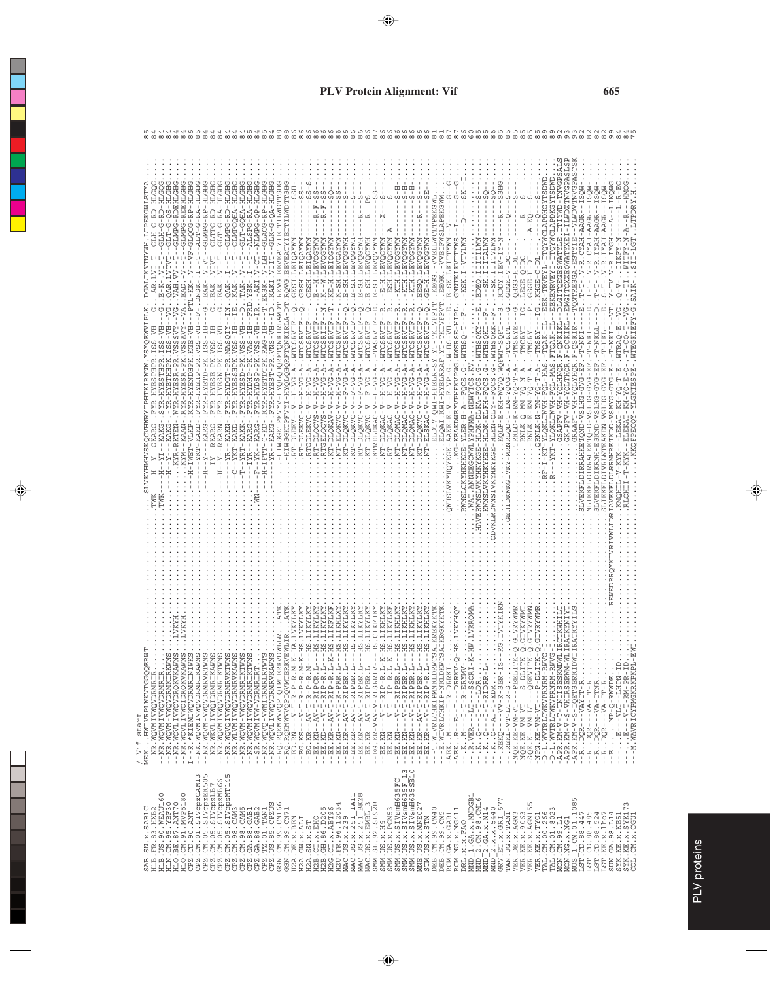|                                                                                                                                                                                                                                                                                                                                                                                                                                                                                                                                                                                                                                                                                                                                                                                                                                               |                                                                                                                                                                                                                                                                                                                                                                                                                                                                                                                                                                                                                                                                                                                                                                                                                                                                                                                                                       | $\infty$                                                                                                                                                                                                                                                                                                                                                                                                                                                                                                                                                                                                                                                             | ထ ထ<br>$\infty$ $\infty$ $\infty$<br>$\infty$ $\infty$ $\infty$                                                                                                                                                                                                                                                                                                                                                                                                                                                                                                                                                  | ဖေထ                                                                                                                                                                                                                                                                                                                                                                                                                                                                                                                                                                                                                                                                                                                                                                                                                                                                                                                                                                                                                                                                                                                                                                                                                                                                                                           |
|-----------------------------------------------------------------------------------------------------------------------------------------------------------------------------------------------------------------------------------------------------------------------------------------------------------------------------------------------------------------------------------------------------------------------------------------------------------------------------------------------------------------------------------------------------------------------------------------------------------------------------------------------------------------------------------------------------------------------------------------------------------------------------------------------------------------------------------------------|-------------------------------------------------------------------------------------------------------------------------------------------------------------------------------------------------------------------------------------------------------------------------------------------------------------------------------------------------------------------------------------------------------------------------------------------------------------------------------------------------------------------------------------------------------------------------------------------------------------------------------------------------------------------------------------------------------------------------------------------------------------------------------------------------------------------------------------------------------------------------------------------------------------------------------------------------------|----------------------------------------------------------------------------------------------------------------------------------------------------------------------------------------------------------------------------------------------------------------------------------------------------------------------------------------------------------------------------------------------------------------------------------------------------------------------------------------------------------------------------------------------------------------------------------------------------------------------------------------------------------------------|------------------------------------------------------------------------------------------------------------------------------------------------------------------------------------------------------------------------------------------------------------------------------------------------------------------------------------------------------------------------------------------------------------------------------------------------------------------------------------------------------------------------------------------------------------------------------------------------------------------|---------------------------------------------------------------------------------------------------------------------------------------------------------------------------------------------------------------------------------------------------------------------------------------------------------------------------------------------------------------------------------------------------------------------------------------------------------------------------------------------------------------------------------------------------------------------------------------------------------------------------------------------------------------------------------------------------------------------------------------------------------------------------------------------------------------------------------------------------------------------------------------------------------------------------------------------------------------------------------------------------------------------------------------------------------------------------------------------------------------------------------------------------------------------------------------------------------------------------------------------------------------------------------------------------------------|
| GLMPG-REEHLGHG<br>GLOCG-RP-HLGHG<br>GLMPG-RDEHLGH<br>ALT-G-RA-HLGH<br>GLMPG-RP-HLGH<br>GLTPG-RD-HLGH<br>S-HL<br>GLT-G-RA-HL<br>-RD-HL<br>GLMPG-RD<br>ု<br>먼<br>.<br>먼<br>-<br>$-4N -$<br>VAH.<br>$\overline{AB}$ .<br>-.DNSK                                                                                                                                                                                                                                                                                                                                                                                                                                                                                                                                                                                                                  | GLACG-RP-HLGHG<br>$-01K-0-2A-HLGH$<br>GLMPGOHA-HLGH<br><b>ELH-AHOU-HLGH</b><br><b>EITILWDTTSH</b><br>HLGH-<br>丐<br>EEVEATYIEITILWDTT<br>ALSPG-RA-H<br>T<br>$-$ -NLMPG-Q<br><b>EEVEATYI</b><br>Ť<br>HH.<br>ပု<br>.RQVG<br>TAK                                                                                                                                                                                                                                                                                                                                                                                                                                                                                                                                                                                                                                                                                                                          | $S - S$<br>່ ່<br>ທີ່<br>CΩ<br>$R - F - SS$<br>$R - F - SS$<br>ω<br>$-1 - 8$<br>$-1$<br>$\approx \approx$<br>÷<br>$\frac{1}{1}$<br>WAXKÖIAT TESHS<br>K--M.LEVQOYWN<br>K--W.LEVQOYWN<br>- KNAXAČARI - TEAR (SANNI)<br>- ER-SH - TEAR (SANNI)<br>- ER-SH - TEAR (SANNI)<br>- ER-SH - TEAR (SANNI)<br>- ER-SH - TEAR (SANNI)<br>- ER-SH - TEAR (SANNI)<br>GESH.LEIQAYWN<br>KE-H.LETQGYWN<br>K-SH.LEVQAYWN<br>LEIQ.<br>.GKSH.                                                                                                                                                                                                                                            | じーー<br>VVELLWCLTPEKGWL<br>VVEIFWSLAPEKGWM<br>푸푸<br>푸<br>囸<br>C)<br>$-2$<br>C)<br>ω<br>$- -$ S<br>$-2$<br>ω<br>C)<br>$\frac{1}{4}$<br>Ť<br>٠<br>$- R -$<br>$-7$<br>$\frac{1}{\sqrt{1}}$<br>$\mathbf{L}$<br>A-MWX5O/<br>-NNTAINT-<br>MMADOART OSER<br>K.LKITTYWN<br>.- KTH. LEVOGYWN<br>WAXPOART H-B-B<br>.-KTH.LEVQGYWN<br>KTH.LEVQGYWN<br>NWILLOWS - HIPLI.ISKY II.<br>SMALLANININUND - Tel-L-DOSHIM<br>SMALLANININUND - Tel-L-<br>CE-H.LEVO<br>$-ESH$ . LES<br>$\ldots$ KEGG.<br>EEGK.<br>$\ldots$ E-SI<br>Ť                                                                                                    | STSYGPANLXCMTI-ISXALVNÖSIXÖLISTI<br>STSYGPANLI-CMAILI ISTALYNSGPSÖLISTI<br>$\begin{array}{l} {\bf SGA\text{-}ESTYIE\text{-}VLWDVTNTOPAS} \\ {\bf -.V\text{-}R\text{-}CYAH\text{-}AAGR\text{-}-\text{ISQM}\text{-}\text{-}.} \end{array}$<br>-ITQYWCLAPDXGYTSDWD<br>TOYWCLAPHORYTSDWOT<br>SHG.<br>$\vdots$<br>-R.CYAH-AAGR--ISQW<br>$\circ$<br>IYAH-AAGR--IS<br>- 9<br>-<br>YAH-AAGR--IS<br>ω<br>$\,$<br>YALTER.<br>$-1 - R$<br>$- - R$<br>$- A - KQ$<br>$- N - A$<br>SQ.IIITALWN<br>SK.IIITALWN<br>SK.IIITALWN<br>KODY.IEV-IY<br>Ă<br>$\tilde{R}$<br>۲F<br>ا<br>LEGE-QID<br>$-1 - 2H - 2H - 1$<br>EKENRVEYI<br>H-BDSD<br>$\ldots$ GEGK- $\overline{ }$<br>f,<br>$\frac{1}{2}$<br>$-5 -$<br>CNTRES<br>r<br>F<br>부<br>t<br>$\vdots$                                                                                                                                                                                                                                                                                                                                                                                                                                                                                                                                                                             |
| ----PTL-KK<br>pozna<br>Llllll<br>$- - \sqrt{G}$<br>$-VTA$<br>ひ<br>F<br> -<br>KYR-HYENDHPK.KGE-VH<br>HV-S<br>-PK.VSSAVY<br>$\begin{array}{l} -\text{H}\Lambda-\text{SSI}^{-}\ \text{YZI}-\text{MSI}\Lambda\text{II}-\text{SKA}^{-}\ \text{I}\\ -\text{H}\text{I}-\text{SSO}\ \text{I}\ \text{YZI}-\text{MSI}-\text{MSI}\ \text{I}\\ -\text{H}\text{I}-\text{SSI}\ \text{I}\ \text{YZI}-\text{MSI}-\text{MSI}\ \text{I}\\ -\text{H}\text{I}-\text{SSO}\ \text{I}\ \text{YZI}-\text{M}\text{I}\\ -\text{H}\Lambda-\text{SSO}\ \text{A}\ \text{I}-\text{SH}\ \text{M}\text{I}\\ -\$<br>VSSSVY<br>$-PR$ . MASQI<br>$R-PR.$<br>R-HYETHHP<br>RYR-HYESR<br>TP-HYDGT<br>WYR-HYES<br>÷,<br>KYM--KAAN<br>-H-IWET-VLKP<br>--RKARG<br>$-YKT-KAKD$<br>KARG<br>KYR-RKTEN<br>$-YI - KAKC$<br>$YR - KAN$<br>ì,<br>Ţ<br>t<br>ţ<br>J.<br>Ť<br>$\vdots$<br>÷<br>부 | $\begin{tabular}{ll} $R^8 - ^4K2RG - ~~FYR - ^4K2D1P = PK ~, V2S - ^{11}H - ^{12}PD ~, YSS - ^{11}H - ^{12}H &, YSS - ^{12}H - ^{12}H &, YSS - ^{12}H - ^{12}H &, YSS - ^{12}H - ^{12}H &, YSS - ^{12}H - ^{12}H &, YSS - ^{12}H - ^{12}H &, YSS - ^{12}H - ^{12}H &, YSS - ^{12}H - ^{12}H &, YSS - ^{12}H - ^{12}H &,$<br>I-HYQLQHQRFTQNKIRLA-D<br>FYR-HYESSHPK.VSS-IH<br>$\begin{array}{l} \textbf{1} - \textbf{D} \textbf{Y} \textbf{Y} \textbf{Y} \textbf{X} \textbf{1} \textbf{X} \textbf{1} \textbf{X} \textbf{Y} \textbf{X} \textbf{Y} \\ \textbf{1} - \textbf{Y} \textbf{Y} \textbf{Y} \textbf{Y} \textbf{X} \textbf{1} - \textbf{Y} \textbf{X} \textbf{X} \textbf{Y} \textbf{X} \textbf{Y} \\ \textbf{1} - \textbf{Y} \textbf{Y} \textbf{Y} \textbf{Y} \textbf{Y} \textbf{X} \textbf{Y} \textbf$<br>HIWSGKTPFVY<br>$H - IFTT - C - KD$<br>--YRT-KAKK<br>IYR--KARG<br>--YKT-KAKL<br>$-YK - KAR$<br>yr<br>$\overline{F}$<br>U<br>$\mathbb{E}$ | $\Xi$ $\vdash$<br>$\circ$<br><b>OOOOHRRRRR</b><br>$\circ$<br>$\frac{1}{4}$<br>÷<br>WTCSRVI<br>WTCSRVI<br>WTCSRII<br>WTCSRVI<br>WTCSRVI<br>WTCSRV<br>WTCSRV<br>WTCS<br><b>WTCSI</b><br>$-$ . WTCS<br>$-$ . $WTC$<br>Ĵ.<br>÷,<br>÷,<br>÷,<br>$H-VG-RA$<br>$H-VG-A$<br>$H-VG - A$<br>$\begin{array}{c}\nG-A \\ G-A\n\end{array}$<br>$G - A$<br>$G - A$<br>$F-VG - A$<br>ž<br>$H - V$<br>$\geq$<br>$\Gamma$ – $\Gamma$<br>$\tilde{z}$<br>$_{\rm F-V}$<br>Ţ<br>Ť<br>t<br>$\frac{1}{1}$<br>$V-S-V$<br>$\sum$<br>RT-DLEKVC-V<br>RTGDLEKVC<br>XT-DLOKVC<br>RT-DLEE<br>RT-DLOO<br><b>DIG-LT</b><br><b>OTG-DE</b><br><b>RTGELO</b><br><b>DTG-LL</b><br>CTG-TI<br>무<br>Ы<br>FRI | YT-TKIVFPVT<br>$\circ$<br>뛰<br>$\circ$<br>.QWI-HFELR-SY.YT-TKIVFPI<br>÷<br>÷<br>÷<br>÷<br>÷<br>÷<br>÷<br>FIV-0-18-10-4V-<br>$-H-VG - A - WTCSRVIF$<br>WTCSRVI<br>$-$ . WTCSRVI<br>$  H$ $ V$ $G$ $ A$ $  N$ $TC$ $SRV$ $I$<br>-KEAKDWEYVPHFKVPWG.WWSRSE-<br><b>WTCS</b><br>KWI-HYELRRAF.<br>F<br>÷,<br>÷,<br>$G - A$<br>$-H - A - FQCS$ .<br>$G - A$<br>$G - A$<br>$H - N$<br>F<br>H−<br>∑<br>⊱<br>$\tilde{\phantom{a}}$<br>Ì<br>Ŧ<br>$-Z - T$<br>ř<br>ELSKAC-V<br><b>CT-DLQKVC</b><br>ELQAI<br>RWNSLCKYHKHKGE-YLER<br>QWHSLVKYHQYKGK-AAKE<br>OTG-TR<br>OTG-TR<br><b>DIG-TR</b><br>OTG-TR<br>CTG-LU<br>- TL<br>兄 | $\begin{array}{l} \dot{\mathbf{L}} = -\mathbf{F} = \mathbf{L} \cdot \mathbf{L} = \mathbf{R} \cdot \mathbf{L} \cdot \mathbf{L} \cdot \mathbf{R} \cdot \mathbf{L} \cdot \mathbf{L} \cdot \mathbf{R} \cdot \mathbf{L} \cdot \mathbf{L} \cdot \mathbf{R} \cdot \mathbf{L} \cdot \mathbf{L} \cdot \mathbf{R} \cdot \mathbf{L} \cdot \mathbf{L} \cdot \mathbf{R} \cdot \mathbf{L} \cdot \mathbf{L} \cdot \mathbf{R} \cdot \mathbf{L} \cdot \mathbf{L} \cdot \mathbf{R} \cdot \mathbf{L$<br>$\begin{array}{c}\n0 \\ 0 \\ 1\n\end{array}$<br>国<br>YKT-YLQKLIWVH-FQL-MAS.FTQAK-IL--<br>WTEGKIEFY-<br>-QCKIKL<br>-TMSRYE<br>- XASMJ - · - v - J - SX - WX - ;<br>I AXOMJ - · - v - J - SX - WV - ;<br>LYHQR.F-QSKIR<br>T<br>GSAPFV-VH-VH-VH-VAGAR.F-ONKI<br>$-LNN-T$<br>$T-HK$<br>$-K$ - $RM - YQ - T - A -$<br>$L$ -HAS<br>HAVERWNSLVKYHKYKGE-HLDK-DLKA-FQCS.G<br>CONFIRMATIV NATHAIRE - ETHIN - ENGLISH CONFIDINTI<br>DVKLRDWNS IVKYHKYKSE - HLEN - QLY - - FQQS . G<br>GVG-E<br>GVG-E<br>KKOFPECOY-YLGKTESP<br>GK-PFV-VH-YO<br>δ4-ΗΛΜΙΤΧΟΎΓΑ-ΙΧ-<br>δλ-Μλ-Ν-ΧΤΝΥΟ΄<br>SLVEKFLDIRRAHKETQND-VSLHG-<br>.GRAAFT-VH-Y<br>-D-VSLHG-<br>SLVEKFLDIKRNH-ESKND-VSLH<br>IVRLNTEAKEN-VGLH<br>LRRMHRETKDD-VSMY<br>$-$ ELEKAT-<br>RNLK-<br>RNLK<br>.NLIEKFLDIRRAHKET<br>$\ddot{\cdot}$<br>. GEHIDKWKGIVKY<br><b>EKFLD</b><br>RLQHI |
| .<br>MEKHWIVRPLWKVTGGQQERWT<br>--NR.WQVMIVWQVDRMRIR<br>--NR.WQVMIVWQVDRMRIR<br>--NR.WQVM-VWQVDRMKIRKWNS<br>1 - 12. * KIEMINODEMERINES<br>- --NK. WOMIVWODEMERINES<br>- --NK. WOMIVWODEMERINES<br>---NK. WOMIVWODEMERINES<br>---NK. WOMIVWODEMERINES<br>---NK. WOMIVWODEMERINES<br>---NK. WOMIVWODEMERINES.<br>---NK. WOMI-VWODEMERINES.<br>-INR.WQVLIVWQVDRQKVKAWNS<br>-INR.WQVLIVWQIDRQKVKAWNS<br>start<br>/ Vif                                                                                                                                                                                                                                                                                                                                                                                                                             |                                                                                                                                                                                                                                                                                                                                                                                                                                                                                                                                                                                                                                                                                                                                                                                                                                                                                                                                                       | $\begin{array}{rll} \text{1.58.}\ & \text{1.69.}\ & \text{1.79.}\ & \text{1.70.}\ & \text{1.70.}\ & \text{1.71.}\ & \text{1.72.}\ & \text{1.73.}\ & \text{1.74.}\ & \text{1.75.}\ & \text{1.76.}\ & \text{1.77.}\ & \text{1.78.}\ & \text{1.79.}\ & \text{1.70.}\ & \text{1.71.}\ & \text{1.72.}\ & \text{1.73.}\ & \text{1.74.}\ & \text{1.75.}\ & \text{1.77.}\ & \text$                                                                                                                                                                                                                                                                                           | LVRROMZ<br>REKYKT<br>RGKYKT                                                                                                                                                                                                                                                                                                                                                                                                                                                                                                                                                                                      | <b>TTS</b><br>RYWMR<br>VKYWMT<br>RYWMN<br>VRYWMR<br><b>TIHM</b><br>$\begin{array}{ll} -1-500081 & \text{K}\text{K}^2\text{F}^2\text{N}^2\text{N}^2\text{N}^2\text{N}^2\text{N}^2\text{N}^2\text{N}^2\text{N}^2\text{N}^2\text{N}^2\text{N}^2\text{N}^2\text{N}^2\text{N}^2\text{N}^2\text{N}^2\text{N}^2\text{N}^2\text{N}^2\text{N}^2\text{N}^2\text{N}^2\text{N}^2\text{N}^2\text{N}^2\text{N}^2\text{$<br>$\frac{1}{2}$                                                                                                                                                                                                                                                                                                                                                                                                                                                                                                                                                                                                                                                                                                                                                                                                                                                                                    |
| $\begin{smallmatrix} \text{SB} & \text{30} & \text{31} & \text{32} & \text{33} & \text{34} & \text{35} & \text{36} & \text{37} & \text{38} & \text{38} & \text{39} & \text{39} & \text{39} & \text{30} & \text{31} & \text{31} & \text{32} & \text{33} & \text{34} & \text{35} & \text{36} & \text{37} & \text{38} & \text{39} & \text{39} & \text{39} & \text{39} & \text{39} & \text{39} & \text{39$                                                                                                                                                                                                                                                                                                                                                                                                                                        |                                                                                                                                                                                                                                                                                                                                                                                                                                                                                                                                                                                                                                                                                                                                                                                                                                                                                                                                                       |                                                                                                                                                                                                                                                                                                                                                                                                                                                                                                                                                                                                                                                                      | $\Xi$<br>$513$<br>$510$<br>$\begin{array}{l} \texttt{STM} & \texttt{US} & \texttt{X} & \texttt{S} \texttt{TM} \\ \texttt{DBB} & \texttt{CM}, 99 & \texttt{CM40} \\ \texttt{DBB} & \texttt{CMI}, 99 & \texttt{X} \\ \texttt{RCM} & \texttt{GAL}, 32 & \texttt{GAB1} \\ \texttt{RCM} & \texttt{M}, 12 & \texttt{X} & \texttt{X} & \texttt{M} \\ \texttt{RCM} & \texttt{X} & \texttt{X} & \texttt{X} & \texttt{M} \\ \texttt{MRL} & \texttt{X} & \texttt{X} & \$                                                                                                                                                    | $\begin{array}{l} \text{DRL}, \text{X}, \text{X}, \text{t}, \text{MMDG21} \\ \text{MMD}=2, \text{CO}, 98, \text{CML6} \\ \text{MMD}=2, \text{G}, \text{X}, \text{X}, \text{M14} \\ \text{MMD}=2, \text{G}, \text{X}, \text{X}, \text{M14} \\ \text{GRU}, \text{ET}, \text{X}, \text{GRL}, \text{GNL}, \text{GNL}, \text{GNL}, \text{GNL}, \text{GNL}, \text{GNL}, \text{GNL}, \text{GNL}, \text{GNL}, \text{GNL}, \text{GNL}, \text{GNL}, \$<br>SYK.KE.X.KE51<br>SYK.KE.X.SYK173<br>COL.CM.X.CGU1                                                                                                                                                                                                                                                                                                                                                                                                                                                                                                                                                                                                                                                                                                                                                                                                             |

50 to 20 to 20 to 20 to 20 to 20 to 20 to 20 to 20 to 20 to 20 to 20 to 20 to 20 to 20 to 20 to 20 to 20 to 20<br>The the the CD the the the the the CD to 20 to 20 to 20 to 20 to 20 to 20 to 20 to 20 to 20 to 20 to 20 to 20 t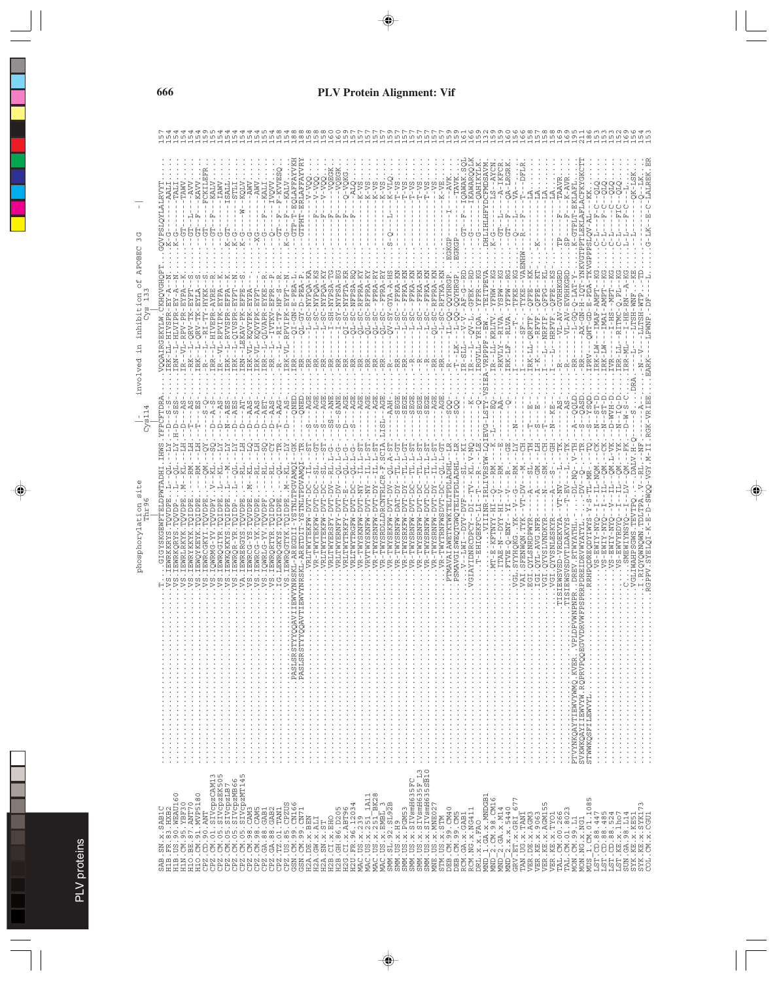|                                                                                                                                                                                                                                                                                                                                                                                                                                               | ლ<br>ო<br>APOBEC<br>inhibition<br>$\mathcal{E}$<br>Ч.<br>involved<br>$C$ ys $114$<br>31 <sub>0</sub><br>Phr96<br>phosphorylation                                                                                              |  |
|-----------------------------------------------------------------------------------------------------------------------------------------------------------------------------------------------------------------------------------------------------------------------------------------------------------------------------------------------------------------------------------------------------------------------------------------------|-------------------------------------------------------------------------------------------------------------------------------------------------------------------------------------------------------------------------------|--|
|                                                                                                                                                                                                                                                                                                                                                                                                                                               | GQVPSLQYLALRVYT<br>CKHOVGHOP<br><b>JOOAIRGEKYLW.</b><br>YFPCFTDRA<br>GIGYSKGEWFTELDPWTADHI.                                                                                                                                   |  |
| SAB.SN.x.SAB1C<br>H1B.FR.83.HXB2                                                                                                                                                                                                                                                                                                                                                                                                              | $PX - EX - R$<br>$PR - EX$<br>ys<br>L-HLVI<br>C)<br>Ļ<br><b>SADPE</b><br><b>HORI</b><br>EMRI                                                                                                                                  |  |
|                                                                                                                                                                                                                                                                                                                                                                                                                                               | TAW<br>HAXE-<br>$L - RPV - PR$                                                                                                                                                                                                |  |
|                                                                                                                                                                                                                                                                                                                                                                                                                                               | $-NV$<br>5<br>RK--L-QRV-TK-EYPT<br><b>HALLO</b><br>EWRYKKYK.                                                                                                                                                                  |  |
|                                                                                                                                                                                                                                                                                                                                                                                                                                               | -FCKILEF<br>ひ<br>也<br>L-QRV-TK-EYLA<br>L---RI-TY-HYKK<br>TOVDPI<br><b>EMOYKEY</b><br>IEWRCGKY<br>.<br>زم<br>$\frac{1}{2}$                                                                                                     |  |
|                                                                                                                                                                                                                                                                                                                                                                                                                                               | KALV<br>Þ,<br>ひ<br>L-HIVEPR-AYRE<br>RR-<br>T<br>TOVDP)<br>Z-DNBMO<br>$\ddot{\circ}$                                                                                                                                           |  |
|                                                                                                                                                                                                                                                                                                                                                                                                                                               | IAWV<br>-VL-RPVIPK-EYPA<br>HOIDPE<br>EMRQGIY<br>.<br>้. อ                                                                                                                                                                     |  |
| $\begin{small} &\text{HEAD 1, 001, 001, 000, 0000}\\ \text{HEAD 1, 001, 011, 001, 011, 001, 011, 001, 011, 001, 011, 001, 011, 001, 011, 011, 011, 011, 011, 011, 011, 011, 011, 011, 011, 011, 011, 011, 011, 011, 011, 011, 011, 011, 011, 011, 0$                                                                                                                                                                                          | $-15$<br>U<br>L-RVVSPR-EFPA<br>-EXP<br>L-QIVS<br>EWKQ<br>EWRQ<br>$\ddot{\mathrm{c}}$                                                                                                                                          |  |
|                                                                                                                                                                                                                                                                                                                                                                                                                                               | $\frac{1}{2}$<br>↻<br>⊻<br>EKAV-P                                                                                                                                                                                             |  |
|                                                                                                                                                                                                                                                                                                                                                                                                                                               | ひ<br>てり<br>$-\frac{1}{2}$<br>K-VL-KQVYP<br>L-KOVYP<br>$K - VI$<br>AAS                                                                                                                                                         |  |
|                                                                                                                                                                                                                                                                                                                                                                                                                                               | ۱<br>ひ<br>L-QLVAP<br>AET                                                                                                                                                                                                      |  |
|                                                                                                                                                                                                                                                                                                                                                                                                                                               | - IVOVT<br>O<br>$-IVTK$<br>Ŀ<br>AAS                                                                                                                                                                                           |  |
|                                                                                                                                                                                                                                                                                                                                                                                                                                               | $- - F - KVVES$<br>$-KALV$<br>$\mathbb{L}_1$<br>Ŀ,<br>Í<br>ひ<br>п<br>$-EXFP$<br>$-$ -RI-T<br>L-RPVIP<br>$K - VI$<br>AAG<br>EWRQ                                                                                               |  |
|                                                                                                                                                                                                                                                                                                                                                                                                                                               | -EQLAFFA<br><u>L</u><br>ひ<br>$QI - GN -$<br><b>RSK</b>                                                                                                                                                                        |  |
|                                                                                                                                                                                                                                                                                                                                                                                                                                               | -ERLAFFA<br><b>CTPHT</b><br>$Y-D-PE$<br>ט<br>ה<br>AR)                                                                                                                                                                         |  |
|                                                                                                                                                                                                                                                                                                                                                                                                                                               | OOA-<br>Ŀц<br>¥-<br>AOGZN-DS-L<br>-SC-NYPO<br>AGE                                                                                                                                                                             |  |
|                                                                                                                                                                                                                                                                                                                                                                                                                                               | OOA-<br>叫<br>-SC-NYPO<br><b>AGE</b><br>U)                                                                                                                                                                                     |  |
|                                                                                                                                                                                                                                                                                                                                                                                                                                               | z<br>194AN-AS-I<br>284AN-AS-I<br>294AN-HS-I<br>ď<br>U)                                                                                                                                                                        |  |
|                                                                                                                                                                                                                                                                                                                                                                                                                                               | <b>ANE</b><br>ה<br>י<br>7-DV<br>V-DV<br>WYERNF                                                                                                                                                                                |  |
|                                                                                                                                                                                                                                                                                                                                                                                                                                               | L-SC-NFPS                                                                                                                                                                                                                     |  |
|                                                                                                                                                                                                                                                                                                                                                                                                                                               | ŭ<br>L-J                                                                                                                                                                                                                      |  |
|                                                                                                                                                                                                                                                                                                                                                                                                                                               | 7.<br>-RFPRA-K<br>มี<br>- มี                                                                                                                                                                                                  |  |
|                                                                                                                                                                                                                                                                                                                                                                                                                                               | ₹<br>$\frac{R}{1}$<br>--FPRA<br>$QL-SC$                                                                                                                                                                                       |  |
|                                                                                                                                                                                                                                                                                                                                                                                                                                               | P<br>$\tilde{\zeta}$<br>$\circ$<br>$\rm _G$<br>$  FPRA$ $ R$<br>H-A-AYD-<br>$V-SY$<br>$L-SC$<br>-TSTT<br>LDS.<br>LCR.<br>R-TWYSRDI                                                                                            |  |
|                                                                                                                                                                                                                                                                                                                                                                                                                                               | L-SC--FPKA-KI<br>WYS:                                                                                                                                                                                                         |  |
|                                                                                                                                                                                                                                                                                                                                                                                                                                               | $-$ - FPKA-<br>ς<br>-                                                                                                                                                                                                         |  |
|                                                                                                                                                                                                                                                                                                                                                                                                                                               | --FPKA-K<br>c<br>-<br>C)                                                                                                                                                                                                      |  |
|                                                                                                                                                                                                                                                                                                                                                                                                                                               | $  FPKA - KO$<br>$-FPKA-K$<br>∽ฺ์<br>ں<br>- نا<br>C)<br>C)<br>R-T<br>۔<br>ط                                                                                                                                                   |  |
| SMM. US. x. 5CM53<br>SMM. US. x. SIVemH635FC<br>SMM. US. x. SIVemH635FL3.<br>SMM. US. x. SIVemH6355FL3.<br>MME. US. x. MME027                                                                                                                                                                                                                                                                                                                 | R<br>∶<br>-RFPRA<br>$L-SC$<br>EGE<br>AGE                                                                                                                                                                                      |  |
|                                                                                                                                                                                                                                                                                                                                                                                                                                               | -RFTKA-KN<br><b>AGE</b><br>ن<br>جات                                                                                                                                                                                           |  |
| $\begin{array}{l} \texttt{STIM} & \texttt{US} & \texttt{STIM} \\ \texttt{STIM} & \texttt{US} & \texttt{STIM} \\ \texttt{DBB} & \texttt{CM} & \texttt{99} & \texttt{CM40} \\ \texttt{DBB} & \texttt{COM} & \texttt{99} & \texttt{CM40} \\ \texttt{RCM} & \texttt{GA} & \texttt{X} & \texttt{CAB1} \\ \texttt{RCM} & \texttt{GA} & \texttt{X} & \texttt{CAB1} \\ \texttt{DCM} & \texttt{X} & \texttt{X} & \texttt{FBO} \\ \texttt{MND} & \text$ | GKGP<br>L-QQ-QQYHRGP<br>8<br>PTMAVAI                                                                                                                                                                                          |  |
|                                                                                                                                                                                                                                                                                                                                                                                                                                               | EGKGP<br>-QQ-QQYHRGP<br>----------<br>$\,$ l<br>ELTPDLADHI<br>PSMAVGISWE                                                                                                                                                      |  |
|                                                                                                                                                                                                                                                                                                                                                                                                                                               | KAWARC<br>$-$ -IOAMA<br>午上<br>5<br>ひ<br>$\mathbf{I}$<br>GFEK--RD<br>レーン<br>R-SLI<br>GIAYIDNRCDPC                                                                                                                              |  |
|                                                                                                                                                                                                                                                                                                                                                                                                                                               | <b>DAHI</b><br>ひ<br>-<br>RGVLL-YRIQA<br>КL.<br>- EHIQEK                                                                                                                                                                       |  |
|                                                                                                                                                                                                                                                                                                                                                                                                                                               | FMDSAVM<br><b>OXAHTHITHE</b><br>TEITPEV<br>VRPPPF-<br>QIEVG-LSTY<br>RSYW-I<br>i<br>R-1                                                                                                                                        |  |
|                                                                                                                                                                                                                                                                                                                                                                                                                                               | $K-G$<br>$L - KRLI$<br>- KETNY<br>$\ldots$ MT-E-                                                                                                                                                                              |  |
|                                                                                                                                                                                                                                                                                                                                                                                                                                               | A-IKFCR<br>A-LRGRK<br>Ŀ,<br>5<br>5<br>MdSZ<br>RKVLY--RIV<br>$RX - LF - -RLV$<br>$\frac{1}{1}$<br>ITAE-V-0-YY-HI<br>KNE-O-<br>FTVE                                                                                             |  |
|                                                                                                                                                                                                                                                                                                                                                                                                                                               | t<br>↻                                                                                                                                                                                                                        |  |
|                                                                                                                                                                                                                                                                                                                                                                                                                                               | ۱<br>۲<br>ΟK<br>VT-D'<br>--XXL MÖMVERS<br>--xxx --<br>--xxx --                                                                                                                                                                |  |
|                                                                                                                                                                                                                                                                                                                                                                                                                                               | <b>FBE</b><br>$RK-LL-Q$<br>QYLSNRDPWYR                                                                                                                                                                                        |  |
|                                                                                                                                                                                                                                                                                                                                                                                                                                               | FPE<br>YL-AVG.NF<br><b>TS</b><br>EQ1                                                                                                                                                                                          |  |
|                                                                                                                                                                                                                                                                                                                                                                                                                                               | <b>GHI</b><br>OFPE<br>--HRFVF<br>-- KB<br>QYVSLVNDK<br><b>OYVSNLES</b><br>7<br><b>USI</b>                                                                                                                                     |  |
|                                                                                                                                                                                                                                                                                                                                                                                                                                               | Ė<br>-VL-AV-GVRHKGRD<br>$-AS$<br>$-VT-TV$ -<br>EWSVSD-VRDEKT<br>$\frac{1}{2}$ , $\frac{1}{2}$ , $\frac{1}{2}$ , $\frac{1}{2}$ , $\frac{1}{2}$ , $\frac{1}{2}$ , $\frac{1}{2}$ , $\frac{1}{2}$ , $\frac{1}{2}$ , $\frac{1}{2}$ |  |
|                                                                                                                                                                                                                                                                                                                                                                                                                                               | $-AVR$<br>$\,$ I<br>Ğ,<br>V-EVRHKGRL<br>$V = -A$<br>$-AS$                                                                                                                                                                     |  |
|                                                                                                                                                                                                                                                                                                                                                                                                                                               | K-GTPLT-EKLAFL<br>$O-LAT -$<br>$-1 - 50 - 1 -$<br>RR-<br>GTO<br>-NO<br>RTWYATI<br>PTVYNKQAYTIEWVYWMQ.KVERVP<br>SVKWKQAYTIEWVYW.RQPRVPQQEGV                                                                                    |  |
|                                                                                                                                                                                                                                                                                                                                                                                                                                               | PTLEKLAFLACFKY<br>SLQV-AL-<br>$N - H$<br>PRV.<br>ASD<br>cos<br>STWWKQSFILEWVYL                                                                                                                                                |  |
|                                                                                                                                                                                                                                                                                                                                                                                                                                               | $\overline{\phantom{0}}$<br><b>LMA</b><br>RK-I<br>$\begin{array}{c} \square \\ \square \end{array}$<br>$\frac{1}{2}$                                                                                                          |  |
|                                                                                                                                                                                                                                                                                                                                                                                                                                               | 7<br>MA.<br>$RK-LW-$<br>$\Gamma$ -D<br>$VS - 1$                                                                                                                                                                               |  |
|                                                                                                                                                                                                                                                                                                                                                                                                                                               | а<br>Н<br>-WV.                                                                                                                                                                                                                |  |
| $\begin{smallmatrix} \mathtt{MWD-2} & \mathtt{111} & \mathtt{121} & \mathtt{131} & \mathtt{141} & \mathtt{151} & \mathtt{161} & \mathtt{171} & \mathtt{181} & \mathtt{181} & \mathtt{171} & \mathtt{181} & \mathtt{171} & \mathtt{181} & \mathtt{171} & \mathtt{171} & \mathtt{171} & \mathtt{171} & \mathtt{171} & \mathtt{171} & \mathtt{171} & \mathtt{171} & \mathtt{171} & \mathtt{17$                                                   | $RR - M$<br>RR-L<br>$-W -$                                                                                                                                                                                                    |  |
|                                                                                                                                                                                                                                                                                                                                                                                                                                               | $\vdots$                                                                                                                                                                                                                      |  |
|                                                                                                                                                                                                                                                                                                                                                                                                                                               |                                                                                                                                                                                                                               |  |
|                                                                                                                                                                                                                                                                                                                                                                                                                                               |                                                                                                                                                                                                                               |  |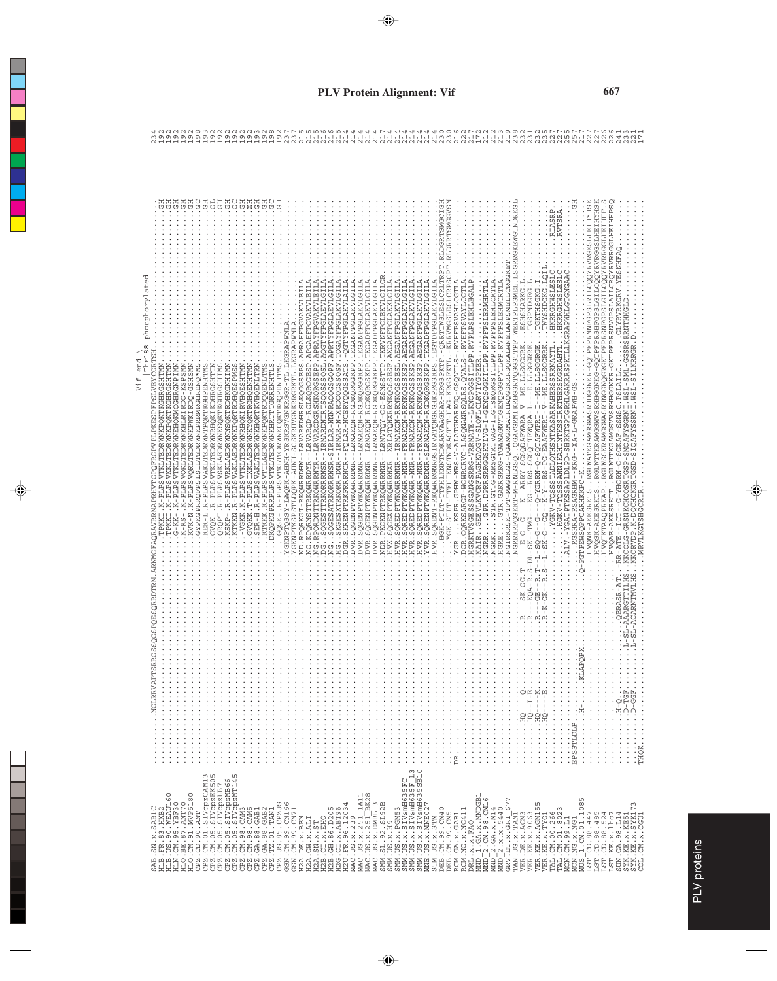| Thr188 phosphorylated<br>$rac{1}{2}$<br>Vif<br>NGLRRVAPTSRRGSS |                                                                                                                       |
|----------------------------------------------------------------|-----------------------------------------------------------------------------------------------------------------------|
|                                                                |                                                                                                                       |
|                                                                |                                                                                                                       |
| .                                                              | $\frac{1}{2}$<br>$\frac{1}{2}$<br>$\ldots$ D-TGF.<br><b>ED-0-1-1-1-1-1-1-1</b><br>$\Gamma$ -D<br>$\vdots$<br>$\vdots$ |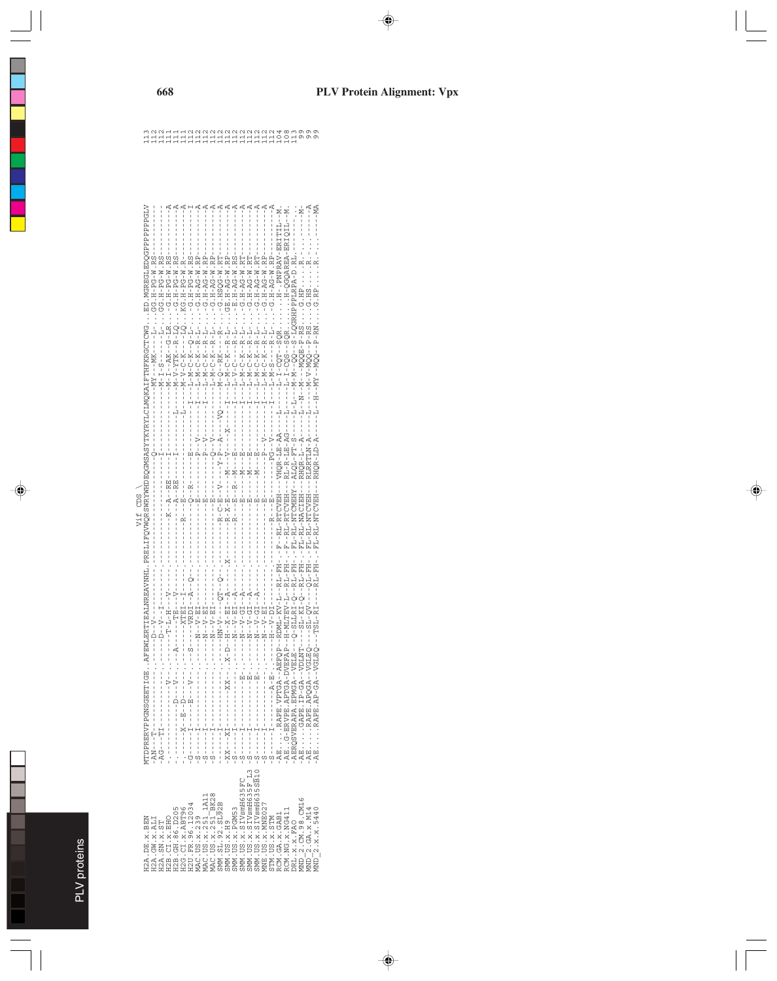PLV proteins PLV proteins

| $\frac{2}{1}$<br>E<br>Ë<br>Ë<br>Ξ<br>Ξ<br>FOT<br>š                                                                                                                                                                                                                                                                                                                                                                                                                                                                                                                                                                                                                                     |  |
|----------------------------------------------------------------------------------------------------------------------------------------------------------------------------------------------------------------------------------------------------------------------------------------------------------------------------------------------------------------------------------------------------------------------------------------------------------------------------------------------------------------------------------------------------------------------------------------------------------------------------------------------------------------------------------------|--|
| $-55 - 10 - 10 - 10$                                                                                                                                                                                                                                                                                                                                                                                                                                                                                                                                                                                                                                                                   |  |
| AERTIEALNREZAVNHI. PRELIFQVWQRSWRYMHDEQGNSASYTKYRYICIMQKAIFTFTKRRGCTCTWG ED. NGREGIAEDQGFPFPFGHALN<br>$\begin{split} \textbf{3.44}\begin{smallmatrix} \textbf{5.45}\begin{smallmatrix} \textbf{6.45}\begin{smallmatrix} \textbf{6.45}\begin{smallmatrix} \textbf{6.45}\begin{smallmatrix} \textbf{6.45}\begin{smallmatrix} \textbf{6.45}\begin{smallmatrix} \textbf{6.45}\begin{smallmatrix} \textbf{6.45}\begin{smallmatrix} \textbf{6.45}\begin{smallmatrix} \textbf{6.45}\begin{smallmatrix} \textbf{6.45}\begin{smallmatrix} \textbf{6.45}\begin{smallmatrix} \textbf{6.45}\begin{smallmatrix} \textbf{6.45}\begin{smallmatrix} \textbf{6$<br>$-1 - - - -N$ K<br>$   \Gamma$ $-$ . |  |
| $Q - SLLRT - Q - - RL - FH - - - FL - RL - NTCMEHY - - ALQL - FT - S - - -$<br>Vif CDS                                                                                                                                                                                                                                                                                                                                                                                                                                                                                                                                                                                                 |  |
| <b>ITDPRERVPPGNSGEETGEAFEWI</b><br>IERQSVERAPA. EPMGA--VELE---                                                                                                                                                                                                                                                                                                                                                                                                                                                                                                                                                                                                                         |  |
| MMM. US. x. SIVsmH635SB10<br>MM. US. x. SIVsmH635F L3<br>MM.US.x.SIVsmH635FC<br>MAC.US.x.239<br>MAC.US.x.251_1A11<br>MAC.US.x.251_BK28<br>DRL.x.x.FRO<br>MND 2.CM.98.CM16<br>MND 2.GA.x.M14<br>SMM. SL. 92. SL92B<br>I2U. FR. 96.12034<br>$\begin{array}{l} {\rm \bf A}{\rm \bf E} \cdot {\rm US} \cdot {\rm \bf x} \cdot {\rm MNE} \, {\rm O2} \, {\rm \bf 7} \\ {\rm \bf STM} \cdot {\rm US} \cdot {\rm \bf x} \cdot {\rm S} \, {\rm TM} \end{array}$<br>SMM. US. x. PGM53<br>$WD - 2. x. x. 5440$<br>H2B.CI.x.EHO<br>H2B.GH.86.D205<br>H2G.CI.x.ABT96<br>RCM.NG.X.NG411<br><b>CM.GA.x.GAB1</b><br>[2A.DE.x.BEN<br>I2A.GW.X.ALI<br><b>SMM. US. x. H9</b><br>I2A.SN.X.ST              |  |

#### **PLV Protein Alignment: Vpx**

HHHHHHHHHHHHHHHHHHH<br>HHHHHHHHHHHHHHHOOHWW<br>waahhHaaaaaaaaaaaaaaaa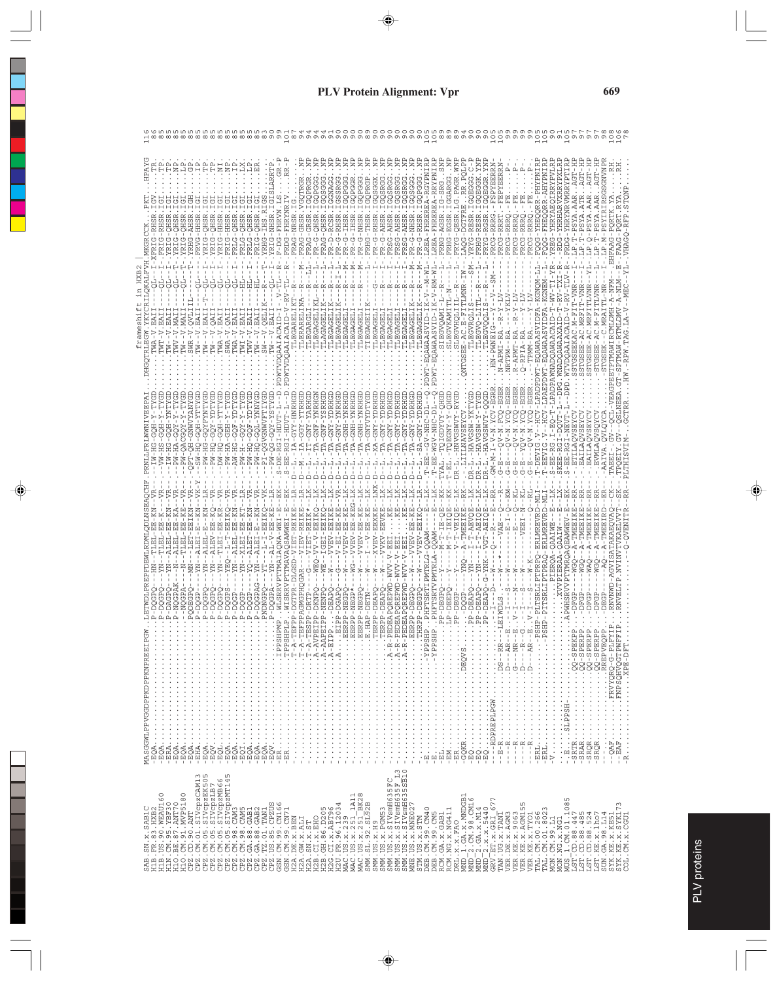| MASGGWLPPVGGDPPKDPPKNPREEIP                                                                                                                                                                                                                                                                                                                                                                                                     |  |
|---------------------------------------------------------------------------------------------------------------------------------------------------------------------------------------------------------------------------------------------------------------------------------------------------------------------------------------------------------------------------------------------------------------------------------|--|
|                                                                                                                                                                                                                                                                                                                                                                                                                                 |  |
|                                                                                                                                                                                                                                                                                                                                                                                                                                 |  |
| $\overline{\phantom{a}}$                                                                                                                                                                                                                                                                                                                                                                                                        |  |
| $\begin{smallmatrix} \text{AB} & \text{B} & \text{B} & \text{B} & \text{B} & \text{B} & \text{B} & \text{B} & \text{B} & \text{B} & \text{B} & \text{B} & \text{B} & \text{B} & \text{B} & \text{B} & \text{B} & \text{B} & \text{B} & \text{B} & \text{B} & \text{B} & \text{B} & \text{B} & \text{B} & \text{B} & \text{B} & \text{B} & \text{B} & \text{B} & \text{B} & \text{B} & \text{B} & \text{B} & \text{B} & \text{B$ |  |
|                                                                                                                                                                                                                                                                                                                                                                                                                                 |  |
|                                                                                                                                                                                                                                                                                                                                                                                                                                 |  |
|                                                                                                                                                                                                                                                                                                                                                                                                                                 |  |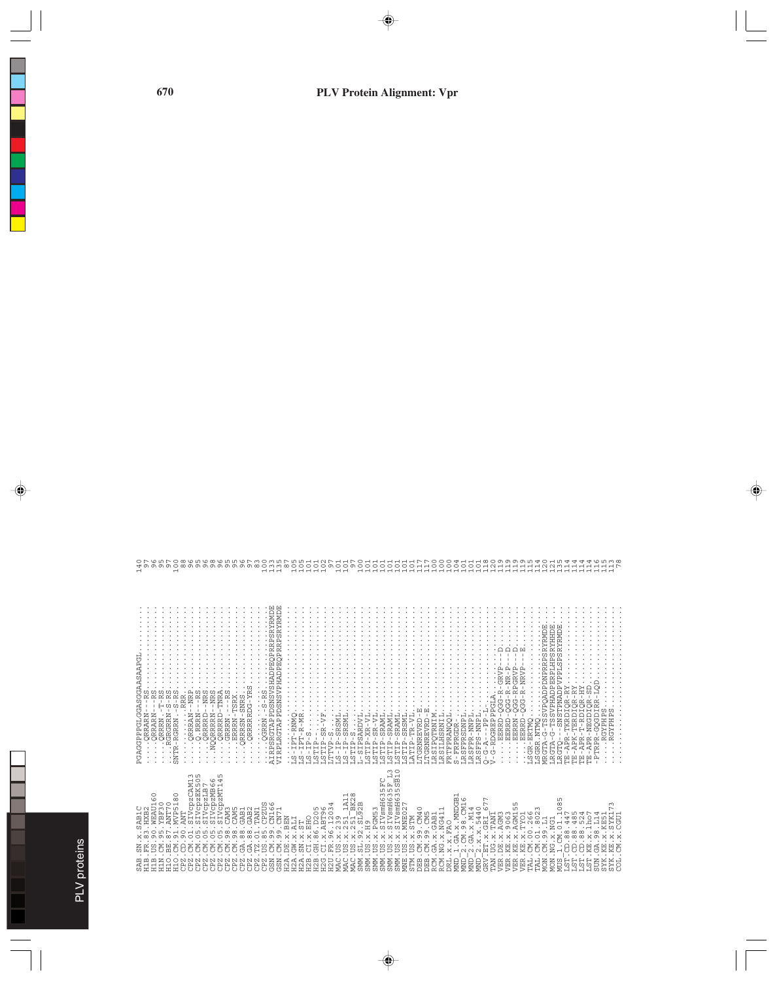|                                                                                                                                                                                                                                                                                                                                                                                                                                                                                         | PGAG                                                                                                                                                                                                                                                                                                                                                                                                                        | $\overline{ }$                      |
|-----------------------------------------------------------------------------------------------------------------------------------------------------------------------------------------------------------------------------------------------------------------------------------------------------------------------------------------------------------------------------------------------------------------------------------------------------------------------------------------|-----------------------------------------------------------------------------------------------------------------------------------------------------------------------------------------------------------------------------------------------------------------------------------------------------------------------------------------------------------------------------------------------------------------------------|-------------------------------------|
| U N<br>$\overline{\Box}$<br>SAB.<br>KIN.<br><b>SR</b>                                                                                                                                                                                                                                                                                                                                                                                                                                   | $\bullet$                                                                                                                                                                                                                                                                                                                                                                                                                   | $\circ$ $\sim$                      |
| $\circ$<br>$\circ$<br>WEAU1<br>$\circ$                                                                                                                                                                                                                                                                                                                                                                                                                                                  |                                                                                                                                                                                                                                                                                                                                                                                                                             | ৩                                   |
| $\circ$<br>BE                                                                                                                                                                                                                                                                                                                                                                                                                                                                           |                                                                                                                                                                                                                                                                                                                                                                                                                             | ທ⊳<br>0, 0, 0, 0, 0                 |
| $\circ$<br>$\infty$<br>$\overline{ }$<br>WTP5                                                                                                                                                                                                                                                                                                                                                                                                                                           | <b>NTR</b>                                                                                                                                                                                                                                                                                                                                                                                                                  | $\circ$<br>$\overline{\phantom{0}}$ |
| Ě                                                                                                                                                                                                                                                                                                                                                                                                                                                                                       |                                                                                                                                                                                                                                                                                                                                                                                                                             | $^\infty$<br>v                      |
| $\overline{\phantom{0}}$<br>EK!<br>pep:<br>Vgp:                                                                                                                                                                                                                                                                                                                                                                                                                                         |                                                                                                                                                                                                                                                                                                                                                                                                                             |                                     |
| $\begin{array}{c}\n\texttt{CKM} \\ \texttt{KSM} \\ \texttt{HBB} \\ \texttt{HBB} \\ \texttt{HBB} \\ \texttt{HBB} \\ \texttt{HBB} \\ \texttt{HBB} \\ \texttt{HBB} \\ \texttt{HBB} \\ \texttt{HBB} \\ \texttt{HBB} \\ \texttt{HBB} \\ \texttt{HBB} \\ \texttt{HBB} \\ \texttt{HBB} \\ \texttt{HBB} \\ \texttt{HBB} \\ \texttt{HBB} \\ \texttt{HBB} \\ \texttt{HBB} \\ \texttt{HBB} \\ \texttt{HBB} \\ \texttt{HBB} \\ \texttt{HBB} \\ \texttt{HBB} \\ \texttt{$<br><b>ARANGE</b><br>ARANGE |                                                                                                                                                                                                                                                                                                                                                                                                                             | ഗശ                                  |
| $\circ$<br>$\overline{4}$<br>ZMT                                                                                                                                                                                                                                                                                                                                                                                                                                                        |                                                                                                                                                                                                                                                                                                                                                                                                                             | $^\infty$<br>v                      |
|                                                                                                                                                                                                                                                                                                                                                                                                                                                                                         |                                                                                                                                                                                                                                                                                                                                                                                                                             | ഗഗ                                  |
|                                                                                                                                                                                                                                                                                                                                                                                                                                                                                         |                                                                                                                                                                                                                                                                                                                                                                                                                             |                                     |
|                                                                                                                                                                                                                                                                                                                                                                                                                                                                                         |                                                                                                                                                                                                                                                                                                                                                                                                                             | ιo                                  |
|                                                                                                                                                                                                                                                                                                                                                                                                                                                                                         |                                                                                                                                                                                                                                                                                                                                                                                                                             |                                     |
|                                                                                                                                                                                                                                                                                                                                                                                                                                                                                         |                                                                                                                                                                                                                                                                                                                                                                                                                             | ⊖                                   |
|                                                                                                                                                                                                                                                                                                                                                                                                                                                                                         | $\begin{array}{l} \texttt{AdS} \texttt{A} \texttt{S} \texttt{A} \texttt{A} \texttt{A} \texttt{A} \texttt{B} \texttt{B} \texttt{A} \texttt{B} \texttt{B} \texttt{B} \texttt{B} \texttt{B} \texttt{B} \texttt{B} \texttt{B} \texttt{B} \texttt{B} \texttt{B} \texttt{B} \texttt{B} \texttt{B} \texttt{B} \texttt{B} \texttt{B} \texttt{B} \texttt{B} \texttt{B} \texttt{B} \texttt{B} \texttt{B} \texttt{B} \texttt{B} \text$ |                                     |
|                                                                                                                                                                                                                                                                                                                                                                                                                                                                                         |                                                                                                                                                                                                                                                                                                                                                                                                                             |                                     |
|                                                                                                                                                                                                                                                                                                                                                                                                                                                                                         |                                                                                                                                                                                                                                                                                                                                                                                                                             |                                     |
|                                                                                                                                                                                                                                                                                                                                                                                                                                                                                         |                                                                                                                                                                                                                                                                                                                                                                                                                             |                                     |
|                                                                                                                                                                                                                                                                                                                                                                                                                                                                                         |                                                                                                                                                                                                                                                                                                                                                                                                                             | $\circ$                             |
|                                                                                                                                                                                                                                                                                                                                                                                                                                                                                         |                                                                                                                                                                                                                                                                                                                                                                                                                             |                                     |
|                                                                                                                                                                                                                                                                                                                                                                                                                                                                                         |                                                                                                                                                                                                                                                                                                                                                                                                                             |                                     |
|                                                                                                                                                                                                                                                                                                                                                                                                                                                                                         |                                                                                                                                                                                                                                                                                                                                                                                                                             |                                     |
| $\rightarrow \infty$<br>$\overline{\phantom{0}}$                                                                                                                                                                                                                                                                                                                                                                                                                                        |                                                                                                                                                                                                                                                                                                                                                                                                                             |                                     |
|                                                                                                                                                                                                                                                                                                                                                                                                                                                                                         |                                                                                                                                                                                                                                                                                                                                                                                                                             |                                     |
|                                                                                                                                                                                                                                                                                                                                                                                                                                                                                         |                                                                                                                                                                                                                                                                                                                                                                                                                             |                                     |
|                                                                                                                                                                                                                                                                                                                                                                                                                                                                                         |                                                                                                                                                                                                                                                                                                                                                                                                                             |                                     |
| $\infty$<br>貢                                                                                                                                                                                                                                                                                                                                                                                                                                                                           |                                                                                                                                                                                                                                                                                                                                                                                                                             |                                     |
| $\circ$<br>$\vec{B}$<br>山山の<br><u>un un un</u><br>ოოო<br>000                                                                                                                                                                                                                                                                                                                                                                                                                            |                                                                                                                                                                                                                                                                                                                                                                                                                             |                                     |
|                                                                                                                                                                                                                                                                                                                                                                                                                                                                                         |                                                                                                                                                                                                                                                                                                                                                                                                                             |                                     |
|                                                                                                                                                                                                                                                                                                                                                                                                                                                                                         |                                                                                                                                                                                                                                                                                                                                                                                                                             | HHHHHHHHHHHHHH<br>000000HH0000000H  |
| $\circ$<br>ξ.<br><b>DEB</b>                                                                                                                                                                                                                                                                                                                                                                                                                                                             |                                                                                                                                                                                                                                                                                                                                                                                                                             |                                     |
| GA<br><b>RCM</b>                                                                                                                                                                                                                                                                                                                                                                                                                                                                        |                                                                                                                                                                                                                                                                                                                                                                                                                             |                                     |
| 1.99.CM40<br>1.99.CM5<br>1.x.GAB1<br>1.x.NG411<br>2.FAO<br><b>NG</b><br>$\cdot$<br>RCM.                                                                                                                                                                                                                                                                                                                                                                                                 |                                                                                                                                                                                                                                                                                                                                                                                                                             |                                     |
| DRL                                                                                                                                                                                                                                                                                                                                                                                                                                                                                     |                                                                                                                                                                                                                                                                                                                                                                                                                             |                                     |
| ᅴ<br>$\infty$<br><b>CININ</b>                                                                                                                                                                                                                                                                                                                                                                                                                                                           |                                                                                                                                                                                                                                                                                                                                                                                                                             |                                     |
| $\circ$<br><b>CININ</b><br><b>CININ</b>                                                                                                                                                                                                                                                                                                                                                                                                                                                 |                                                                                                                                                                                                                                                                                                                                                                                                                             |                                     |
| MND <sup>-</sup>                                                                                                                                                                                                                                                                                                                                                                                                                                                                        | FRTFPRANQQL.<br>S-FRPRGDR- .<br>LRSFPRSDNPL.<br>LRSFPR-NNPL.<br>LRSFPS-NNPL.<br>LRSFPS-NNPL.                                                                                                                                                                                                                                                                                                                                |                                     |
| GRV                                                                                                                                                                                                                                                                                                                                                                                                                                                                                     | $\alpha$                                                                                                                                                                                                                                                                                                                                                                                                                    |                                     |
| TAN.                                                                                                                                                                                                                                                                                                                                                                                                                                                                                    | ပ္ ပုံ                                                                                                                                                                                                                                                                                                                                                                                                                      |                                     |
| <b>VER</b>                                                                                                                                                                                                                                                                                                                                                                                                                                                                              | $\ddot{\cdot}$<br>$\cdot$                                                                                                                                                                                                                                                                                                                                                                                                   |                                     |
| <b>VER</b><br><b>VER</b>                                                                                                                                                                                                                                                                                                                                                                                                                                                                | ÷,<br>$\bullet$                                                                                                                                                                                                                                                                                                                                                                                                             |                                     |
|                                                                                                                                                                                                                                                                                                                                                                                                                                                                                         | t,<br>$\cdot$                                                                                                                                                                                                                                                                                                                                                                                                               | ጣ                                   |
| VER.                                                                                                                                                                                                                                                                                                                                                                                                                                                                                    | $\ddot{\cdot} \ddot{\mathbb{g}}$<br>. ທ                                                                                                                                                                                                                                                                                                                                                                                     |                                     |
| TAL                                                                                                                                                                                                                                                                                                                                                                                                                                                                                     | GRR<br>ŏ,                                                                                                                                                                                                                                                                                                                                                                                                                   |                                     |
| <b>MON</b>                                                                                                                                                                                                                                                                                                                                                                                                                                                                              |                                                                                                                                                                                                                                                                                                                                                                                                                             | o                                   |
| LO<br><b>MON</b><br>NUS                                                                                                                                                                                                                                                                                                                                                                                                                                                                 |                                                                                                                                                                                                                                                                                                                                                                                                                             |                                     |
| $\begin{array}{l} \textbf{X}, \textbf{x}, \textbf{x}, \textbf{m} \\ -1, \textbf{G}, \textbf{38}, \textbf{CMD} \\ -1, \textbf{G}, \textbf{38}, \textbf{CMD} \\ \textbf{X}, \textbf{X}, \textbf{S}, \textbf{490} \\ \textbf{X}, \textbf{B}, \textbf{X}, \textbf{X}, \textbf{S}, \textbf{490} \\ \textbf{X}, \textbf{B}, \textbf{B}, \textbf{X}, \textbf{X}, \textbf{B}, \textbf{B} \\ \textbf{B}, \textbf{B}, \textbf{B}, \textbf{B}, \textbf{B}, \textbf$<br>$5-1$                       | MRGTA-(<br>LRGTA-(<br>LRGTQ--<br>TE-APK-<br>TE-APR-                                                                                                                                                                                                                                                                                                                                                                         |                                     |
| ğ                                                                                                                                                                                                                                                                                                                                                                                                                                                                                       |                                                                                                                                                                                                                                                                                                                                                                                                                             |                                     |
|                                                                                                                                                                                                                                                                                                                                                                                                                                                                                         |                                                                                                                                                                                                                                                                                                                                                                                                                             |                                     |
| $\begin{array}{c}\n 4800 \\  + 3000 \\  - 11\n \end{array}$<br>$\cdot$ $\infty$<br>$\sigma$<br><b>SSS</b>                                                                                                                                                                                                                                                                                                                                                                               | Н<br>$\sim 10$<br>Ā,<br>묩                                                                                                                                                                                                                                                                                                                                                                                                   |                                     |
| $\cdot$<br>$\cdot$<br>$\cdot$<br>УК                                                                                                                                                                                                                                                                                                                                                                                                                                                     |                                                                                                                                                                                                                                                                                                                                                                                                                             |                                     |
| 175 47 4111<br>YK.<br>ωŏ<br>$\cdots$<br>$\cdot$<br>SYK<br>COL                                                                                                                                                                                                                                                                                                                                                                                                                           |                                                                                                                                                                                                                                                                                                                                                                                                                             |                                     |
|                                                                                                                                                                                                                                                                                                                                                                                                                                                                                         |                                                                                                                                                                                                                                                                                                                                                                                                                             |                                     |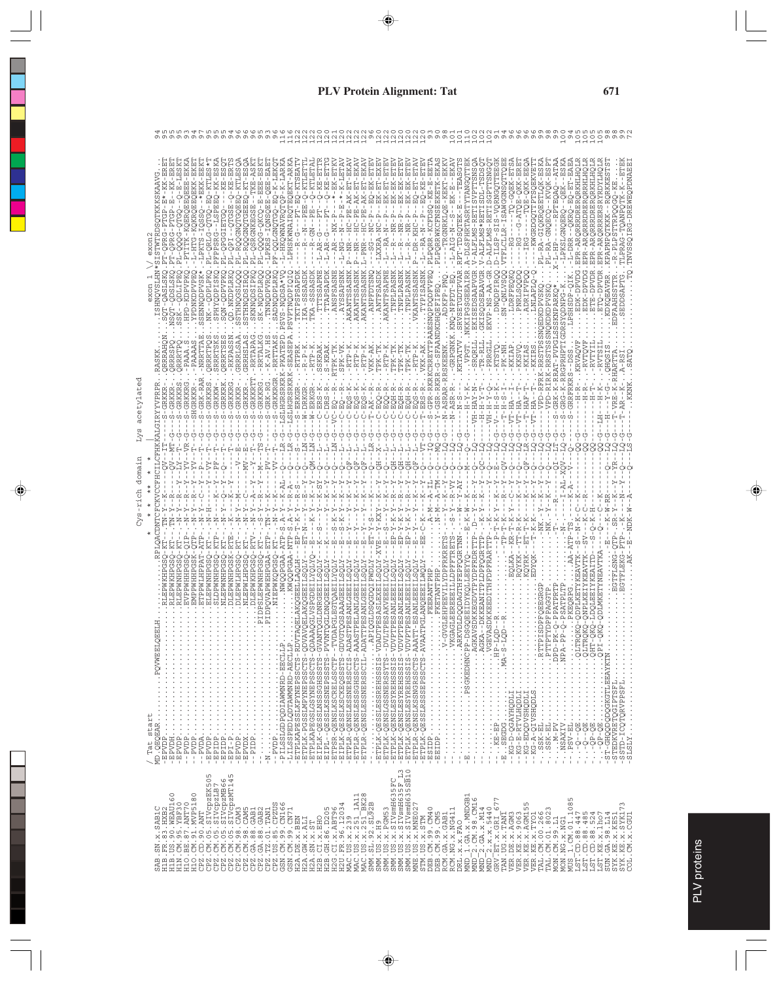| <b>TSHNQVSLHN*</b><br>*XSA4QQMMBSS.<br>ÖHALDINGIAT<br>HPD-KDPVP<br>T-QASLS<br>T-QDSLS<br>exon<br>QDLI)<br>SS:<br>RRRTPQ<br>-PAAA.S<br>- PAAAAS<br>RRRAHC<br><b>RRRSP</b><br><b>RASKK</b><br>acetylated<br>RKKRG<br>QACDNTCFCKVCCFHCILCFHKKALGIRYYVPRPR<br>RKKRS<br>SHGRKKR<br>S-GRKKR<br>ט<br>י<br>יָ<br>י<br>Eys<br>무<br>ပု<br>-- M1<br>domain<br>$Cys-rightch$<br>J.<br>ğ<br>VPPWHHP<br>RLEPWNHP<br>HOWEET OF<br>.<br>$\begin{array}{c} \frac{1}{2} \\ \frac{1}{2} \end{array}$<br>/ Tat start<br>MD.QEQEAR<br>-EPVDP<br>$\ddot{\cdot}$<br>$\vdots$                                                                                                                                                                                                                                                                                                                                                                                                                                                                                                                                                                                                                                                                                                                                                                                                                                                                                                                                                                                                                                                                                                                                                                                                                                                                                                                                                                                                                                                                                                                                                                                                                                                                                                                                                                                                                                                                                                                                                                                                                                                                                   |
|-----------------------------------------------------------------------------------------------------------------------------------------------------------------------------------------------------------------------------------------------------------------------------------------------------------------------------------------------------------------------------------------------------------------------------------------------------------------------------------------------------------------------------------------------------------------------------------------------------------------------------------------------------------------------------------------------------------------------------------------------------------------------------------------------------------------------------------------------------------------------------------------------------------------------------------------------------------------------------------------------------------------------------------------------------------------------------------------------------------------------------------------------------------------------------------------------------------------------------------------------------------------------------------------------------------------------------------------------------------------------------------------------------------------------------------------------------------------------------------------------------------------------------------------------------------------------------------------------------------------------------------------------------------------------------------------------------------------------------------------------------------------------------------------------------------------------------------------------------------------------------------------------------------------------------------------------------------------------------------------------------------------------------------------------------------------------------------------------------------------------------------------------------------------------------------------------------------------------------------------------------------------------------------------------------------------------------------------------------------------------------------------------------------------------------------------------------------------------------------------------------------------------------------------------------------------------------------------------------------------------------------------|
| $N-1$<br>Ļ<br>ш<br>m<br>匞<br>ā<br>⌒<br>Σ<br>O<br>回<br>n<br>n<br>( )<br>ċΩ<br>$\overline{A}$<br>J.<br>I.<br>٠<br>F<br>ပ္ပ<br>$\overline{\phantom{a}}$<br>J.<br>п<br>N-<br>$N-N$ .<br>$-XXX-$<br>$\mathsf I$<br>١,<br>J.<br>١,<br>J,<br>$EP-T-K$<br>-x<br>ς<br>ι<br>×<br>-<br>CO.<br>-x<br>¥<br>CO.<br>$\mathbf{I}$<br>۹.<br>f,<br>$\blacksquare$<br>CΩ<br>C)<br>CO.<br>r-N<br>$-KR - T$<br>- 113 -<br>i<br>F<br>KWQQPGAA-NTP-<br>Ľ<br>Ţ<br>$\begin{bmatrix} 1 & 1 \\ 2 & 2 \end{bmatrix}$<br>ı.<br>$\,$ I<br>÷<br>$\begin{array}{c} \hline \end{array}$<br>l.<br>J<br>á<br>$\Delta$<br>FRARTTP<br>욥<br>욥<br>AGLEEREEEILLDPFFTRETS<br>GRTTP<br>VGLEHPEEVILYDPFRKRETS<br>囩<br>闰<br>闰<br><b>F</b><br>凹<br><b>[1]</b> [1]<br>TPESASLEXEILSQLY-XVE<br>ш<br>凹<br>턱<br>$-AT$<br>. . NWQQPGAA-A<br>$\mathsf I$<br>$\,$ I<br>$\overline{\phantom{a}}$<br>٠<br>Ţ<br>NLEPWNHPGSQ-<br><b>DAT</b><br><b>ETEPMIHPGSQ</b><br>SLDPMIHPGSQ<br>GSK<br>ETPPWIHPPAT<br>ELEPWIHPGSQ<br>DLEPWNHPGSK<br>GSO<br><b>ELAKQGEELLAQLH</b><br>ELAKQGEEILSOLY<br><b>EEILSOLY</b><br><i>I</i> BLANLGEBI LISQLY<br>VIQSI I EESANLGEBI LISQ<br><b>ATOXIIEACTESH</b><br>ATLAMA I ÖCEDÖSCITED<br>EMPPWHHP<br><b>IDPOVAPWEHP</b><br>NTEPMIHPO.<br>NTEPMIHPO.<br>DLEPWKHP<br>DPSLEPWNHP<br>NIEPWKQP<br><b>DLDOODAGTHF</b><br><b>BEIDYKQ</b><br>-PSATPLIT<br>-PPATPRT-<br>QGSAAAG<br><b>SAKVE</b><br><b>SANLE</b><br><b>LEESANLEE</b><br>I-ESANLEE<br>PGLANQE<br>PKEOR<br>SANLEI<br>SDKKEED<br><b>SANLG</b><br>-DKKEA<br>KKEG<br>Ë<br>囸<br>医皮质<br>SD.<br>д<br>н<br>- ETPLIXABESSLIXPINGER<br>- ETPLIX-PGSSLIMPINGERSCTS-ON<br>- ETPLIX-DESSLOSSNISSNISSSCTS-ON<br>- ETPLIX-DESSLOSSNISSSESSSC-ON<br>- ETPLIX-DESSLOSSNISSSSSSS-ON<br>- ETPLIX-DESSLOSSNISSS<br>LVCT - TLOSSMARS SETS WARREN - LAND<br>SVCT - SLOSSMARS SETS WARD - STATE -<br>SVCT - SLOSSMARS SETS WARD - STATE -<br>SVCT - SLOSSMARS SETS WARD - STATE -<br>SVCT - STATE - STATE - STATE - STATE - STATE -<br>$\begin{array}{r} -\texttt{FPYDDH} \\ -\texttt{FPYDD} \\ -\texttt{FPYDD} \\ -\texttt{FPYDD} \\ -\texttt{FPYDD} \\ -\texttt{FPYDD} \\ -\texttt{FPYDD} \\ -\texttt{FPYDD} \\ -\texttt{FPYDD} \\ -\texttt{FPYDD} \\ -\texttt{FPYDD} \\ -\texttt{FPYDD} \\ -\texttt{FPYDD} \\ -\texttt{FPYDD} \\ -\texttt{FPYDD} \\ -\texttt{FPYDD} \\ -\texttt{FPYDD} \\ -\texttt{FPYDD} \\ -\texttt{FPYDD} \\ -\texttt{FPYDD} \\ -\texttt{FPYDD} \\ -\$<br>$-$ ESIDP.<br>$\pm$<br>$\pm$ 1<br>SMW. US .x. 126M53<br>SMW. US .x. 5 LV9mH63 5 FC<br>SMW. US .x. 5 LV9mH63 5 F _ L3<br>SMW. US .x. 5 LV9mH63 5 F _ L3<br>SMW. US .x. 5 LV9mH63 5 SB10<br>ME .CM. 30 .CM40<br>DBB. CM. 30 .CM40<br>RCM. NG. x. 104 11 |
| QDPLKETYKEAVT<br>$\mathbf{I}$                                                                                                                                                                                                                                                                                                                                                                                                                                                                                                                                                                                                                                                                                                                                                                                                                                                                                                                                                                                                                                                                                                                                                                                                                                                                                                                                                                                                                                                                                                                                                                                                                                                                                                                                                                                                                                                                                                                                                                                                                                                                                                                                                                                                                                                                                                                                                                                                                                                                                                                                                                                                           |
| $\begin{small} &\text{HE} & \text{HE} & \text{HE} \\ \text{HE} & \text{HE} & \text{HE} \\ \text{HE} & \text{HE} & \text{HE} \\ \text{HE} & \text{HE} & \text{HE} \\ \text{HE} & \text{HE} & \text{HE} \\ \text{HE} & \text{HE} & \text{HE} \\ \text{HE} & \text{HE} & \text{HE} \\ \text{HE} & \text{HE} & \text{HE} \\ \text{HE} & \text{HE} & \text{HE} \\ \text{HE} & \text{HE} & \text{HE} \\ \text{HE} & \text{HE} & \text{HE} \\ \text{HE} & \text{HE} & \text{HE$                                                                                                                                                                                                                                                                                                                                                                                                                                                                                                                                                                                                                                                                                                                                                                                                                                                                                                                                                                                                                                                                                                                                                                                                                                                                                                                                                                                                                                                                                                                                                                                                                                                                                                                                                                                                                                                                                                                                                                                                                                                                                                                                                                |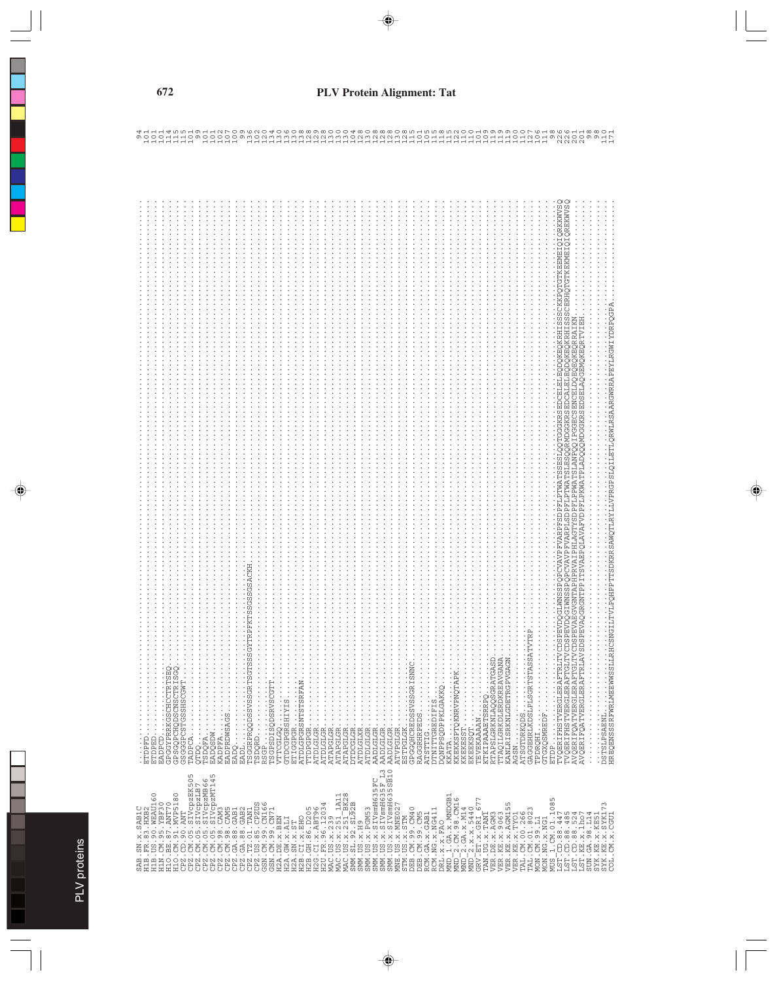| ı        |
|----------|
| 5        |
|          |
| ١        |
| $\Omega$ |
|          |
|          |
| ŕ        |
|          |

| 8<br>$\alpha$<br>EADPCD<br>GPGGYPRRKGSCHCCTRTS<br>GPGGYPRRKGSCHCCTRTS<br>GSGGGPCSTGSSHSCGWT<br>$\begin{minipage}{0.99\textwidth} \begin{minipage}{0.99\textwidth} \begin{minipage}{0.99\textwidth} \begin{minipage}{0.99\textwidth} \begin{minipage}{0.99\textwidth} \begin{minipage}{0.99\textwidth} \begin{minipage}{0.99\textwidth} \begin{minipage}{0.99\textwidth} \begin{minipage}{0.99\textwidth} \begin{minipage}{0.99\textwidth} \begin{minipage}{0.99\textwidth} \begin{minipage}{0.99\textwidth} \begin{minipage}{0.99\textwidth} \begin{minipage}{0.99\textwidth} \begin{minipage}{0.9$<br>$\mathbf{TADPCA}\cdot\cdot\cdot\cdot\cdot\cdot\cdot\cdot\cdot\cdot\cdot\cdot\cdot\cdot$<br>$\vdots$<br>ETDPED | SSGSSGSACKH<br><b>PFKT</b><br>$\alpha$<br><b>GYTI</b><br>C)<br>Ωņ<br>ATDLGLGR<br>ATAPGLGR<br>RSGP<br>TSGPSDISQDSRVSCGTT<br>ETIGGPGR<br>ATDLGPGRSNTSTSRFAN<br>TTDPGPGR<br>$\vdots$<br>$\frac{1}{2}$<br>ATAPGLGR<br>ATAPGLGR<br>$\frac{1}{2}$<br>VTTCGLGQ<br>GTDCGPGRSHIYIS<br>$\vdots$<br>ATDLGLGR<br>$\vdots$<br>AADLGLGR<br>ETIGGPGR<br>AADLGLGR.<br><b>DTDCGLGR</b><br>ATDLGLXR | TRITTVÖDS BRUDQGIMNSS SPOR CVAVP FVAR PRSDBPILPTNATS SESILQOTGGGKRS SDORLEI LEGODOKROKRHI SSSCKKPOTGTKERMEI QIZKNVSS<br>TGITTVÖDS PEVDQGIMNSS POR CVAVP FVAR PLSDPFILPTNATS LESOQRNDGGKRS EDCALE LEGODOKROKRHI SSSCKKPOTGTKERMEI<br>TRLAVSDSPEVAQGRGNTPPTTSVAEPQLAVAFVDPFLPKWATPLADQQQMDGGKRSEDSELAQGEMQKEQRTVIE<br>$\alpha$<br>SATVT<br>GASD<br>GANA<br>GAGN<br><b>EAS</b><br>ğ<br>AVQERIFQATVERGLERAFT<br>TTAQILGRKDLERDKREAV<br>AVQERIFQATVERGLERAF<br>KKATA.<br>KKEKKSPTQKNRVPNQTAP.<br>RTAPSLGRKNLAQQSGRAT<br>KANLRISRKNLGDETRGPV<br>AGSN<br>ATSGTDRKQDS<br>GAGGEHRLKDSLPLSGRTS<br>TVQERIFHSTVERGLERAF<br>ESTPGLGK<br>GPGGQHCREDSSVSSGRIS<br>$\frac{1}{2}$<br>$\vdots$<br>AADLGLGR<br>ATVPGLGR<br>DQNPPSQDPPKLGAKKQ<br>.<br>$\ddot{\cdot}$ $\ddot{\cdot}$ $\ddot{\cdot}$ $\ddot{\cdot}$<br>RAGGRHRPEDS<br>.<br>KTKIPAAAETSRRPQ<br>$\begin{array}{c} \vdots \\ \vdots \\ \vdots \\ \vdots \end{array}$<br>ATSTTIG<br>DTNITTGREDIFIS<br>TEVEKAAAAN<br><b>GTGXQSMREDF</b><br>KKEKESST<br>EKEEKSQT |
|----------------------------------------------------------------------------------------------------------------------------------------------------------------------------------------------------------------------------------------------------------------------------------------------------------------------------------------------------------------------------------------------------------------------------------------------------------------------------------------------------------------------------------------------------------------------------------------------------------------------------------------------------------------------------------------------------------------------|-----------------------------------------------------------------------------------------------------------------------------------------------------------------------------------------------------------------------------------------------------------------------------------------------------------------------------------------------------------------------------------|-----------------------------------------------------------------------------------------------------------------------------------------------------------------------------------------------------------------------------------------------------------------------------------------------------------------------------------------------------------------------------------------------------------------------------------------------------------------------------------------------------------------------------------------------------------------------------------------------------------------------------------------------------------------------------------------------------------------------------------------------------------------------------------------------------------------------------------------------------------------------------------------------------------------------------------------------------------------------------------------------------|
| ETDPFD.<br>EADPCD                                                                                                                                                                                                                                                                                                                                                                                                                                                                                                                                                                                                                                                                                                    |                                                                                                                                                                                                                                                                                                                                                                                   | TPDRQHI<br>AGSN                                                                                                                                                                                                                                                                                                                                                                                                                                                                                                                                                                                                                                                                                                                                                                                                                                                                                                                                                                                     |
|                                                                                                                                                                                                                                                                                                                                                                                                                                                                                                                                                                                                                                                                                                                      | SMM.US.x.SIVsmH635FC<br>SMM.US.x.SIVsmH635F L3<br>SMM.US.x.SIVsmH635SB10<br>$-1311$<br>$-BK28$<br>MAC.US.x.239<br>MAC.US.x.251_1A1<br>MAC.US.x.251_BK2<br>SMM.SL.92.SL92B<br>H2U.FR.96.12034<br>SMM.US.x.PGM53<br>SMM. US. x. H9                                                                                                                                                  | $\begin{array}{l} \mathbf{D}\mathbf{E1} \ldots \mathbf{X} \ldots \mathbf{F}\mathbf{A}\mathbf{O} \\ \mathbf{D}\mathbf{E1} \ldots \mathbf{X} \ldots \mathbf{F}\mathbf{A}\mathbf{O} \\ \mathbf{M}\mathbf{M}\mathbf{D} \ldots \mathbf{I} \ldots \mathbf{G}\mathbf{A} \ldots \mathbf{X} \ldots \mathbf{M}\mathbf{M}\mathbf{D}\mathbf{G}\mathbf{B1} \\ \mathbf{M}\mathbf{M}\mathbf{D} \ldots \mathbf{Z} \ldots \mathbf{C}\mathbf{M} \ldots \mathbf{G}\mathbf{M$<br>LN<br>VER.KE.X.9063<br>VER.KE.X.XAGM155<br>MUS 1.CM.01.1085<br>LST.CD.88.447<br>LST.CD.88.485<br>LST.KE.X8.1507<br>LST.KE.X8.1507<br>SUN.GA.98.L114<br>MNE.US.x.MNE027<br>SYK.KE.X.SYK173<br>STM.US.x.STM<br>DEB.CM.99.CM40<br>DEB.CM.99.CM5<br>RCM.GA.x.GAB1<br>RCM.NG.x.NG411<br>VER.KE.X.TYO1<br>TAL.CM.00.266<br>TAL.CM.01.8023<br>MON.CM.99.L1<br>VER. DE. x. AGM3<br>TAN.UG.X.TANI<br>SYK.KE.X.KE5<br>MON.NG.x.NG1<br>COL.CM.x.CGU                                                                                               |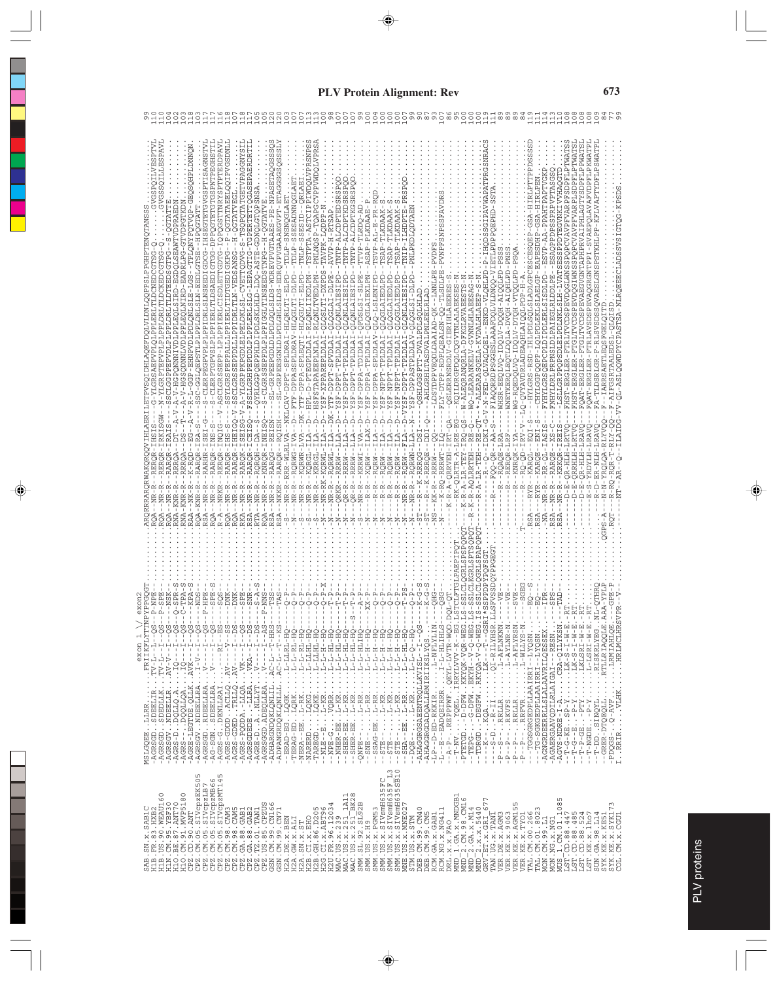| OPOGSTTNRYSPTPTERDPAVI<br>ILLINESPTVI<br>ILLLESPAVI<br>GIAII<br>GTETGVGSPTISAGNSTV<br><b>EGHSTI</b><br>X-RQH4LqHQ8QB-qQH-L-R-d-q9P-HXHXQN1SLB-LQJ3-5-D-1-812CNYXRQP-d-D-QBQS0HZQB-0-DNNQ<br>-CLERPTGPVSLPLPPIERLTLDSAEDIGTGG-DPPQGTETGTGSPNTP<br>V-HGPQNMNIVDLAPLAQLSIRD-BGDQLSBAWTVDPRARIN<br>-A-V-HGSQDNNLVDLPPLEQLNIRD-EADRLPG-GTVDPGTKDN<br>-CLERPEGPVPLGPLDRLSLMSEEDIGDCG-IHSE<br>-V-ASCLGRSSEPP-LPLPPIERLCISDLETTGDTG-I<br>EPSTLPLPPLDRLSLM-EEDLGTSE<br><b>SCLGGPP</b><br>SC-GGLQ<br>٠,<br>$-$ -DT--A-V-A<br>σī<br>CΩ<br>š<br>KI S<br>RARQR-IRA-S<br>S - S<br>RERQR-INQIG<br>RARHR-IS<br>$-1R$<br>RARQR-IR<br>RARQR-IN<br><b>RRROA</b><br>RRRQA<br>RAA--NK-R--<br>NR-R<br>NRKR<br>RNA – KNR – R<br>RNA – KNR – R<br>NR-R<br>--NR-R | -QGTATAEELQQIPVGSDNL<br>Q--FSSLLGRHPEDDLPFLBRLSLG-LBPAGTIG-DGPERTTTQGASEPAERDRTII<br>-TSQPQTATGEVPAGGNYS<br>RARQR - IHEIGQ - V - SSCLGRSSEPPDLLLPPIDRLTLM - VEDSANSG - H -QGTATVEGL<br>G-V-A-YLGRPPKPGDLELPELDKLSL-CVETTQDVG-S<br>SYLGRSPEPPALLLPPIERLTIDTGEDIGKPG<br>S<br>$S - S$<br>RARQK-ISEIS<br>RARQR-ICEIS<br>RARQR-IH<br>$NR - R$<br>$NR - R$<br>NR-R<br>$NR - R$<br>$SA -$ | PPHLDIPDLSKLHLD-LDQ-ASTE-GDNQLGTQPSNSA<br>HLQRLTI-ELPD--TULP-SNSNQGLAE<br>EPPDLPLPPPIGGLTINSEEDSTNPG<br>NR-R-RRR-WLRLVA--NKLCAV-DPPT-SPLDRAI<br>QYRLGGPQ<br>$S-CLGRSS$<br>RARQG--REISN--<br>RARQR--RQISH--<br>KNRQR-INEIS<br><b>RQRQH</b><br>NKKR--<br>$NR - R$<br>NR-R | RSNPSS<br>NLNQSP-TQAPGCVPPVWDQLVPR<br>STPTA-ASTCIPPIWDOLVP<br>-SSESADNNQGLAET<br>TNLP-SSESID--ORLAE<br>AVPK-LODPP-N<br>--D--HPL-D-PTEGPLDLAI-RLONLIKDLPN--T.<br>-QLQSLTI-DXPDS-<br>-RLQNLTVEDLPN-<br>PLNLAI<br>--YSF-XPPAREPLDLA<br>-- HSFSTAPAEE<br>$\square$<br>$\Box$<br>ILA--<br>KORGL-ILA<br>KRRGL-I<br>NR-RK-KQRWL-<br>$NR - R - -$<br>$NR - R$                                                                              | TNTP-ALCDPTEDSRSPQD<br>C<br>TNTP-ALCDPTKGSRS<br>NTP-ALCDPTKDSR<br>AVVP-H-RTSAP<br>FQLQGLAI-DLPE<br>-QLQNLAIESIPD<br>-QLQNLAIESIPD<br>-QLQNLAIESIPD<br>ILA--DK-YTF-DPPT-SPVDLAI<br>YSF-DPPT-TPLDLAI<br>IYTICILAL-LLGIC-ASX<br>IYTICILAL-LLGIC-ASX<br>t<br>$\Box$<br>Ŧ<br>RQRWL-<br>RRRW--<br>RRRW--<br>RRRW--<br>$NR - R - -$<br>QRKR--<br>$R - R - -$<br>$R - R - -$ | 며<br>!<br>TVP-TLRDO-AD<br>- PR<br>SAP-PLKDAAE<br>$-LA$<br>Ť<br><b>FQFDSLSI-SLPE</b><br>-OLOGLAIEXLPN<br>TATIONA-REAG-TASX--<br>ALICTIAL-VIAD-LISA--<br><b>ETTE</b><br>$--ZSF-DPPA-S$<br>ILAX-1<br>$R - R - KRRWI -$<br>$R - R - - XQRW - -$<br>$-$ - RQRW | NIP-ILHDPTE<br>-TLKDAAK<br>SAP-TLKDAAM<br><b>SAP</b><br><b>SAP</b><br>GLAIEDLPD<br>LQGLAIEDLPD<br>41227-1870070-071014128440-48X--<br>412274140070-071014128440-48X--<br>LOGLAIEDLPD<br>IVICTEL-LEGN-ASX--<br><b>ALDLA</b><br>ASF-NPPT-TRILLA<br>Ë<br>LddN-4SX--<br>-VYSF-DPPT<br>RQRW--<br>RQRW-<br>RQRW-<br>$-$ -RQRW<br>Ţ<br>Ţ<br>Ţ<br>$R - R$<br>$R - R$<br>$NR - R$<br>$\frac{1}{1}$ | PNLPKDLODTAE<br>K--LMNLF<br>-QSHLGGSPTT-DVALPDLSQLHLAD<br>--AHLGRHLTASDVA<br>-LDSTDPPVE<br>55<br>--NR-R--RQRWN-LLA<br>$R - K - RRRQG - - D$<br>K-RRROE<br>$ -KK$ $-R$ $ RRR$<br>Ţ                                                                                                                                                                             | SFAVDR<br><b>SAIRS</b><br>PVNPF<br>ú<br>Q-TLSDLP<br>--WQ-LEARANKELV-GVNNLHLAEESAG<br>- QA---QSLERRNSRDLV-GIERIHLABERE<br>ERERTHIRETD-VIGRENSRBERG---GP<br>S--W-ALEQRANQRLA-DFKGLRVAEE<br>- FLY-DTPP-RDPLQEALSN-Q<br>o<br>Ö<br>K-RQ-RRRWT-I<br>$-K-R - A - QRRVEH$<br>$K - R - A - LR - T EY$<br>--R-K-R-AQLRRTEH<br>RK-OLRTR | WHSR-EEQLVQ-IQQLV-DQQH-AIQQIPD-PSSS<br>LVAOLOEL--ENKD-VLOHLPD-P<br>FIAQQRRDPSGGBSLAAAFDQLVLDNQQ-<br>T--*-ALEARASQELA-KVDALHLAEE<br>$-0-0$ EEP-V-V-V<br>$A-S$<br>KI-<br>RQAQE-LR<br>$- FQQ - QR - - P$<br>$R - A - LR - TEH$ | P-GSA-HIRLPTTPPDSSSS<br>CESOE<br>WNETKERQLEQTLDQLA-DVQH-AIQHLPD-PNSS.<br>WG-RQEDQLVQ-IDQLV-DTQH-VTQQLPD-PSQA.<br>- HYLGRS-RSD-IHLPDLSOLSLADLGPCES<br>- - LQ-QVYAVDRLADEAQHLAIQQLPDP-H-A<br>RO-OD-IR<br>KAROL--E<br>REROR-LR<br>$K-1$<br>KNRO <sub>1</sub><br>$-$ R $-$ -1<br>$- - R - -$<br>$R - -1$<br>$-RYR$ | PAHTPAPTVGKP<br>SAQPPDPSSPRPVPTASGS<br>MERITELY - RSD-GHOSERYE-EDTENTSTYETSTARTOF-GSDELYHD-C<br>$SVP - A A - P$<br>ISDLPD--B<br>田ー<br>FNHYLDRLPRPNSLDLPAIEGLRLDDLPE<br>FYHYLGRSQEPCPLDIPDLERLS<br>÷<br>$\,$ I<br>KAROE--ENI-<br>$L - I A$<br><b>RAROE</b><br>$-RYR - -$<br>$- -NR - R - -$<br>$RSA - NR - R - -$ | POPCVAVPFVARPFSDPFLPTWATS<br>FVARPLSDPFLPTWAT<br>SSPPDTEGVNKIVVHAOGTD<br>POPCVAVP<br>-LSLLGRPPQPSDLELPDLNKLSLH-LVATSE<br>- FHST-ERGLER-FTRLTVCDSPEVDQGLWNSS<br>$\frac{1}{\alpha}$<br>FHST-ERGLE<br>RSA--NR-R--KRKOR-IR<br>$D - E - QR - H L H - L R$<br>RRHLH<br>$D - E - Q$                                                                                                                                                                                                                                                                      | SDPFLPPWAT<br>-SVAEPQLAVAFVDPFLPKWAT<br>-RLSVSDSSQVAESLGNSPSSTKHLPP-KFLVAPTYDFL<br>G-VV-0L-ASLOOWDPYCPASTSA-NLROEECLADSSVSIGOG-KPSDS<br>FQAT-ERGLER - FTGLIVCDSPEVAEGVGNTAPHRVAIPHLAGTY<br>FQAT-ERGLER-FTRLAVSDSPEVAQGRGNTPP<br>DSL-QLQISD<br>GSRTAALE<br>FA-TLDSRLG<br>$F - A I F$<br>-S-YRDYLH-LRAV<br>R-D-ER-NLH-LRAV<br>$D - E - QR - H L H - L R$<br>$R - RQ -$                          |
|------------------------------------------------------------------------------------------------------------------------------------------------------------------------------------------------------------------------------------------------------------------------------------------------------------------------------------------------------------------------------------------------------------------------------------------------------------------------------------------------------------------------------------------------------------------------------------------------------------------------------------------------------------------------------------------------------------------------------------------|------------------------------------------------------------------------------------------------------------------------------------------------------------------------------------------------------------------------------------------------------------------------------------------------------------------------------------------------------------------------------------|-------------------------------------------------------------------------------------------------------------------------------------------------------------------------------------------------------------------------------------------------------------------------|------------------------------------------------------------------------------------------------------------------------------------------------------------------------------------------------------------------------------------------------------------------------------------------------------------------------------------------------------------------------------------------------------------------------------------|----------------------------------------------------------------------------------------------------------------------------------------------------------------------------------------------------------------------------------------------------------------------------------------------------------------------------------------------------------------------|-----------------------------------------------------------------------------------------------------------------------------------------------------------------------------------------------------------------------------------------------------------|-------------------------------------------------------------------------------------------------------------------------------------------------------------------------------------------------------------------------------------------------------------------------------------------------------------------------------------------------------------------------------------------|---------------------------------------------------------------------------------------------------------------------------------------------------------------------------------------------------------------------------------------------------------------------------------------------------------------------------------------------------------------|------------------------------------------------------------------------------------------------------------------------------------------------------------------------------------------------------------------------------------------------------------------------------------------------------------------------------|-----------------------------------------------------------------------------------------------------------------------------------------------------------------------------------------------------------------------------|----------------------------------------------------------------------------------------------------------------------------------------------------------------------------------------------------------------------------------------------------------------------------------------------------------------|------------------------------------------------------------------------------------------------------------------------------------------------------------------------------------------------------------------------------------------------------------------------------------------------------------------|---------------------------------------------------------------------------------------------------------------------------------------------------------------------------------------------------------------------------------------------------------------------------------------------------------------------------------------------------------------------------------------------------------------------------------------------------------------------------------------------------------------------------------------------------|-----------------------------------------------------------------------------------------------------------------------------------------------------------------------------------------------------------------------------------------------------------------------------------------------------------------------------------------------------------------------------------------------|
| RSA--<br>RQA--<br>$R - A -$<br>$-40$<br>Ś<br>呂<br>ΡŘ<br>NPE<br><br>$\frac{5}{1}$<br>$\cdots T^{V-L-1-1-\alpha}$<br>. FRIIKFLY<br>exon<br>$C_1$ . TV-L--I-<br>$2V - V - 1$<br>$\begin{array}{ll} -R-1 & -R-1 & -R-1 \\ -R-1 & -R-1 & -R-1 \\ -R-1 & -R-1 & -R-1 \\ -R-1 & -R-1 & -R-1 \\ -R-1 & -R-1 & -R-1 \\ -R-1 & -R-1 & -R-1 \\ -R-1 & -R-1 & -R-1 \\ -R-1 & -R-1 & -R-1 \\ -R-1 & -R-1 & -R-1 \\ -R-1 & -R-1 & -R-1 \\ -R-1 & -R-1 & -R-1 \\ -R-1 & -R-1 & -R-1 \\ -R-1 & -R-1 & -R-1 \\ -R-1 & -R-1 & -R-1 \\ -R-$<br>- AGRSGVNDEELLRAV-V-I<br>- AGRS-DDQLLQ.AIQ<br>- AGRS--DQLLQ.AIQ<br>$\ddot{\phantom{0}}$<br>MSDOYEE DEKK<br>-AGRSGD SDEELIR<br>-AGRSGD SDEELIR<br>LLRR<br>MSLGQEE                                             | ROA--<br>RKA--<br>$-A0$<br>$-158$<br>$-158$<br>$2.48V - - - RI -$<br>$2.48V - - - V -$<br>$. AV---I$<br>$-AGRS - GDD - . ACLLQ - AGRS - GDB - . TRLLQ$                                                                                                                                                                                                                             | $-40$<br>RSA--<br>RSA--                                                                                                                                                                                                                                                 | $\begin{small} \begin{smallmatrix} \text{1} & \text{1} & \text{1} & \text{1} & \text{1} & \text{1} & \text{1} & \text{1} & \text{1} & \text{1} & \text{1} & \text{1} & \text{1} & \text{1} & \text{1} & \text{1} & \text{1} & \text{1} & \text{1} & \text{1} & \text{1} & \text{1} & \text{1} & \text{1} & \text{1} & \text{1} & \text{1} & \text{1} & \text{1} & \text{1} & \text{1} & \text{1} & \text{1} & \text{1} & \text{1}$ |                                                                                                                                                                                                                                                                                                                                                                      |                                                                                                                                                                                                                                                           |                                                                                                                                                                                                                                                                                                                                                                                           | $\begin{array}{lll} -\text{L.P}--D-\text{ED}-\text{R}\bar{\text{X}}\bar{\text{X}}\text{L}\text{R}\ldots\ldots\ldots-\text{N}\text{P}\bar{\text{L}}\text{Y}\text{L}\text{L}\text{M}\ldots\\ -\text{L}--\text{R}--\text{BADQ} \text{E}\text{I}\text{R}\text{R}\text{R}\ldots\ldots-\text{L}-\text{H}\text{L}\text{I}\text{H}\text{L}\text{B}\ldots\end{array}.$ | SLCLKGRLSP<br><b>LDTS</b><br><u>ທີ່</u>                                                                                                                                                                                                                                                                                      | VSS:<br>ς<br>-                                                                                                                                                                                                              | RSA<br><b>SCE</b><br>P.<br>- TGGSGRGEDPLLAAIRRI--LYQSN<br>$-1 - 1$                                                                                                                                                                                                                                             | RSA-<br>-AGNGRDEERRLLSLALAAVRILQESSEX<br>-TG-SGKGEDPLLAAIRRI--LYQSN<br>-AGAERGAAVQDILALAIGAI--RESN                                                                                                                                                                                                               | AGVS-NDRE-I-ACRA-QILYKSN.<br>$-T-G-KE$ . . $S$ $P$ - $Y$ .<br>$\begin{array}{l} \mathbf{A} \cdot \mathbf{A} = \mathbf{A} \cdot \mathbf{A} \cdot \mathbf{A} \cdot \mathbf{A} \cdot \mathbf{A} \cdot \mathbf{A} \cdot \mathbf{A} \cdot \mathbf{A} \cdot \mathbf{A} \cdot \mathbf{A} \cdot \mathbf{A} \cdot \mathbf{A} \cdot \mathbf{A} \cdot \mathbf{A} \cdot \mathbf{A} \cdot \mathbf{A} \cdot \mathbf{A} \cdot \mathbf{A} \cdot \mathbf{A} \cdot \mathbf{A} \cdot \mathbf{A} \cdot \mathbf{A} \cdot \mathbf{A} \cdot \mathbf{A} \cdot \mathbf{A}$ | ROT<br>HRLMCLHRSV<br>$\ldots$ . $L-LSSRI-W-B$ .<br>RISKRLYEG<br>RTLLRIAQQLE.<br>LRMIAHLQE.<br>j<br>RER-DTQEQLL<br>VLHK<br>-T-DD. SINQYL.<br>$-PDQGS-.Q-NVF$<br>$X - d - T$ . ECDN-L-<br>I. RRIR.<br>Ü                                                                                                                                                                                         |
| $\begin{small} &\text{HD} & \text{HD} & \text{HD} \\ \text{HD} & \text{HD} & \text{HD} & \text{HD} \\ \text{CD} & \text{CD} & \text{CD} & \text{AD} & \text{AD} \\ \text{CD} & \text{CD} & \text{CD} & \text{AD} & \text{AD} \\ \text{CD} & \text{CD} & \text{CD} & \text{CD} & \text{AD} \\ \text{CD} & \text{CD} & \text{CD} & \text{CD} & \text{CD} & \text{AD} \\ \text{CD} & \text{CD} & \text{CD} & \text{CD} & \text{CD} & \text{AD} \\ \text{CD} & \text{CD$<br>$\circ$<br>83.HXB2<br>90.WEAU160<br>CEARY.<br>.SAB1C<br>LN<br>H1B.FR.83<br>H1B.US.90<br>$1.$ CM $.91$<br>H1N<br><b>SAB</b>                                                                                                                                       |                                                                                                                                                                                                                                                                                                                                                                                    |                                                                                                                                                                                                                                                                         |                                                                                                                                                                                                                                                                                                                                                                                                                                    | $\begin{array}{l} \tt H2U, \tt FR. 96.12034 \\ \tt MAC. US. x. 239 \\ \tt MAC. US. x. 251\_1A11 \\ \tt MAC. US. x. 251\_BK28 \\ \tt MAC. US. x. 251\_BK28 \\ \end{array}$                                                                                                                                                                                            | SMM.US.x.PGM53<br>SMM.US.x.SIVsmH635FC<br>SMM. SL. 92. SL92B<br>SMM.US.X.H9                                                                                                                                                                               | SMM.US.x.SIVamH635F L3<br>SMM.US.x.SIVamH635F L3<br>MNE. US. x. MNE02                                                                                                                                                                                                                                                                                                                     | DEB.CM.99.CM40<br>DEB.CM.99.CM5<br>RCM.GA.x.GAB1<br>RCM.NG.x.NG411<br>STM.US.x.STM                                                                                                                                                                                                                                                                            | 1.6A.x.MIDGB<br>$CM.98.$ CM <sub>16</sub><br>2.GA.x.M14<br>DRL.X.X.FAO<br>$MHD - 2$<br><b>NIND</b><br>MND <sup>-</sup>                                                                                                                                                                                                       | $\frac{\texttt{GRV}}{\texttt{TAN}}\cdot\frac{\texttt{ET}}{\texttt{UG}}\cdot\texttt{x} \cdot \frac{\texttt{GRI}}{\texttt{TANI}}$<br>2. x. x. 5440<br>$\overline{MD}$                                                         | VER.KE.x.9063<br>VER.KE.x.AGM15<br>VER.DE.X.AGM3<br>VER.KE.X.9063<br>VER.KE.X.TYO1                                                                                                                                                                                                                             | TAL.CM.00.266<br>TAL.CM.01.8023<br>MON.CM.99.L1<br>MON.NG.x.NG1                                                                                                                                                                                                                                                  | S<br>1.CM.01.108<br>NUS                                                                                                                                                                                                                                                                                                                                                                                                                                                                                                                           | SYK.KE.x.SYK17<br>$\begin{array}{l} \texttt{LST}.\texttt{CD}.38\,.447\\ \texttt{LST}.\texttt{CD}.38\,.485\\ \texttt{LST}.\texttt{CD}.38\,.524\\ \texttt{LST}.\texttt{X}.\texttt{LO}.38.524\\ \texttt{LST}.K\texttt{Z}.x.\texttt{I}.\texttt{LO7}\\ \texttt{SUN}.G\texttt{A}.\texttt{38}.\texttt{0}.\texttt{1}.\texttt{1}.\texttt{2}.\end{array}$<br>COL.CM.x.CGUI<br>S<br>KE.X.KE<br>YK.<br>cΩ |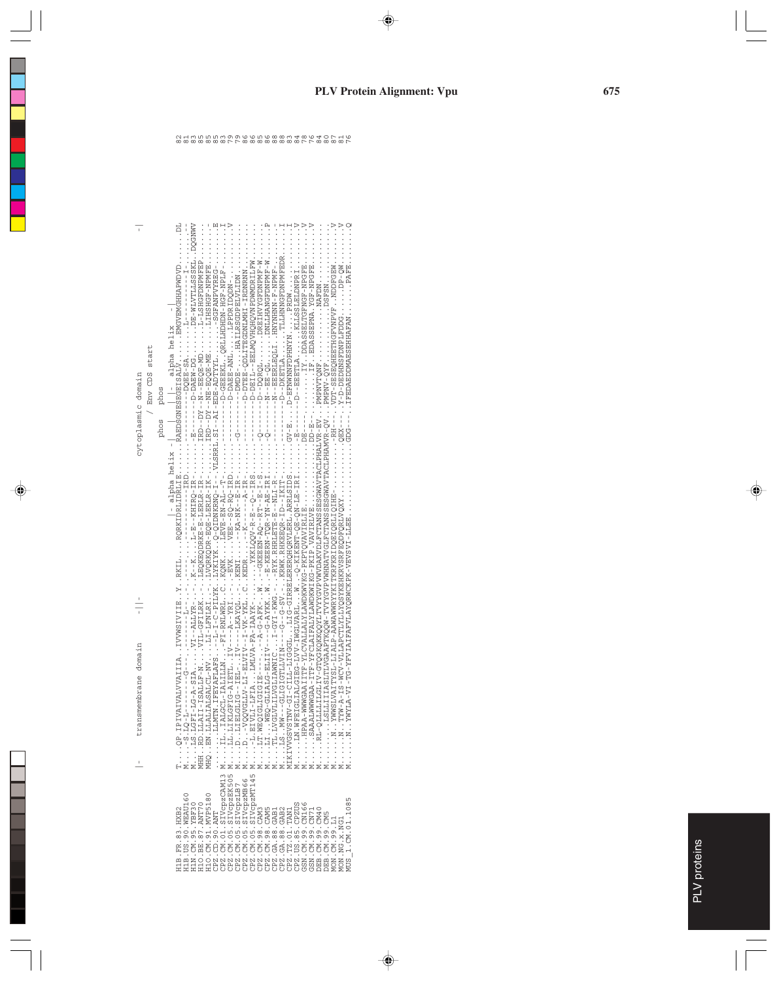|                                                                                                                                                                                                                                                                                                                                                                                                                 | transmembrane domain                                                                                                                                                                                                        | cytoplasmic domain           |                |
|-----------------------------------------------------------------------------------------------------------------------------------------------------------------------------------------------------------------------------------------------------------------------------------------------------------------------------------------------------------------------------------------------------------------|-----------------------------------------------------------------------------------------------------------------------------------------------------------------------------------------------------------------------------|------------------------------|----------------|
|                                                                                                                                                                                                                                                                                                                                                                                                                 |                                                                                                                                                                                                                             | / Env CDS start<br>phos phos |                |
| 11B.FR.83.HXB2                                                                                                                                                                                                                                                                                                                                                                                                  | TQP.IPIVALVVALIIAIVVMSIVIIEYRKILRQRKIDLIGLEERABDSGUSSEGEISALVBMGVEMGHHAPMDVDDL<br>TQP.IPIVALVVALIIAIVVSIVIIEYRKILRQRKIDLIGLEERABDSGUSSEGEISALVBMGVEMGHHAPMDVDDL                                                             |                              |                |
| [1B. US. 90. WEAU160                                                                                                                                                                                                                                                                                                                                                                                            |                                                                                                                                                                                                                             |                              |                |
| $\begin{array}{lll} {\rm 11M} \cdot {\rm CM} \cdot {\rm 95} \cdot {\rm XBF30} \\ {\rm 110} \cdot {\rm BE} \cdot {\rm 87} \cdot {\rm AMT70} \end{array}$                                                                                                                                                                                                                                                         | M. LS. LGFI-LG-A-SIA.                                                                                                                                                                                                       |                              |                |
|                                                                                                                                                                                                                                                                                                                                                                                                                 | MHH. RD. LLAII-ISALLF-N.                                                                                                                                                                                                    |                              |                |
|                                                                                                                                                                                                                                                                                                                                                                                                                 | MHQ. . EN . LLALIALSALCL-NV                                                                                                                                                                                                 |                              |                |
| H10.CM.91.MVP5180<br>CPZ.CD.90.ANT<br>CPZ.CM.01.SIVCpzCAM13                                                                                                                                                                                                                                                                                                                                                     | LIMTN.IFEYAFLAFS                                                                                                                                                                                                            |                              |                |
|                                                                                                                                                                                                                                                                                                                                                                                                                 | MILIALGCL-IALILLN                                                                                                                                                                                                           |                              |                |
| CPZ.CM.05.SIVCPZEK505<br>CPZ.CM.05.SIVCPZLB7<br>CPZ.CM.05.SIVCPZMB66                                                                                                                                                                                                                                                                                                                                            | $\vdots$                                                                                                                                                                                                                    |                              |                |
|                                                                                                                                                                                                                                                                                                                                                                                                                 | $\frac{1}{2}$                                                                                                                                                                                                               |                              |                |
|                                                                                                                                                                                                                                                                                                                                                                                                                 | .<br>⊠<br>¤                                                                                                                                                                                                                 |                              |                |
|                                                                                                                                                                                                                                                                                                                                                                                                                 |                                                                                                                                                                                                                             |                              |                |
| $\begin{array}{lll} \texttt{CPZ} & \texttt{CM: 05 : } \texttt{S:IVC} \texttt{PZ} \texttt{MTL45 N} \\ \texttt{CPZ: CW : } \texttt{38 : } \texttt{CAMS} \\ \texttt{CPLZ: CH : 38 : } \texttt{CAMS} \\ \texttt{CPLZ: GL : 38 : } \texttt{GAB1} \\ \texttt{N} & \texttt{M} \\ \texttt{CPLZ: TZ: 01 : } \texttt{C1: } \texttt{TAMI} \\ \texttt{C1PZ: TZ: 02 : } \texttt{C1: } \texttt{M} \texttt{N} \\ \texttt{M} &$ |                                                                                                                                                                                                                             |                              |                |
|                                                                                                                                                                                                                                                                                                                                                                                                                 |                                                                                                                                                                                                                             |                              |                |
|                                                                                                                                                                                                                                                                                                                                                                                                                 | MT.VGLVLILVGLIANIC.                                                                                                                                                                                                         |                              |                |
|                                                                                                                                                                                                                                                                                                                                                                                                                 | $M_{\odot}$ .                                                                                                                                                                                                               |                              |                |
|                                                                                                                                                                                                                                                                                                                                                                                                                 | MIKIVVOSVSTNV-OILL-LIGOOGLIIG-OIDRABIARREAGIRREAGIRREAGIRREAGIRREAGIRREAGIRREAGIRREAGIRREAGIRREAGIRREAGIRREAGIRREAGIRREAGIRREAGIRREAGIRREAGIRREAGIRREAGIRREAGIRREAGIRREAGIRREAGIRREAGIRREAGIRREAGIRREAGIRREAGIRREAGIRREAGIR |                              |                |
|                                                                                                                                                                                                                                                                                                                                                                                                                 |                                                                                                                                                                                                                             |                              | 84             |
| CPZ.US.85.CPZUS<br>GSN.CM.99.CN166<br>GSN.CM.99.CN71<br>DEB.CM.99.CM40<br>DEB.CM.99.CM40                                                                                                                                                                                                                                                                                                                        |                                                                                                                                                                                                                             |                              |                |
|                                                                                                                                                                                                                                                                                                                                                                                                                 |                                                                                                                                                                                                                             |                              | 76             |
|                                                                                                                                                                                                                                                                                                                                                                                                                 | MRL-QLLLLLIGLIV-GTQGK                                                                                                                                                                                                       |                              | $\frac{84}{3}$ |
|                                                                                                                                                                                                                                                                                                                                                                                                                 | M. LSLLIIASLTISHWAA                                                                                                                                                                                                         |                              | $\frac{0}{8}$  |
| MON.CM.99.L1                                                                                                                                                                                                                                                                                                                                                                                                    | M NWWSLVAITAVIIIAI                                                                                                                                                                                                          |                              | 87             |
| <b>MON.NG.X.NG1</b>                                                                                                                                                                                                                                                                                                                                                                                             |                                                                                                                                                                                                                             |                              |                |
| TUS 1. CM. 01.1085                                                                                                                                                                                                                                                                                                                                                                                              | M.N. . YWYLA-VI-7V-YIA-NIFAIFAIFAIFAIAYORWCKPK-VEVSVI-LLEE.                                                                                                                                                                 | ):<br>: : : : :              |                |
|                                                                                                                                                                                                                                                                                                                                                                                                                 |                                                                                                                                                                                                                             |                              |                |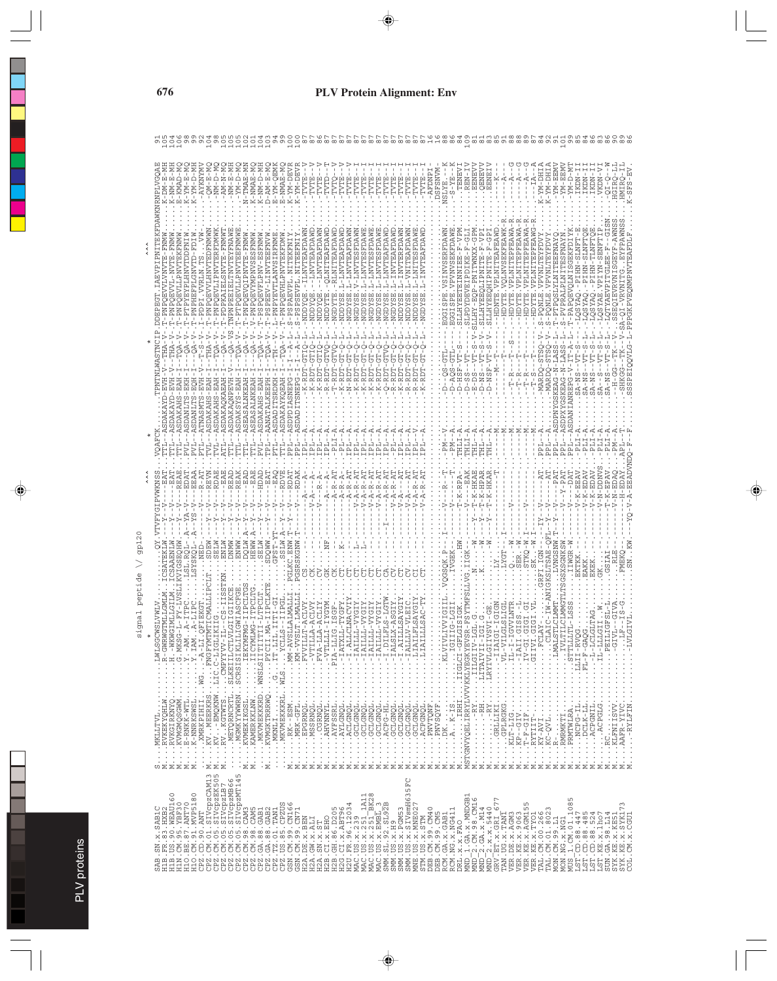| $-MN - D$<br>- KMAD<br>囯<br>$2M - E$<br>$-MX-$                                                                                                                                                             | AM-N<br>I-MY                                                                                                                                                                                                                                                                                                                                                                                                                                                         | - TMAE<br>- NMAE                                              | - AM-OEW<br>$-MN - E$                                                                                                                                                                                                                                                                                                                                                                                                                                   | $-NMAPE$<br>$q - M\overline{X} -$<br>- NX - | VTE                |                 |                                                    |                                      |                                                                                                                                                                                                                                                                                |                    |                                                           |                                                   |                                     |                                                  |                                              | EX-S                            |                        | REN-                                  | <b>ENEV</b><br>ENEV<br>囸                  | ENE:<br>਼ਿਲ਼                                 |                                                 |                                                                               |                               | IHG-MY-                                 | HG-MX-                                                                          | $- N N - E$<br>H-MX                                  | 1-MX                       | KON<br>IKDN                            | KDN           | /KD)                                                                                                                                                                                                           |                        |                                 |
|------------------------------------------------------------------------------------------------------------------------------------------------------------------------------------------------------------|----------------------------------------------------------------------------------------------------------------------------------------------------------------------------------------------------------------------------------------------------------------------------------------------------------------------------------------------------------------------------------------------------------------------------------------------------------------------|---------------------------------------------------------------|---------------------------------------------------------------------------------------------------------------------------------------------------------------------------------------------------------------------------------------------------------------------------------------------------------------------------------------------------------------------------------------------------------------------------------------------------------|---------------------------------------------|--------------------|-----------------|----------------------------------------------------|--------------------------------------|--------------------------------------------------------------------------------------------------------------------------------------------------------------------------------------------------------------------------------------------------------------------------------|--------------------|-----------------------------------------------------------|---------------------------------------------------|-------------------------------------|--------------------------------------------------|----------------------------------------------|---------------------------------|------------------------|---------------------------------------|-------------------------------------------|----------------------------------------------|-------------------------------------------------|-------------------------------------------------------------------------------|-------------------------------|-----------------------------------------|---------------------------------------------------------------------------------|------------------------------------------------------|----------------------------|----------------------------------------|---------------|----------------------------------------------------------------------------------------------------------------------------------------------------------------------------------------------------------------|------------------------|---------------------------------|
|                                                                                                                                                                                                            | Ë                                                                                                                                                                                                                                                                                                                                                                                                                                                                    |                                                               |                                                                                                                                                                                                                                                                                                                                                                                                                                                         |                                             |                    |                 |                                                    |                                      |                                                                                                                                                                                                                                                                                |                    |                                                           |                                                   |                                     |                                                  |                                              |                                 |                        |                                       | $\geq$<br>á                               |                                              |                                                 |                                                                               |                               |                                         |                                                                                 |                                                      |                            |                                        |               |                                                                                                                                                                                                                |                        |                                 |
| $T - PMP$<br>-PNP<br>Ę<br>日<br>Ė<br>Ė                                                                                                                                                                      | $T - PDP$<br>- PNP<br><b>CNPNP</b><br>$T - PT$                                                                                                                                                                                                                                                                                                                                                                                                                       |                                                               |                                                                                                                                                                                                                                                                                                                                                                                                                                                         |                                             |                    |                 |                                                    | i<br>Dun                             |                                                                                                                                                                                                                                                                                |                    |                                                           |                                                   |                                     |                                                  |                                              |                                 |                        | <b><i>AROXDEV</i></b>                 | ω<br>C)                                   |                                              |                                                 |                                                                               |                               |                                         |                                                                                 |                                                      |                            |                                        |               |                                                                                                                                                                                                                |                        |                                 |
| $-ERH$<br>$S - EV$<br>田<br>5-2                                                                                                                                                                             | $S - EA$                                                                                                                                                                                                                                                                                                                                                                                                                                                             |                                                               |                                                                                                                                                                                                                                                                                                                                                                                                                                                         |                                             |                    |                 | J                                                  |                                      | $\,$ I                                                                                                                                                                                                                                                                         |                    |                                                           |                                                   |                                     |                                                  |                                              | $D - A$                         | CO<br>$\frac{1}{\Box}$ | $D - S$                               | 百日<br>$D - N$                             | $N - D$                                      |                                                 |                                                                               |                               | MARDC                                   |                                                                                 | -N-LASS<br>KEAG                                      | NREPG                      | $A - N$<br>$A - N$                     | $A - N$       |                                                                                                                                                                                                                |                        |                                 |
| <b>SDA</b><br>OAFC                                                                                                                                                                                         | SDAKAH<br><b>SDA</b>                                                                                                                                                                                                                                                                                                                                                                                                                                                 | SEA.<br>SEA<br><b>AUS</b>                                     |                                                                                                                                                                                                                                                                                                                                                                                                                                                         | SDA.<br><b>SDA</b>                          |                    |                 |                                                    |                                      |                                                                                                                                                                                                                                                                                |                    |                                                           |                                                   |                                     |                                                  |                                              | ΣĀ                              | HLI                    | HЦ                                    |                                           |                                              |                                                 |                                                                               |                               | ᆸ                                       | Ä                                                                               | 리                                                    | G                          |                                        |               |                                                                                                                                                                                                                |                        |                                 |
| EAA<br><b>EVN</b><br>EAE                                                                                                                                                                                   | RDAE<br>EAE<br>RAI                                                                                                                                                                                                                                                                                                                                                                                                                                                   | EAD<br>EAE<br>HDAD                                            |                                                                                                                                                                                                                                                                                                                                                                                                                                                         | <b>RDA</b>                                  |                    |                 |                                                    |                                      | $\vec{A}$                                                                                                                                                                                                                                                                      |                    |                                                           |                                                   |                                     |                                                  |                                              |                                 | RPA                    | K                                     | -HKAE<br>-HPAR                            |                                              |                                                 |                                                                               |                               |                                         |                                                                                 | ļ                                                    |                            | EEA<br>- EDA<br>$\perp$                | $\mathbf{I}$  |                                                                                                                                                                                                                |                        |                                 |
| .<br>بل<br>19<br>SYS:                                                                                                                                                                                      |                                                                                                                                                                                                                                                                                                                                                                                                                                                                      |                                                               |                                                                                                                                                                                                                                                                                                                                                                                                                                                         |                                             |                    |                 |                                                    |                                      |                                                                                                                                                                                                                                                                                |                    |                                                           |                                                   |                                     |                                                  |                                              |                                 |                        |                                       |                                           |                                              | LYGT                                            |                                                                               | TKO-                          |                                         |                                                                                 |                                                      |                            |                                        |               |                                                                                                                                                                                                                |                        |                                 |
|                                                                                                                                                                                                            |                                                                                                                                                                                                                                                                                                                                                                                                                                                                      |                                                               |                                                                                                                                                                                                                                                                                                                                                                                                                                                         |                                             |                    |                 |                                                    |                                      |                                                                                                                                                                                                                                                                                |                    |                                                           | $\ldots -1.$ A                                    |                                     |                                                  |                                              |                                 |                        |                                       |                                           |                                              |                                                 |                                                                               |                               |                                         | I,                                                                              |                                                      |                            |                                        |               | $\ldots$                                                                                                                                                                                                       | $\frac{1}{2}$          | $\vdots$<br>Ē                   |
| $\cdots$ MG $\cdots$ - $   \cdots$<br>$\ddot{\cdot}$                                                                                                                                                       | ITAIISISSOS "NAMAAXANGN"<br>TLADIISIS" "SANAAXANG"<br>TLADIISIS" "SANAAXANG"<br>TSITIGIT" "SANAAXANG"<br>TSITIGIT" "SANAAXANG" "ATTICL"<br>TSITIGIT" "SANAAXANG" "ATTICL"                                                                                                                                                                                                                                                                                            | $\cdots$<br>. KAMERKKLNW. IICY<br>. . MKVMEKKKRD. . WMSLSIITT | $\begin{array}{lll} \dots&\dots&\dots&\dots&\dots&\dots\\ \dots&\dots&\dots&\dots&\dots&\dots&\dots&\dots\\ \dots&\dots&\dots&\dots&\dots&\dots&\dots&\dots\\ \dots&\dots&\dots&\dots&\dots&\dots&\dots&\dots&\dots\\ \dots&\dots&\dots&\dots&\dots&\dots&\dots&\dots&\dots&\dots\\ \dots&\dots&\dots&\dots&\dots&\dots&\dots&\dots&\dots&\dots&\dots&\dots\\ \dots&\dots&\dots&\dots&\dots&\dots&\dots&\dots&\dots&\dots&\dots&\dots&\dots\end{array}$ | $\ldots$ MRK-GFL $\ldots$ . $\ldots$ KM-V   |                    | $\cdots \cdots$ | <br>Libra<br>$TAT$ -                               | $\cdots \cdots \cdots \cdots \cdots$ |                                                                                                                                                                                                                                                                                |                    | $\begin{array}{c} 1.11 - 1.11 \\ 0.11 - 0.11 \end{array}$ |                                                   | $\ldots$ - TAL                      | $\ldots$ . $\Box$<br>$\ldots$                    | $\cdot$                                      | $\cdots \cdots$                 | D-IDTELT:<br>D-IDTELT: |                                       | IILOIRIN<br>AILOIRIN IIII IIII IIII IIII  | LRYIVLGI                                     | GRLLIKIIIA<br>$\cdots$ . $\cdots$               | $1 - 1 - 1 - 1 = 1$<br>$\ldots$ -IAI                                          | $\vdots$<br>$\vdots$          | AIIP<br>- AIIP<br>- AI<br>$\frac{1}{2}$ | $\begin{array}{c} \vdots \\ \vdots \\ \vdots \\ \vdots \end{array}$<br>$\vdots$ | $\ldots$                                             | 8-IITI :<br>TLLS :<br>AI : | $\cdots$ $\cdots$ $\cdots$ $\cdots$    | $\frac{1}{2}$ |                                                                                                                                                                                                                | $\cdots \cdots \cdots$ | $\vdots$                        |
| $K$ -NNRKSWSL<br>KVMGMQSGWM<br>MKLLTVL<br>RVKEKYQHLW<br>$E$ - $R N K K - W T L$ .<br>XMRKPIHII.<br>RVKGIRKNYQ<br>MKLLTVL.<br>$\cdot$<br>$\vdots$<br>$\ddot{\cdot}$<br>$\ddot{\cdot}$<br>$\cdot$<br>$\cdot$ | $\cdot$<br>$\cdot$                                                                                                                                                                                                                                                                                                                                                                                                                                                   | KVMEKIKGSL<br>$\cdot$                                         | $\vdots$                                                                                                                                                                                                                                                                                                                                                                                                                                                | $\cdot$                                     | MSSRNQL<br>EPGRNQL | AHVNNYL         | . AYLGNQL<br>AYFSSRL.<br>ļ<br>$\ddot{\phantom{0}}$ | ACLGNQL                              | GCLGNQL<br>GCLGNQL.<br>$\cdot$                                                                                                                                                                                                                                                 | GCLGNQL<br>GCLGNQL | $\ldots$ ACPG-HL $\ldots$                                 | GCLGNQL<br>. GCLGNQL.<br>$\frac{1}{1}$<br>$\cdot$ | GCLGNQL<br>GCLGNQL                  | . . ACPGNQL.<br>$\vdots$<br>$\ddot{\phantom{0}}$ | PNVTQNF.<br>PNVTQNF.<br>$\vdots$<br>$\vdots$ | $\ldots$ DK $\ldots$ $\ldots$ . | $\ddot{\phantom{0}}$   |                                       |                                           | $\cdots$ $\cdots$ $\cdots$ $\cdots$ $\cdots$ | GPLRGKG<br>KLT-LIG<br>$\cdot$<br>$\ddot{\cdot}$ | $KP - GIV$<br>$\ddot{\cdot}$                                                  | $T-F-GIF$ .<br>$\ddot{\cdot}$ | j.<br>J<br>.RYTIIT-<br>.KY-AVI.         | $KC-QVL$<br>$\ddot{\phantom{0}}$                                                | .R-<br>.RMRMKTI<br>.PRMTWLRA<br>F.<br>$\ddot{\cdot}$ | $\ddot{\phantom{0}}$       | .NCPG-IL.<br>$\ldots$ DCLK-LL $\ldots$ | .ACPGNIL      | ACPGLG                                                                                                                                                                                                         | $\ldots$ RC $\ldots$   | . AAFR-YIVC<br>-RYLFIN          |
| $\cup \Sigma \Sigma \Sigma$<br>$\Sigma \Sigma$<br>$\cdot \, \mathsf{\Sigma}$<br>$\circ$<br>95.YBF30                                                                                                        | $\Sigma \Sigma$<br>$\begin{smallmatrix} \texttt{CE2} & \texttt{CM} & \texttt{OL} & \texttt{CM} & \texttt{OL} \\ \texttt{CE2} & \texttt{CM} & \texttt{OS} & \texttt{S}} & \texttt{S1} & \texttt{Vce} & \texttt{2} & \texttt{N} \\ \texttt{CE2} & \texttt{CM} & \texttt{OS} & \texttt{S1} & \texttt{Vce} & \texttt{2} & \texttt{N} \\ \texttt{CE2} & \texttt{CM} & \texttt{OS} & \texttt{S1} & \texttt{Vce} & \texttt{2} & \texttt{N} \\ \texttt{CE2} & \texttt{CM} &$ | Σ<br>Σ                                                        | $\cdot \geq$                                                                                                                                                                                                                                                                                                                                                                                                                                            | Σ                                           | ΣΣΣΣ               | Σ               | Σ<br>Σ                                             | Σ<br>Σ                               | Σ                                                                                                                                                                                                                                                                              | ΣΣ                 | Σ<br>Σ                                                    | Σ                                                 | Σ<br>Σ<br>5FC                       | Σ                                                | Σ<br>Σ                                       | Σ<br>Σ                          |                        |                                       | Σ<br>Σ                                    | Σ<br>∼                                       | Σ<br>Σ<br>57                                    | Σ<br>Σ                                                                        | Σ                             | Σ<br>Σ                                  | Σ                                                                               | Σ<br>Σ                                               | Σ                          | Σ<br>Σ                                 |               | Σ<br>Σ                                                                                                                                                                                                         | Σ                      | Σ<br>CGU.                       |
| H1O.BE.87.ANT70<br>H1O.CM.91.MVP5180<br>SAB.SN.x.SAB1C<br>H1B.FR.83.HXB2<br>H1B.US.90.WEAU160<br>. CD. $90.$ ANT<br>ND.<br>H1N<br>CPZ<br>CPZ                                                               |                                                                                                                                                                                                                                                                                                                                                                                                                                                                      |                                                               |                                                                                                                                                                                                                                                                                                                                                                                                                                                         |                                             |                    | H2B.CI.X.EHO    | .GH.86.D205<br>H <sub>2</sub> B                    |                                      | $\begin{array}{l} \tt H2G.\,CL:\,x.\,\tt ABT56\,\\ \tt M2C.\,UB.\,96.12034\\ \tt MAC.\,UB.\,x.\,251\_1A11\\ \tt MAC.\,UB.\,x.\,251\_1A11\\ \tt MAC.\,UB.\,x.\,251\_B728\\ \tt MAC.\,UB.\,x.\,251\_B728\\ \tt MAC.\,UB.\,x.\,251\_B728\\ \tt SM.\,SL.\,92.251252\\ \end{array}$ |                    |                                                           | SMM. US. x. H9                                    | SMM.US.x.PGM53<br>SMM.US.x.SIVsmH63 | MNE.US.x.MNE02<br>STM.US.x.STM                   | DEB.CM.99.CM40<br>DEB.CM.99.CM5              | RCM.NG.X.NG411<br>RCM.GA.X.GAB1 | DRL.X.X.FAO            | MND_1.GA.x.MNDGB1<br>MND <sup>-</sup> | 2.CM.98.CM16<br>2.GA.x.M14<br><b>CIND</b> | $MD2$ , x, x, 5440                           | GRV.ET.X.GRI                                    | TAN .UG .x .TANT<br>VER .DE .x .TANT<br>VER .DE .x .AGM3<br>VER .KE .x . 9063 | VER. KE. x. AGM155            | VER.KE.X.TYO1                           | TAL.CM.00.266<br>TAL.CM.01.8023                                                 | MON.CM.99.L1<br>MON.NG.x.NG1                         | 1.CM.01.1085<br><b>MUS</b> | $\overline{CD}$ .88.447<br>LST.        |               | $\begin{array}{l} \texttt{LST.} \texttt{CD.38.485} \\ \texttt{LST.} \texttt{LST.02.88.524} \\ \texttt{LST.13T.12.24} \\ \texttt{SUN.} \texttt{GA.2.2.1214} \\ \texttt{SUX.} \texttt{GA.98.114} \\ \end{array}$ |                        | SYK.KE.x.SYK173<br>CM. X<br>COL |

PLV proteins

PLV proteins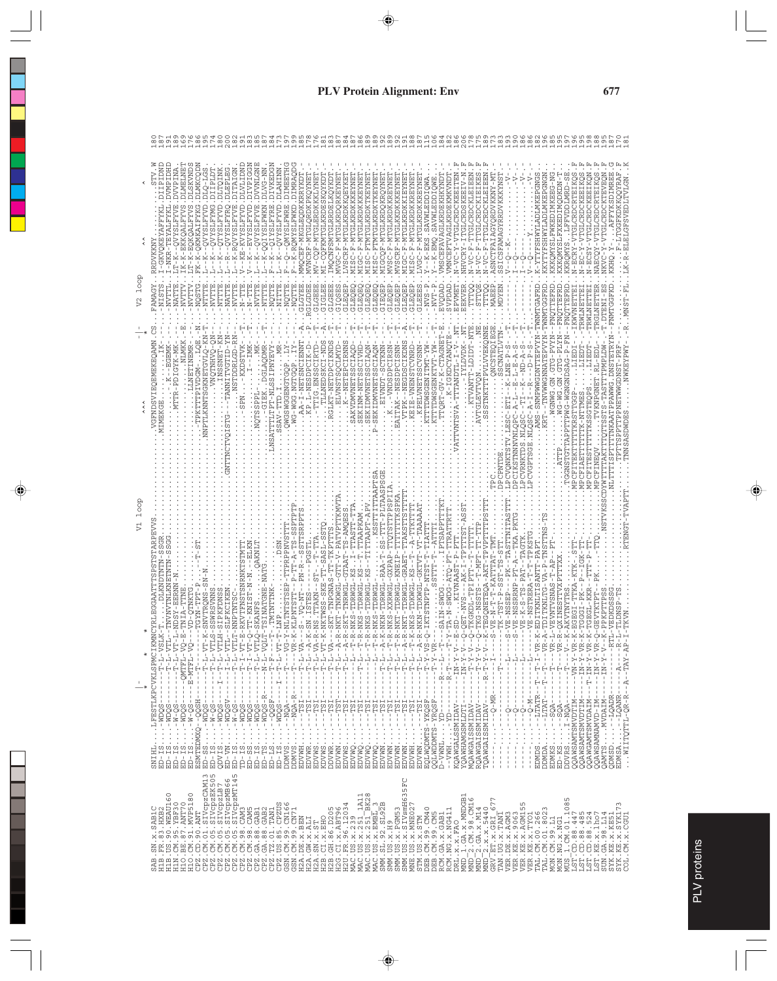|                        | -TEYALFYKL.DVMPIDHD<br>:-K-EKKQALFYVS.DLMELNET<br>?-K-EQKQALFYVS.DLSKVNDS<br>FK-K-QKMKAIFYKG.DLMKCQDN<br>INCITET<br>WPINA<br>-NKR<br>$K - K$<br>JT-K | $\begin{array}{l} K = QVYSLFYXD \cdot D LQ - LGS. \\ K = QVYSLFYMG \cdot D T1PLD T. \\ K = QTYSLFYXD \cdot D LTQINK. \\ R = QVYSLFYXQ \cdot DLEPLBG \cdot \end{array}$<br>$- - K$ | - K-RQVYSLFYVE.DITAIGN<br>KE-KVYSLFYVD.<br>$\frac{1}{4}$ | --OVYSLFYVE.DVVNLGN<br>- EVYSLFYVD.           | <b>IVKEDGN</b><br>K-QQIYSLFWKN.DLVG-NN<br>WNIHATU .DLAHINN<br>d<br>1. HAAHTSAATÓ---<br>1. HAAHTSAATÓ---<br>- - K<br>$\frac{1}{1}$ | -- K-RQMYSLFWKD.DIMRAQD<br>--QMYSLFWRE.DIMEETH<br>ှ<br>-  | MVNCRF-MTGLQRDKPKQYNE<br>MMOCEF-MKGLEODKKRRYKL | MV-CQF-MTGLERDK<br>MI-COFKMTGLKRDE                                                                                                                                                                                                                                                                                                                | NGC-F-MTGLKRDOR<br><b>IMQCNFSMTGLRRDE</b>                                                                   | <b>JVSCRF-M</b>                    | MIGC-F-MTGLKRDKKKEY<br>MISC-F-M                                                                                                                                                                                                                                                                                                                                                       | 4ISC-FTMTGLKRDKTKEY<br>MISC-FTMTGLKRDK              | 7-MTGLKRDO<br>$M - L$<br>-DSCV                                   | MVSCRF-M                                 | MIGC-F-MTGLKRDKKIEY<br>MISC-F-MTGLKRDKKRE                                                                                                                                                                                                                                                                                                                                                          | - - K-EKS. SAVWLEDDIQWA<br>LVGC-F-MTGLKRDKKREY                                     | --K-EMQ.SAVWLEDDI                  | VMNCEFTVAGLKRDEKMKVND<br>VMSCEFAVAGLKRDEKHK<br>$\vdots$                            |                                      | NHVCRY-1<br>-<br>F<br>F<br>F<br>$V^{\rm C}$                                                                                        | $N - V - F - T$<br>5<br>$N-VC-$                                                         | SNC                                                                              | SICSFAMAGYRRDVKKKYNS                                                                                            |                                                                                                                                                                                                                                                                                                                                                                                                                                                                                                                                                                                                                                                                                                                                                                    |                                    | KKYTYFSHWYLADLMKEPGNGN<br>- <i>XLXAMITGVIXMHSHXLX-</i>                           | KKKQMYSLFWKEDIMKEEG-NG<br>KXKQMYSLFXKEDIMQDKDN- | LFFVDDLMRD-S<br>KKROMYS                                                     | N-ECRY-VTGLCRDCRTEIKQ<br>N-EC-Y-VTGLCRDCKEEIKQ<br>N-ECSY-VTGLCRDCKEEIKQ                                  | Ľ                                                                                                                                                      | 7                                                | TGGFKDKKOOYRA<br>RT.RTGFSVEDLTVLG<br>KKHO                                                   |
|------------------------|------------------------------------------------------------------------------------------------------------------------------------------------------|-----------------------------------------------------------------------------------------------------------------------------------------------------------------------------------|----------------------------------------------------------|-----------------------------------------------|-----------------------------------------------------------------------------------------------------------------------------------|-----------------------------------------------------------|------------------------------------------------|---------------------------------------------------------------------------------------------------------------------------------------------------------------------------------------------------------------------------------------------------------------------------------------------------------------------------------------------------|-------------------------------------------------------------------------------------------------------------|------------------------------------|---------------------------------------------------------------------------------------------------------------------------------------------------------------------------------------------------------------------------------------------------------------------------------------------------------------------------------------------------------------------------------------|-----------------------------------------------------|------------------------------------------------------------------|------------------------------------------|----------------------------------------------------------------------------------------------------------------------------------------------------------------------------------------------------------------------------------------------------------------------------------------------------------------------------------------------------------------------------------------------------|------------------------------------------------------------------------------------|------------------------------------|------------------------------------------------------------------------------------|--------------------------------------|------------------------------------------------------------------------------------------------------------------------------------|-----------------------------------------------------------------------------------------|----------------------------------------------------------------------------------|-----------------------------------------------------------------------------------------------------------------|--------------------------------------------------------------------------------------------------------------------------------------------------------------------------------------------------------------------------------------------------------------------------------------------------------------------------------------------------------------------------------------------------------------------------------------------------------------------------------------------------------------------------------------------------------------------------------------------------------------------------------------------------------------------------------------------------------------------------------------------------------------------|------------------------------------|----------------------------------------------------------------------------------|-------------------------------------------------|-----------------------------------------------------------------------------|----------------------------------------------------------------------------------------------------------|--------------------------------------------------------------------------------------------------------------------------------------------------------|--------------------------------------------------|---------------------------------------------------------------------------------------------|
| loop<br>$\overline{V}$ | <b>AMAGY</b><br>NVTT<br>NVTT<br>-NIST<br>NATI<br>NVTT<br>NQST                                                                                        | NATTE                                                                                                                                                                             |                                                          |                                               |                                                                                                                                   | NOT<br>Ş                                                  | <b>AASTE</b><br><b>GLOLE</b>                   | <b>GIGLE</b><br>GLGEE                                                                                                                                                                                                                                                                                                                             | GLGEE<br>GIQSE                                                                                              | GLEQE                              | GLEQE<br>GLEQE                                                                                                                                                                                                                                                                                                                                                                        | GLEOE<br>GLEQE                                      | GLEQE<br>GIEO                                                    | GLEQE                                    | GLEOE<br>GLEOE                                                                                                                                                                                                                                                                                                                                                                                     | <b>GLIEE</b><br>$-WS$                                                              | NVT                                | <b>EVODAD</b><br>SVPDA                                                             | EPVME                                | EEKVE                                                                                                                              |                                                                                         | MAEE                                                                             | <b>NEXCIM</b>                                                                                                   |                                                                                                                                                                                                                                                                                                                                                                                                                                                                                                                                                                                                                                                                                                                                                                    |                                    | WNMTGAFRD                                                                        |                                                 |                                                                             | .-IKWVNETTE<br>RWLNETTE                                                                                  | -TRWLNE                                                                                                                                                |                                                  |                                                                                             |
|                        | VGFNDSVIEQEMEKEQAMN.CS<br>NLMKK.-E<br>TPKTTTPIVDGM-LQE.<br>.LLNETINEMR<br>--BGEMK<br>WTTR-PDIGYK-MK<br>MIMEKGE                                       | NNPTLKNNTSGKNETGVLQ-KN-1<br>$-M-$<br>$- \Lambda X - \texttt{GLLOV}\texttt{L} \texttt{INW}\texttt{AT} -$<br>vnqtnhvõ<br>.INSSNE                                                    | - NSTODRLGD-RN-                                          | $\ldots$ $1 - -1$ MK<br>NQTSSPPI              | XAAAAA ISSTN-LallalaksNT<br>YMGOVTOO 'YAALO-'''<br>SSAV-TTD.I                                                                     | XTT GÖƏLƏNEDƏMSƏMÖ<br>XTT GÖƏLƏNEDƏMSƏMÖ<br>XIPOLON.DOLON | . . AA-I-NETSNCIEMNT.<br>KP.L-NESDPCIK-D       | $I-NDS$<br>TTIG. ENSSC<br>TLLNEDSK                                                                                                                                                                                                                                                                                                                | RGLKT-NETDPCIKNDS<br>. ELVNSTSQCLMYD                                                                        | $\ldots$ K--NETE                   | SEKINM-NETSSCIVHD<br>AKVDMVNET                                                                                                                                                                                                                                                                                                                                                        | SEKIDMVNETSSCIAQN<br>P-SEKIDMVNETSSCIAQN            | -VNDSDP<br>TUNDARI                                               | <b>NNST!</b><br>--NESDPC<br>.K.<br>AITRK | .VTPK--NEGDSCIKDN<br>.KEIE-VNENSTCVNRD                                                                                                                                                                                                                                                                                                                                                             | . KPELVNETSSCVSNN<br>YTTTUMSGENITMT-Y                                              | $MX - 1$<br>. KTTTDWSGENKTVI       | K-IGKDCYANQTE<br>TTQRT-GV-K-CTAGNE                                                 | VNTSVA-TTTANDT                       | TVANTT-LDIDT-NTE                                                                                                                   | SSSTNKTTPVLVVEKONNE<br>. AVTGLEVTVQN.                                                   | QNCSTE                                                                           | SSCNATL<br>$- -K - LME - P - S$<br>.LPCVONKTSTV.LESC-ET                                                         | STNNNVNLQPC-A-L--E-L-E-A-S<br>--K--ND-A<br>PCVRNKTDS.NLC                                                                                                                                                                                                                                                                                                                                                                                                                                                                                                                                                                                                                                                                                                           | $- - R$<br>$-4-1$<br><b>GE.NLQ</b> | KRT--TNVWGNNATEPVYN-TWNWTGGFRD<br>L-NXAdHLMODMMdWNS-SWY                          | . WGNWG GN - GTG - PVYN - FNYN - FNGHEFERD.     |                                                                             | $-1$ -<br>.MPCFITEKTTTTTKRSTTGGP<br>TTTTK-NTTMES                                                         | $\begin{array}{ll} \ldots \text{LIBDT} \ldots \ \text{LIBDT} \ldots \ \text{LIBDT} \ldots \ \text{LIBDT} \ldots \end{array}$<br>MPCFITESTTTTTKSSGTEQPS | MCTdWd.                                          | SPPTTPPNETWWGDNST-PRF<br>VWKRYPWY<br>TNNSASDWDE                                             |
| loop                   |                                                                                                                                                      |                                                                                                                                                                                   |                                                          |                                               |                                                                                                                                   |                                                           |                                                |                                                                                                                                                                                                                                                                                                                                                   |                                                                                                             |                                    |                                                                                                                                                                                                                                                                                                                                                                                       |                                                     |                                                                  |                                          |                                                                                                                                                                                                                                                                                                                                                                                                    |                                                                                    |                                    |                                                                                    |                                      |                                                                                                                                    |                                                                                         |                                                                                  | Mapad                                                                                                           | DPCIK                                                                                                                                                                                                                                                                                                                                                                                                                                                                                                                                                                                                                                                                                                                                                              |                                    |                                                                                  |                                                 | GGNST                                                                       | MPCFIAET                                                                                                 |                                                                                                                                                        |                                                  |                                                                                             |
| $\overline{5}$         | TSTARPEVVS<br>ひひの                                                                                                                                    |                                                                                                                                                                                   |                                                          | <b><i>CAKNLI</i></b>                          | $\ldots$ DSN.                                                                                                                     | -SSP<br>-TTPRPPNVST<br>$- - P - TT - A - T S$             | -- PN-R--SSTTSRPP<br>--PGSTL                   | TWSS-SKE-TT-SASL-SSTQ<br>$-T-T-TA$<br>$-5T$ -                                                                                                                                                                                                                                                                                                     | "-TNKWGL-GTT-V-PATVPTTKMVTP<br>T-TKPTTTS                                                                    | $-TS-AMQESS$                       | -TTASTT-TTA<br>$  T$ . TTAAPKAM<br>$\vdots$                                                                                                                                                                                                                                                                                                                                           | KSSTTITTAA<br>DRWGL-KS--TITTAAPT-APV                | -TTT-PLTAAS<br>QTSTTPPS<br>$\frac{5}{1}$<br>GXPAP<br>J,<br>$-RA$ | <b>TTTTTKSPKP</b><br>7<br>--KNEIP        | -TTAKSTTSTTTT<br>--A-TTKTTTT<br>DRWGL-GRAET                                                                                                                                                                                                                                                                                                                                                        | -TAAAAA<br>-TIATTT<br>TV-                                                          | --AT<br>L-LLLSST.                  | .IPTSAPPTTTK<br>A-N-SWDG-ATQ-PT-TTRATTRT                                           | -PT.<br>. KIVNAAST-P                 | -TPTTTTST<br>$---AK-T$                                                                                                             | EGONETEOA-AKT-TPVPTTTPPST<br>- TT - T                                                   |                                                                                  | - PK--TASTTNITASTT<br>$-$ SST-TS-STT                                                                            | ISSRRNP-PT-A--TKA.PKT<br>S-PAT--TAGT                                                                                                                                                                                                                                                                                                                                                                                                                                                                                                                                                                                                                                                                                                                               | -TPK                               | $G-VA-P-TNST$<br><b>LINKSI</b>                                                   |                                                 |                                                                             | Ğ                                                                                                        |                                                                                                                                                        |                                                  |                                                                                             |
|                        | <b>ENTNANTINETNETNETNE</b><br>MNCYRLEGGAATTSPS<br>$-ERNN-$<br>Ld.I-NAD.                                                                              | -SNVTRONS<br>SSWRSVNN<br>SIPKFDNS<br>SLFKCIKE                                                                                                                                     | LL-MMPLM1                                                | -TSINATGNE-NATG<br>-SKANFS                    | TMTNTTNK                                                                                                                          | $\frac{1}{12}$<br>-NLTNTSTS<br>-KLPNTST                   | $-SN$ .                                        |                                                                                                                                                                                                                                                                                                                                                   | -TNPGNAS-T                                                                                                  | SKT-TNRWGL-GTAAT                   | -NKS-TDRWGL-K                                                                                                                                                                                                                                                                                                                                                                         | $-$ NKS - TDRW<br>$-$ NKS $-$ T                     |                                                                  |                                          | -TDKWGL-KS--T<br>ŗ                                                                                                                                                                                                                                                                                                                                                                                 | KN-TDKWGL-GKTVT<br>-IKTSTNPTP-NTST-                                                |                                    | -SWDG.                                                                             |                                      |                                                                                                                                    | $-TKG-NSSTST-S--T-NPT$                                                                  |                                                                                  | $E-NSSEP$                                                                                                       |                                                                                                                                                                                                                                                                                                                                                                                                                                                                                                                                                                                                                                                                                                                                                                    | čο                                 | TKNLT<br>$101 -$                                                                 | -VEVNTVSNAS-T-AP--PT-                           |                                                                             | $\frac{p}{1}$<br><b>FORCH</b>                                                                            |                                                                                                                                                        |                                                  |                                                                                             |
|                        | -1-71<br>$-L-VI$<br>-QMTFL-V<br>$-MTFLI-V$<br><b>PMCI</b><br>$-1-V$<br>י<br>י<br>F<br>Ĩ,<br>t<br>凹<br>I,<br>$\,$                                     | $-1 - 1$<br>$-L-V$<br>$-L - VI$<br>$-L-V$<br>Е<br>н<br>t<br>÷<br>J,<br>$\frac{1}{1}$<br>٠                                                                                         | $-L-V$<br><b>トリー</b><br>Ţ<br>ţ<br>Ť                      | $-L-V$<br>$-1 - 1 - 1$<br>$-1$ $-V$<br>Ť<br>Ť | $-1 - \sqrt{1}$<br>中<br>$\frac{1}{1}$<br>f,<br>Н                                                                                  | $-7$<br>-<br>-<br>-<br>⊢<br>$\frac{1}{4}$<br>f,           | $-L-VP$<br>$\frac{1}{1}$<br>Е<br>$\,$<br>J,    | $-L-V$<br>$-1 - V$<br>$\frac{1}{1}$<br>$\frac{1}{4}$                                                                                                                                                                                                                                                                                              | $-L-V$<br>i<br>i<br>t<br>ţ                                                                                  | Ť<br>f<br>Ť                        | α<br>$\frac{1}{1}$<br>÷<br>$\frac{1}{1}$<br>$\frac{1}{4}$<br>$\mathbf{I}$                                                                                                                                                                                                                                                                                                             | $\approx$<br>÷<br>÷<br>$\mathbf{I}$<br>$\mathbf{I}$ | ÷<br>÷<br>Ē<br>Ē<br>$\frac{1}{4}$<br>$\,$<br>$\mathbf{I}$        | ÷<br>부<br>$\frac{1}{1}$                  | ţ<br>$\frac{1}{1}$<br>Ĥ<br>Н<br>Ĩ,<br>$\frac{1}{1}$                                                                                                                                                                                                                                                                                                                                                | $\sum_{i=1}^{n}$<br>$\frac{1}{1}$<br>λ-,<br>Н<br>$-1$<br>Ĩ,<br>f,                  | $-\Delta - \Delta$<br>⊢<br>ţ<br>I, | $\frac{1}{1}$<br>ا<br>د<br>$\overline{\phantom{a}}$<br>$-7 - R - T$<br>$-5 -$      | $\Lambda-\Lambda-\Lambda\,I\,-\,-\,$ | $\circ$<br>O<br>$-$ - $\texttt{N}$ - $\texttt{N}$ - $\texttt{V}$ - $\texttt{V}$<br>$\tilde{\phantom{0}}$<br>$X - \mathbb{L}$<br>Ĩ, | н<br>н<br>Ĩ,<br>$-8$<br>I.<br>I,                                                        | $\mathbf{I}$                                                                     | н<br>Ť                                                                                                          | 루<br>Ĥ<br>t<br>÷<br>I,                                                                                                                                                                                                                                                                                                                                                                                                                                                                                                                                                                                                                                                                                                                                             |                                    | $-1 - VI$<br>$--VR$<br>Н<br>н<br>Ĩ,<br>Ť<br>$\frac{1}{1}$<br>투                   | ---- TE<br>$---75$<br>۲<br>ا<br>F-1             | $\tilde{\phantom{a}}$<br>Ţ                                                  | -- M- X - NF<br>$-Y - N = -NI$                                                                           |                                                                                                                                                        | $\Lambda-\Lambda-\Lambda\,\mathbb{I}=\mathbb{I}$ | $-TTAY - A$<br>$\frac{1}{2}$<br>J.<br>$\frac{1}{1}$<br>$-4$<br>J.<br>$- - A$<br>$\mathsf I$ |
|                        | - --------<br>STAADGYTLSBATT<br>STAADGYTLSBATT<br>$\mathbf{I}$<br>Ť<br>I<br>$\mathbf{I}$<br>J,                                                       | $\frac{1}{1}$<br>$\mathbb{I}$                                                                                                                                                     |                                                          |                                               | Í                                                                                                                                 | Ť                                                         |                                                | t<br>$\cdots$ $\cdots$ $\cdots$ $\cdots$ $\cdots$ $\cdots$ $\cdots$ $\cdots$ $\cdots$ $\cdots$ $\cdots$ $\cdots$ $\cdots$ $\cdots$ $\cdots$ $\cdots$ $\cdots$ $\cdots$ $\cdots$ $\cdots$ $\cdots$ $\cdots$ $\cdots$ $\cdots$ $\cdots$ $\cdots$ $\cdots$ $\cdots$ $\cdots$ $\cdots$ $\cdots$ $\cdots$ $\cdots$ $\cdots$ $\cdots$ $\cdots$ $\cdots$ | $-$ -TST $-$<br>$---TST$<br>$\frac{1}{2}$<br>È                                                              | t<br>$-12T -$<br>$\mathbf{I}$<br>È | $-$ -TSI $-$<br>$-TSI$<br>$\frac{1}{4}$<br>$\frac{1}{2}$                                                                                                                                                                                                                                                                                                                              | $-12T -$<br>$-12T -$<br>$\frac{1}{4}$<br>È          | $-12T -$<br>ţ                                                    | $-1251$<br>$\frac{1}{2}$<br>ţ            | $-181 -$<br>$\begin{array}{c} \rule{0.2cm}{0.15mm} \rule{0.2cm}{0.15mm} \rule{0.2cm}{0.15mm} \rule{0.2cm}{0.15mm} \rule{0.2cm}{0.15mm} \rule{0.2cm}{0.15mm} \rule{0.2cm}{0.15mm} \rule{0.2cm}{0.15mm} \rule{0.2cm}{0.15mm} \rule{0.2cm}{0.15mm} \rule{0.2cm}{0.15mm} \rule{0.2cm}{0.15mm} \rule{0.2cm}{0.15mm} \rule{0.2cm}{0.15mm} \rule{0.2cm}{0.15mm} \rule{$<br>$\frac{1}{4}$<br>$\frac{1}{4}$ | BDWM)--TSI-<br>BQDWQDMTS-YKQSF-<br>QQLWDDMTS-YKQSF-<br>QQLWDDMTS-YRQSF--<br>D-VWML |                                    | ţ<br>Ė.                                                                            | ---VWH-Y<br>KQAWGALSSMIDAV-          | $\frac{1}{1}$<br>t<br>YQAWHAMGSMLDTI                                                                                               | $\overline{\phantom{a}}$<br>$\mathfrak l$<br>$\,$ l<br>RÕAWGAISSMIDAV<br>TQAWGAISSMIDAV | $- - Q - M R$<br>ŧ                                                               | ٠<br>٠<br>ı<br>$\frac{1}{4}$<br>L.<br>$\begin{array}{c}\n\bigcirc \\ \bigcirc \\ \hline\n\end{array}$<br>Ì<br>Ì | ٠<br>$\mathfrak l$<br>Í<br>$\frac{1}{2}$                                                                                                                                                                                                                                                                                                                                                                                                                                                                                                                                                                                                                                                                                                                           |                                    |                                                                                  | $-0.50B - 1$                                    | BD-KS-3QA----<br>DDVRST-NQA----<br>QQAWSAWTSWVDTIM---<br>QQAWSAWTSWVDTIM--- |                                                                                                          | QQANGAMTSMVDAIM---T-IN-Y-VR                                                                                                                            | ı<br>QQAWSAMNAMVD-IM<br>QAMTSMVDAIM<br>MIACAM    | $\frac{1}{1}$<br>QDMSD--LQADR<br>EDMSA--LQANR<br>WIITQTTL-QR-R                              |
|                        |                                                                                                                                                      |                                                                                                                                                                                   |                                                          |                                               |                                                                                                                                   |                                                           |                                                | $\cdot$<br>$\cdot$<br>EDVWS.<br>KDVWS.                                                                                                                                                                                                                                                                                                            | NDNWR<br>ENWR<br>ENWRS<br>ENWRO<br>ENWRO                                                                    | $\ddot{\cdot}$                     | $\vdots$<br>$\ddot{\cdot}$                                                                                                                                                                                                                                                                                                                                                            | $\vdots$<br>EDVWQ<br>EDVWQ                          | $\ddot{\cdot}$<br>EDVWN.<br>EDVWN.<br>EDVWN.                     | $\vdots$                                 | $\vdots$<br><b>EDVWN</b><br><b>EDVWH</b>                                                                                                                                                                                                                                                                                                                                                           |                                                                                    |                                    | $-VWH$                                                                             |                                      | MQAWGAISSMIDAV                                                                                                                     |                                                                                         |                                                                                  | $\cdot$<br>J.<br>f,<br>$\,$ $\,$                                                                                | $\mathbf{I}$<br>$\mathsf I$<br>$\mathfrak l$<br>$\begin{array}{c} \rule{0.2cm}{0.15mm} \rule{0.2cm}{0.15mm} \rule{0.2cm}{0.15mm} \rule{0.2cm}{0.15mm} \rule{0.2cm}{0.15mm} \rule{0.2cm}{0.15mm} \rule{0.2cm}{0.15mm} \rule{0.2cm}{0.15mm} \rule{0.2cm}{0.15mm} \rule{0.2cm}{0.15mm} \rule{0.2cm}{0.15mm} \rule{0.2cm}{0.15mm} \rule{0.2cm}{0.15mm} \rule{0.2cm}{0.15mm} \rule{0.2cm}{0.15mm} \rule{$<br>$\begin{array}{c} \rule{0.2cm}{0.15mm} \rule{0.2cm}{0.15mm} \rule{0.2cm}{0.15mm} \rule{0.2cm}{0.15mm} \rule{0.2cm}{0.15mm} \rule{0.2cm}{0.15mm} \rule{0.2cm}{0.15mm} \rule{0.2cm}{0.15mm} \rule{0.2cm}{0.15mm} \rule{0.2cm}{0.15mm} \rule{0.2cm}{0.15mm} \rule{0.2cm}{0.15mm} \rule{0.2cm}{0.15mm} \rule{0.2cm}{0.15mm} \rule{0.2cm}{0.15mm} \rule{$<br>J. |                                    | $\ddot{\cdot}$<br>$\ddot{\cdot}$<br><b>DDMDA</b><br><b>EDMDS</b>                 | $\ddot{\cdot}$<br><b>EDMKS</b>                  |                                                                             |                                                                                                          |                                                                                                                                                        |                                                  |                                                                                             |
|                        | $\circ$<br>.90. WEAU16<br>SAB1C<br>$33. HXB2$<br>$33. HXB2$<br>R.8<br>NS.<br>SΩ.<br>Ę<br>$\mathbf{\underline{m}}$<br>H1B<br>H1B<br>SÄ.               |                                                                                                                                                                                   |                                                          |                                               |                                                                                                                                   |                                                           |                                                | $\begin{array}{ll} \tt H2A.SN.X.ST \\ \tt H2B.CI.x.EHO \end{array}$                                                                                                                                                                                                                                                                               | H2B.GH.86.D205<br>H2G.CI.x.ABT96<br>M2U.FR.96.12034<br>MAC.US.x.251_A<br>MAC.US.x.251_BK<br>MAC.US.x.251_BK | ₹                                  | $\begin{array}{l} \text{1.51} \\ \text{1.52} \\ \text{2.53} \\ \text{2.54} \\ \text{2.55} \\ \text{2.57} \\ \text{2.58} \\ \text{2.59} \\ \text{2.50} \\ \text{2.51} \\ \text{2.52} \\ \text{2.53} \\ \text{2.54} \\ \text{2.55} \\ \text{2.57} \\ \text{2.58} \\ \text{2.59} \\ \text{2.50} \\ \text{2.51} \\ \text{2.52} \\ \text{2.53} \\ \text{2.54} \\ \text{2.55} \\ \text{2.5$ |                                                     |                                                                  |                                          | 5FC<br>SMM. US. x. PGM53<br>SMM. US. x. SIVsmH63<br>MNE. US. x. MNE027                                                                                                                                                                                                                                                                                                                             |                                                                                    |                                    | STM.US.x.STM<br>DEB.CM.99.CM40<br>DEB.CM.99.CM5<br>RCM.GA.x.GAB1<br>RCM.NG.x.NG411 | DRL.X.X.FAO                          | .GA.x.MNDGB1<br>CM.98.CM16<br>MD<br><b>CININ</b>                                                                                   | . GA. x. M14<br>5440<br>.x.x.<br>Ν<br>$\overline{\text{MD}}^{-}$<br><b>CININ</b>        | ∼<br>r<br>$\circ$<br>CRV-ET-XX-CRI<br>TAN . UG . X . TANI<br>TAN . UG . X . TANI |                                                                                                                 | LN<br>LO <sub>.</sub><br>VER. DE. x. AGM3<br>VER. KE. x. 9063<br>VER. KE. x. AGM15<br>VER. KE. x. TYO1                                                                                                                                                                                                                                                                                                                                                                                                                                                                                                                                                                                                                                                             |                                    | VER.KE.x.TYO1<br>TAL.CM.00.266<br>TAL.CM.01.8023<br>TAL.CM.01.80<br>MON.CM.99.L1 | $\exists$                                       | .085<br>F.<br>$.86$<br>$.04$<br>MON.NG.x<br>$1.$ CM<br>NUS                  | LGT-CD.38.447<br>LST.CD.38.435<br>LST.CD.38.524<br>LST.KE.X.38.1ho7<br>SYN.GA.98.1114<br>SYK.KE.X.38.114 |                                                                                                                                                        |                                                  | F<br>YK.KE.x.SYK1<br>CL.CM.x.CGU1<br>co.<br>$\omega$                                        |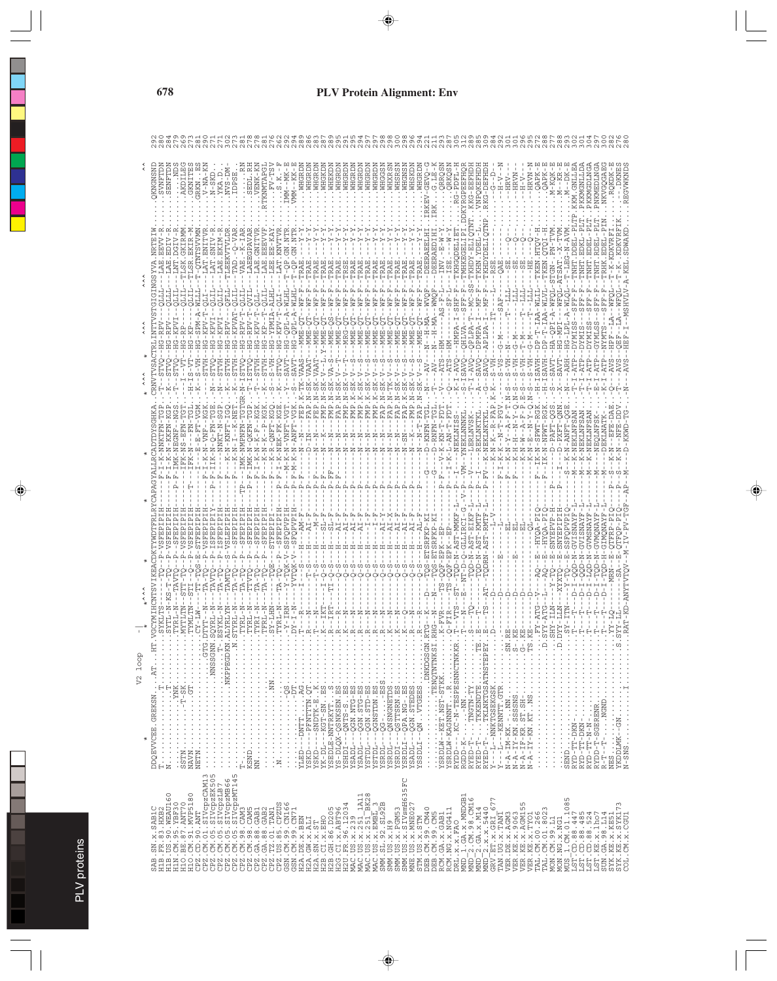| SAB.SM.x.SAB1C<br>H1B.FR.83.HXB2<br>H1B.US.90.WEAU16 | V <sub>2</sub> loop<br>DDQEVVCEE.GREKSN<br>$\star$                                                                                                                                                                                                                                                                                                                                                                                                                                |            |                               |              |                             |                         |               |                                     |              |                   |                                        |  |
|------------------------------------------------------|-----------------------------------------------------------------------------------------------------------------------------------------------------------------------------------------------------------------------------------------------------------------------------------------------------------------------------------------------------------------------------------------------------------------------------------------------------------------------------------|------------|-------------------------------|--------------|-----------------------------|-------------------------|---------------|-------------------------------------|--------------|-------------------|----------------------------------------|--|
|                                                      | $\begin{array}{l} \ldots {\rm A\bf T} \ldots {\rm HT} \, . \\ \vdots \ldots \ldots \ldots \ldots \ldots \end{array}$                                                                                                                                                                                                                                                                                                                                                              |            |                               |              |                             |                         |               |                                     |              |                   | SVNFTDN<br>SENFTDN<br><b>NSNEWSDRY</b> |  |
|                                                      |                                                                                                                                                                                                                                                                                                                                                                                                                                                                                   |            |                               |              |                             | <b>EGNF</b>             |               |                                     |              |                   |                                        |  |
|                                                      | $\begin{split} \texttt{SSTM} &\dots &\dots &\dots &\dots &\dots &\dots &\dots &\dots \\ \texttt{SSTM} &\dots &\dots &\dots &\dots &\dots &\dots &\dots &\dots \\ \texttt{NANN} &\dots &\dots &\dots &\dots &\dots &\dots &\dots &\dots &\dots \end{split}$                                                                                                                                                                                                                        |            |                               |              |                             | $K-NS-EFN-$             | $S-VT$<br>Ē   |                                     | $-TTLS$      |                   | AKDILE<br>GKNITE                       |  |
|                                                      | - - - - - - - - - - - - - - - NHHZ                                                                                                                                                                                                                                                                                                                                                                                                                                                |            |                               |              |                             | 먹<br>뛰                  |               | $\overline{B} - \overline{M}$       |              |                   | $V - NPA -$<br><b>RKN</b>              |  |
|                                                      |                                                                                                                                                                                                                                                                                                                                                                                                                                                                                   |            |                               |              |                             |                         |               |                                     |              |                   | $N-SKD$<br>YKA.D                       |  |
|                                                      |                                                                                                                                                                                                                                                                                                                                                                                                                                                                                   |            |                               |              |                             | $-N-KNF$                | $\mathbf{1}$  |                                     |              |                   | NUS-DM                                 |  |
|                                                      |                                                                                                                                                                                                                                                                                                                                                                                                                                                                                   |            |                               |              |                             | IMK-NMPNFN              | THEY          |                                     |              | Ţ                 | <b>IDPS1</b>                           |  |
|                                                      |                                                                                                                                                                                                                                                                                                                                                                                                                                                                                   |            |                               |              | EMI                         | $-0KFM-1$               |               | - 7                                 |              | LAEEGPAVA         | .SEDL.                                 |  |
|                                                      | $\begin{array}{ll} \mathbb{T}^n & \cdots & \cdots & \cdots & \cdots & \cdots \\ \mathbf{K} \mathbf{S} \mathbf{N} \mathbf{D} & \cdots & \cdots & \cdots & \cdots & \cdots \\ \mathbf{K} \mathbf{S} \mathbf{N} \mathbf{D} & \cdots & \cdots & \cdots & \cdots & \cdots & \cdots \\ \mathbf{N} \mathbf{N} & \cdots & \cdots & \cdots & \cdots & \cdots & \cdots & \cdots \end{array}$                                                                                                |            |                               |              | T                           | 円                       |               | リーエ                                 |              |                   | VENK-K                                 |  |
|                                                      |                                                                                                                                                                                                                                                                                                                                                                                                                                                                                   |            |                               |              |                             | $\frac{1}{2}$<br>i<br>Z | TTT.          |                                     |              | E<br>E            | TKNMTAPG                               |  |
|                                                      |                                                                                                                                                                                                                                                                                                                                                                                                                                                                                   |            |                               |              |                             | $K-1$<br>囩              |               |                                     |              |                   | 3.5.                                   |  |
|                                                      | $\begin{minipage}{0.9\textwidth} \begin{minipage}{0.9\textwidth} \begin{itemize} \textbf{1} & \textbf{1} & \textbf{1} & \textbf{1} & \textbf{1} & \textbf{1} & \textbf{1} & \textbf{1} & \textbf{1} & \textbf{1} & \textbf{1} & \textbf{1} & \textbf{1} & \textbf{1} & \textbf{1} & \textbf{1} & \textbf{1} & \textbf{1} & \textbf{1} & \textbf{1} & \textbf{1} & \textbf{1} & \textbf{1} & \textbf{1} & \textbf{1} & \textbf{1} & \textbf{$                                      |            |                               |              |                             | -N-VNF                  |               | $\overline{A}$<br>IdÖ-1             |              | z.<br>35          | --MK<br>IMM-                           |  |
|                                                      |                                                                                                                                                                                                                                                                                                                                                                                                                                                                                   |            |                               |              | $\mathbb{F}$ – $\mathbb{M}$ | $-1 - 2 - 2N$           | K-V           | G-QPI                               |              |                   | WHGRD<br>$VMM - K$                     |  |
|                                                      | $\frac{1}{2}$ $\frac{1}{2}$ $\frac{1}{2}$ $\frac{1}{2}$ $\frac{1}{2}$ $\frac{1}{2}$ $\frac{1}{2}$ $\frac{1}{2}$ $\frac{1}{2}$ $\frac{1}{2}$ $\frac{1}{2}$ $\frac{1}{2}$ $\frac{1}{2}$ $\frac{1}{2}$ $\frac{1}{2}$ $\frac{1}{2}$ $\frac{1}{2}$ $\frac{1}{2}$ $\frac{1}{2}$ $\frac{1}{2}$ $\frac{1}{2}$ $\frac{1}{2}$                                                                                                                                                               |            |                               | $\mathsf I$  |                             | 부                       |               | -- MWE-0.<br>-- MWE-0.<br>-- MWE-0. |              |                   | WHGRL                                  |  |
| --GRSZ                                               | $\frac{1}{2}$ $\frac{1}{2}$ $\frac{1}{2}$ $\frac{1}{2}$ $\frac{1}{2}$ $\frac{1}{2}$ $\frac{1}{2}$ $\frac{1}{2}$ $\frac{1}{2}$ $\frac{1}{2}$ $\frac{1}{2}$ $\frac{1}{2}$ $\frac{1}{2}$ $\frac{1}{2}$ $\frac{1}{2}$ $\frac{1}{2}$ $\frac{1}{2}$ $\frac{1}{2}$ $\frac{1}{2}$ $\frac{1}{2}$ $\frac{1}{2}$ $\frac{1}{2}$<br>$--$ SNDTK-E.K                                                                                                                                             |            |                               |              | 国                           |                         | $\frac{5}{1}$ |                                     |              |                   | WHGRL                                  |  |
| YK-DL-                                               | $-$ - $KGT$ - $\texttt{S}\texttt{N}$ .<br><br>ES                                                                                                                                                                                                                                                                                                                                                                                                                                  |            |                               |              |                             |                         |               | O-BININ-Z'T                         |              |                   | WHGKD                                  |  |
|                                                      |                                                                                                                                                                                                                                                                                                                                                                                                                                                                                   |            |                               |              |                             |                         | $\frac{1}{1}$ |                                     |              |                   | WHEKD<br>WHGRD                         |  |
|                                                      |                                                                                                                                                                                                                                                                                                                                                                                                                                                                                   |            |                               |              |                             |                         |               |                                     |              |                   | WHGRL                                  |  |
|                                                      | $\frac{1}{2}$ : $\frac{1}{2}$ : $\frac{1}{2}$ : $\frac{1}{2}$ : $\frac{1}{2}$                                                                                                                                                                                                                                                                                                                                                                                                     |            |                               |              |                             |                         |               |                                     |              |                   | WHGRL                                  |  |
|                                                      | $\begin{tabular}{l} $X$ is DLE-WIRKYT\\ $X$ is DLE-A-MIRKYT\\ $X$ is DLE-A-MIRX-1}\\ $X$ is DLE-A-MIRX-1\\ $X$ is DLE-A-MIRX-1\\ $X$ is DLE-A-MIRX-1\\ $X$ is DLE-A-MIRX-1\\ $X$ is DLE-A-MIRX-1\\ $X$ is DLE-A-MIRX-1\\ $X$ is DLE-A-MIRX-1\\ $X$ is DLE-A-MIRX-1\\ $X$ is DLE-A-MIRX-1\\ $X$ is DLE-A-MIRX-1\\ $X$ is DLE-A-MIRX-1\\ $X$ is DLE-A-MIRX-1\\ $X$ is DLE-A-MIRX-1\\ $X$ is DLE-A$                                                                                  |            |                               |              |                             |                         |               |                                     |              |                   | <b>VHGRD</b><br>WHGRD                  |  |
|                                                      | $\frac{1}{2}$                                                                                                                                                                                                                                                                                                                                                                                                                                                                     |            |                               |              |                             |                         |               |                                     |              |                   | WHGRL                                  |  |
|                                                      | $\frac{1}{2}$                                                                                                                                                                                                                                                                                                                                                                                                                                                                     |            |                               |              |                             |                         |               | NME-                                |              |                   | WHGGS                                  |  |
|                                                      | $\begin{array}{c} \vdots \\ \vdots \\ \vdots \\ \vdots \end{array}$                                                                                                                                                                                                                                                                                                                                                                                                               |            |                               |              |                             |                         |               |                                     |              |                   | WHXRS                                  |  |
|                                                      |                                                                                                                                                                                                                                                                                                                                                                                                                                                                                   |            |                               |              |                             | ς<br>ι                  |               |                                     |              |                   | <b>VHSRS</b><br><b>WHGNS</b>           |  |
|                                                      |                                                                                                                                                                                                                                                                                                                                                                                                                                                                                   |            |                               |              |                             |                         |               |                                     |              |                   | WHSKL                                  |  |
|                                                      | YSRDI - - - ŌSTTSRN . ES.<br>YSRDLI - - QPA. NG - . ES<br>YSRDLI - - QON . STEDES<br>YSSDLI - - QN VTGEES                                                                                                                                                                                                                                                                                                                                                                         |            |                               |              |                             | $(-T - F)$              |               |                                     |              |                   | WHGRD                                  |  |
|                                                      |                                                                                                                                                                                                                                                                                                                                                                                                                                                                                   |            | RFKI                          |              |                             | $KNHN-1$<br>F<br>T      |               |                                     |              |                   | <b>CRAC</b><br>ひ                       |  |
|                                                      |                                                                                                                                                                                                                                                                                                                                                                                                                                                                                   |            |                               |              |                             |                         |               |                                     |              |                   | RR<br>$\ddot{\cdot}$                   |  |
|                                                      | $\vdots$<br>YSRDLW-KAGNNNTR                                                                                                                                                                                                                                                                                                                                                                                                                                                       |            |                               |              |                             |                         |               |                                     |              |                   | <b>JRKQS</b>                           |  |
|                                                      | RYDD---.KC-N-TESPESNNCTNKKR                                                                                                                                                                                                                                                                                                                                                                                                                                                       |            | и<br>Α                        |              |                             |                         |               | -HMPA                               |              | TKHGODELI         | G-PDF                                  |  |
|                                                      |                                                                                                                                                                                                                                                                                                                                                                                                                                                                                   |            |                               |              |                             |                         |               |                                     |              | TMHKEGELI         | <b>GPEEFHO</b>                         |  |
|                                                      | RYED-T-TNGTN-TY<br>RYED-T-TKKENDTE TE<br>RYED-T-TKLNKTGSATNSTERPY                                                                                                                                                                                                                                                                                                                                                                                                                 |            |                               |              |                             |                         |               |                                     |              |                   | PQK                                    |  |
|                                                      |                                                                                                                                                                                                                                                                                                                                                                                                                                                                                   |            |                               |              |                             |                         |               |                                     |              |                   | G-DEFHD                                |  |
|                                                      |                                                                                                                                                                                                                                                                                                                                                                                                                                                                                   |            |                               |              | T                           |                         |               |                                     |              |                   | - H-1                                  |  |
|                                                      | $Y---1--KENNTT. GTR\ldots\ldots\ldots$                                                                                                                                                                                                                                                                                                                                                                                                                                            |            |                               |              | $\mathbb{E}$                |                         |               |                                     |              |                   | RV                                     |  |
|                                                      |                                                                                                                                                                                                                                                                                                                                                                                                                                                                                   |            |                               |              |                             |                         |               |                                     |              |                   | IRVN-<br>Η<br>Τ                        |  |
|                                                      |                                                                                                                                                                                                                                                                                                                                                                                                                                                                                   |            |                               |              |                             |                         |               |                                     |              |                   | N<br>÷                                 |  |
|                                                      |                                                                                                                                                                                                                                                                                                                                                                                                                                                                                   |            |                               |              |                             |                         |               |                                     |              |                   | $-$ HRVN <sup>-</sup>                  |  |
|                                                      |                                                                                                                                                                                                                                                                                                                                                                                                                                                                                   |            |                               |              |                             | Ă                       | 부부            | $-IAA$                              |              |                   | <b>OAP</b><br>$\vdots$                 |  |
|                                                      |                                                                                                                                                                                                                                                                                                                                                                                                                                                                                   | J.         | -SNYEPVP                      | YQA          |                             | م<br>۱                  | SAVH          | $- A - WFC$<br>h.                   | <b>NELS-</b> |                   | OAP.                                   |  |
|                                                      |                                                                                                                                                                                                                                                                                                                                                                                                                                                                                   | $-1.11$    |                               | -SNYEPIP     |                             |                         |               |                                     | L-ATSAT.-    | $\mathbb{R}$      |                                        |  |
|                                                      |                                                                                                                                                                                                                                                                                                                                                                                                                                                                                   |            | ςi                            | SFOPVP       |                             |                         |               | $-50$<br>$-1$                       |              | $T - LEG - N - A$ |                                        |  |
|                                                      |                                                                                                                                                                                                                                                                                                                                                                                                                                                                                   |            | 먹<br>Ä                        | <b>TENAY</b> |                             |                         |               |                                     |              | ∩<br>⊢            | <b>GNT</b>                             |  |
|                                                      |                                                                                                                                                                                                                                                                                                                                                                                                                                                                                   |            | $\frac{1}{\Box}$<br>$\bar{a}$ |              | $\blacksquare$              |                         |               |                                     |              |                   |                                        |  |
|                                                      | $\begin{minipage}{0.99\textwidth} \begin{tabular}{@{}ll@{}} \hline & \multicolumn{2}{c}{\textbf{0.99\textwidth} \begin{tabular}{@{}ll@{}} \multicolumn{2}{c}{\textbf{0.99\textwidth} \begin{tabular}{@{}ll@{}} \multicolumn{2}{c}{\textbf{0.99\textwidth} \begin{tabular}{@{}ll@{}} \multicolumn{2}{c}{\textbf{0.99\textwidth} \begin{tabular}{@{}ll@{}} \multicolumn{2}{c}{\textbf{0.99\textwidth} \begin{tabular}{@{}ll@{}} \multicolumn{2}{c}{\textbf{0.99\textwidth} \begin{$ |            |                               |              |                             |                         |               |                                     |              |                   |                                        |  |
| $R - T - -T$                                         | $-1.1.1$ MGND.                                                                                                                                                                                                                                                                                                                                                                                                                                                                    |            |                               |              |                             |                         |               |                                     |              |                   |                                        |  |
|                                                      |                                                                                                                                                                                                                                                                                                                                                                                                                                                                                   |            |                               |              |                             |                         |               |                                     |              |                   |                                        |  |
|                                                      |                                                                                                                                                                                                                                                                                                                                                                                                                                                                                   | AT-KD-ANYT |                               |              |                             |                         |               |                                     |              |                   |                                        |  |
|                                                      |                                                                                                                                                                                                                                                                                                                                                                                                                                                                                   |            |                               |              |                             |                         |               |                                     |              |                   |                                        |  |

PLV proteins PLV proteins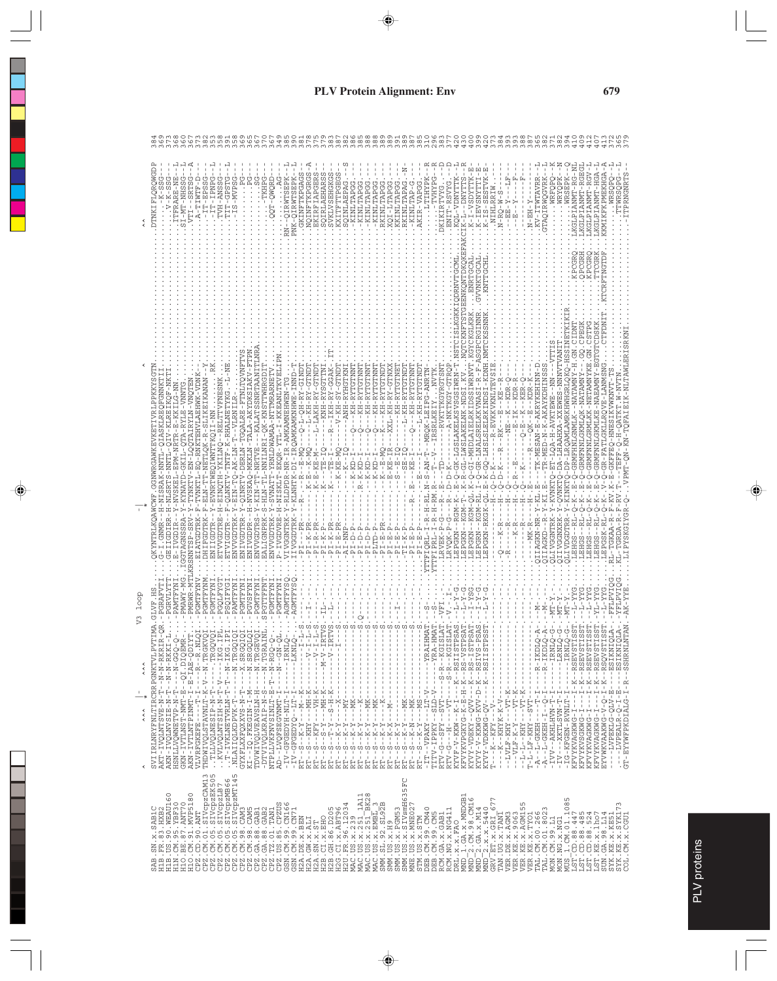|                           |                                                                                                                                                                                                                                                                                                                                                                                     |                                                                                                                                                                                                                                                                                                                                                                                                                                                                             |                                                                                                                                                                                                                                                                                                                                                                                                                                     |                                                                                                                                                                                                |                                                                                                                                                                                                                                                                                                                                                               |                                                                                                                                                                                                                                                                                                                                                                                                                                                                                                                                                                                                                               | $\begin{array}{c}\n\infty & \infty & \mapsto & \infty & \infty\n\end{array}$                                                                                                                                                                                                                                                                                                                                                                                                                                                                                                                                                                                                                                                                                                                                                                                                                                                                                                                                                                                                                                                      |
|---------------------------|-------------------------------------------------------------------------------------------------------------------------------------------------------------------------------------------------------------------------------------------------------------------------------------------------------------------------------------------------------------------------------------|-----------------------------------------------------------------------------------------------------------------------------------------------------------------------------------------------------------------------------------------------------------------------------------------------------------------------------------------------------------------------------------------------------------------------------------------------------------------------------|-------------------------------------------------------------------------------------------------------------------------------------------------------------------------------------------------------------------------------------------------------------------------------------------------------------------------------------------------------------------------------------------------------------------------------------|------------------------------------------------------------------------------------------------------------------------------------------------------------------------------------------------|---------------------------------------------------------------------------------------------------------------------------------------------------------------------------------------------------------------------------------------------------------------------------------------------------------------------------------------------------------------|-------------------------------------------------------------------------------------------------------------------------------------------------------------------------------------------------------------------------------------------------------------------------------------------------------------------------------------------------------------------------------------------------------------------------------------------------------------------------------------------------------------------------------------------------------------------------------------------------------------------------------|-----------------------------------------------------------------------------------------------------------------------------------------------------------------------------------------------------------------------------------------------------------------------------------------------------------------------------------------------------------------------------------------------------------------------------------------------------------------------------------------------------------------------------------------------------------------------------------------------------------------------------------------------------------------------------------------------------------------------------------------------------------------------------------------------------------------------------------------------------------------------------------------------------------------------------------------------------------------------------------------------------------------------------------------------------------------------------------------------------------------------------------|
|                           | DTNKIFLQRQWGD<br>PANEL-LI-T-<br>$1 - 1T - 1T - 1SSSG$<br>ITFRARE-NE<br>SI-MT-NHSSG<br>$\ldots A-TIWTF-D$<br>VTI--SRTSG<br>TVH-ANSS<br>$V - K - SS$<br>$-K-S$                                                                                                                                                                                                                        | TIT-GPS<br>$-TS-MVP$                                                                                                                                                                                                                                                                                                                                                                                                                                                        | GKINFTKPGAG<br>IRWTSEPK<br>-QIRWTSEPK<br>PNK-O                                                                                                                                                                                                                                                                                                                                                                                      | NQINFTKPGRG<br>EKIRFIAPGER<br>SOIRLAEHARS<br>EHGKG<br>-KINLTAPG<br>SQINLAEPA<br><b>SVKLVS</b><br>KXITFT                                                                                        | KINLTAPA<br>-KINLTAP<br>KINLTAP<br>KINLTAP<br>RKINLTAP<br>XOI-LTAP<br><b>KAINLTAP</b><br>KINLTAP                                                                                                                                                                                                                                                              | K-I-VSDYTTK-E<br>ESTVK-E<br>AKCIK-L--DNYTTS<br>.KQL-VDNYTTK<br><b>DAXHAL</b><br>HITTHYP<br>ENIT-RSVYG<br>DKIKIRTVYG<br>AKIR-VAP<br>$K-TEVS1$<br>$K-TS-SI$                                                                                                                                                                                                                                                                                                                                                                                                                                                                     | LKGLPIANMT-RG-NL<br>KGLPIANMT-RGEGI<br>KGLPIANMT-RGV-<br>KGLPIANMT-HGA-<br>KMIKFKPMEKHGA-<br>÷<br>TPRNGNRTS<br>KV-ITWTAVRR<br>TAQIRWQGVRK<br>WRFQPQ<br>WRSEPK<br>WRYQPK.<br>TWRSOP<br>RIW.<br><b>WRSOP</b><br>$\frac{5}{1}$<br>NIHLR<br>$N - RQ - W$<br>$X - HSE - N$ .<br>甲甲                                                                                                                                                                                                                                                                                                                                                                                                                                                                                                                                                                                                                                                                                                                                                                                                                                                     |
|                           |                                                                                                                                                                                                                                                                                                                                                                                     |                                                                                                                                                                                                                                                                                                                                                                                                                                                                             |                                                                                                                                                                                                                                                                                                                                                                                                                                     |                                                                                                                                                                                                |                                                                                                                                                                                                                                                                                                                                                               |                                                                                                                                                                                                                                                                                                                                                                                                                                                                                                                                                                                                                               | <b>IPCGRE</b><br>TCGR<br>KPCGR                                                                                                                                                                                                                                                                                                                                                                                                                                                                                                                                                                                                                                                                                                                                                                                                                                                                                                                                                                                                                                                                                                    |
|                           |                                                                                                                                                                                                                                                                                                                                                                                     |                                                                                                                                                                                                                                                                                                                                                                                                                                                                             |                                                                                                                                                                                                                                                                                                                                                                                                                                     |                                                                                                                                                                                                |                                                                                                                                                                                                                                                                                                                                                               | ISLKGKKIODRNVTGCM<br>GPCRGINNR                                                                                                                                                                                                                                                                                                                                                                                                                                                                                                                                                                                                | .GN.CSTPG<br><b>CPEG</b>                                                                                                                                                                                                                                                                                                                                                                                                                                                                                                                                                                                                                                                                                                                                                                                                                                                                                                                                                                                                                                                                                                          |
|                           | EIKOF-NKT<br>O-RNKTEHVLAEHWK-VDN                                                                                                                                                                                                                                                                                                                                                    |                                                                                                                                                                                                                                                                                                                                                                                                                                                                             | - KKEANLTKVELI<br>Q-L-QH-RY-GIND'                                                                                                                                                                                                                                                                                                                                                                                                   | --L-KH-RY-GTNDT<br>--KNH-RYSGTTN<br>--ANH-RYHGTKN<br>$Y - G T N D$<br>$--IKH-RY-GGA$<br>---KH-RYTGT<br>$-V$ -KH-S                                                                              | KH-RYTGTNN<br>KH-RYTGTND<br>KH-RYTGTNE<br>KH-RYTGTNN<br>KH-RYTGTNN<br>-L-KH-RYT<br>XXL-KH-RY<br>$\,$<br>Ţ<br>Ţ                                                                                                                                                                                                                                                | K-R-GL-LWSLAKBLMK-NDSI.KVNQTCKNFTSTGEBNKQNTDKQKE<br>K-Q-GI-MHDLAIBLRKIDSSIWRNVT.KGYCKGLKRKBNRTGCAL.<br>Q-LHSLSLELRKINDSI-KDNH.NMTCKSSNNK<br>E-Q-GK-LGSLAKELKSVSGSIWRN-T.NSTC<br>$-F - A$<br>--RVKTTKGYRGTSNT<br>--MRQK-LEIFG-ANRTN<br>-A-NKTKGY-GT<br>$I - R$<br><b>KVNAS</b><br>$-1 - 2 - 2 - 3$                                                                                                                                                                                                                                                                                                                             | Q-DP-LRQAMLAMRKHWHGRLQKQ-HSSINETKI<br>-Q-GRMFHNLGNMLK--NATAMNY-H.GN.CIDNT<br>-Q-GRMFNNLGKMLKE-NAEAMNY-EGTCDSK<br>- QN-KN-TQFAIEIK-NLTAWLERISRKNI<br>K-Y-QVNKTQ-DA-LHAAHXA-XXEWES-NNNVTVANIT<br>R-FATLGKLLRQVE-LANMSNG<br>-TK-MESAN-E-AKRYKEHINN-D<br>RMFNNLGKMLQK-NATAMNY--<br>RMFNNLGRMLKK-NETAMNYKE<br>$-TR-MED-N-K-AKAYKDHIMSS$<br>KVWKNVT-TS<br>M-NVTN<br>$-$ - $R$ - $E$ $V$ $K$ $K$ $V$ $K$ $V$ $L$ $T$ $E$ $V$<br>---NE---K--KDR-C<br>----B-IK--KDR-R-<br>-Q-B--K--KER-Q-<br>--QK--B--KDR-K-<br>$-58 - 1$                                                                                                                                                                                                                                                                                                                                                                                                                                                                                                                                                                                                                  |
|                           | Y-NVSKEL-EPM-NRTR-E-KKILG-NN<br>NN- ENNRTWEQIWNTTKQII-NN<br>L-QIV-KLR<br>VNKTL-E                                                                                                                                                                                                                                                                                                    | 7-EIN-TQ-AK-LN-T--VLRNILR                                                                                                                                                                                                                                                                                                                                                                                                                                                   | - Y - KLNHTK - DI - IROAMKAMKNHWE - INND - T<br>-TL-NNILNRI-QK-KNSTTWHRGDII<br>Y-RLDPDR-NR-IR-AMKAMNEHWEN-TG<br>- Y-SVNATT-YRNLDWAMAA-NTTMRARNE<br>H-NISKLT-EKQR-YTLI-I-KKEANLTKV<br>$- -R - -E - M$                                                                                                                                                                                                                                | $-$ R $-$<br>$\dot{Q}$<br>$\frac{1}{Q}$<br>$-K - E - K - M$<br>- - . $K - E - K - M -$<br>$\mathbb{E}$ – $\mathbb{N}$<br>$E - T$<br>급<br>$- - K - K - -1$<br>۳<br>ا<br>۲<br>$-K-KI$<br>$- - K$ | O<br>.--K--E-M<br>$- - E - KE - T$<br>$\frac{1}{2}$<br>$R - K - KD - 1$<br>$- -K - KD - 1$<br>$-K-KD - 2$                                                                                                                                                                                                                                                     | --IRSRLKEIY<br>R-LNALSRELK<br>$L$ . $N-S-RM-T$<br>نخ<br>_ا<br>$-D-K$<br>ု                                                                                                                                                                                                                                                                                                                                                                                                                                                                                                                                                     | T-LOA-H-AVKTEWE<br>$---R - - RK - - - E$<br>$-1 - Q - E - K$<br>--R---QK--E<br>KFFEQ-HNESI<br>푸<br>$\overline{Q}$ – $\overline{Q}$<br>U<br>U<br>J – K<br>G-0-1<br>$-2Q-D-K$<br><b>TMEA</b> .<br>$\frac{1}{1}$                                                                                                                                                                                                                                                                                                                                                                                                                                                                                                                                                                                                                                                                                                                                                                                                                                                                                                                     |
|                           | RSNNTSP-SRV-Y-TYNKTV-EN-LQQTAIRYLN-VNQTEN<br>DHIFGDTRK-F-ELN-TT-NETLQK-R-SLIKEIKANAN<br>TVVGDTRE-H-EINOTH-YKILNO--RELTTVFNESNK<br>GGTAGNSSRA-Y-KYNATD-GKIL-QTA-RYLE-VNNTG<br>GDIRR-H-NLSRTS-NNTI<br>$ -H$ $ NIS$<br>KYNTRLKOAWCWF<br>1<br>1<br>1<br>1<br>Î<br>ENIIGDTR--<br>-IVGDIR<br><b>IATGDTR</b>                                                                               | ENIVGDPR--H-NVSKAQ-MKKLN-TALA-AKYDKSIAKV-FTPN<br>$\textsf{ENVVGDTRS}\textup{--}\textsf{X}\textup{-}\textsf{KIN}\textup{-}\textup{TT}\textup{-}\textsf{NRTVE}\textup{-}\textup{-}\textsf{KALATSSNRTRANITTLMF}$<br>ENIVGDTRR-Y-QINRTV-DERLN-TGQALRE-FTNLTQVNF<br>TVIGDTR--F-QLNKTV-TNTF-K-RHALNETYKG.-<br>ETVIGDTR--I<br>ENVVGDTRK-1                                                                                                                                          | NTH-S-<br>IVGGNTRK-<br>ENVVGDTRK<br>-IVGDVRE<br>IVGGDTRK<br>ALIGNPRK                                                                                                                                                                                                                                                                                                                                                                | $I - K - PR$<br>$-PI-K-PR$<br>$I - R - PR$<br>$-E-I-E-$<br>$-AL-IMP$<br>$I - D - P$                                                                                                            | $I - D - P$<br>$-1 - 2 = -1 - P$<br>LTD-F<br>$-B - E - F$<br>$-2 - 14 - 14$<br>--TI-K-P<br>$-E - E - E - E$<br>$-19I - E$                                                                                                                                                                                                                                     | $-H-RM$ .<br>KGM-QL.<br>$-R-H-R$<br>$KGM - R$<br>LEPGKN-RKGK-C<br>LEPGKN--RGM-F<br>$KGM - T$<br>Ţ<br>$\frac{R}{1}$<br>$K - P - G$<br>LEPGKN--<br>LEPGRN--<br>LRVQK-P<br>$-B-I-E-I$<br>LLEIOBT-1<br>YTTFIPRL-I<br>LEPGKN<br>LRVE                                                                                                                                                                                                                                                                                                                                                                                               | $K - Y - KVMKTQ - E$<br>OLIVDGDTRR-Y-KINKT<br>Ĵ.<br>ť<br>÷,<br>$\mathbf{r}$<br>$\ldots$ LEHGS--RL-Q-K<br>$R - Y - K$<br>$QIIAGKN-NR-Y-K$<br>LIPYSKGIYGR-C<br>Ĭ<br>Ţ<br>LEHGS--RL-Q<br>$0$ - $L$ EHGS - $R$<br>.LEHGS--RL-Q<br>LEPGSK-RI<br>$Q - - -K - R$<br>$- R$<br>$K - R$<br>--MK-R<br>OIIAGKD--<br>QLIVGGNTR<br>QIIVGGNXR<br>RL-TGKAA-<br>KL-TGRDA                                                                                                                                                                                                                                                                                                                                                                                                                                                                                                                                                                                                                                                                                                                                                                           |
| loop<br>V <sub>3</sub>    | -MTL<br>- M<br>.-PGRAF<br>H. HVLD<br>TMANG-.<br>PMRWR                                                                                                                                                                                                                                                                                                                               | NEW REAL PROPERTY AND STRAIN CONTRACTOR CONTRACTOR CONTRACTOR CONTRACTOR CONTRACTOR CONTRACTOR CONTRACTOR CONT<br>THE CONTRACTOR CONTRACTOR CONTRACTOR CONTRACTOR CONTRACTOR CONTRACTOR CONTRACTOR CONTRACTOR CONTRACTOR CONTRA<br>                                                                                                                                                                                                                                         |                                                                                                                                                                                                                                                                                                                                                                                                                                     |                                                                                                                                                                                                |                                                                                                                                                                                                                                                                                                                                                               | T                                                                                                                                                                                                                                                                                                                                                                                                                                                                                                                                                                                                                             | $5XX-T$ -<br>$-1 - 1 - 0$<br>$K-TIX -$<br>$Y - T -$<br>Ĥ<br>$-MT -$<br>'n,<br>$. -NT.$                                                                                                                                                                                                                                                                                                                                                                                                                                                                                                                                                                                                                                                                                                                                                                                                                                                                                                                                                                                                                                            |
| $\hat{\hat{}}$            | $-E-IRB-QDII$<br>$-1$ $N - N - N - R$ $KR$ $\overline{L}$<br>$- -N - N - RKKI$                                                                                                                                                                                                                                                                                                      | <b>ARRA</b><br>7--------<br>7--N-IKG.]<br>7--N-IKG.]                                                                                                                                                                                                                                                                                                                                                                                                                        | $-1$ $-1$ $-1$ $-1$<br>$-I RNTC$<br>--------------                                                                                                                                                                                                                                                                                                                                                                                  | $- - \mathbf{V} - \mathbf{I}$<br>$-1 - 1 - 1$                                                                                                                                                  | $\frac{1}{1}$<br>$\begin{array}{c} \n\cdot & \cdot & \cdot \\ \n\cdot & \cdot & \cdot \\ \n\cdot & \cdot & \cdot \n\end{array}$<br>ł<br>$\,$ I                                                                                                                                                                                                                | PSA <sup>'</sup><br>PSA<br><b>A</b><br>Ō٦<br>$-----YRAI$<br>$- - RS - IST$<br>J.<br>$\begin{array}{c} \n 1 \\  1 \\  1\n \end{array}$                                                                                                                                                                                                                                                                                                                                                                                                                                                                                         | SS<br>$\begin{array}{l} \mathbb{I}\, \,{-}\, \,{-}\, \,{-}\, \,{-}\, \, \mathbb{R}\, \,{-}\, \, \mathbb{I}\, \, \mathbb{K} \mathbb{D} \, \mathbb{L} \, \mathbb{Q} \, \cdot \\ \mathbb{I}\, \,{-}\, \,{-}\, \,{-}\, \,{-}\, \, \mathbb{R}\, \,{-}\, \, \mathbb{I}\, \, \mathbb{K} \mathbb{D} \, \mathbb{L} \, \mathbb{Q} \, \cdot \\ \mathbb{I}\, \,{-}\, \,{-}\, \,{-}\, \,{-}\, \,{-}\, \, \mathbb{I}\, \,$<br>$---LLRNL$<br>$---ERML$<br>SIKNI)<br>SIKNIS<br>$\frac{1}{4}$<br>$\frac{1}{4}$<br>$\mathbf{I}$<br>$\overline{\phantom{a}}$<br>$\sf I$<br>$\mathsf I$<br>甲丁<br>$\mathbf{I}$<br>Í<br>1<br>$\frac{1}{1}$<br>I.                                                                                                                                                                                                                                                                                                                                                                                                                                                                                                        |
| $\star$<br>$\lambda$<br>≺ | SVIIRLMRYFNLTIRCRRPGNKTVLPV<br>$\text{KVLV} \text{QLNTSTH} - \text{N} - \text{T} - \text{V} -$<br>AKT-IVQLNTSVE-N-T<br>AKN-IVQLNVSIE-N-T<br>AKN-IVTLNTPINMT-I                                                                                                                                                                                                                       | $\begin{array}{ll} &\texttt{NIAITQIKDPX} & \texttt{X}^T \texttt{X}^T \texttt{X}^T \texttt{X}^T \texttt{X}^T \texttt{X}^T \texttt{X}^T \texttt{X}^T \texttt{X}^T \texttt{X}^T \texttt{X}^T \texttt{X}^T \texttt{X}^T \texttt{X}^T \texttt{X}^T \texttt{X}^T \texttt{X}^T \texttt{X}^T \texttt{X}^T \texttt{X}^T \texttt{X}^T \texttt{X}^T \texttt{X}^T \texttt{X}^T \texttt{X}^$<br>$-1 - 2 - N TATATET T T T T - T$<br>- - T-IVKLNETVRLN-T<br>T-NLAITQLKDPVK-T-<br>$\vdots$ | İ,<br>AD--LVQFSEGVNNT-I                                                                                                                                                                                                                                                                                                                                                                                                             |                                                                                                                                                                                                | $\begin{split} &\mathbf{R}\mathbf{R}^{T-1}+\mathbf{X}^{T-1}+\mathbf{X}^{T-1}+\mathbf{X}^{T-1}+\mathbf{X}^{T-1}+\mathbf{X}^{T-1}+\mathbf{X}^{T-1}+\mathbf{X}^{T-1}+\mathbf{X}^{T-1}+\mathbf{X}^{T-1}+\mathbf{X}^{T-1}+\mathbf{X}^{T-1}+\mathbf{X}^{T-1}+\mathbf{X}^{T-1}+\mathbf{X}^{T-1}+\mathbf{X}^{T-1}+\mathbf{X}^{T-1}+\mathbf{X}^{T-1}+\mathbf{X}^{T-1}$ | $-1272 - - - - - - - - - - - - - - - - - - - - - - - - -$<br>$\begin{array}{l} \text{KFVYKVPGKYG-K-B-H-K--RS-VST} \\ \text{KVVY-VDBKY--QVV--K--RS--RS-TST} \end{array}$<br>$\begin{array}{l} \text{K} \text{X} \text{V} \text{Y} - \text{V} - \text{K} \text{K} \text{M} \text{G} - \text{K} \text{V} \text{V} - \text{D} - \text{K} - - \text{R} \text{S} \, \text{I} \, \text{V} \text{S} \\ \text{K} \text{Y} \text{Y} \text{Y} - \text{V} \text{D} \text{K} \text{K} \text{M} \text{G} - \text{Q} \text{V} - - - - \text{K} - - \text{R} \, \text{S} \, \text{I} \, \text{I} \, \text{S}$<br>- TT- - VPAKY - - - LT- V- - | KFVYKVAGKWG-I---I-K--RSBVSTI<br>KFVYKVSGKWG-I---I-K--RSBVSTI<br>KFVYKVSGKWG-I---I-K--RSBVSTI<br>KFVYKVAGKWG-I---I-K--RSBVSTI<br>EYVWKVAAKWG-V-Q-I-K--RSQVST<br>$-1-\frac{1}{2}NPLRALR-Q-I-BI-R-I-BSIKNI-1-SITRYI-1$<br>$\begin{aligned} & -\Gamma \Lambda \Gamma \Gamma + K \Gamma \Gamma - -\Lambda \Gamma - K - -\\ & -\Gamma \Gamma - K - K - -K \Gamma \Gamma - -K - -\\ & -\Gamma - K - K - K - K -K -K -K -K -K -K-\\ & -\Gamma - K - K - K -K -K -K -K-\\ & -\Gamma - K - K -K -K -K -K-\\ & -\Gamma - K -K -K -K -K-\\ & -\Gamma - K -K -K -K-\\ & -\Gamma - K -K -K -K-\\ & -\Gamma - K -K-\\ & -\Gamma - K -K-\\ & -\Gamma - K-1 -K-\\ & -\Gamma - K-1 -K-\\ & -\Gamma - K-1 -K-\\ &$<br>$\,$<br>$- -L V P E K L G - Q L V - E - -$<br>$\mathfrak l$<br>$\frac{1}{1}$<br>$-K - KHXX - K - V - -$<br>$-$ -TVS $-$<br>$\begin{array}{l} \texttt{-IVV} - \texttt{AKHJHVDI} - \bar{\texttt{T}} - \texttt{I} \\ \texttt{-T} - \bar{\texttt{T}} - \texttt{V} - \texttt{V} \end{array}$<br>- IG-KFGEN-RVNLT-I<br>$-1$<br>$-$ - $K$ - $ K$ $\rightarrow$ $  K$ $\rightarrow$ $-$<br>$A - -L - GKEH -$<br>$L-T-T-KHX$<br>-A<br>н |
|                           | $\circ$<br>$\begin{array}{ll} \texttt{3.} & \texttt{SN.} \texttt{X.} & \texttt{SAL} \texttt{-} \\ \texttt{B.} & \texttt{FR.} & \texttt{83.} & \texttt{HXB2} \\ \texttt{B.} & \texttt{US.} & \texttt{90.} & \texttt{WBAUI60} \\ \texttt{B.} & \texttt{US.} & \texttt{S} & \texttt{VB} & \texttt{S} \\ \end{array}$<br>HIN.CM.95.YBF30<br>$\mathbf{\underline{m}}$<br>H1B<br>SAB<br>Ë |                                                                                                                                                                                                                                                                                                                                                                                                                                                                             | $\begin{smallmatrix} \text{HIO} & \text{B} & \text{B} & \text{B} & \text{B} & \text{B} & \text{B} & \text{B} & \text{B} & \text{B} & \text{B} & \text{B} \\ \text{HIO} & \text{B} & \text{B} & \text{B} & \text{B} & \text{B} & \text{B} & \text{B} & \text{B} \\ \text{C} & \text{C} & \text{D} & \text{D} & \text{D} & \text{D} & \text{D} & \text{D} & \text{D} & \text{D} & \text{D} & \text{D} & \text{D} \\ \text{C} & \text$ | H2B.CI.X.EHO<br>H2B.GH.86.D205                                                                                                                                                                 | 5FC<br>$\rightarrow \infty$<br>SMM. US . x . H9<br>SMM. US . x . PGM53<br>SMM. US . x . STV smH635<br>SMM. US . x . STV smH635<br>MNE . US . x . MNE027<br>H2G : CI : X, ABT96<br>M2U : UR : 8 : 3 : 2 034<br>M2C : UR : X : 2 5 : 1 2034<br>MAC : US : X : 251 _ 1 211<br>MAC : US : X : 251 _ BK28<br>MAC : US : 22 : SLD929                                | L.GA.x.MNDGB1<br>.CM.98.CM16<br>DEB.CM.99.CM40<br>DEB.CM.99.CM5<br>RCM.GA.x.GAB1<br>RCM.NG.x.NG411<br>DRL.x.x.FAO<br>.GA.x.M14<br>STM.US.x.STM<br>$\text{MD}^{-2}$<br>NHE<br>NHE<br>NHE                                                                                                                                                                                                                                                                                                                                                                                                                                       | $\begin{array}{l} {\rm MUS}^{-1}_{1-1}{\rm M}51{\rm M}51{\rm 1085}\\ {\rm LIST}^{-1}_{1-1}{\rm CID}.\, 88.\,447\\ {\rm LIST}^{-1}_{1-1}{\rm CID}.\, 88.\,524\\ {\rm LIST}^{-1}_{1-1}{\rm CID}.\, 88.\,524\\ {\rm LIST}^{-1}_{1-1}{\rm CID}.\, 81.\,741\\ {\rm LIST}^{-1}_{1-1}{\rm CID}.\, 81. \,741\\ {\rm SIX}.\, 821. \,1. \,1. \,1. \end{array}$<br>i-<br>$\sqrt{2}$<br>$\begin{array}{l} \mathbf{M}^{\mathrm{WD}}_{\mathrm{M}}=2\cdot 2.4\cdot 2.4\cdot 144\\ \mathbf{GRV},\mathbf{ET}^{\mathrm{CD}}_{\mathrm{M}}\times 2.6\mathbf{R1}^{\mathrm{F}}_{\mathrm{G}}\\ \mathbf{GRV},\mathbf{IT}^{\mathrm{CD}}_{\mathrm{M}}\times 2.6\mathbf{R1}^{\mathrm{F}}_{\mathrm{G}}\\ \mathbf{V}\mathbf{ER},\mathbf{DE}\times 2.4\mathbf{M3}\\ \mathbf{V}\mathbf{ER},\mathbf{DE}\times 2.4\mathbf{M3}\\ \mathbf{V}\mathbf{ER},\mathbf$<br>3<br>$\begin{array}{l} \texttt{SYK.}\, \texttt{KE.}\, \texttt{x.}\, \texttt{SYK17} \\ \texttt{COL.}\, \texttt{CM.}\, \texttt{x.}\, \texttt{CGU1} \end{array}$<br>TAL.CM.00.266<br>TAL.CM.01.8023<br>MON.CM.99.LL<br>MON.NG.x.NG1                                                                 |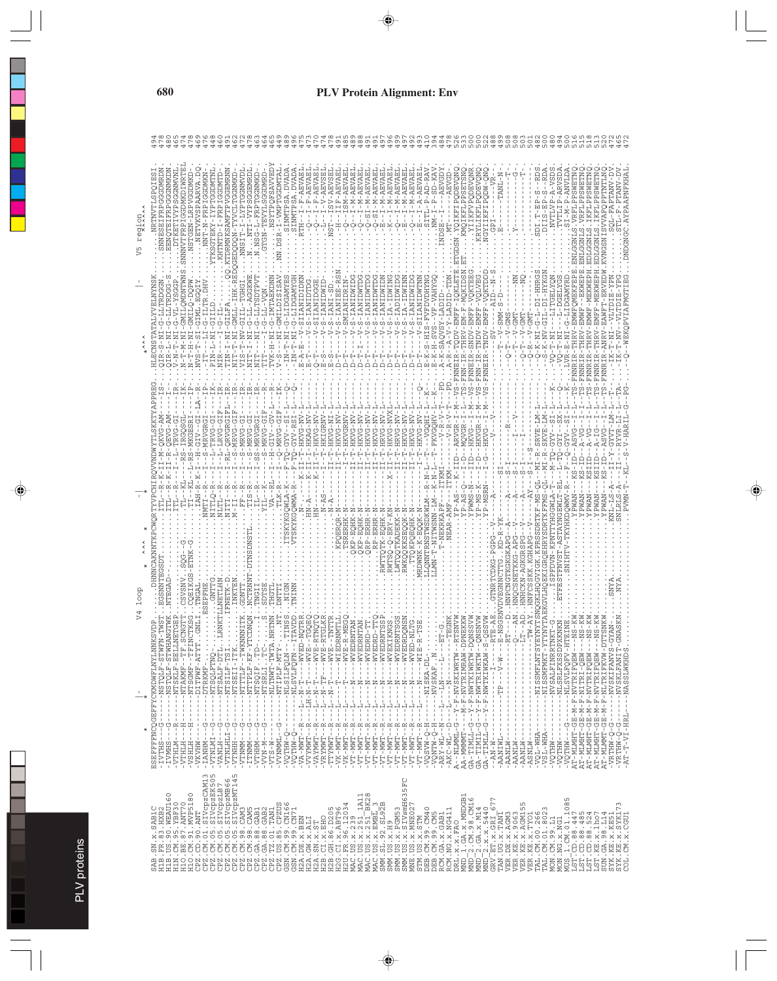| regior<br>ξp |                                                                                |                                                                                                       |                                                |                                            |                                                                                                                                                                                                                                                                                                                                                                                                                                                                                                     |                                                      |                                                                                                                                                                                                                                          |                                      |          |                                                                      |                                                                                          |                      |                                                            |                                   |                                             |                                       |                                                                                            | Ţ                                         | $\frac{1}{2}$                                                                                               |                                                                      | $\tilde{A}$<br>$\frac{5}{2}$                                                                            | $\frac{1}{2}$<br>$\frac{1}{2}$      | J,                                                                                                                                                                                                                                                         | -AEVA<br>$\sum_{i=1}^{n}$<br>즉                                                        | -AEVA<br>Σ-                                                | Ŗ                          | $\overline{A}$                                  | $\stackrel{-}{\Xi}$                                                |                       |                                       |                                                      |                                                                        |                                              |                                                          |                   |                          |                                                                                    |                                  | - EP          | -ARVS<br>VTLIP                      | I-M-P-ANVL                    | . VRFLPPSWET                                            | . VRFLPPSWETN              |                                                                                                                |                           |                                                                                              |               |
|--------------|--------------------------------------------------------------------------------|-------------------------------------------------------------------------------------------------------|------------------------------------------------|--------------------------------------------|-----------------------------------------------------------------------------------------------------------------------------------------------------------------------------------------------------------------------------------------------------------------------------------------------------------------------------------------------------------------------------------------------------------------------------------------------------------------------------------------------------|------------------------------------------------------|------------------------------------------------------------------------------------------------------------------------------------------------------------------------------------------------------------------------------------------|--------------------------------------|----------|----------------------------------------------------------------------|------------------------------------------------------------------------------------------|----------------------|------------------------------------------------------------|-----------------------------------|---------------------------------------------|---------------------------------------|--------------------------------------------------------------------------------------------|-------------------------------------------|-------------------------------------------------------------------------------------------------------------|----------------------------------------------------------------------|---------------------------------------------------------------------------------------------------------|-------------------------------------|------------------------------------------------------------------------------------------------------------------------------------------------------------------------------------------------------------------------------------------------------------|---------------------------------------------------------------------------------------|------------------------------------------------------------|----------------------------|-------------------------------------------------|--------------------------------------------------------------------|-----------------------|---------------------------------------|------------------------------------------------------|------------------------------------------------------------------------|----------------------------------------------|----------------------------------------------------------|-------------------|--------------------------|------------------------------------------------------------------------------------|----------------------------------|---------------|-------------------------------------|-------------------------------|---------------------------------------------------------|----------------------------|----------------------------------------------------------------------------------------------------------------|---------------------------|----------------------------------------------------------------------------------------------|---------------|
|              |                                                                                |                                                                                                       |                                                |                                            |                                                                                                                                                                                                                                                                                                                                                                                                                                                                                                     |                                                      |                                                                                                                                                                                                                                          |                                      |          |                                                                      | <b>GMI</b>                                                                               |                      |                                                            |                                   |                                             |                                       |                                                                                            | SMIANIDR                                  |                                                                                                             |                                                                      |                                                                                                         |                                     | Ţ                                                                                                                                                                                                                                                          |                                                                                       |                                                            |                            |                                                 |                                                                    |                       |                                       |                                                      |                                                                        |                                              |                                                          |                   |                          |                                                                                    |                                  |               |                                     |                               |                                                         | $F - M$                    |                                                                                                                |                           |                                                                                              |               |
|              |                                                                                |                                                                                                       |                                                | EN-                                        |                                                                                                                                                                                                                                                                                                                                                                                                                                                                                                     |                                                      |                                                                                                                                                                                                                                          |                                      |          |                                                                      |                                                                                          |                      |                                                            |                                   |                                             |                                       |                                                                                            |                                           |                                                                                                             |                                                                      |                                                                                                         |                                     |                                                                                                                                                                                                                                                            |                                                                                       |                                                            |                            |                                                 |                                                                    |                       |                                       |                                                      | H<br>-                                                                 | 푸<br>¦                                       |                                                          |                   |                          |                                                                                    | 11 - R - SRVE<br>11 - R - SKVE - |               |                                     |                               | $\frac{1}{50}$                                          |                            |                                                                                                                |                           |                                                                                              |               |
|              |                                                                                |                                                                                                       |                                                | IAH-R                                      | VITLLQ-R                                                                                                                                                                                                                                                                                                                                                                                                                                                                                            |                                                      |                                                                                                                                                                                                                                          | IS-R                                 |          | $\frac{1}{4}$                                                        | $A - R$<br>LK-R                                                                          |                      |                                                            |                                   |                                             | $N - AS$                              |                                                                                            |                                           |                                                                                                             |                                                                      | RP-ERH<br>ORP-ERH                                                                                       |                                     | $-ERY$                                                                                                                                                                                                                                                     |                                                                                       |                                                            |                            |                                                 |                                                                    |                       |                                       | PWMS-1                                               |                                                                        |                                              |                                                          |                   | W.                       | $-2$                                                                               | <b>CF-MS-QL--MI-R</b>            |               | I-TO-GYV<br>LYD-QT-I                | $-9 - 0 -$<br>$\frac{1}{r-R}$ |                                                         | ÷                          |                                                                                                                |                           |                                                                                              |               |
| dooT         |                                                                                |                                                                                                       |                                                |                                            |                                                                                                                                                                                                                                                                                                                                                                                                                                                                                                     |                                                      |                                                                                                                                                                                                                                          | NCTRNN<br><b>GDNT</b>                |          |                                                                      |                                                                                          |                      |                                                            |                                   |                                             |                                       |                                                                                            |                                           |                                                                                                             | $KP - E$                                                             |                                                                                                         | WTTOTK-EOH                          |                                                                                                                                                                                                                                                            |                                                                                       |                                                            |                            |                                                 |                                                                    |                       |                                       |                                                      |                                                                        |                                              |                                                          |                   |                          |                                                                                    |                                  |               |                                     |                               |                                                         |                            |                                                                                                                |                           |                                                                                              |               |
|              | -NSTQLF-STWH<br>RSEFFFFNCOGEFFYCKMDWFLNYLM<br>$-$ NSTQLF-STW<br>ţ              | --NTSKLF-EELL                                                                                         | --NTSGMF--TFI<br>$-NTPAXMF-TF$<br>$\mathbf{I}$ | LALV-AMALIO--<br>--DTRKMF-<br>$\mathbf{I}$ | $\cdot$<br>-NTSQLFTNQ-                                                                                                                                                                                                                                                                                                                                                                                                                                                                              | $-$ - NTSALF-DTL.                                    | $\begin{array}{l} -1 \, \text{NT} \, \text{S} \, \text{TL} \, \text{F} \, - \, \text{T} \, \text{S} \, \text{T} \\ -1 \, \text{NT} \, \text{S} \, \text{E} \, \text{I} \, \text{I} \, - \, \text{T} \, \text{T} \, \text{K} \end{array}$ | --NTTTTLF--TWK<br>-- NTTPLF-KF-Y     |          | $\begin{array}{c}\n -\texttt{NTSGIF}\ .\ \texttt{TD}-\n \end{array}$ | --NLTNWT-TWTP--<br>$- \lambda \Delta M - \Delta \Delta \Delta \Delta \Delta -$<br>ı<br>٠ | -WISILFQLM-          | --WVEL<br>- NLSVLFQFN-<br>$\frac{1}{1}$<br>$-1 - 1 - -1 -$ | $\frac{1}{1}$<br>$-1 - H - H - T$ | $- M N E -$<br>$-1 - 2 - 1 - 1 - 1 - 1 - 1$ | - HVN - - - HH - HH - - - - - - - - - | $-4$ WVE-<br>--WIEL<br>$\frac{1}{1}$<br>Í<br>$-1 - 1 - -1 - -1$<br>۳<br>-<br>$\frac{1}{1}$ | $-$ MVE-<br>I<br>J.<br>ŗ<br>$\frac{1}{1}$ | -MVEI<br>$\frac{1}{1}$<br>Ī<br>ך<br>י                                                                       | -WVEL<br>$-1$                                                        | -WVEL<br><b>ISAM-</b><br>Í<br>$\frac{1}{4}$<br>$-1$<br>$-1$<br>$\frac{1}{1}$<br>$\frac{1}{1}$<br>۲<br>ا | $--WVE1$<br>Í<br>N------<br>٦.      | $--WVEZ$<br>$\frac{1}{4}$<br>$-1$<br>$-1$                                                                                                                                                                                                                  | -- WVEI<br><b>ISAM-</b><br>$\frac{1}{1}$<br>$-1$<br>$N - -1$<br>j<br>۲<br>ا<br>i<br>İ | --WVEL<br>Ť<br>Ť<br>$-1$<br>$\frac{1}{1}$<br>$\frac{1}{1}$ | $-W-$<br>j.<br>m<br>۲<br>ا | $-10-5K$ -DL<br>$-$<br>t                        | $-WSKAF$ . $N$ .<br>$\frac{1}{1}$<br>$-1 - 1 - 1 - 1 - 1 - 1$<br>I | $-1$ $-1$<br>$-1 - 1$ | $- N L M L M L N S N L N S V L N L V$ | $--M-F-WVTRIMRAW-T$<br>-- Y - F - NWTKIWRTW-I        | - - NAZZIMI ZIMAL - H<br>- - A - H - NAZIMI TIMAN - -                  |                                              | $M - N -  -1$<br>$\sf I$<br>$\mathbf{I}$                 |                   | $\frac{1}{1}$<br>t       | $\frac{1}{1}$                                                                      | -- NISSMFINISY                   | --NISSMFMKT-Y | --NVSALFINRRT<br>--NLSRLFXSSDE<br>٠ | -MLSVLFQFV-F                  | - MINHT-GE-M-F-NITRI-QEW-<br>AT-MLMHT-GE-M-F-NVTRIFQEW- | AT-MLMHT-GE-M-F-NVTRIFQEW- | AT-MLMHT-GE-M-F-NVTRIFQEW-                                                                                     | 7-MINMAL-GE-M-F-MITEIFKVM | -NVSKIFANVS-<br>-- NVSKLFANIT<br>I<br>٠                                                      | -- NASSLWKHDS |
| $\ast$       | İ<br>いり<br>f,<br>$-TVTHS$<br>- IVMHS                                           | $\begin{array}{cccc}\n & - & 1 \\  & - & 1 \\  & - & - & 1 \\  & - & - & 1\n\end{array}$<br>$-VTHLM-$ | - VTHLH<br><b>HTHSA-</b>                       | $-LANTHM-$<br>-VKVHW                       | じい<br>Ť<br><b>INTINIVIT</b>                                                                                                                                                                                                                                                                                                                                                                                                                                                                         | ٣<br>$\begin{array}{c} \hline \end{array}$<br>HTNEA- | - VTNLHLI-G<br>- - HHNTV-                                                                                                                                                                                                                | יט<br>יווי<br>$-$ ITNMM-<br>$-VTNMM$ | $-VTHHM$ | 먹<br>-VVV-M-M                                                        | -VVNMML--G<br>$-VTS-W$                                                                   | ÷<br><b>O-MHLOA-</b> | - VA-MWT--R<br>$\mathbf{I}$<br>$-VTHM-Q$                   | -VVYMWT--R                        | $\mathbf{I}$<br>$-VAYMWT - R$               | - VRYMWT - - R<br>- TTYMWT - - R -    | $\mathbf{I}$<br>$\mathbb{I}$<br>$-$ R<br>$-VK-MWT$                                         | $-R$<br>$-$ VK-MWT                        | - - R<br>$-VT - MWT$                                                                                        | $\frac{R}{I}$<br>$- \Delta \Delta - \text{N} \Delta \Delta - \Delta$ | $-8$<br>$-8$<br>$ VT - MWT$                                                                             | $- R$                               | $- - R$<br>$\begin{array}{r} -\nabla \mathbf{T}-\mathbf{M}\mathbf{W}\mathbf{T} \\ -\nabla \mathbf{T}-\mathbf{M}\mathbf{W}\mathbf{T} \\ -\nabla \mathbf{T}-\mathbf{M}\mathbf{W}\mathbf{T} \\ -\nabla \mathbf{T}-\mathbf{M}\mathbf{W}\mathbf{T} \end{array}$ | - - R<br>$-$ R<br>$-LM = L\Lambda$                                                    | $-VT - MW - R$                                             | $- R$<br>$-VT - MWT$       | H-0-MASOA-                                      | $\frac{1}{1}$<br>H-Q-MINQV-<br>$-ARY-WL-NN$                        | AKC-WL--D-            | A--NLMML-G                            | AA-MMMMT--<br>GA-TIMIL-G                             | $\begin{array}{c} \text{GA-TINT-L-G} \\ \text{GA-TIMIL-G} \end{array}$ | $- - N - N - - -$                            | $-$ <b>AANIWL-</b>                                       | $-$ <b>AANLW-</b> | $-$ AANLW--<br>- PANIN-- | $-ASNLM$                                                                           | ï<br>-VQL-WHA                    | $-VSL-WHA$ -  | -WHTQV-<br>-VQTHW                   | U---MHDV-                     |                                                         |                            |                                                                                                                |                           | $- \nabla R \nabla H W - Q - G - - - - -$ $- \nabla T - T - V I - H R L -$<br>$-0.5 - 0 - 0$ |               |
|              | $\circ$<br>. US. 90. WEAU16<br>.SN.x.SABIC<br>.FR.83.HXB2<br>SAB<br>H1B<br>H1B | .CM.95.ZEF30<br>H1N                                                                                   | H10.BE.87.ANT70<br>H10.CM.91.MVP5180           |                                            | $\begin{smallmatrix} \begin{smallmatrix} \color{red}{0} & \color{red}{0} & \color{red}{0} & \color{red}{0} & \color{red}{0} & \color{red}{0} & \color{red}{0} & \color{red}{0} & \color{red}{0} & \color{red}{0} & \color{red}{0} & \color{red}{0} & \color{red}{0} & \color{red}{0} & \color{red}{0} & \color{red}{0} & \color{red}{0} & \color{red}{0} & \color{red}{0} & \color{red}{0} & \color{red}{0} & \color{red}{0} & \color{red}{0} & \color{red}{0} & \color{red}{0} & \color{red}{0} &$ |                                                      |                                                                                                                                                                                                                                          |                                      |          |                                                                      |                                                                                          |                      |                                                            | H2A. GW. x. ALI                   | H2A.SN.x.ST                                 | H2B.CI.x.EHO<br>H2B.GH.86.D205        | H2G.CI.x.ABT96                                                                             |                                           | H2U: FR. 36. 12034<br>MAC: US. x. 239<br>MAC: US. x. 251_1A11<br>MAC: US. x. 251_BK28<br>MAC: US. x. EMBL_3 | $\frac{1.1411}{-8K28}$                                               |                                                                                                         | SMM TC<br>SMM SL 92.SL92B<br>SMM TC |                                                                                                                                                                                                                                                            | 5FC<br>SMM. US. x. H9<br>SMM. US. x. PGM53<br>SMM. US. x. SIVamH63                    | MNE.US.x.MNE02                                             |                            | STM.US.x.STM<br>DEB.CM.99.CM40<br>DEB.CM.99.CM5 | RCM.GA.X.GAB1                                                      | RCM.NG.x.NG411        | DRL.X.X.FAO                           | MND 1.GA.x.MNDGB1<br>2. CM. 98. CM16<br><b>CININ</b> | $MD2$ . GA. $x. M14$                                                   | r.<br>$-2 \cdot x \cdot x \cdot 5440$<br>MND | $\circ$<br>GRV-ET-X-CRI<br>CRV-ET-X-GRI<br>TAN-UG-X-TANI |                   |                          | VER.DE.X.AGM3<br>VER.KE.X.AGM3<br>VER.KE.X.AGM15<br>VER.KE.X.TYO1<br>VER.KE.X.TYO1 | TAL.CM.00.266<br>TAL.CM.01.8023  |               | MON.CM.99.L1<br>MON.NG.x.NG1        | 1.CM.01.1085<br>NUS           |                                                         |                            | 1297.00.188.447<br>1297.00.88.485<br>1297.00.88.524<br>1297.00.38.1207<br>2021.34.34.1207<br>2021.34.35.120851 |                           | SYK.KE.x.SYK173<br>COL.CM.x.CGU1                                                             |               |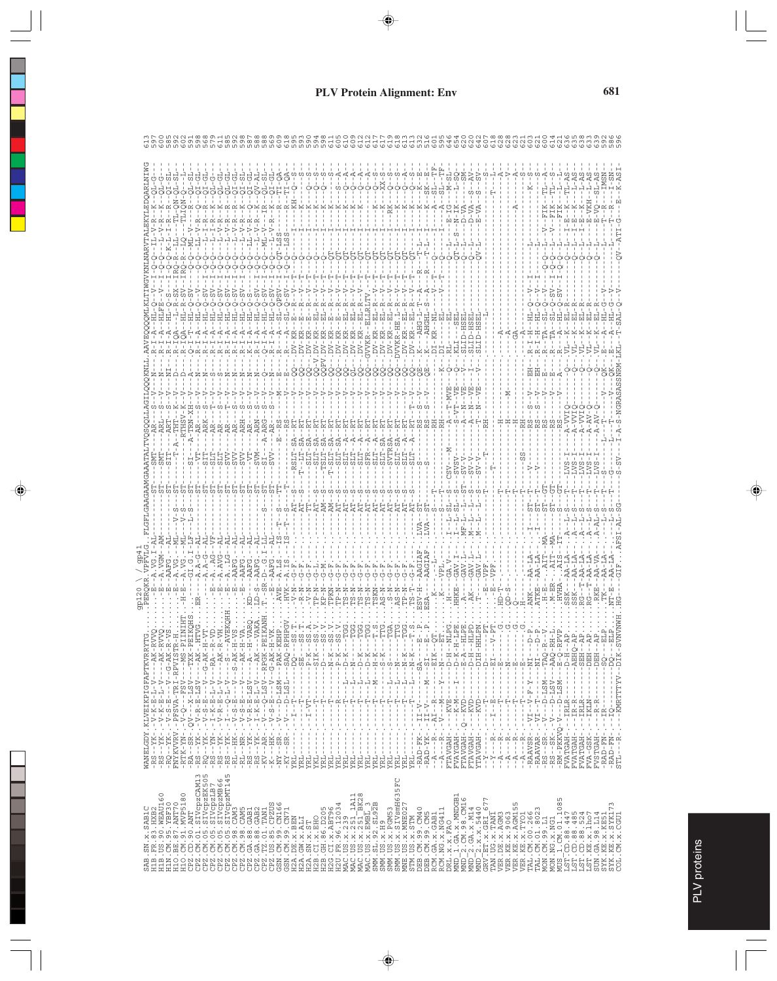| v<br>٠                    |  |
|---------------------------|--|
| ×<br>. .<br>٠<br>٠<br>. . |  |

|                                           |                                                                                                                                                                                                                                                                                                                                                                                                                          |          |  |  |  |  |  |  |                                                                     |                                  |                          |                                                                                                                                                                                                  |           |          |              |              |                          |                                                                    |                           |                         |                                           |                                                                    |        |                               |                                  |                                                                                                           | $\begin{array}{c} \rule{0.2cm}{0.15mm} \rule{0.2cm}{0.15mm} \rule{0.2cm}{0.15mm} \rule{0.2cm}{0.15mm} \rule{0.2cm}{0.15mm} \rule{0.2cm}{0.15mm} \rule{0.2cm}{0.15mm} \rule{0.2cm}{0.15mm} \rule{0.2cm}{0.15mm} \rule{0.2cm}{0.15mm} \rule{0.2cm}{0.15mm} \rule{0.2cm}{0.15mm} \rule{0.2cm}{0.15mm} \rule{0.2cm}{0.15mm} \rule{0.2cm}{0.15mm} \rule{$ |                                                  |                          |                                |                                                                                                                      |                                          |                                                   |                                                                                         |  | Ĵ                  |                   |                                    |                      |                                                       |            |                                |
|-------------------------------------------|--------------------------------------------------------------------------------------------------------------------------------------------------------------------------------------------------------------------------------------------------------------------------------------------------------------------------------------------------------------------------------------------------------------------------|----------|--|--|--|--|--|--|---------------------------------------------------------------------|----------------------------------|--------------------------|--------------------------------------------------------------------------------------------------------------------------------------------------------------------------------------------------|-----------|----------|--------------|--------------|--------------------------|--------------------------------------------------------------------|---------------------------|-------------------------|-------------------------------------------|--------------------------------------------------------------------|--------|-------------------------------|----------------------------------|-----------------------------------------------------------------------------------------------------------|------------------------------------------------------------------------------------------------------------------------------------------------------------------------------------------------------------------------------------------------------------------------------------------------------------------------------------------------------|--------------------------------------------------|--------------------------|--------------------------------|----------------------------------------------------------------------------------------------------------------------|------------------------------------------|---------------------------------------------------|-----------------------------------------------------------------------------------------|--|--------------------|-------------------|------------------------------------|----------------------|-------------------------------------------------------|------------|--------------------------------|
| WANELGDY.KLVEIKPIGFAPTKVRRY<br>$---A K -$ | -----AK-F<br>$-1 - G - AK - F$                                                                                                                                                                                                                                                                                                                                                                                           | -RPVISTF |  |  |  |  |  |  |                                                                     |                                  | $P - K$<br>$\frac{1}{1}$ | $D - K$<br>Ţ                                                                                                                                                                                     | $-1$ $-1$ | $---D-K$ | $D - K$<br>ł | $H - K$<br>Ţ | $S - K$<br>$\frac{1}{1}$ | f,<br>-- II -- - - II --<br>C)                                     | $---1 - -1 - -N - K$      | $- - - 1 - - - - - - K$ | $- - SA - -$                              |                                                                    | $EIK-$ | $-1 - 1 - 1 - 1$<br>$-1$ $-1$ | $---D-K-F$                       | $E - A - -$<br>$\frac{1}{1}$                                                                              | $H - - - - - -$                                                                                                                                                                                                                                                                                                                                      | $-1 - 11H - H$<br>$\frac{1}{2}$<br>$\hfill \Box$ | i.<br>H<br>凹             | Í<br>凹                         | $\frac{1}{1}$<br>$-1$                                                                                                | $\frac{1}{4}$<br>Í<br>囜<br>$\frac{1}{1}$ |                                                   | $-1$ M $-$                                                                              |  | H-d----            | -- - AEHO-        | HBS-----                           | <b>HERG-----</b>     | -----DEH-                                             | SO         |                                |
|                                           |                                                                                                                                                                                                                                                                                                                                                                                                                          |          |  |  |  |  |  |  |                                                                     |                                  |                          |                                                                                                                                                                                                  | ï         |          |              |              | İ                        | $\frac{1}{1}$                                                      |                           |                         |                                           |                                                                    |        | 1<br>1                        |                                  | ٠<br>$\,$ I<br>-                                                                                          | $\mathbf{I}$<br>٠                                                                                                                                                                                                                                                                                                                                    | $\frac{1}{1}$                                    | ţ                        | $\frac{1}{2}$                  | $\,$ I                                                                                                               | I<br>÷<br>÷                              |                                                   |                                                                                         |  | Ì<br>$\frac{1}{1}$ |                   |                                    |                      | $\begin{array}{c} 1 \\ 1 \\ 1 \\ 1 \end{array}$<br>f, |            |                                |
|                                           |                                                                                                                                                                                                                                                                                                                                                                                                                          |          |  |  |  |  |  |  |                                                                     |                                  |                          | $\begin{array}{cccc}\n\mathbf{F} & - & - & - & -\mathbf{F} \\ \mathbf{F} & - & - & - & -\mathbf{F} \\ \mathbf{F} & - & - & - & -\mathbf{F} \\ \mathbf{F} & - & - & - & -\mathbf{F}\n\end{array}$ |           |          |              |              |                          | Ť<br>Ť                                                             | $\frac{1}{1}$             | t                       |                                           |                                                                    |        | $-$ - KVE                     | $-$ – K – M – $-$ – $\mathbb{I}$ | $-$ KVD                                                                                                   | $-$ KVD                                                                                                                                                                                                                                                                                                                                              | $-$ KVD.<br>$-1$                                 | 田<br>-                   | י<br>י                         | Ī,                                                                                                                   | $-1$<br>Ï                                |                                                   |                                                                                         |  |                    |                   |                                    |                      | $---R-R$<br>$-IR--$                                   |            |                                |
|                                           |                                                                                                                                                                                                                                                                                                                                                                                                                          |          |  |  |  |  |  |  |                                                                     |                                  | ţ                        |                                                                                                                                                                                                  |           |          | Ă,           | ÷            | l,                       | f,                                                                 | $\frac{1}{1}$<br>1.<br>l, | ٠.                      |                                           |                                                                    |        |                               | ÷.<br>È                          | $\frac{1}{\sqrt{2}}$                                                                                      | $\mathbb{I}$<br>÷.                                                                                                                                                                                                                                                                                                                                   | $\frac{1}{1}$<br>$\overline{\phantom{a}}$        | $\frac{1}{1}$<br>$\cdot$ | $\frac{1}{1}$<br>Å             | $\mathsf I$<br>÷                                                                                                     | ÷.                                       | l,                                                |                                                                                         |  | $   IRLR$          |                   |                                    | $    \texttt{I}$ KLN | ŧ                                                     |            | $\blacksquare$                 |
|                                           | $\begin{array}{c} -\text{RS} - \text{YX} - \text{Y} - \text{Y} - \text{X} - \text{Y} - \text{Y} - \text{Y} - \text{Y} - \text{Y} - \text{Y} - \text{Y} - \text{Y} - \text{Y} - \text{Y} - \text{Y} - \text{Y} - \text{Y} - \text{Y} - \text{Y} - \text{Y} - \text{Y} - \text{Y} - \text{Y} - \text{Y} - \text{Y} - \text{Y} - \text{Y} - \text{Y} - \text{Y} - \text{Y} - \text{Y} - \text{Y} - \text{Y} - \text{Y} - \$ |          |  |  |  |  |  |  |                                                                     |                                  |                          |                                                                                                                                                                                                  |           |          | $\mathbf{I}$ |              |                          |                                                                    |                           | ţ                       | $-$ RAD $-$ FK $-$ . $-$ II $-$ V $    -$ |                                                                    |        |                               | FTAVGAH<br>FVAYGAH               | FTAVGAH<br>FTAVGAH                                                                                        |                                                                                                                                                                                                                                                                                                                                                      | YTAVGAH<br>ţ                                     |                          |                                | $\begin{array}{cccc}\n-Y & -1 & -1 & -1 \\ -2 & -1 & -1 & -1 \\ -3 & -1 & -1 & -1 \\ -2 & -2 & -1 & -1\n\end{array}$ |                                          | $-$ RAAVSR - . $-$ V $-$ T $-$ V $-$ F $-$ Y $\,$ | $\texttt{RAAVAR}\texttt{-}\texttt{-}\texttt{V}\texttt{I}\texttt{-}\texttt{-}\texttt{-}$ |  | FVATGAH            | $FVATGAH$ -.-IR-R | FVATGAH-.--IRLR<br>FVA-GSK-.--IKLN |                      | <b>HAOTSVE</b>                                        | $-RAD-FN-$ | -RAD-FN-.-<br>STL---R-.-       |
|                                           |                                                                                                                                                                                                                                                                                                                                                                                                                          |          |  |  |  |  |  |  |                                                                     |                                  |                          |                                                                                                                                                                                                  |           |          |              |              |                          |                                                                    |                           | YRL.                    |                                           |                                                                    |        |                               |                                  |                                                                                                           |                                                                                                                                                                                                                                                                                                                                                      | $X - -$                                          |                          |                                |                                                                                                                      | $-4$<br>$-4$                             |                                                   |                                                                                         |  |                    |                   |                                    |                      |                                                       |            |                                |
|                                           |                                                                                                                                                                                                                                                                                                                                                                                                                          |          |  |  |  |  |  |  |                                                                     |                                  |                          |                                                                                                                                                                                                  |           |          |              |              |                          | SMM. US. x. PGM53<br>SMM. US. x. SIVsmH635FC<br>MNE. US. x. MNE027 |                           |                         |                                           |                                                                    |        |                               |                                  |                                                                                                           |                                                                                                                                                                                                                                                                                                                                                      |                                                  |                          |                                |                                                                                                                      |                                          |                                                   |                                                                                         |  |                    |                   |                                    |                      |                                                       |            |                                |
|                                           |                                                                                                                                                                                                                                                                                                                                                                                                                          |          |  |  |  |  |  |  |                                                                     |                                  |                          |                                                                                                                                                                                                  |           |          |              |              |                          |                                                                    |                           |                         |                                           |                                                                    |        |                               |                                  |                                                                                                           |                                                                                                                                                                                                                                                                                                                                                      | 77                                               |                          |                                |                                                                                                                      |                                          |                                                   |                                                                                         |  |                    |                   |                                    |                      |                                                       | r          |                                |
| B.SN.X.SABIC                              |                                                                                                                                                                                                                                                                                                                                                                                                                          |          |  |  |  |  |  |  | $\begin{array}{ll} \tt H2A.SN.X.ST \\ \tt H2B.CI.X.BHO \end{array}$ | H2B.GH.86.D205<br>H2G.CI.x.ABT96 |                          |                                                                                                                                                                                                  |           |          |              |              |                          |                                                                    |                           | STM.US.x.STM            |                                           | DBB.CM.99.CM40<br>DBB.CM.99.CM5<br>RCM.GA.x.GAB1<br>RCM.NG.x.NG411 |        | DRL.X.X.FAO                   |                                  | $\begin{array}{l} \mathtt{MND\_1. \; GA.x. MIDGB1} \\ \mathtt{MND\_2. \; CM. \; 98. \; CML6} \end{array}$ |                                                                                                                                                                                                                                                                                                                                                      |                                                  |                          | TAN.UG.X.TANI<br>VER.DE.X.AGM3 |                                                                                                                      |                                          |                                                   |                                                                                         |  |                    |                   |                                    |                      |                                                       |            | SYK.KE.x.SYK1<br>COL.CM.x.CGU1 |
|                                           |                                                                                                                                                                                                                                                                                                                                                                                                                          |          |  |  |  |  |  |  |                                                                     |                                  |                          |                                                                                                                                                                                                  |           |          |              |              |                          |                                                                    |                           |                         |                                           |                                                                    |        |                               |                                  |                                                                                                           |                                                                                                                                                                                                                                                                                                                                                      |                                                  |                          |                                |                                                                                                                      |                                          |                                                   |                                                                                         |  |                    |                   |                                    |                      |                                                       |            |                                |
| SA                                        |                                                                                                                                                                                                                                                                                                                                                                                                                          |          |  |  |  |  |  |  |                                                                     |                                  |                          |                                                                                                                                                                                                  |           |          |              |              |                          |                                                                    |                           |                         |                                           |                                                                    |        |                               |                                  |                                                                                                           |                                                                                                                                                                                                                                                                                                                                                      |                                                  |                          |                                |                                                                                                                      |                                          |                                                   |                                                                                         |  |                    |                   |                                    |                      |                                                       |            |                                |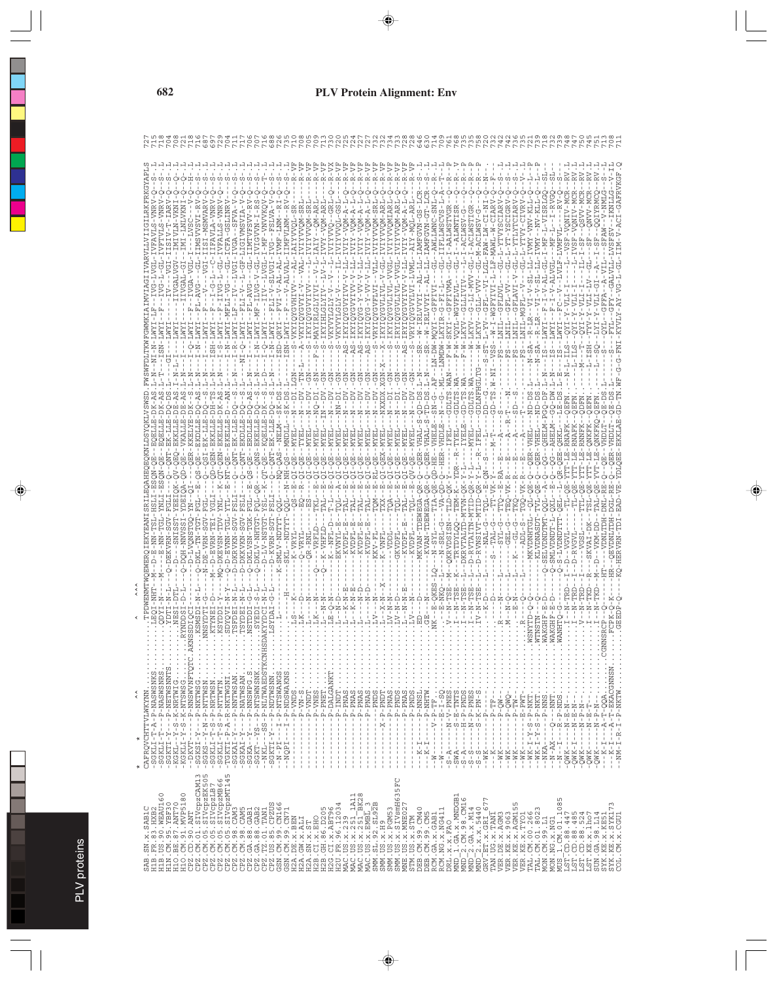ה של מה המשמשה לא האות המשמשה של המשמשה המשמשה המשמשה המשמשה המשמשה המשמשה המשמשה המשמשה המשמשה המשמשה המשמשה <br>הכו השיש היא היא היא המשמשה המשמשה המשמשה המשמשה המשמשה המשמשה המשמשה המשמשה המשמשה המשמשה המשמשה המשמשה המשמש SAB.SN.x.SAB1C CAFRQVCHTTVLWKYNN...............TPDWENMTWQEWERQIEKYEANISRILEQAHEQEQKNLDSYQKLVSWSD.FWSWFDLTKWFGWMKIAIMVIAGIIVARVLLVIIGILRKFRKGYAPLS 727 H1B.FR.83.HXB2 -SGKLI-T-A-P-NASWSNKS..........LEQI-NHT--M--D-E-NN-TSL-HSLI-ESQN-QE--EQELLE-DK-AS.L-N--NI-N-LWYI-LF--IVG-LVGL-IVFAVLS-VNRV-Q--S-.L 715 H1B.US.90.WEAU160 -SGKLI-T---P-NASWSNRS..........QDYI-N----M----E-NN-TGL-YNLI-ESQN-QE--EQELLE-DK-AS.L-T---ISN-LWYI--F--IVG-L-GL-IVFTVLS-VNRV-Q--S-.L 718 H1N.CM.95.YBF30 -SGKTI-Y---P-NETWSNNTS.........YDTI-N-L---Q-DEKVRN-SGV-FGLI---Q--QNT-EK-LLE-DQ-DS.L----GI---LWYI-----IV---VGI-IISIV-T-IARV-Q--S-.L 704 H1O.BE.87.ANT70 -KGKL--Y-S-K-NRTWIG............NESI-DTL-----D---SNISST-YEEIQK-QV-QEQ-EKKLLE-DE-AS.I-N-L-I---LWYI----IIVGALVGV--IMIVLN-VKNI-Q--Q-.L 708 H1O.CM.91.MVP5180 -KGKLI-Y-S-K-NTSWSG.........RYNDDSI-D-L---Q-DQH-NNVSSI-YDEIQA-QD-QE--VKALLE-DE-AS.L-N---I---LWYI----IIVGAL-GI--IMI-LNLVKNI-Q--Q-.L 721 CPZ.CD.90.ANT --DKVT-----P-NNSWVNFTQTC.AKNSSDIQCI---------D-LVQNSTGQ-YN--QI----QER-KKELYE-DK--S.L-N---I-Q-LWYI--F--IVGA-VGL-I---LVSC---V-Q--H-.L 718 CPZ.CM.01.SIVcpzCAM13 -SGKSI-Y---P-NKTWSG..........KSMSDI-N-L---Q-DKL-TN-TGT-FGL--E-QS-QE--EKDLLE-DQ-AS.L-N---I-N-LWYI--FL-AVG---GL-IIMSVVSVI-RV-Q--S-.L 716 CPZ.CM.05.SIVcpzEK505 -SGKS--Y-N-P-NTTWSN.........NNSYDTI-G-----N-DE-VRN-SGV-FGL----Q--QSI-EK-LLE-DQ--S.L-N---I---LWYI--F---V---VGI-IISI-MSMVARV-Q--S-.L 687 CPZ.CM.05.SIVcpzLB7 -SGKLI-T-S-P-NRTWSN..........KTYNEI-D----M--D-EVRN-TEI-YGLI---QD-QEN-EKKLLE-DH-TS.L-N---ISH-LWYI--F--I-G-L--C-IIFAVLA-VNRV-Q--S-.L 697 CPZ.CM.05.SIVcpzMB66 -SGKLI-T-S-P-NTTWTN..........KSYDDI-Y----MQ-DKEVSN-TDV-YNL--K-QT-QEN-EKELLE-DK-AS.L-N---I-S-LWYI--F-IIVG-L-GL-IVFALLS-VNRV-Q--S-.L 729 CPZ.CM.05.SIVcpzMT145 -TGKTI-P-A-R-NKTWGNI.........SDYQVI-N-Y---Q-D-EVNN-TGL-YTL--E-NT-QE--EKELLE-D--AN.L-----I-N-LWYI-MFLI-VG---GL-ICFA-GSLINRV----S-.L 704 CPZ.CM.98.CAM3 -SGKAI-Y---P-NNTWSAN.........TSFDEI-N-L---D-DKRVKN-SGV-FSLI---Q--QNT-EK-LLE-DQ--S.L-N---I-R-LWYI-LF--IV--LVGI-IVGA--SFVA-V-Q--S-.L 711 CPZ.CM.98.CAM5 -SGKAI-Y---P-NATWSAN.........TSYDEI-N-L---D-DKKVKN-SGV-FSLI---Q--QNT-EKDLLE-DQ--S.L----NI-Q-LWYI--FLI-V--L-GF-LIGIVMSVIA-V-Q--S-.L 717 CPZ.GA.88.GAB1 -SGKA--Y---P-NNSWPG.S........NSTDDI-G-L---Q-DKLVSN-TGK-FGL--E-QS-QE--ERDLLE-DQ-AS.L-N---I---LWYI--FL-AVG---GL-IIMTVFSVV-RV-Q--S-.L 706 CPZ.GA.88.GAB2 -SGKT--YS--P-NTSWNSNK.........SYEDI-S-L---Q-DKLV-NHTGT-FQL-QR----QNS-EKELLE-DQ--S.L-N---I-N-LWYI-MF-ILVG-V-GL-IVIGVVN-I-RS-Q--S-.L 707 CPZ.TZ.01.TAN1 --NKL---SS-P-NLTWAEDSTKCNHSDAKYYDCI-N-L-----D-LV-NSTGT-YSL--K-QT-QE--KQELLE-DK--S.L-D---I-Q-LWYI----IIV--LVGL-I-MF-VNVVKQV-Q--T-.L 716 CPZ.US.85.CPZUS -SGKTI-Y---P-NDTWSNN.........LSYDAI-G-L-----D-KVRN-SGT-FSLI---Q--QNT-EK-LLE-DQ--S.L-N---I-N-LWYI--FLI-V-SLVGI-IVG--FSLVA-V-Q--S-.L 688 GSN.CM.99.CN166 --N-PI---I-P-NTSWANGS...........L---------K-SMLV-NDTYT-QQL----NQ-QAS--NELM--SK-DS.L-----ISD-QRYI--FVI-V-AL-AL-IVMF-LNM--RI-Q--S-.L 726 GSN.CM.99.CN71 --NQPI---I-P-NDSWAKNS...........-----H------SKL--NDTYT-QQL--N-NH-QS--MNDLL--SK-DS.L-----ISN-LWYI--F---V-ALVAL-IIMFVLNM--RV-Q--S-.L 735 H2A.DE.x.BEN -----------P-VNDS..............LS---K--------K-VRYL-----QS--E-QI-QE--MYEL---N--DI.LGN-----S-VKYIQYGVHIVV---AL-IAIYVVQL-SR-----R-VF 710 H2A.GW.x.ALI -----------P-VN-S..............LK---D--------Q-VRYL-----EQ--R-QI-QE--TYEL---N--DV.-TN-L---A-VKYIQYGVYI-V--VAL-IVIYVVQM-SRL----R-VF 708 H2A.SN.x.ST -----------P-VNDT..............L----N--------QR-RNL-----ES----QI-QE--MYEL---N--DV.-GN-----S-IKYIQYGVYIVV----L-IVIYVVQM-SRL----R-VF 705 H2B.CI.x.EHO -----------P-VNES..............LK---N-----Q----VRFLD---TKL--E-QI-QE--MYEL---NQ-DI.-SN---F-S-MAYIRLGLYIVI--V-L-IAIY--QM-ARL----R-VF 709 H2B.GH.86.D205 -----------P-PNET..............L--N-N-----Q--K-VHFLD---TAL--E-QI-QE--MYEL--IN--DV.-GN-----S-IKYIHLGLYIV--LV-L-IVVY-VQM-ARL----R-VF 713  $\texttt{PSF} = \sum_{i=1}^{N-1} \sum_{i=1}^{N-1} \sum_{i=1}^{N-1} \sum_{i=1}^{N-1} \sum_{i=1}^{N-1} \sum_{i=1}^{N-1} \sum_{i=1}^{N-1} \sum_{i=1}^{N-1} \sum_{i=1}^{N-1} \sum_{i=1}^{N-1} \sum_{i=1}^{N-1} \sum_{i=1}^{N-1} \sum_{i=1}^{N-1} \sum_{i=1}^{N-1} \sum_{i=1}^{N-1} \sum_{i=1}^{N-1} \sum_{i=1}^{N-1} \sum_{i=1}^{$ H2U.FR.96.12034 -----------P-INDT..............L--N-D--------EKVNYL-E--TQL--A-QI-QE--MYEL---NN-DI.-GN-----S-VKYVYLGLY-V----IL-IVIYVVQL-GSL----R-VF 720 MAC.US.x.239 -----------P-PNAS..............L--K-N-E-------KVDFL-E--TAL--E-QI-QE--MYEL---N--DV.-GN----AS-IKYIQYGVYIVV-V-LL-IVIY-VQM-A-L-Q--R-VF 725 MAC.US.x.251\_1A11 -----------P-PNAS..............L--K-N-E-------KVDFL-E--TAL--E-QI-QE--MYEL---N--DV.-GN----AS-IKYIQYGVYIVV-V-LL-IVIY-VQM-A-L-Q--R-VF 724 MAC.US.x.251\_BK28 -----------P-PNAS..............L----N-D-------KVDFL-E--TAL--E-QI-QE--MYEL---N--DV.-GN----AS-IKYIQYG-Y-VV-V-LL-IVIY-VQM-A-L-Q--R-VF 727 MAC.US.x.EMBL\_3 -----------P-PNAS..............L----N-D-------KVDFL-E--TAL--E-QI-QE--MYEL---N--DV.-GN----AS-IKYIQYG-Y-VV-V-LL-IVIY-VQM-A-L-Q--R-VF 727 SMM.SL.92.SL92B -------------PNDS..............LV---N--------KKV-FL----TQM--E-RL-QE--MYEL---N--DV.-GN-----S-VRYIQYGVFLVI--VLL-IVIYVVQM-SRL-Q--R-VF 732  $S_{N0}$  . H9  $S_{N1}$   $S_{N2}$   $S_{N2}$   $S_{N2}$   $S_{N2}$   $S_{N2}$   $S_{N2}$   $S_{N2}$   $S_{N2}$   $S_{N2}$   $S_{N2}$   $S_{N2}$   $S_{N2}$   $S_{N2}$   $S_{N2}$   $S_{N2}$   $S_{N2}$   $S_{N2}$   $S_{N2}$   $S_{N2}$   $S_{N2}$   $S_{N2}$   $S_{N2}$   $S_{N2}$   $S_{N2}$   $S_{N2}$  SMM.US.x.PGM53 -----------P-PNAS..............LV-N-N----------VDDL----TQA--E-QI-QE--MYEL---N--DI.-GN-----S-IKYIQYGVLIVL-VVGL-IVIYVVQMIARL-Q--R-VF 734 SMM.US.x.SIVsmH635FC -----------P-PNDS..............LV-N-D--------GKVDFL----TQL--E-QI-QE--MYEL---N--DI.-GN-----S-IRYIQYGVLIVL-VVGL-IVIYVVQM-ARL-Q--R-VF 733 MNE.US.x.MNE027 -----------P-PNAS..............L--N-N-E-------KVDFL-E--TAL--E-QI-QE--MYEL---N--DV.-GN----AS-IRYIQYGVYIVV-V-LL-IVIY-VQM-A-L-Q--R-VF 728 STM.US.x.STM -----------P-PNDS..............LV---N---------KVDFL----TQL--E-QV-QE--MYEL---N--DV.-GN-----S-VRYIQYGVYLVI-LVML--AIY-MQL-ARL----R-VF 728 DEB. (2019). 1991. 2004. 1992. The Annual Microsoft Annual Microsoft Annual Microsoft Annual Microsoft Annual Microsoft Annual Microsoft Annual Microsoft Annual Microsoft Annual Microsoft Annual Microsoft Annual Microsoft RCM.NG.x.NG411 --W--------E-I-SQ...............--E-NKQ--L----N-SRL-G---VA-QD-Q--HER-VHDLE--N--G-.ML--LNMDW-LKYIR-G-FI-L---GL-IIFLLWSCVS-L-A--T--L 709 DRL.x.x.FAO -S-A-----N-V-PNES..............V--N-TSE--M--QKRVDSISN--TLD-QK-Y------IFEL---GDLTS.WAN---F-W-SKYI--GFFIVMA--GL-I-AALWSTVGR--Q--R--P 761  $M_{\rm N}$  are  $-1$  and  $-1$  and  $-1$  and  $-1$  and  $-1$  and  $-1$  and  $-1$  and  $-1$  and  $-1$  and  $-1$  and  $-1$  and  $-1$  and  $-1$  and  $-1$  and  $-1$  and  $-1$  and  $-1$  and  $-1$  and  $-1$  and  $-1$  and  $-1$  and  $-1$  and  $-1$  and MND\_2.CM.98.CM16 -S-A-----H-P-PNDS..............I--N-TSE--L--DKRVTALTD-MTVN-QK-Y-L----IYELE--GD-TS.WA----F-W-LKYV--GLLIVIV---L-I-ACLWSV-G---Q--R--P 735 MND\_2.GA.x.M14 -S-S-----N-P-PNES..............I--N-TSE--L--D-RVTAITN-MTID-QR-Y-L----MYEL---GDLTS.WA------W-LKYV--G-LI-MVV-GL-I-ACLWSTIGR--Q--R--P 735 MND\_2.x.x.5440 -S-S-----S-K-PN-S..............IV-N-TSE--L--D-RVNSIVT-MTID-QR-Y-L--R-IFEL---GDLNFHGLTG----W-LKYV--GLL-VVV--GL-M-ACLWSV-G---Q--R--P 758 GRV.ET.x.GRI\_677 --WK-------P-----...............--K-D----L------NAL-G--TQL--E-QN--S----L----DD--G.-----S-ST-L-YV--GFL--VI-LGL-FAW-LW-CI-NI-Q--N--. 720 TAN.UG.x.TAN1 ---K-------P-TF--...............----D--------S--TAL-G---TT-VK-Y------M-T----GD-TS.W-NI--VSS--W-I-WGFYIVI-L-LF-MAWL-W-CIARV-Q--F--- 732 VER.DE.x.AGM3 --WK-------P-QW--..............R----N----L------SYL-G--TTQ--E-RA--E----A----S----.------FS--LNIL--GFLDVL---GL-L-YTVYSCIARV-Q--S-.L 742 VER.KE.x.9063 --WK-------P-QWQ-..............M--N-Q----L------GEL-G--TEQ-VK-R---E----A--R-T---N.------FS--LNIL--GFL-VV---GL-L-YT-YSCIGRV-Q--S-.L 742 VER.KE.x.AGM155 --WK-------P-TW--...............--E-N----L---K---GL-G--TKQ----R---E----A----SD--S.------FS--LNIL--GFLAVI-V-GL-L-YTLYTCIARV-Q--S-.L 736 VER.KE.x.TYO1 --WK-------E-PWT-..............R----Q----L------ADL-S--TGQ-VK-R---E----A----T----.------FS--LNIL-MGFL--V---GL-L-YTVY-CIVRV-Q--V-.L 735 TAL.CM.00.266 --WK-I-Y-S-P-NKT...........WSNYTD-Q-Q--------MKVDNHTGL--QL-QE-Q--QER-VHEL---ND-DS.L----N-SA--R-LR--VI-V-SL-LL-IVMY-VNV-KLL-Q--L--P 721 TAL.CM.01.8023 --WK-I-Y-S-P-NKT...........WTNSTN---Q--------KLVDNASDT-TVL-QE-Q--QER-VHEL---ND-DS.L----N-SA--R-LR--VI-V-SL-LL-IVMY--NV-KLL-Q--L--P 739 MON.CM.99.L1 --NKA------P-NNS...........WAKGHF-E-D-----Q-SELVDNDTMT-QQL--A-Q--QG--QHELM-PGQ-DF.L-N---IS--LWYI--F-I-V-AL-GL-I-MF-L-VISRLGQ--SL-- 718 MON.NG.x.NG1 --N-AX---Q---NNT...........WAKGHF-E-D-----Q-SMLVDNDT-L-QXL--E-Q--QG--AHELM--GQ-DW.L-N---IS--LWYI--F-I-V-ALVGL---MF-L--I-RVGQ--SL-- 732 MUS\_1.CM.01.1085 --N--I---R-P-NDS...........WANHTQ-G-------Q-S-LVDNDTTT-QEL--L-QR-QEE-QHKL---LE-DS.L-E---IS--LWYI--FC--V--LVLF-LVMFVL----RV-Q--S--- 739 LST.CD.88.447 -QWK-----N-E-N--...............I--N-TRD--I--D--VGVL-----TL-QE-YTT-LE-RNAFK--QEFN..--N-L-ILS--QYI-Y-VLI-I----L--VSF-VQNIV-MCR--RV.L 748 LST.CD.88.485 -QWK-I---N-E-N--...............I--N-TRD--I--D-RVGVL-----TL-QE-YTT-LE-RNAFK--QEFN..----L-ILS--QYI-Y-VLI-I----L-IVSF-VQNIV-MCR--RV.L 747 LST.CD.88.524 -QWK-----N-P-N--...............V--N-TRD--I-----VGSL----TTL-QE-YTT-LE-RNNFK--QDFN..----M---T--QYI-Y-VLI-I---IL-I-SF--QSVV-MCR--RV.L 750 LST.KE.x.lho7 -QWK-----N-E-T--...............I--N-TKD--R---SKVAI-DK--TSL-QE-YTT-LE-QNKFK--QEFN..----L-ISH--TYV-Y-VLI-LV--GL---SF--QNVV-MCR--RV.L 745 SUN.GA.98.L14 -QWK-----N-P-N--...............I--N-TKD--M--D--VKM-DD--TAL-QE-YVT-LE-QNKFKQ-QEFN..----L--SQ--LYI-Y-VLI-GI--A--I-SF--QQIYRMCQ--RV.L 751 SYK.KE.x.KE51 ---K-I---A-T-QQA........CGNNSRCP--Q------HT----VDNLTDH-DNL-RE-Q--QE--VHDLT--QE-DS.L------S---QYL--GFFA--A-VIL---SFAW--V-NMLG--S--L 713 SYK.KE.x.SYK173 ---K-I---A-T-EKACGNNSN.......FCPK-Q-K----HR--QEVDNLTDH-DGL-RE-Q--QER-VHDLT--QE-DS.L------S---FYL--GFY--GALVLL-LVSFSV--IKNLLG--V-IL 708 COL.CM.x.CGU1 --NM-I-R-I-P-NKTW.............GEEDP-Q----KQ-HERVRN-TDI-EAD-VE-YDLQEE-EKKLAE-GD-TN.WF-G-G-FNI-KYVLY-AY-VG-L-GL-IIM-V-ACI-GAFRVKGF.Q 711 \* \* ^^ ^ ^^^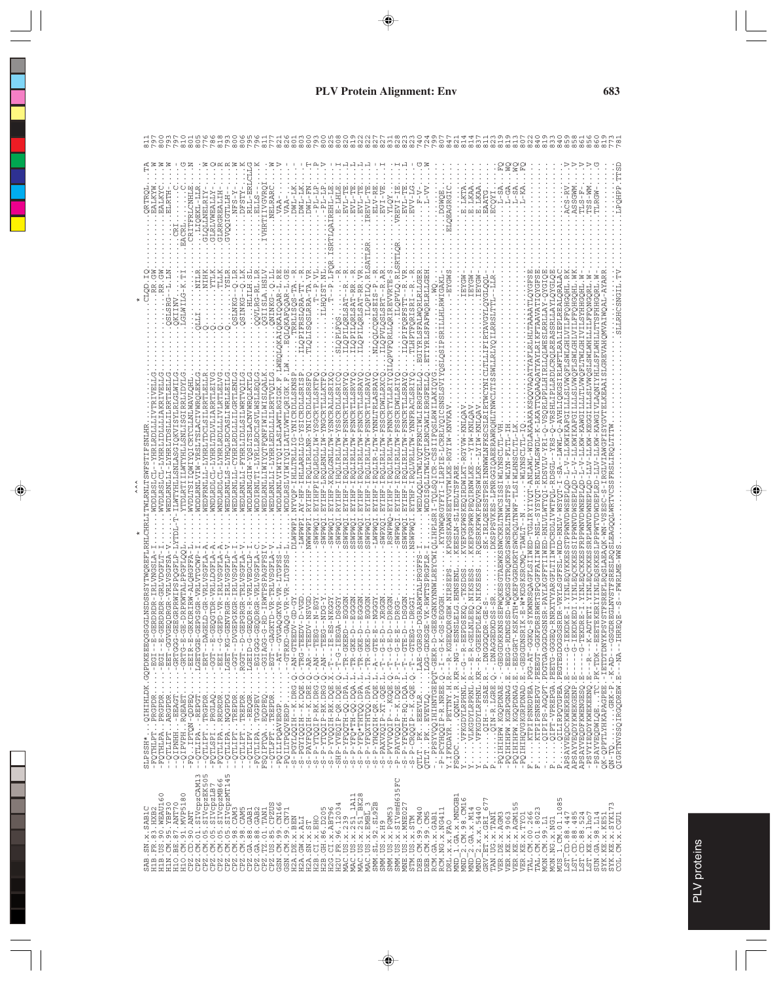| ELRTH<br>LCNH<br>GLOLLNELR                                                                                                                                                                                                                                                                                                                                                                                                              | GLRRGREALIE<br><b>PFS</b>                                                                                                                                                                                                                                                                                                                                                                                                                                                                                                                                                                 | H-TMC<br>I-TMC<br>- 1<br>F                                                                                                                                                                    | $E - LHLE$<br>Ë<br>ERE.<br>EVL-T<br>$EVI - T$<br>EVL                                                                                                                                                 | Ļ<br>EAGRGI                                                                                                                                                            | E.LKAA<br>EAATG<br>E.LKA<br>ပ္ပ<br><b>LAODE</b>                                                                                                                                                                                                                                                                                                    | <b>GEHÖd"</b><br>W-SS'<br>TLRGW<br>ASS.<br><b>TLS</b>                                                                                                                                                                                            |
|-----------------------------------------------------------------------------------------------------------------------------------------------------------------------------------------------------------------------------------------------------------------------------------------------------------------------------------------------------------------------------------------------------------------------------------------|-------------------------------------------------------------------------------------------------------------------------------------------------------------------------------------------------------------------------------------------------------------------------------------------------------------------------------------------------------------------------------------------------------------------------------------------------------------------------------------------------------------------------------------------------------------------------------------------|-----------------------------------------------------------------------------------------------------------------------------------------------------------------------------------------------|------------------------------------------------------------------------------------------------------------------------------------------------------------------------------------------------------|------------------------------------------------------------------------------------------------------------------------------------------------------------------------|----------------------------------------------------------------------------------------------------------------------------------------------------------------------------------------------------------------------------------------------------------------------------------------------------------------------------------------------------|--------------------------------------------------------------------------------------------------------------------------------------------------------------------------------------------------------------------------------------------------|
|                                                                                                                                                                                                                                                                                                                                                                                                                                         | LILH.S<br>$G - R L$ .<br>QSINK                                                                                                                                                                                                                                                                                                                                                                                                                                                                                                                                                            | יב<br>ב<br>OSLRRA-T<br>$A - T$                                                                                                                                                                | PILQ.R<br>ř<br>ILQPILQRLSA<br>٦Ĵ                                                                                                                                                                     | PVLQ.RLS<br>RLRLLGER<br>RLRLLGE                                                                                                                                        |                                                                                                                                                                                                                                                                                                                                                    | IRLLQLWESLRRLLAY<br>LREASS                                                                                                                                                                                                                       |
|                                                                                                                                                                                                                                                                                                                                                                                                                                         |                                                                                                                                                                                                                                                                                                                                                                                                                                                                                                                                                                                           | ř<br>ĩ                                                                                                                                                                                        |                                                                                                                                                                                                      |                                                                                                                                                                        |                                                                                                                                                                                                                                                                                                                                                    | '-RNLVWLSWDL-K<br>$-KDSVLY-YRT-Q$                                                                                                                                                                                                                |
| $-12E$<br>$-999-$                                                                                                                                                                                                                                                                                                                                                                                                                       | LGET-F<br>$-GGT$ -<br>RGGT-<br>$-EBI$                                                                                                                                                                                                                                                                                                                                                                                                                                                                                                                                                     | $- -$ GTRK<br>$-TT - TA$                                                                                                                                                                      | ğ<br>Ğ                                                                                                                                                                                               |                                                                                                                                                                        | <b>SRKPW</b><br>KE<br>GE5                                                                                                                                                                                                                                                                                                                          | OASAS-TSN-QHMITYZEO<br>GFFTIIWED-RNLVLWT<br>ပုံ -                                                                                                                                                                                                |
| $\cdots$ -GRTGG<br>LGETGG<br>$\ldots$ -BEIR<br>QIHIHLDK.GQPDKEE<br>PRGPDRFGI-<br>$\ldots$<br>$\cdots$ -GRTG<br>$\ldots - ERT$<br>$\cdot$<br>$\cdot$<br>$\ddot{\cdot}$<br>I-EEAGT.<br>IRQEAET.<br>-FQTPTON-QDPEQ<br>--QTLIPA-REPGT<br>PRGPDR<br>PRGPDR<br>ARGPDR<br>TRGPDR<br>PRGLAQ<br>$\vdots$<br>$\ddot{\cdot}$<br>--QTLIPT.<br>-FQTLSPI.<br>-FQTHLPT<br>-FQTHLPA<br>$-9TLLTT$<br><b>HHN41</b><br>HELAIIÖ--<br><b>SLPSSH*</b><br>$-2$ | LGEID-<br><b>COLOR-</b><br>-GGIAG<br>$\vdots$<br>$\cdot$<br>$\frac{1}{2}$<br>$\vdots$<br>$\cdot$<br>--QTLIPANQGPDG<br>--QTLIPV-REQGR<br>-FQTLIPATGGPEV<br>-FQTLIPARRDRDR<br>--QTLIPTTREPDR<br>--QTLIPTTREPDR                                                                                                                                                                                                                                                                                                                                                                              | $\cdots$ - EGT-<br>$S-PAYFQQIH--K.DRE.Q.-AR--$<br>$-S-P-YTQQIP-RK.DRG. Q. - AN--$<br>$\vdots$<br>- PQILIPQAVERGP<br>FSQIPTQABQDPEQ<br>--QTLFPTTREPDR                                          | S-F-YFQ*TH-QQ.DQA.L.-TR-G<br>S-F-YFQ*THTQQ.DQA.L.-TR-G<br>J.                                                                                                                                         |                                                                                                                                                                        | $\ldots$ . $\ldots$ $\Omega$ in $ \ldots$ . LGRE . $\Omega$ . $\ldots$ DNAC<br>de)<br>1972 - The Marchine, Papel (f. 1980)<br>1972 - T. Standard, Mahirida<br>1982 - T. Standard, Papel (f. 1980)<br>1974 - Politik (f. 1980)<br>$\ldots$ . VLKGDYLRPRNL $R$ ---E-R<br>VFKGDYLRPHNL.KR--R-GO<br>$\ddot{\cdot}$<br>$\mathbf{p}_i$<br>$\mathsf{p}_4$ | -PSAYVEQDWLQETC.PK-TDK-<br>QK-QPPTLYHKÄPAGPEE.-IETDTDN<br>QN-TQGRK-P.-K-AD---<br>QIGRTNVSSQIRGQDREW.E---NA--<br>QIPIPS-AGQPT.POTGTGAG<br>APSAYVEQDCKWEKRENQ.E----G<br>APSAYVEQDYKWEKGENP.E-<br>$\mathbb{E}_4$<br>$\Delta$ $\Delta$<br>Ŀц         |
| CM.01.SIVCpzCAM13.<br>CM.05.SIVCpzEK505<br>$\circ$<br>.90. WEAU160<br>.BE.87.ANT70<br>CM.91.MVP518<br>VBF30<br>SAB1C<br>3. HXB2<br>PZ.CD.90.ANT<br>CM.95.<br>.87<br>×.<br>$\frac{1}{\cdot}$<br>KS.<br>FR<br>SΩ.<br>$\mathbf{\Omega}$<br>$\mathbf m$<br>H1B<br>H1N<br>H1O<br>CPZ<br>$\frac{0}{11}$<br>SA<br>H<br>ᄑ                                                                                                                       | LŊ<br>CPZ.CM.05.SIVCpzEX505<br>CPZ.CM.05.SIVCpzIB7<br>CPZ.CM.05.SIVCpzIB7<br>CPZ.CM.05.SIVCpzMT145<br>CPZ.CM.98.CAM3<br>$\begin{array}{l} \texttt{CEZ} \cup \texttt{CM} \cup \texttt{SS} \cup \texttt{CAM} \ \texttt{CEZ} \cup \texttt{CEA} \ \texttt{CEZ} \cup \texttt{CEA} \ \texttt{CEZ} \ \texttt{CEZ} \cup \texttt{CEZ} \ \texttt{CEZ} \ \texttt{CEZ} \ \texttt{CEZ} \ \texttt{CEZ} \ \texttt{CEZ} \ \texttt{CEZ} \ \texttt{CEZ} \ \texttt{CEZ} \ \texttt{CEZ} \ \texttt{CEZ} \ \texttt{CEZ} \ \texttt{CEZ} \ \texttt{CEZ} \ \texttt{CEZ} \ \texttt{CEZ} \ \$<br><b>CBEN</b><br>CBEN | $\begin{array}{l} \texttt{GSM}:\texttt{CM}.99:\texttt{CNT1} \\ \texttt{H2A}.\texttt{DE}.x.\texttt{BEN} \\ \texttt{H2A}.\texttt{GW}.x.\texttt{ALI} \end{array}$<br>H2B.CI.X.EHO<br>H2A.SN.X.ST | H2U.FR.96.12034<br>MAC.US.x.239<br>MAC.US.x.251_1A11<br>MAC.US.x.251_BK28<br>MAC.US.x.EMBL3<br>SMM.SL.92.SL92B<br>H2B.GH.86.D205<br>H2G.CI.x.ABT96<br>SMM.US.x.PGM53<br>MAC.US.x.EMBL<br>SMM.US.x.H9 | 5FC<br>SMM. US. x. SIVsmH63<br>L.GA.x.MNDGB1<br>MNE.US.x.MNE02<br>DEB. CM. 99. CM40<br>RCM.NG.x.NG411<br>DEB.CM.99.CM5<br>RCM.GA.x.GAB1<br>STM.US.x.STM<br>DRL.X.X.FAO | CM.98.CM16<br>r<br>Ë<br>VER. KE. x. AGM155<br>$\circ$<br>$2.34. x. M14$<br>$2. x. x. 5440$<br>VER.DE.X.AGM3<br>VER.KE.X.9063<br>VER.KE.X.TYO1<br>TAN.UG.X.TANI<br>GRVTET. x. GRI<br>$\begin{array}{c}\n\text{MWD} - 1 \\ \text{MWD} - 2\n\end{array}$<br>MD<br>MND <sup>-</sup>                                                                    | .1085<br>YK.KE.x.SYK173<br>TAL.CM.00.266<br>TAL.CM.01.8023<br>LST.CD.88.485<br>LST.CD.88.524<br>LST.KE.x.lho7<br>SUN.GA.98.L14<br>$-CD.88.447$<br>COL.CM.x.CGU1<br>m<br>MON.CM.99.L1<br>MON.NG.x.NG1<br>MUS 1.CM.01.<br>SYK.KE.X.KE<br>ΞSΙ<br>C) |

 $\lambda \wedge \lambda$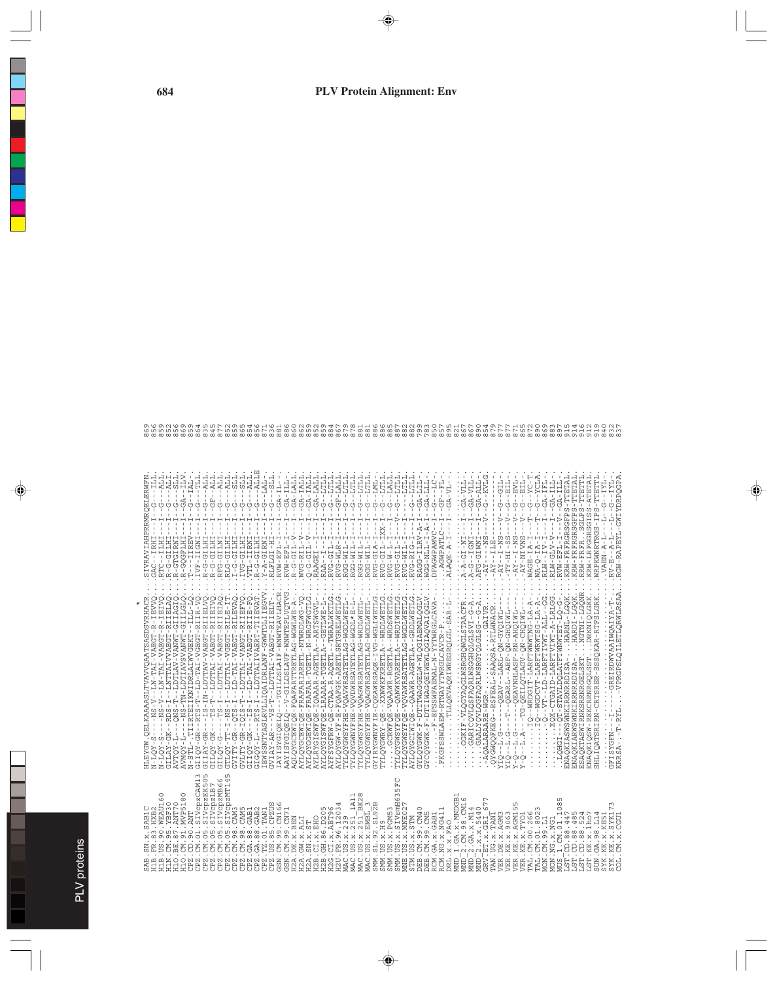| SAB1C<br>SAB                                                                                                                                                                                                                                                                                                                                                                                                                    | .QELKAAAASLTVAVVQAATSASDSVRHACR<br>MDARTH                                                                                                                                                                                                                                                                                                                                                                                                                                                                                 | SIVRAVIAHPRRMRQELE                                                                                                                                                 |                                                                 |
|---------------------------------------------------------------------------------------------------------------------------------------------------------------------------------------------------------------------------------------------------------------------------------------------------------------------------------------------------------------------------------------------------------------------------------|---------------------------------------------------------------------------------------------------------------------------------------------------------------------------------------------------------------------------------------------------------------------------------------------------------------------------------------------------------------------------------------------------------------------------------------------------------------------------------------------------------------------------|--------------------------------------------------------------------------------------------------------------------------------------------------------------------|-----------------------------------------------------------------|
| 90. WEAU16<br>H1B<br>H1B                                                                                                                                                                                                                                                                                                                                                                                                        | <b>IEIVC</b><br>-VAEGT-R<br>-VAEG<br>--LN-TAI<br>$-2M-S-7$<br>$-5 -$<br>$N-LOY$<br>-<br>Z                                                                                                                                                                                                                                                                                                                                                                                                                                 | ひ                                                                                                                                                                  |                                                                 |
| .95.YBF30<br>.,<br>H1N                                                                                                                                                                                                                                                                                                                                                                                                          |                                                                                                                                                                                                                                                                                                                                                                                                                                                                                                                           | <b>ALI</b><br>Ġ<br>R-G-GILHI                                                                                                                                       |                                                                 |
| .87.ANT70<br>H1O.BE                                                                                                                                                                                                                                                                                                                                                                                                             | 21 ΙΑΣ - ΣΥ - - ROS - - Ι - - Ι - Ι - Ι - Ι - Ι - Ι - ΣΑΣ<br>2011 - ΤΑ - ΤΑ - ΓΑ - Ι - - Ι - - Ι - Ι - Ι - Ι - Ι - ΣΑΣ                                                                                                                                                                                                                                                                                                                                                                                                    | ELS<br>S<br>$GA -$<br>Ġ<br>R-GTGIRNI                                                                                                                               |                                                                 |
| $\circ$<br>.91.MVP518<br>. CD. $90.4MT$<br>Ξ.<br>H <sub>10</sub><br><b>CPZ</b>                                                                                                                                                                                                                                                                                                                                                  | TIRTEIIKNIDRLAIWGEKT – ILL-LO<br>STEPTIE-AMNYASAYILGI-NL-SN-----I-KOWN<br>$N-STLI - 1$                                                                                                                                                                                                                                                                                                                                                                                                                                    | <b>TLV</b><br>$-12AL$<br>ひ<br>$T---IIREV$<br>R-GQGFLHI                                                                                                             | e m                                                             |
| .CM.01.SIVcpzCAM13<br>CPZ                                                                                                                                                                                                                                                                                                                                                                                                       |                                                                                                                                                                                                                                                                                                                                                                                                                                                                                                                           | $-$ TLL $-$<br>ひ<br>IVF-IIGNI                                                                                                                                      | $\circ$                                                         |
|                                                                                                                                                                                                                                                                                                                                                                                                                                 | $\begin{array}{l} \texttt{(511QY-GR-=RTS-}\overline{T1}-1.0-17A1-V0BCT-RLT-VD\\ \texttt{(511AY-GR-=-15S-}\overline{T1}-1.0-17A1-VABCT-RLT-IV\\ \texttt{(511AY-GR-=-15S-}\overline{T1}-1.0-17A1-VABCT-RLT-IV\\ \texttt{(511QY-G+---}\overline{T2}-1.0-17A1-VABCT-RLT-VDABCT-RLT-VD\\ \end{array}$                                                                                                                                                                                                                          | ALL<br>゙゙゙゙゙<br>ひ<br>R-G-GILHI<br>LHTTP-<br>$R - G$                                                                                                                | 4                                                               |
|                                                                                                                                                                                                                                                                                                                                                                                                                                 |                                                                                                                                                                                                                                                                                                                                                                                                                                                                                                                           | ALL<br>ALL<br>ひ<br>RFG-GILMI                                                                                                                                       |                                                                 |
|                                                                                                                                                                                                                                                                                                                                                                                                                                 |                                                                                                                                                                                                                                                                                                                                                                                                                                                                                                                           | <b>ALL</b><br>$-3LI$<br>IHIID-0-T<br>RLG-GILHI                                                                                                                     | LO<br>L                                                         |
|                                                                                                                                                                                                                                                                                                                                                                                                                                 | (3TL) 27 - TT - I - NS - I - - I DTTAIL - VGBOT - RI II-S<br>COURTY - GR - I CIS - I - - I - II-S - I CRACK - RI II-S OACH<br>COURTY - GR - I CIS - T - - II-S - I CRACK - RI II-S OACH<br>COURTY - GR - I CIS - T - - II-S - II-S - II                                                                                                                                                                                                                                                                                   | IVG-GILHI                                                                                                                                                          | $\circ$                                                         |
|                                                                                                                                                                                                                                                                                                                                                                                                                                 |                                                                                                                                                                                                                                                                                                                                                                                                                                                                                                                           | $\begin{array}{ll} \texttt{G}--\texttt{SLL} \,,\\ \texttt{G}--\texttt{ALL} \,,\\ \texttt{G}--\texttt{ALL} \,,\\ \texttt{G}--\texttt{ALL} \end{array}$<br>VTL-IIRNI | LN.                                                             |
|                                                                                                                                                                                                                                                                                                                                                                                                                                 | $\begin{array}{lll} &\texttt{G1-GQ^+} & \texttt{G1-GQ^-} \\ &\texttt{G1-GQ^+} & \texttt{G2-GQ^-} \\ &\texttt{I.} \\ \texttt{I.} \\ \texttt{I.} \\ \texttt{I.} \\ \texttt{I.} \\ \texttt{I.} \\ \texttt{I.} \\ \texttt{I.} \\ \texttt{I.} \\ \texttt{II.} \\ \texttt{II.} \\ \texttt{II.} \\ \texttt{II.} \\ \texttt{II.} \\ \texttt{II.} \\ \texttt{II.} \\ \texttt{II.} \\ \texttt{II.} \\ \texttt{II.} \\ \texttt{II.} \\ \texttt$                                                                                      | $-1.71 -$<br>ひ<br>INSID-G-A<br>R-G-GILHI                                                                                                                           | LN.                                                             |
|                                                                                                                                                                                                                                                                                                                                                                                                                                 |                                                                                                                                                                                                                                                                                                                                                                                                                                                                                                                           | $-5LI$<br>ひ<br>RLFLGI-HI                                                                                                                                           | $\sim$                                                          |
|                                                                                                                                                                                                                                                                                                                                                                                                                                 | IAYISYGIQELQ---TGILDSLAIF-WNWTEAVLHACR                                                                                                                                                                                                                                                                                                                                                                                                                                                                                    | $GA - IL -$<br>$RVW - EFL - I$                                                                                                                                     | ${}^{\circ}$                                                    |
|                                                                                                                                                                                                                                                                                                                                                                                                                                 | PAYISYGIQELQ--V-GILLSCLIAVF-WNWTEPLVQTVG                                                                                                                                                                                                                                                                                                                                                                                                                                                                                  | GA-LALL<br>GA-ILL<br>÷<br>÷<br>$RVW - EFL - I$                                                                                                                     | ${}^{\circ}$<br>G                                               |
| H2A.DE.x.BEN<br>H2A.GW.x.ALI                                                                                                                                                                                                                                                                                                                                                                                                    | AQLQYGCBWIQE-FQAFARTTRETLAG-WGWLWE-A-<br>AYLQYGCEWIQE-FRAFARIARETL-NTWRDLWG-VQ                                                                                                                                                                                                                                                                                                                                                                                                                                            | GA-IALL<br>$\frac{1}{4}$<br>$\mathbb{I}$<br>$\frac{1}{4}$<br>$R-G-GIL-VWVG-RIL-V$                                                                                  | G                                                               |
| $\begin{array}{ll} \tt H2A.SN.X.ST \\ \tt H2B.CI.X.EHO \end{array}$                                                                                                                                                                                                                                                                                                                                                             |                                                                                                                                                                                                                                                                                                                                                                                                                                                                                                                           | IALL<br>$GA-$<br>÷<br>$Q - 110 - 0 - Q$                                                                                                                            |                                                                 |
|                                                                                                                                                                                                                                                                                                                                                                                                                                 | AYLQYGGBWIQD-FRAFAR-TGBTL-N-WRQFWGFLG<br>AYLRYGISWFQB-IQAAAR-AGBTLA--ARTSWGVL-<br>AYLQYGISWFQB-IRAAAR-TGBTLA--GBTLWB-L-                                                                                                                                                                                                                                                                                                                                                                                                   | GA-LALL<br>$-11$<br>Ů<br>f,<br>÷<br>RAAGEI--I<br>RAA--I                                                                                                            |                                                                 |
|                                                                                                                                                                                                                                                                                                                                                                                                                                 |                                                                                                                                                                                                                                                                                                                                                                                                                                                                                                                           | $-11$ TILL<br>ひ<br>ŧ<br>RVG-GIL-I                                                                                                                                  |                                                                 |
| H2B.GH.186.D205<br>H2G.CI.x.ABT96<br>H2U.FR.96.12034<br>MAC.US.x.239<br>MAC.US.x.251_BK28<br>MAC.US.x.BMBI_3                                                                                                                                                                                                                                                                                                                    |                                                                                                                                                                                                                                                                                                                                                                                                                                                                                                                           | GF-LALL<br>$\frac{1}{4}$<br>÷,<br>RVG-WLR-I                                                                                                                        | $\infty$                                                        |
|                                                                                                                                                                                                                                                                                                                                                                                                                                 |                                                                                                                                                                                                                                                                                                                                                                                                                                                                                                                           | ----<br>ひ<br>÷<br>÷,<br>RGG-WIL-I                                                                                                                                  | $\overline{\phantom{a}}$                                        |
| $\infty$                                                                                                                                                                                                                                                                                                                                                                                                                        |                                                                                                                                                                                                                                                                                                                                                                                                                                                                                                                           | $1 - 1$ TILI<br>ひ<br>RGG-WIL-I                                                                                                                                     |                                                                 |
|                                                                                                                                                                                                                                                                                                                                                                                                                                 | - TLEMETGN - DYTLELYSYMDYÖN - SHARSANDIN LI<br>- TLEMETGN - DYTLELYSYMDYÖN - SHARSANDIN LI                                                                                                                                                                                                                                                                                                                                                                                                                                | $-11$ TILL<br>Ů<br>ひ<br>$\frac{1}{4}$<br>RGG-WIL-I<br>RGG-WIL-I                                                                                                    | $\infty$                                                        |
| $\mathbf{\Omega}$<br>L.92.SL92<br>SMM.S                                                                                                                                                                                                                                                                                                                                                                                         |                                                                                                                                                                                                                                                                                                                                                                                                                                                                                                                           | $-1ML$<br>ひ<br>$\frac{1}{4}$<br>RVG-GIA-I                                                                                                                          |                                                                 |
| S.X.H9<br>SMM.                                                                                                                                                                                                                                                                                                                                                                                                                  |                                                                                                                                                                                                                                                                                                                                                                                                                                                                                                                           | $-11711$<br>$-12111$<br>ひ                                                                                                                                          | ${}^{\circ}$                                                    |
| L)<br>L<br>Μ<br>S.X.PGM53<br>S.X.SIVsmH6<br>SMM.<br>SMM.                                                                                                                                                                                                                                                                                                                                                                        | 57.1.51A1.04M-- ΨΈΙ.151A7.04MWR67-- 2024.53M97.07.1.<br>1970 - ΑΠΡΟΦΙΚΑ - ΜΕΛΑΝΑ ΜΑΡΙΑΣ - ΑΡΓΙΑΝΑΣ - ΣΠΑΝΑΣ ΤΟ ΤΑΙ<br>57.1.51A1.04M-- ΤΟΥ Τ- 2016 ΣΑΝΑΝΑΣ - - 20- ΧΑΝΘΣΑΣ ΤΑΙ<br>57.1.51A1.04M-- DAT - 2016 ΣΑΝΑΣ ΟΣ - 21.14 ΧΑΝΘΣΑΣ Τ                                                                                                                                                                                                                                                                                    | $-1.7711$<br>Ů<br>Ů<br>$\frac{1}{1}$<br>- 1112–112–2013<br>1---1-1-1-2013<br>1---1-1-2013                                                                          | $\infty$<br>${}^{\circ}$                                        |
| S. x. MNE02<br>MNE.                                                                                                                                                                                                                                                                                                                                                                                                             | PTLEMTGDM-DVTLEIVSYMKAŎA-AÓJAKSMDAČTAI                                                                                                                                                                                                                                                                                                                                                                                                                                                                                    | $---LTLLL$<br>$\mathbf{I}$<br>$\mathsf I$<br>$\frac{1}{4}$                                                                                                         | $\infty$                                                        |
| $S \cdot X \cdot STM$<br>STM.U                                                                                                                                                                                                                                                                                                                                                                                                  | AYLQYGCIWIQB--QAAWR-AGETLA--GRDLWETLG                                                                                                                                                                                                                                                                                                                                                                                                                                                                                     | $-11$ TILL<br>Ů<br>÷<br>$\mathbf{I}$<br>$\frac{1}{4}$<br>$\begin{array}{l} {\rm RVG-WIL-I-I}\\ {\rm RVG-RIG-I-I}\\ \end{array}$                                    | $\infty$                                                        |
| DEB.CM.99.CM40<br>DEB.CM.99.CM5<br>RCM.GA.x.GAB1<br>RCM.NG.x.NG411<br>DEB.C                                                                                                                                                                                                                                                                                                                                                     | ΛΤΡΌ ΤΥΝ ΑΡΙΑΝΑΣ ΤΟ ΤΗΣ ΚΑΡΑΣ ΤΗ ΤΑΠΑΣ ΤΗ ΣΑΜΡΛΌ ΟΛΟ<br>ΛΤΡΌ ΤΥΝΗ ΈΤΡΟ ΤΗ ΤΗΣ ΤΗΣ ΤΗΣ ΤΗΣ ΤΗΣ ΤΗΣ ΤΑΠΑΣ                                                                                                                                                                                                                                                                                                                                                                                                                   | GA-LIL-<br>Ť<br>RAGG-ILRV-A-I                                                                                                                                      |                                                                 |
|                                                                                                                                                                                                                                                                                                                                                                                                                                 | - F - E                                                                                                                                                                                                                                                                                                                                                                                                                                                                                                                   | $-111 - AB - 11L$<br>$-LC$<br>$WGG - NLLI - I - A -$                                                                                                               |                                                                 |
|                                                                                                                                                                                                                                                                                                                                                                                                                                 | FSSWFAEMAL-N-YYTWRGLCAVA<br>$\vdots$                                                                                                                                                                                                                                                                                                                                                                                                                                                                                      | $-141 - 49 - 151$<br>$\mathbf{I}$<br>Ġ<br>t<br>$\mathbf{I}$<br>DFAGWPANVC-<br>AGWPATLC-                                                                            | comoro<br>comoro                                                |
|                                                                                                                                                                                                                                                                                                                                                                                                                                 | TLLQEVAQRIWREGRQLGL-SAR-L                                                                                                                                                                                                                                                                                                                                                                                                                                                                                                 | $GA-VL-$<br>$\frac{1}{1}$<br>$\mathbf{I}$<br>ALAQE-A-I                                                                                                             | $\infty$                                                        |
| $\begin{array}{l} \texttt{DBI}^1, \texttt{X} \times \texttt{FRO} \\ \texttt{IMD}^1\_1, \texttt{GA}, \texttt{X}, \texttt{RMO} \\ \texttt{MMD}^-_2, \texttt{GA}, \texttt{X}, \texttt{MMA} \\ \texttt{MMD}^-_2, \texttt{GA}, \texttt{X}, \texttt{MMA} \\ \texttt{MMD}^-_2, \texttt{GA}, \texttt{X}, \texttt{MMA} \\ \texttt{MMD}^-_2, \texttt{X}, \texttt{X}, \texttt{MMA} \\ \texttt{MMD}^-_1, \texttt{M}^1, \texttt{M}^2, \text$ |                                                                                                                                                                                                                                                                                                                                                                                                                                                                                                                           | GA-VLL<br>$\vdots$<br>$A - A - G I - N I - - -$                                                                                                                    | 51555                                                           |
|                                                                                                                                                                                                                                                                                                                                                                                                                                 |                                                                                                                                                                                                                                                                                                                                                                                                                                                                                                                           | $-1-0A-11L$<br>A-G--IGNI                                                                                                                                           |                                                                 |
|                                                                                                                                                                                                                                                                                                                                                                                                                                 | $\begin{minipage}{0.9\textwidth} \begin{tabular}{ll} \multicolumn{2}{l}{{\small\textbf{\textit{i}}}} & \multicolumn{2}{l}{\small\textbf{\textit{c}}}\\ \multicolumn{2}{l}{\small\textbf{\textit{c}}}\\ \multicolumn{2}{l}{\small\textbf{\textit{c}}}\\ \multicolumn{2}{l}{\small\textbf{\textit{c}}}\\ \multicolumn{2}{l}{\small\textbf{\textit{c}}}\\ \multicolumn{2}{l}{\small\textbf{\textit{c}}}\\ \multicolumn{2}{l}{\small\textbf{\textit{c}}}\\ \multicolumn{2}{l}{\small\textbf{\textit{c}}}\\ \multicolumn{2}{l$ | GA-ALL<br>Ť<br>AFG-GIWNI                                                                                                                                           | $\sigma$                                                        |
|                                                                                                                                                                                                                                                                                                                                                                                                                                 |                                                                                                                                                                                                                                                                                                                                                                                                                                                                                                                           | --KVLG<br>Ġ<br>$\frac{1}{4}$<br>$\searrow$<br>$\mathbb{L}$<br>$-AY - - - NS$                                                                                       | $\sim$                                                          |
|                                                                                                                                                                                                                                                                                                                                                                                                                                 |                                                                                                                                                                                                                                                                                                                                                                                                                                                                                                                           | $\overline{1}$                                                                                                                                                     |                                                                 |
|                                                                                                                                                                                                                                                                                                                                                                                                                                 | Ŕ<br>ΣIΣ.                                                                                                                                                                                                                                                                                                                                                                                                                                                                                                                 | $-115 - -$<br>EIL<br>Ţ<br>Ů<br>ひ<br>÷<br>$\frac{1}{4}$<br>$\frac{1}{2}$<br>T.                                                                                      |                                                                 |
|                                                                                                                                                                                                                                                                                                                                                                                                                                 |                                                                                                                                                                                                                                                                                                                                                                                                                                                                                                                           | <b>TAE</b><br>Ţ<br>$\searrow$                                                                                                                                      |                                                                 |
|                                                                                                                                                                                                                                                                                                                                                                                                                                 | $\begin{array}{l} -1.5 \cdot 5 - 1.7 \cdot 5 - 1.7 \cdot 5 - 1.7 \cdot 5 - 1.7 \cdot 5 - 1.7 \cdot 5 - 1.7 \cdot 5 - 1.7 \cdot 5 - 1.7 \cdot 5 - 1.7 \cdot 5 - 1.7 \cdot 5 - 1.7 \cdot 5 - 1.7 \cdot 5 - 1.7 \cdot 5 - 1.7 \cdot 5 - 1.7 \cdot 5 - 1.7 \cdot 5 - 1.7 \cdot 5 - 1.7 \cdot 5 - 1.7 \cdot 5 - 1.7 \cdot 5 - 1.7 \cdot 5 - 1.7 \cdot 5 - 1.7 \cdot$<br>$\circ$                                                                                                                                                | $-181$<br>စ်စုံစုံ<br>     <br>$\geq$                                                                                                                              | $\circ$                                                         |
|                                                                                                                                                                                                                                                                                                                                                                                                                                 |                                                                                                                                                                                                                                                                                                                                                                                                                                                                                                                           | $-2X$ -<br>턱<br>$\begin{array}{c}\n W A G E - I A - I - \n\end{array}$                                                                                             |                                                                 |
|                                                                                                                                                                                                                                                                                                                                                                                                                                 | - 1115 - באיז באמת האומית ב-1117 - בארצון ה- 1117 - לא ב-1117 - ב-1117 - לא ב-1117 - לא ב-1117 - לא ב-1117 - ל<br>12 - 1117 - 25 באואראית האביבית האומית האביבית האביבית האביבית האביבית האביבית האביבית האביבית האביבית האביבית<br>$\cdot$                                                                                                                                                                                                                                                                               | YCLA<br>TFL<br>$-6A-1$<br>$-9 - -$<br>Ļ<br>$-1$<br>$RLW - LV - L$                                                                                                  | C                                                               |
|                                                                                                                                                                                                                                                                                                                                                                                                                                 |                                                                                                                                                                                                                                                                                                                                                                                                                                                                                                                           | $-12I - GA - ILI$<br>$\frac{1}{1}$<br>$RLW - GLV - V$                                                                                                              |                                                                 |
| ١Л<br>$\infty$<br>MUS 1.CM.01.108<br>LST.CD.88.447<br>LST.CD.88.485                                                                                                                                                                                                                                                                                                                                                             |                                                                                                                                                                                                                                                                                                                                                                                                                                                                                                                           | $-1 - 4 - 4 - 6 - 11$<br>$RVW - EFL - I$                                                                                                                           |                                                                 |
|                                                                                                                                                                                                                                                                                                                                                                                                                                 | ENAQKIASWSWNKIRRNRRDISA-HARNL-LGQK<br>HARDI-LGQK<br>ENAQKIARWSWNKIRRNRRDISA                                                                                                                                                                                                                                                                                                                                                                                                                                               | KRW-FRFRGRSGFPS-TTETAL<br>KRW-FRFRGRSGFPS-TTETA                                                                                                                    |                                                                 |
| LST.CD.88.524                                                                                                                                                                                                                                                                                                                                                                                                                   | SAQKTASWIRNKSRRNRGELSK                                                                                                                                                                                                                                                                                                                                                                                                                                                                                                    | RRW-FRFRSGLPS-TTETTL                                                                                                                                               | $\circ$ $\circ$ $\circ$ $\circ$ $\circ$ $\circ$ $\circ$ $\circ$ |
| LST.KE.x.lho7                                                                                                                                                                                                                                                                                                                                                                                                                   | TDRKNIQLGKK<br>TDRKNIQLGKK<br>ENAQKIQSW-REKCRRNRGQLSS                                                                                                                                                                                                                                                                                                                                                                                                                                                                     | KRW-LRFGGRSGISS-ATETAL                                                                                                                                             |                                                                 |
| SUN.GA.98.L14<br>.KEI<br>×.                                                                                                                                                                                                                                                                                                                                                                                                     | SHLIQATSRIRN-CRTSRER-SSSQKAR-RTFSLGRK                                                                                                                                                                                                                                                                                                                                                                                                                                                                                     | TPS-TTETT<br>$-LXI - -$<br>$-1$<br>WRPKWNRTRGS<br>VAEN-A-L                                                                                                         |                                                                 |
| SYK.KE.x.SYK17                                                                                                                                                                                                                                                                                                                                                                                                                  | <b>NAPASIAS</b>                                                                                                                                                                                                                                                                                                                                                                                                                                                                                                           | -1--1-<br>--A-L<br>$RV - E$                                                                                                                                        |                                                                 |
| LUĐD.<br>CM. x<br>COL.                                                                                                                                                                                                                                                                                                                                                                                                          | -VPRGPSLQILETLQRWLRSAA<br>KRRSA-.-T-RYL                                                                                                                                                                                                                                                                                                                                                                                                                                                                                   | RGW-RAPEYL-GWIYDRPOGPA                                                                                                                                             |                                                                 |

## **PLV Protein Alignment: Env**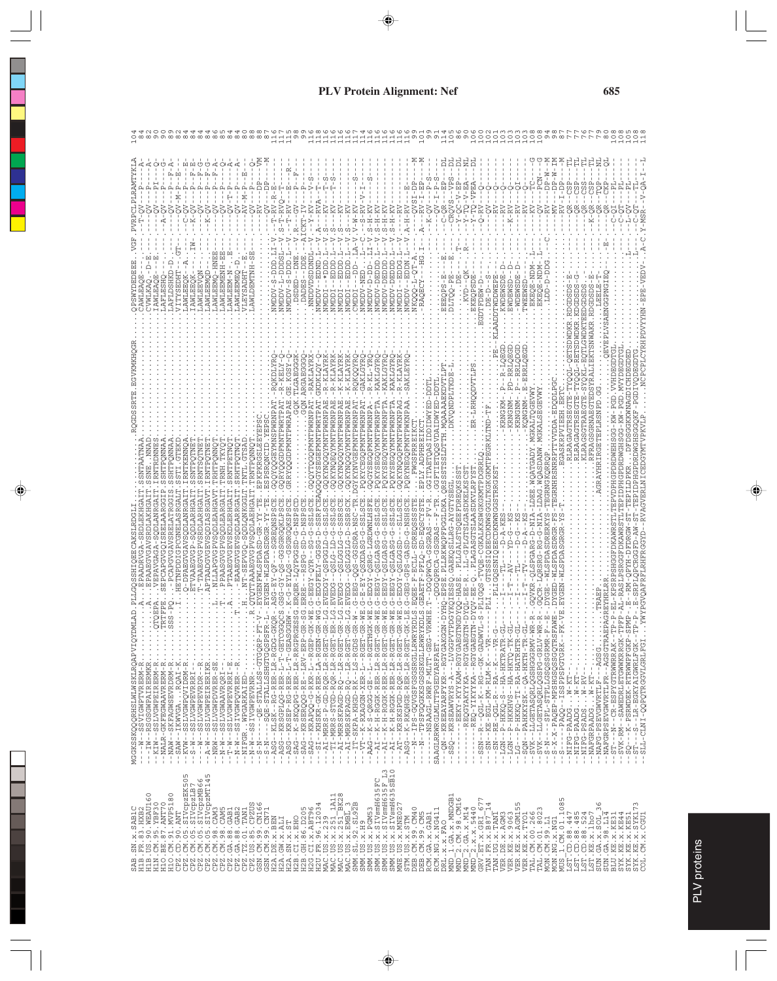|                                               | <b>HSCLLAR</b>                                      | ρ<br>$V-N-$<br>HCRSXLLY<br>AWLEEOK<br>AWLEEO                                       | <b>ONEETMA</b><br>AWLEEM<br><b>AWLE</b>                                                                 | i<br>T<br><b>NHUREMEN</b><br>N-MEERLAA.                                                             | <b>AWLEEME</b>  | $V-N-P$<br><b>AWLDEMTNH</b><br>HUASYE            |          |                                                                                                                                                                                                                                                                                                                                                                | $\mathbf{\Omega}$<br><b>URDSD</b><br><b><i>NOODN</i></b> | ပ္ပ<br>CKT.<br>NNDDVDSDDND<br>CΩ                                                                                                                                 | Ω<br>-- VUUMP<br>Iddini        | ທ ທ<br>EDDD<br>回!<br>Idaw<br>ICOM                                                                                                                                                                                                                                                                                                                                                                                            | C)<br>EDOD<br>Idaw | <b>THA-MEDW</b><br>Iddws                                                 | S<br><b>GGGEG-AGGWN</b><br>ampy-p-pp                                                                                                                                                                                                                                                                                                                                                                         | VICININ<br>VOCIME |              |        |                                                                                    | $V - T -$                                                               | $VS -$                                                           | ピーソー<br>7-V    | $Q - VPE$<br><b>EKEQPSD</b><br>GDTFDEW-D                                                                                                                                                                                                                                                                                                                                                                                                                               | ADDTWDDWE<br>0-RC.                                                                                        | KWDEWS                                   | EWD:<br>-WD.                                                                                                                | TWE                              | $P - W$<br>LDD-D-D                                                                             | $N - 4$                                        | $-1$<br>T-ZZ                |                                                                                                                                                                                                                                                                                                                                                                                                                             |                                                                                              |                                                                                                                                          |                                                                                                                                                                                       |
|-----------------------------------------------|-----------------------------------------------------|------------------------------------------------------------------------------------|---------------------------------------------------------------------------------------------------------|-----------------------------------------------------------------------------------------------------|-----------------|--------------------------------------------------|----------|----------------------------------------------------------------------------------------------------------------------------------------------------------------------------------------------------------------------------------------------------------------------------------------------------------------------------------------------------------------|----------------------------------------------------------|------------------------------------------------------------------------------------------------------------------------------------------------------------------|--------------------------------|------------------------------------------------------------------------------------------------------------------------------------------------------------------------------------------------------------------------------------------------------------------------------------------------------------------------------------------------------------------------------------------------------------------------------|--------------------|--------------------------------------------------------------------------|--------------------------------------------------------------------------------------------------------------------------------------------------------------------------------------------------------------------------------------------------------------------------------------------------------------------------------------------------------------------------------------------------------------|-------------------|--------------|--------|------------------------------------------------------------------------------------|-------------------------------------------------------------------------|------------------------------------------------------------------|----------------|------------------------------------------------------------------------------------------------------------------------------------------------------------------------------------------------------------------------------------------------------------------------------------------------------------------------------------------------------------------------------------------------------------------------------------------------------------------------|-----------------------------------------------------------------------------------------------------------|------------------------------------------|-----------------------------------------------------------------------------------------------------------------------------|----------------------------------|------------------------------------------------------------------------------------------------|------------------------------------------------|-----------------------------|-----------------------------------------------------------------------------------------------------------------------------------------------------------------------------------------------------------------------------------------------------------------------------------------------------------------------------------------------------------------------------------------------------------------------------|----------------------------------------------------------------------------------------------|------------------------------------------------------------------------------------------------------------------------------------------|---------------------------------------------------------------------------------------------------------------------------------------------------------------------------------------|
| MGGKSSKQQQRHSLMLWSKLRQAPVIQ<br>$\ddot{\cdot}$ | - NALR-GKFEGWAAVRERM-R<br>- NAW - - SKFAGWSEVRDRM-R | -- 5AW -- IKWVGA. RQAI-K<br>-- KVW -- SSLVGWPQVIDRM-R<br>-- S-W -- SSLVGWPEVRRRI-- | PTAAD<br>-A-W--SSLVGWPEIRERIKR<br>-NRW--SSLVGWPDVRER-SE<br>$-4$<br>SLVGWPEVRDR<br>$-5$<br>$-\mathbb{N}$ | - - N - W - - SSLVGWAAVRQRI - -<br>- - T - W - - SSLVGWPEVRRRI - E<br>- - N - - SS IVGWPQVRRR - - R | 11 <sub>1</sub> | Ť<br>-NIFGR. . WPGARKAIED<br>--N-W--SSIVGWPEVRNR | $-5 - N$ | $\begin{array}{ll} -10^{-10} - 10^{-10} & -10^{-10} & -10^{-10} & -10^{-10} & -10^{-10} & -10^{-10} & -10^{-10} & -10^{-10} & -10^{-10} & -10^{-10} & -10^{-10} & -10^{-10} & -10^{-10} & -10^{-10} & -10^{-10} & -10^{-10} & -10^{-10} & -10^{-10} & -10^{-10} & -10^{-10} & -10^{-10} & -10^{-10} & -10^{-10} & -10^{-10} & -10^{-10} & -10^{-1$<br>$--ASG-$ | $-$ ASG<br>$-$ -SAG                                      | -RAKLAYR<br><b>GQN.ARGAE</b><br>þ,<br>- - 5AC - - KRSERQQG--RE - -LRV - ERP<br>-- 5AC - - KRAPQQ-C--RKR - L - - RGEP<br>-- - 5AC - - KHSKR - GK--RER - LA - RGEN | R-KLAYR<br><b>GKDKLO</b><br>Ì, | - KLAYR<br>R<br>$\begin{array}{r@{\quad}l} -\lambda\Gamma & \text{MRS}-\bar{P} & \text{G}D-\bar{R}Q\bar{P} & \text{L}\bar{R}-\bar{R}Q\bar{B}\bar{T} \\ -\lambda\Gamma & \text{MRS}-S\Gamma\bar{G}D-\bar{R}Q\bar{R}-\bar{L}\bar{R}-\bar{R}Q\bar{B}\bar{T} \\ -\lambda\Gamma & \text{MRRSKRAGD}-\bar{R}Q-\bar{L}\bar{R}-\bar{R}Q\bar{B}\bar{T} \\ -\lambda\bar{R}-\bar{R}\bar{R}S\bar{K}R\bar{R}Q\bar{D}-\bar{R}Q-\bar{L}\bar$ | -KLAYR<br>GOKYNQ   | OKOOYRC<br>GAKLGYR<br>POKYCEGO<br>U,<br>J.<br>--VT--K-RXAGGN-XER-L--RGET | KAKLGYR<br>- KI. – YR<br>POKYSEGC<br><b>ASADO:</b><br>ř<br>$\begin{array}{r} -\text{N20-15} \\ -\text{N30-15} \\ -\text{N41-15} \\ -\text{N42-15} \\ -\text{N43-15} \\ -\text{N44-15} \\ -\text{N45-15} \\ -\text{N46-15} \\ -\text{N47-15} \\ -\text{N48-15} \\ -\text{N49-15} \\ -\text{N49-15} \\ -\text{N49-15} \\ -\text{N49-15} \\ -\text{N49-15} \\ -\text{N49-15} \\ -\text{N49-15} \\ -\text{N49-1$ | KYSE              | <b>EXAMO</b> | PQRYNE | KTdE                                                                               | PGGLDKZ<br>---------NSAAGL-RWRF-MLTT-GEG<br>SAAGLRRWRGLMLTTPGEDYARFAET. | ----QN---KREEAYARFYKR---RGYGAK<br>---SSQ---KRSEAWVRYS-A----LVGGP | <b>DIED-TE</b> |                                                                                                                                                                                                                                                                                                                                                                                                                                                                        | $- - 5N - KE - EGL - KM - RLM - K - - VR$<br>$- -$ SN $- -$ RE $-$ QGL $-$ R $- -$ R $A - -$ K $- - -$ VR | $-LGN - - P - HKKQ - S - - HA - HKTRATR$ | - LG - - - P - HKKQ - TI - RA - HATRHTR<br>- SQN - - PAHKKYSK - - QA - HKTH - TR<br>- 1GN - - P - HKKHVS - - HA - HKTQ - TK | --LLGETASQRLQGSHGGGRMV<br>$-SVR$ | MGKALSEGE<br>S<br>XGE<br>------SPL-STPLLGSQSSGRMR<br>--LLGETASQRLQGSPG-GRLV<br>$N-S$ -<br>-SVK | EDODLP<br>NRRPTT<br>-S-X-X-PAQEP-MPSHGSQSSGQTR | EEH.E<br>RSEGT<br>EGASKRPVI | SGRNAEGTEDSYRALIEKTSNW<br>KL-EQTLG<br>RSE                                                                                                                                                                                                                                                                                                                                                                                   | GRAYHRIRGETEPLRSNPD.GG<br>-NAFGRPSEVGWVRTLFR--AGSGTRJ<br>$- - A G S G$<br>-NAFG-PSEVGWVRTLF- | PHGPDRDWGHSGG-KW-PG<br>TEPVDPHGPDRDWEHSGG<br>-RASLPSR<br>-SVK-RM--SAWEDRLETGWWKRRGK<br>$- ST - -N - - C R - E S P Y G T R W R R R A K -$ | р.<br>Еі<br>$\mathbf{\Omega}$<br>ပ္ပ<br><b>FDR</b><br>ā<br>PMP<br>$-SSQ$ ---K-PSRWDEK-RTRWWPFGKP<br>- ST- - - - - - LR - EGKYAI GWRLFGK<br>- - SLL - CLNI - QQPQTRGGVLGRLFGI<br>$-ST$ |
|                                               |                                                     |                                                                                    |                                                                                                         |                                                                                                     |                 |                                                  |          |                                                                                                                                                                                                                                                                                                                                                                |                                                          |                                                                                                                                                                  |                                |                                                                                                                                                                                                                                                                                                                                                                                                                              |                    | SMM.US.x.H9                                                              | SMM, US. X. DEM653<br>SMM, US. X. SIVSmIH635FC<br>SMM, US. X. SIVSmIH635FC 13<br>SMM, US. X. SIVSmIH6355F13<br>MNE US. X. MNE027                                                                                                                                                                                                                                                                             |                   |              |        | STM.US.x.STM<br>DEB.CM.99.CM40<br>DEB.CM.99.CM40<br>DEB.CM.99.CM5<br>RCM.GA.x.GAB1 | DRL.X.X.FAO                                                             |                                                                  |                | $\begin{array}{l} \texttt{MND} & \texttt{I} \cdot \texttt{GA}, \texttt{x} \cdot \texttt{MMDGB1} \\ \texttt{MND} & \texttt{2} \cdot \texttt{CM} \cdot \texttt{98} \cdot \texttt{CML6} \\ \texttt{MND} & \texttt{2} \cdot \texttt{GA}, \texttt{x} \cdot \texttt{M14} \\ \texttt{MND} & \texttt{2} \cdot \texttt{GA}, \texttt{x} \cdot \texttt{M14} \\ \texttt{GRV} & \texttt{BT} & \texttt{x} \cdot \texttt{GRI} \cdot \texttt{677} \\ \texttt{TRV} & \texttt{FR} \cdot$ |                                                                                                           |                                          | S<br>TAN : UG : x : TANT<br>TAN : UG : x : TANT<br>VER : DE : x : AGM3<br>VER : KE : x : AGM155<br>VER : KE : x : AGM155    |                                  |                                                                                                |                                                |                             | $\begin{array}{l} \mathtt{VBR}, \mathtt{H} \mathtt{H} \mathtt{G} \mathtt{H} \mathtt{G} \mathtt{H} \mathtt{G} \mathtt{G} \mathtt{G} \mathtt{G} \mathtt{G} \mathtt{G} \mathtt{G} \mathtt{G} \mathtt{G} \mathtt{G} \mathtt{G} \mathtt{G} \mathtt{G} \mathtt{G} \mathtt{G} \mathtt{G} \mathtt{G} \mathtt{G} \mathtt{G} \mathtt{G} \mathtt{G} \mathtt{G} \mathtt{G} \mathtt{G} \mathtt{G} \mathtt{G} \mathtt{G} \mathtt{G} \mat$ | SUN. GA. 98. L14                                                                             | BLU.KE.X.KE31<br>SYK.KE.X.KE44                                                                                                           | SYK.KE.x.SYK17<br>SYK.KE.x.KE51<br>COL.CM.x.CGU1                                                                                                                                      |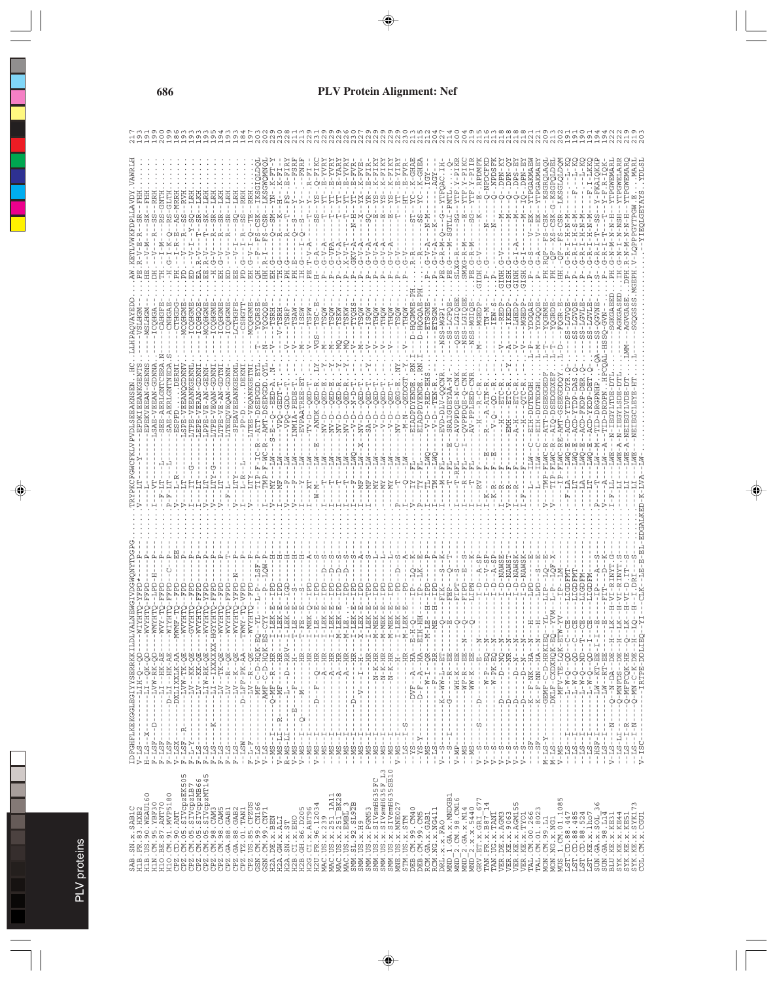|                                                                                                                                                                                                                                                                                                                                                                                                                            | <b>UDZ LIG BE UDZIE</b> |  |
|----------------------------------------------------------------------------------------------------------------------------------------------------------------------------------------------------------------------------------------------------------------------------------------------------------------------------------------------------------------------------------------------------------------------------|-------------------------|--|
|                                                                                                                                                                                                                                                                                                                                                                                                                            | CPZ.TZ.01.TAN1          |  |
|                                                                                                                                                                                                                                                                                                                                                                                                                            | CPZ.GA.88.GAB2          |  |
|                                                                                                                                                                                                                                                                                                                                                                                                                            | CPZ.GA.88.GAB1          |  |
|                                                                                                                                                                                                                                                                                                                                                                                                                            | <b>CREZ.CM.98.CAM5</b>  |  |
|                                                                                                                                                                                                                                                                                                                                                                                                                            | CPZ.CM.98.CAM3          |  |
|                                                                                                                                                                                                                                                                                                                                                                                                                            | CPZ.CM.05.SIVCDZMT145   |  |
|                                                                                                                                                                                                                                                                                                                                                                                                                            | CPZ.CM.05.SIVCPZMB66    |  |
|                                                                                                                                                                                                                                                                                                                                                                                                                            | CPZ.CM.05.SIVCpzLB7     |  |
|                                                                                                                                                                                                                                                                                                                                                                                                                            | CPZ.CM.05.SIVcpzEK505   |  |
|                                                                                                                                                                                                                                                                                                                                                                                                                            | CPZ.CD.90.ANT           |  |
|                                                                                                                                                                                                                                                                                                                                                                                                                            | H1O.CM.91.MVP5180       |  |
|                                                                                                                                                                                                                                                                                                                                                                                                                            | H10. BE. 87. ANT70      |  |
|                                                                                                                                                                                                                                                                                                                                                                                                                            | HIN.CM.95.YBF30         |  |
|                                                                                                                                                                                                                                                                                                                                                                                                                            | H1B.US.90.WEAU160       |  |
| $\begin{small} \textbf{16} \textbf{1} \textbf{2} \textbf{3} \textbf{4} \textbf{5} \textbf{5} \textbf{6} \textbf{7} \textbf{6} \textbf{7} \textbf{6} \textbf{8} \textbf{9} \textbf{1} \textbf{1} \textbf{1} \textbf{1} \textbf{1} \textbf{1} \textbf{1} \textbf{1} \textbf{1} \textbf{1} \textbf{1} \textbf{1} \textbf{1} \textbf{1} \textbf{1} \textbf{1} \textbf{1} \textbf{1} \textbf{1} \textbf{1} \textbf{1} \textbf{$ | H1B. FR. 83. HXB2       |  |
| LDFGHFLKEKGGLEGKYINGIYYSERRKKILDLYALNEWGIYDGPGTRYYPOGYYPEKCFGWCFKLVPVDLSEBANSSEN.                                                                                                                                                                                                                                                                                                                                          | SAB.SN.x.SAB1C          |  |
|                                                                                                                                                                                                                                                                                                                                                                                                                            |                         |  |
|                                                                                                                                                                                                                                                                                                                                                                                                                            |                         |  |

PLV proteins

PLV proteins

|                                                                                                                                                                                                                                                                                                                                                                                                                                                                  |                                                                                          | $\begin{array}{l} \text{D}\text{P} \text{GHEYKRTD5} \text{L}\text{D} \text{F} \text{GHEYKRTD5} \text{L}\text{D} \text{F} \text{G} \text{F} \text{G} \text{F} \text{G} \text{F} \text{G} \text{F} \text{G} \text{F} \text{G} \text{F} \text{G} \text{F} \text{G} \text{F} \text{G} \text{F} \text{G} \text{F} \text{G} \text{F} \text{G} \text{F} \text{G} \text{F} \text{G} \text{F} \text{G} \text{F} \text{G$                                                                                                                                                                                                                                    |  |                |               |  |
|------------------------------------------------------------------------------------------------------------------------------------------------------------------------------------------------------------------------------------------------------------------------------------------------------------------------------------------------------------------------------------------------------------------------------------------------------------------|------------------------------------------------------------------------------------------|----------------------------------------------------------------------------------------------------------------------------------------------------------------------------------------------------------------------------------------------------------------------------------------------------------------------------------------------------------------------------------------------------------------------------------------------------------------------------------------------------------------------------------------------------------------------------------------------------------------------------------------------------|--|----------------|---------------|--|
|                                                                                                                                                                                                                                                                                                                                                                                                                                                                  |                                                                                          |                                                                                                                                                                                                                                                                                                                                                                                                                                                                                                                                                                                                                                                    |  |                |               |  |
|                                                                                                                                                                                                                                                                                                                                                                                                                                                                  |                                                                                          | ------ MA-LA-6E                                                                                                                                                                                                                                                                                                                                                                                                                                                                                                                                                                                                                                    |  |                |               |  |
|                                                                                                                                                                                                                                                                                                                                                                                                                                                                  |                                                                                          |                                                                                                                                                                                                                                                                                                                                                                                                                                                                                                                                                                                                                                                    |  |                |               |  |
|                                                                                                                                                                                                                                                                                                                                                                                                                                                                  |                                                                                          | $\begin{split} \mathbb{L} \left\{ \begin{aligned} &\mathbb{L} \left\{ \mathbf{X}^1, \mathbf{X}^2 \right\} = \mathbf{X}^2 \mathbf{X}^3 + \mathbf{X}^4 \mathbf{X}^4 \mathbf{X}^5 \mathbf{X}^6 \mathbf{X}^7 \mathbf{X}^7 \mathbf{X}^7 \mathbf{X}^7 \mathbf{X}^7 \mathbf{X}^7 \mathbf{X}^7 \mathbf{X}^7 \mathbf{X}^7 \mathbf{X}^7 \mathbf{X}^7 \mathbf{X}^7 \mathbf{X}^7 \mathbf{X}^7 \mathbf{X}$                                                                                                                                                                                                                                                      |  |                |               |  |
|                                                                                                                                                                                                                                                                                                                                                                                                                                                                  |                                                                                          |                                                                                                                                                                                                                                                                                                                                                                                                                                                                                                                                                                                                                                                    |  |                |               |  |
|                                                                                                                                                                                                                                                                                                                                                                                                                                                                  |                                                                                          |                                                                                                                                                                                                                                                                                                                                                                                                                                                                                                                                                                                                                                                    |  |                |               |  |
|                                                                                                                                                                                                                                                                                                                                                                                                                                                                  |                                                                                          |                                                                                                                                                                                                                                                                                                                                                                                                                                                                                                                                                                                                                                                    |  |                |               |  |
|                                                                                                                                                                                                                                                                                                                                                                                                                                                                  |                                                                                          |                                                                                                                                                                                                                                                                                                                                                                                                                                                                                                                                                                                                                                                    |  |                |               |  |
|                                                                                                                                                                                                                                                                                                                                                                                                                                                                  |                                                                                          |                                                                                                                                                                                                                                                                                                                                                                                                                                                                                                                                                                                                                                                    |  |                |               |  |
|                                                                                                                                                                                                                                                                                                                                                                                                                                                                  |                                                                                          |                                                                                                                                                                                                                                                                                                                                                                                                                                                                                                                                                                                                                                                    |  |                |               |  |
|                                                                                                                                                                                                                                                                                                                                                                                                                                                                  |                                                                                          |                                                                                                                                                                                                                                                                                                                                                                                                                                                                                                                                                                                                                                                    |  |                |               |  |
|                                                                                                                                                                                                                                                                                                                                                                                                                                                                  |                                                                                          | $-1 - Q - MF - -R - HR$                                                                                                                                                                                                                                                                                                                                                                                                                                                                                                                                                                                                                            |  |                |               |  |
|                                                                                                                                                                                                                                                                                                                                                                                                                                                                  |                                                                                          | $-$ -HR $\cdot$                                                                                                                                                                                                                                                                                                                                                                                                                                                                                                                                                                                                                                    |  |                |               |  |
|                                                                                                                                                                                                                                                                                                                                                                                                                                                                  |                                                                                          | RRV-                                                                                                                                                                                                                                                                                                                                                                                                                                                                                                                                                                                                                                               |  |                |               |  |
|                                                                                                                                                                                                                                                                                                                                                                                                                                                                  |                                                                                          |                                                                                                                                                                                                                                                                                                                                                                                                                                                                                                                                                                                                                                                    |  |                |               |  |
|                                                                                                                                                                                                                                                                                                                                                                                                                                                                  |                                                                                          | $-$ -HR $-$                                                                                                                                                                                                                                                                                                                                                                                                                                                                                                                                                                                                                                        |  |                |               |  |
|                                                                                                                                                                                                                                                                                                                                                                                                                                                                  |                                                                                          | E                                                                                                                                                                                                                                                                                                                                                                                                                                                                                                                                                                                                                                                  |  |                |               |  |
|                                                                                                                                                                                                                                                                                                                                                                                                                                                                  |                                                                                          |                                                                                                                                                                                                                                                                                                                                                                                                                                                                                                                                                                                                                                                    |  | $N - N -$      |               |  |
|                                                                                                                                                                                                                                                                                                                                                                                                                                                                  |                                                                                          |                                                                                                                                                                                                                                                                                                                                                                                                                                                                                                                                                                                                                                                    |  |                |               |  |
|                                                                                                                                                                                                                                                                                                                                                                                                                                                                  |                                                                                          | $\begin{split} &\mathbf{1}=\cdot\cdot\cdot-\mathbf{1}=\cdot\cdot\mathbf{p}-\mathbf{p}-\mathbf{Q}-\mathbf{R}\mathbf{R}-\cdot\cdot\\ &\mathbf{1}=\cdot\cdot\cdot-\cdot-\cdot-\cdot-\mathbf{p}-\mathbf{R}\mathbf{R}-\cdot\cdot\\ &\mathbf{1}=\cdot\cdot\cdot-\cdot-\cdot-\cdot-\mathbf{p}-\mathbf{R}\mathbf{R}-\cdot\cdot\\ &\mathbf{1}=\cdot\cdot\cdot-\cdot-\cdot-\mathbf{p}-\mathbf{R}\mathbf{R}-\cdot\cdot\\ &\mathbf{1}=\cdot\cdot\cdot-\cdot-\mathbf{p}-\mathbf{R}-\mathbf{R}\mathbf{R$                                                                                                                                                         |  |                |               |  |
|                                                                                                                                                                                                                                                                                                                                                                                                                                                                  |                                                                                          |                                                                                                                                                                                                                                                                                                                                                                                                                                                                                                                                                                                                                                                    |  |                |               |  |
|                                                                                                                                                                                                                                                                                                                                                                                                                                                                  |                                                                                          | $---HIR -$                                                                                                                                                                                                                                                                                                                                                                                                                                                                                                                                                                                                                                         |  |                |               |  |
|                                                                                                                                                                                                                                                                                                                                                                                                                                                                  |                                                                                          | Ť                                                                                                                                                                                                                                                                                                                                                                                                                                                                                                                                                                                                                                                  |  |                |               |  |
|                                                                                                                                                                                                                                                                                                                                                                                                                                                                  |                                                                                          | $---HIR$<br>J.<br>ţ                                                                                                                                                                                                                                                                                                                                                                                                                                                                                                                                                                                                                                |  |                |               |  |
|                                                                                                                                                                                                                                                                                                                                                                                                                                                                  |                                                                                          | ------N-K-HR                                                                                                                                                                                                                                                                                                                                                                                                                                                                                                                                                                                                                                       |  |                |               |  |
| SMM. US. x. PCM53<br>SMM. US. x. SIV9mH635FC<br>SMM. US. x. SIV9mH635F L3<br>SMM. US. x. SIV9mH635SB10<br>MNE. US. x. MNE027                                                                                                                                                                                                                                                                                                                                     |                                                                                          |                                                                                                                                                                                                                                                                                                                                                                                                                                                                                                                                                                                                                                                    |  |                |               |  |
|                                                                                                                                                                                                                                                                                                                                                                                                                                                                  |                                                                                          | - - - - - - - N - K - HR<br>- - - - - - - - N - K - HR                                                                                                                                                                                                                                                                                                                                                                                                                                                                                                                                                                                             |  |                |               |  |
|                                                                                                                                                                                                                                                                                                                                                                                                                                                                  |                                                                                          | Ţ<br>$\,$<br>Ţ<br>$\frac{1}{1}$<br>÷                                                                                                                                                                                                                                                                                                                                                                                                                                                                                                                                                                                                               |  |                |               |  |
| $\texttt{TM}.\texttt{US}.\texttt{x}.\texttt{STM}$                                                                                                                                                                                                                                                                                                                                                                                                                |                                                                                          | --HR-<br>$\mathfrak l$                                                                                                                                                                                                                                                                                                                                                                                                                                                                                                                                                                                                                             |  |                |               |  |
|                                                                                                                                                                                                                                                                                                                                                                                                                                                                  |                                                                                          |                                                                                                                                                                                                                                                                                                                                                                                                                                                                                                                                                                                                                                                    |  |                |               |  |
|                                                                                                                                                                                                                                                                                                                                                                                                                                                                  |                                                                                          | - - - DVF - - A - - HA - -<br>- - A - - HA - - - - - -                                                                                                                                                                                                                                                                                                                                                                                                                                                                                                                                                                                             |  | Ŧ              |               |  |
|                                                                                                                                                                                                                                                                                                                                                                                                                                                                  |                                                                                          | ţ<br>$-----W-T--QR$                                                                                                                                                                                                                                                                                                                                                                                                                                                                                                                                                                                                                                |  |                |               |  |
|                                                                                                                                                                                                                                                                                                                                                                                                                                                                  |                                                                                          | Ţ<br>$-4 - 1$                                                                                                                                                                                                                                                                                                                                                                                                                                                                                                                                                                                                                                      |  |                |               |  |
|                                                                                                                                                                                                                                                                                                                                                                                                                                                                  | $\frac{1}{4}$<br>$\blacksquare$<br>$\mathbf{1}$<br>$\frac{1}{4}$<br>CΩ<br>Ť<br>$\dot{b}$ | $- - K - - W W - L - - E T - -- - G - - - - - - R - - E E - -$                                                                                                                                                                                                                                                                                                                                                                                                                                                                                                                                                                                     |  |                | $\frac{1}{2}$ |  |
|                                                                                                                                                                                                                                                                                                                                                                                                                                                                  | $- - - 5 - - 1 - - - -$<br>٠                                                             |                                                                                                                                                                                                                                                                                                                                                                                                                                                                                                                                                                                                                                                    |  |                |               |  |
|                                                                                                                                                                                                                                                                                                                                                                                                                                                                  | ÷,<br>$\frac{1}{1}$<br>$V - M P - -$                                                     | $\mathbf{I}$                                                                                                                                                                                                                                                                                                                                                                                                                                                                                                                                                                                                                                       |  | $\overline{R}$ |               |  |
|                                                                                                                                                                                                                                                                                                                                                                                                                                                                  | $\frac{1}{4}$<br>$-MS$ .<br>$-MS$ .                                                      | $\frac{1}{4}$<br>- - - - - MH - K - - BB<br>- - - - - MF - R - - BB<br>- - - - - WW - K - - BB -                                                                                                                                                                                                                                                                                                                                                                                                                                                                                                                                                   |  |                | SSSS          |  |
|                                                                                                                                                                                                                                                                                                                                                                                                                                                                  | $\mathbf{I}$<br>f,<br>ı<br>f,<br>Ì<br>Ť                                                  |                                                                                                                                                                                                                                                                                                                                                                                                                                                                                                                                                                                                                                                    |  |                |               |  |
|                                                                                                                                                                                                                                                                                                                                                                                                                                                                  | $- - - - - - - - - - -$<br>$V - S$                                                       | $\frac{1}{1}$<br>中!                                                                                                                                                                                                                                                                                                                                                                                                                                                                                                                                                                                                                                |  |                |               |  |
|                                                                                                                                                                                                                                                                                                                                                                                                                                                                  | $-2$<br>⊳                                                                                |                                                                                                                                                                                                                                                                                                                                                                                                                                                                                                                                                                                                                                                    |  |                |               |  |
|                                                                                                                                                                                                                                                                                                                                                                                                                                                                  | $-2$<br>$\triangleright$                                                                 |                                                                                                                                                                                                                                                                                                                                                                                                                                                                                                                                                                                                                                                    |  |                |               |  |
| $\begin{tabular}{l ll} \hline \texttt{DBB} & \texttt{COW10} \\ \texttt{DBB} & \texttt{COW10} \\ \texttt{DRB} & \texttt{COW10} \\ \texttt{ROM} & \texttt{COW11} \\ \texttt{ROM} & \texttt{COW11} \\ \texttt{ROM} & \texttt{COW11} \\ \texttt{ROM} & \texttt{COW11} \\ \texttt{MMD} & \texttt{2} & \texttt{COW11} \\ \texttt{MMD} & \texttt{2} & \texttt{COW11} \\ \texttt{MMD} & \texttt{2} & \texttt{COW11} \\ \texttt{MMD$                                      | $V - -S$<br>$V - -S$                                                                     | $\begin{array}{l} \mathbf{3} \rightarrow \mathbf{1} \rightarrow \mathbf{1} \rightarrow \mathbf{1} \rightarrow \mathbf{1} \rightarrow \mathbf{1} \rightarrow \mathbf{1} \rightarrow \mathbf{1} \rightarrow \mathbf{1} \rightarrow \mathbf{1} \rightarrow \mathbf{1} \rightarrow \mathbf{1} \rightarrow \mathbf{1} \rightarrow \mathbf{1} \rightarrow \mathbf{1} \rightarrow \mathbf{1} \rightarrow \mathbf{1} \rightarrow \mathbf{1} \rightarrow \mathbf{1} \rightarrow \mathbf{1} \rightarrow \mathbf{1} \rightarrow \mathbf{1} \rightarrow \mathbf{1} \rightarrow \mathbf{1} \rightarrow \mathbf{1} \rightarrow \mathbf{1} \rightarrow \mathbf{1$ |  |                |               |  |
|                                                                                                                                                                                                                                                                                                                                                                                                                                                                  | $-2$<br>⋗                                                                                |                                                                                                                                                                                                                                                                                                                                                                                                                                                                                                                                                                                                                                                    |  |                |               |  |
|                                                                                                                                                                                                                                                                                                                                                                                                                                                                  | $-$ -S<br>⊳                                                                              |                                                                                                                                                                                                                                                                                                                                                                                                                                                                                                                                                                                                                                                    |  |                |               |  |
|                                                                                                                                                                                                                                                                                                                                                                                                                                                                  | $- -$ SF <sup>-</sup><br>п                                                               |                                                                                                                                                                                                                                                                                                                                                                                                                                                                                                                                                                                                                                                    |  |                |               |  |
|                                                                                                                                                                                                                                                                                                                                                                                                                                                                  | J,<br>Ė,<br>$- -$ S                                                                      |                                                                                                                                                                                                                                                                                                                                                                                                                                                                                                                                                                                                                                                    |  |                |               |  |
|                                                                                                                                                                                                                                                                                                                                                                                                                                                                  |                                                                                          |                                                                                                                                                                                                                                                                                                                                                                                                                                                                                                                                                                                                                                                    |  | È              |               |  |
|                                                                                                                                                                                                                                                                                                                                                                                                                                                                  |                                                                                          |                                                                                                                                                                                                                                                                                                                                                                                                                                                                                                                                                                                                                                                    |  |                |               |  |
|                                                                                                                                                                                                                                                                                                                                                                                                                                                                  |                                                                                          |                                                                                                                                                                                                                                                                                                                                                                                                                                                                                                                                                                                                                                                    |  |                |               |  |
|                                                                                                                                                                                                                                                                                                                                                                                                                                                                  |                                                                                          |                                                                                                                                                                                                                                                                                                                                                                                                                                                                                                                                                                                                                                                    |  |                | C)            |  |
|                                                                                                                                                                                                                                                                                                                                                                                                                                                                  |                                                                                          |                                                                                                                                                                                                                                                                                                                                                                                                                                                                                                                                                                                                                                                    |  |                |               |  |
|                                                                                                                                                                                                                                                                                                                                                                                                                                                                  |                                                                                          |                                                                                                                                                                                                                                                                                                                                                                                                                                                                                                                                                                                                                                                    |  |                |               |  |
|                                                                                                                                                                                                                                                                                                                                                                                                                                                                  |                                                                                          |                                                                                                                                                                                                                                                                                                                                                                                                                                                                                                                                                                                                                                                    |  |                |               |  |
|                                                                                                                                                                                                                                                                                                                                                                                                                                                                  |                                                                                          |                                                                                                                                                                                                                                                                                                                                                                                                                                                                                                                                                                                                                                                    |  |                |               |  |
| SUN GA X, SOL 36<br>SUN GA 98.L14<br>BLU KE X, KE31<br>BLU KE X, KE31<br>SYK, KE X, KE44                                                                                                                                                                                                                                                                                                                                                                         |                                                                                          |                                                                                                                                                                                                                                                                                                                                                                                                                                                                                                                                                                                                                                                    |  |                |               |  |
|                                                                                                                                                                                                                                                                                                                                                                                                                                                                  |                                                                                          |                                                                                                                                                                                                                                                                                                                                                                                                                                                                                                                                                                                                                                                    |  |                |               |  |
|                                                                                                                                                                                                                                                                                                                                                                                                                                                                  |                                                                                          |                                                                                                                                                                                                                                                                                                                                                                                                                                                                                                                                                                                                                                                    |  |                |               |  |
|                                                                                                                                                                                                                                                                                                                                                                                                                                                                  | $-1 - 1 - N$                                                                             | ÷<br>--Q-MFFCQK-HE<br>--Q-MN-C-K-DE                                                                                                                                                                                                                                                                                                                                                                                                                                                                                                                                                                                                                |  |                |               |  |
| $\begin{array}{l} \texttt{--}\dots\texttt{--} \texttt{--} \texttt{--} \texttt{--} \texttt{--} \texttt{--} \texttt{--} \texttt{--} \texttt{--} \texttt{--} \texttt{--} \texttt{--} \texttt{--} \texttt{--} \texttt{--} \texttt{--} \texttt{--} \texttt{--} \texttt{--} \texttt{--} \texttt{--} \texttt{--} \texttt{--} \texttt{--} \texttt{--} \texttt{--} \texttt{--} \texttt{--} \texttt{--} \texttt{--} \texttt{--} \texttt{--} \texttt{--} \texttt{--} \text$ | $-v=LLS-C-V-LSC-$                                                                        | $---IRTPBE-DDLL$                                                                                                                                                                                                                                                                                                                                                                                                                                                                                                                                                                                                                                   |  |                |               |  |

.<br>השמשים המשפט המשפט המשפט כס המשפט הוא המשמש המאמטומו הוא הוא המשפט הוא המשפט הוא המשפט המשפט המשפט הוא הוא המ<br>המשפט המשפט המשפט המשפט הוא המשפט המשפט המשמש המשמש המשפט המשפט הוא המשפט הוא המשפט המשפט הוא המשפט הוא המשפט